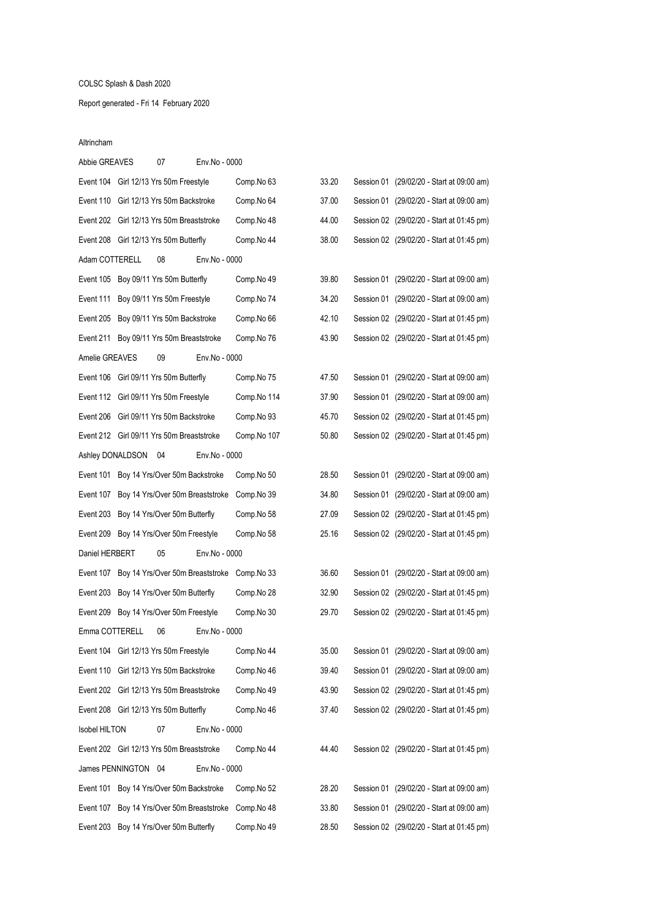# COLSC Splash & Dash 2020

# Report generated - Fri 14 February 2020

### Altrincham

| Abbie GREAVES        | 07                                        | Env.No - 0000                              |                                                        |       |  |                                           |
|----------------------|-------------------------------------------|--------------------------------------------|--------------------------------------------------------|-------|--|-------------------------------------------|
|                      | Event 104 Girl 12/13 Yrs 50m Freestyle    |                                            | Comp.No 63                                             | 33.20 |  | Session 01 (29/02/20 - Start at 09:00 am) |
|                      | Event 110 Girl 12/13 Yrs 50m Backstroke   |                                            | Comp.No 64                                             | 37.00 |  | Session 01 (29/02/20 - Start at 09:00 am) |
|                      | Event 202 Girl 12/13 Yrs 50m Breaststroke |                                            | Comp.No 48                                             | 44.00 |  | Session 02 (29/02/20 - Start at 01:45 pm) |
|                      | Event 208 Girl 12/13 Yrs 50m Butterfly    |                                            | Comp.No 44                                             | 38.00 |  | Session 02 (29/02/20 - Start at 01:45 pm) |
| Adam COTTERELL       | 08                                        | Env.No - 0000                              |                                                        |       |  |                                           |
|                      | Event 105 Boy 09/11 Yrs 50m Butterfly     |                                            | Comp.No 49                                             | 39.80 |  | Session 01 (29/02/20 - Start at 09:00 am) |
|                      | Event 111 Boy 09/11 Yrs 50m Freestyle     |                                            | Comp.No 74                                             | 34.20 |  | Session 01 (29/02/20 - Start at 09:00 am) |
|                      | Event 205 Boy 09/11 Yrs 50m Backstroke    |                                            | Comp.No 66                                             | 42.10 |  | Session 02 (29/02/20 - Start at 01:45 pm) |
|                      | Event 211 Boy 09/11 Yrs 50m Breaststroke  |                                            | Comp.No 76                                             | 43.90 |  | Session 02 (29/02/20 - Start at 01:45 pm) |
| Amelie GREAVES       | 09                                        | Env.No - 0000                              |                                                        |       |  |                                           |
|                      | Event 106 Girl 09/11 Yrs 50m Butterfly    |                                            | Comp.No 75                                             | 47.50 |  | Session 01 (29/02/20 - Start at 09:00 am) |
|                      | Event 112 Girl 09/11 Yrs 50m Freestyle    |                                            | Comp.No 114                                            | 37.90 |  | Session 01 (29/02/20 - Start at 09:00 am) |
|                      | Event 206 Girl 09/11 Yrs 50m Backstroke   |                                            | Comp.No 93                                             | 45.70 |  | Session 02 (29/02/20 - Start at 01:45 pm) |
|                      | Event 212 Girl 09/11 Yrs 50m Breaststroke |                                            | Comp.No 107                                            | 50.80 |  | Session 02 (29/02/20 - Start at 01:45 pm) |
| Ashley DONALDSON     | 04                                        | Env.No - 0000                              |                                                        |       |  |                                           |
|                      | Event 101 Boy 14 Yrs/Over 50m Backstroke  |                                            | Comp.No 50                                             | 28.50 |  | Session 01 (29/02/20 - Start at 09:00 am) |
|                      |                                           | Event 107 Boy 14 Yrs/Over 50m Breaststroke | Comp.No 39                                             | 34.80 |  | Session 01 (29/02/20 - Start at 09:00 am) |
|                      | Event 203 Boy 14 Yrs/Over 50m Butterfly   |                                            | Comp.No 58                                             | 27.09 |  | Session 02 (29/02/20 - Start at 01:45 pm) |
|                      | Event 209 Boy 14 Yrs/Over 50m Freestyle   |                                            | Comp.No 58                                             | 25.16 |  | Session 02 (29/02/20 - Start at 01:45 pm) |
| Daniel HERBERT       | 05                                        | Env.No - 0000                              |                                                        |       |  |                                           |
|                      |                                           |                                            | Event 107 Boy 14 Yrs/Over 50m Breaststroke Comp. No 33 | 36.60 |  | Session 01 (29/02/20 - Start at 09:00 am) |
|                      | Event 203 Boy 14 Yrs/Over 50m Butterfly   |                                            | Comp.No 28                                             | 32.90 |  | Session 02 (29/02/20 - Start at 01:45 pm) |
|                      | Event 209 Boy 14 Yrs/Over 50m Freestyle   |                                            | Comp.No 30                                             | 29.70 |  | Session 02 (29/02/20 - Start at 01:45 pm) |
| Emma COTTERELL       | 06                                        | Env.No - 0000                              |                                                        |       |  |                                           |
|                      | Event 104 Girl 12/13 Yrs 50m Freestyle    |                                            | Comp.No 44                                             | 35.00 |  | Session 01 (29/02/20 - Start at 09:00 am) |
|                      | Event 110 Girl 12/13 Yrs 50m Backstroke   |                                            | Comp.No 46                                             | 39.40 |  | Session 01 (29/02/20 - Start at 09:00 am) |
|                      | Event 202 Girl 12/13 Yrs 50m Breaststroke |                                            | Comp.No 49                                             | 43.90 |  | Session 02 (29/02/20 - Start at 01:45 pm) |
|                      | Event 208 Girl 12/13 Yrs 50m Butterfly    |                                            | Comp.No 46                                             | 37.40 |  | Session 02 (29/02/20 - Start at 01:45 pm) |
| <b>Isobel HILTON</b> | 07                                        | Env.No - 0000                              |                                                        |       |  |                                           |
|                      | Event 202 Girl 12/13 Yrs 50m Breaststroke |                                            | Comp.No 44                                             | 44.40 |  | Session 02 (29/02/20 - Start at 01:45 pm) |
| James PENNINGTON 04  |                                           | Env.No - 0000                              |                                                        |       |  |                                           |
|                      | Event 101 Boy 14 Yrs/Over 50m Backstroke  |                                            | Comp.No 52                                             | 28.20 |  | Session 01 (29/02/20 - Start at 09:00 am) |
|                      |                                           | Event 107 Boy 14 Yrs/Over 50m Breaststroke | Comp.No 48                                             | 33.80 |  | Session 01 (29/02/20 - Start at 09:00 am) |
|                      | Event 203 Boy 14 Yrs/Over 50m Butterfly   |                                            | Comp.No 49                                             | 28.50 |  | Session 02 (29/02/20 - Start at 01:45 pm) |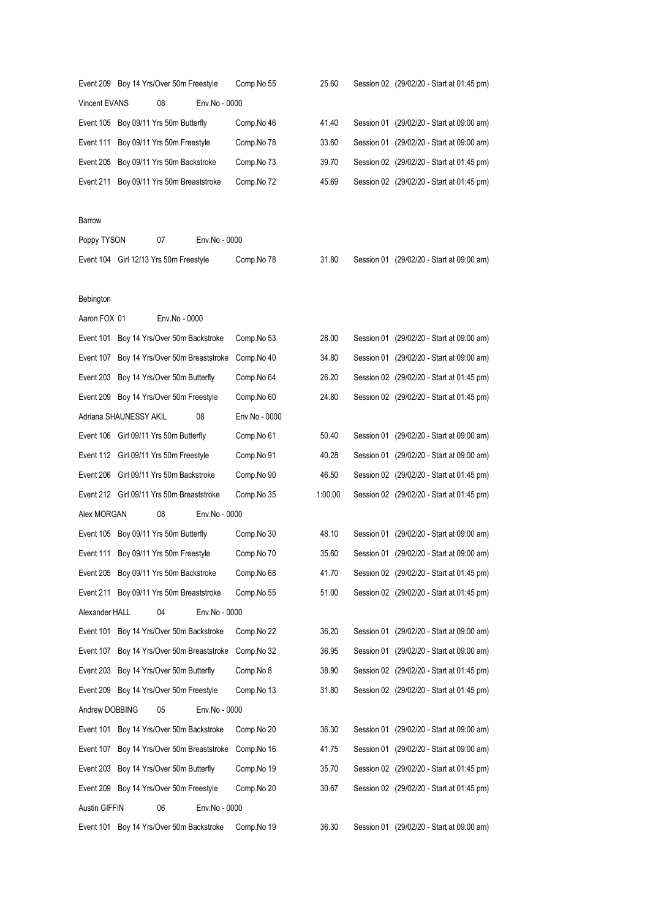|                | Event 209 Boy 14 Yrs/Over 50m Freestyle    |               |               | Comp.No 55    | 25.60   |  | Session 02 (29/02/20 - Start at 01:45 pm) |
|----------------|--------------------------------------------|---------------|---------------|---------------|---------|--|-------------------------------------------|
| Vincent EVANS  |                                            | 08            | Env.No - 0000 |               |         |  |                                           |
|                | Event 105 Boy 09/11 Yrs 50m Butterfly      |               |               | Comp.No 46    | 41.40   |  | Session 01 (29/02/20 - Start at 09:00 am) |
|                | Event 111 Boy 09/11 Yrs 50m Freestyle      |               |               | Comp.No 78    | 33.60   |  | Session 01 (29/02/20 - Start at 09:00 am) |
|                | Event 205 Boy 09/11 Yrs 50m Backstroke     |               |               | Comp.No 73    | 39.70   |  | Session 02 (29/02/20 - Start at 01:45 pm) |
|                | Event 211 Boy 09/11 Yrs 50m Breaststroke   |               |               | Comp.No 72    | 45.69   |  | Session 02 (29/02/20 - Start at 01:45 pm) |
|                |                                            |               |               |               |         |  |                                           |
| Barrow         |                                            |               |               |               |         |  |                                           |
| Poppy TYSON    |                                            | 07            | Env.No - 0000 |               |         |  |                                           |
|                | Event 104 Girl 12/13 Yrs 50m Freestyle     |               |               | Comp.No 78    | 31.80   |  | Session 01 (29/02/20 - Start at 09:00 am) |
|                |                                            |               |               |               |         |  |                                           |
| Bebington      |                                            |               |               |               |         |  |                                           |
| Aaron FOX 01   |                                            | Env.No - 0000 |               |               |         |  |                                           |
|                | Event 101 Boy 14 Yrs/Over 50m Backstroke   |               |               | Comp.No 53    | 28.00   |  | Session 01 (29/02/20 - Start at 09:00 am) |
|                | Event 107 Boy 14 Yrs/Over 50m Breaststroke |               |               | Comp.No 40    | 34.80   |  | Session 01 (29/02/20 - Start at 09:00 am) |
|                | Event 203 Boy 14 Yrs/Over 50m Butterfly    |               |               | Comp.No 64    | 26.20   |  | Session 02 (29/02/20 - Start at 01:45 pm) |
|                | Event 209 Boy 14 Yrs/Over 50m Freestyle    |               |               | Comp.No 60    | 24.80   |  | Session 02 (29/02/20 - Start at 01:45 pm) |
|                | Adriana SHAUNESSY AKIL                     |               | 08            | Env.No - 0000 |         |  |                                           |
|                | Event 106 Girl 09/11 Yrs 50m Butterfly     |               |               | Comp.No 61    | 50.40   |  | Session 01 (29/02/20 - Start at 09:00 am) |
|                | Event 112 Girl 09/11 Yrs 50m Freestyle     |               |               | Comp.No 91    | 40.28   |  | Session 01 (29/02/20 - Start at 09:00 am) |
|                | Event 206 Girl 09/11 Yrs 50m Backstroke    |               |               | Comp.No 90    | 46.50   |  | Session 02 (29/02/20 - Start at 01:45 pm) |
|                | Event 212 Girl 09/11 Yrs 50m Breaststroke  |               |               | Comp.No 35    | 1:00.00 |  | Session 02 (29/02/20 - Start at 01:45 pm) |
| Alex MORGAN    |                                            | 08            | Env.No - 0000 |               |         |  |                                           |
|                | Event 105 Boy 09/11 Yrs 50m Butterfly      |               |               | Comp.No 30    | 48.10   |  | Session 01 (29/02/20 - Start at 09:00 am) |
|                | Event 111 Boy 09/11 Yrs 50m Freestyle      |               |               | Comp.No 70    | 35.60   |  | Session 01 (29/02/20 - Start at 09:00 am) |
|                | Event 205 Boy 09/11 Yrs 50m Backstroke     |               |               | Comp.No 68    | 41.70   |  | Session 02 (29/02/20 - Start at 01:45 pm) |
|                | Event 211 Boy 09/11 Yrs 50m Breaststroke   |               |               | Comp.No 55    | 51.00   |  | Session 02 (29/02/20 - Start at 01:45 pm) |
| Alexander HALL |                                            | 04            | Env.No - 0000 |               |         |  |                                           |
|                | Event 101 Boy 14 Yrs/Over 50m Backstroke   |               |               | Comp.No 22    | 36.20   |  | Session 01 (29/02/20 - Start at 09:00 am) |
|                | Event 107 Boy 14 Yrs/Over 50m Breaststroke |               |               | Comp.No 32    | 36.95   |  | Session 01 (29/02/20 - Start at 09:00 am) |
|                | Event 203 Boy 14 Yrs/Over 50m Butterfly    |               |               | Comp.No 8     | 38.90   |  | Session 02 (29/02/20 - Start at 01:45 pm) |
|                | Event 209 Boy 14 Yrs/Over 50m Freestyle    |               |               | Comp.No 13    | 31.80   |  | Session 02 (29/02/20 - Start at 01:45 pm) |
| Andrew DOBBING |                                            | 05            | Env.No - 0000 |               |         |  |                                           |
|                | Event 101 Boy 14 Yrs/Over 50m Backstroke   |               |               | Comp.No 20    | 36.30   |  | Session 01 (29/02/20 - Start at 09:00 am) |
|                | Event 107 Boy 14 Yrs/Over 50m Breaststroke |               |               | Comp.No 16    | 41.75   |  | Session 01 (29/02/20 - Start at 09:00 am) |
|                | Event 203 Boy 14 Yrs/Over 50m Butterfly    |               |               | Comp.No 19    | 35.70   |  | Session 02 (29/02/20 - Start at 01:45 pm) |
|                | Event 209 Boy 14 Yrs/Over 50m Freestyle    |               |               | Comp.No 20    | 30.67   |  | Session 02 (29/02/20 - Start at 01:45 pm) |
| Austin GIFFIN  |                                            | 06            | Env.No - 0000 |               |         |  |                                           |
|                | Event 101 Boy 14 Yrs/Over 50m Backstroke   |               |               | Comp.No 19    | 36.30   |  | Session 01 (29/02/20 - Start at 09:00 am) |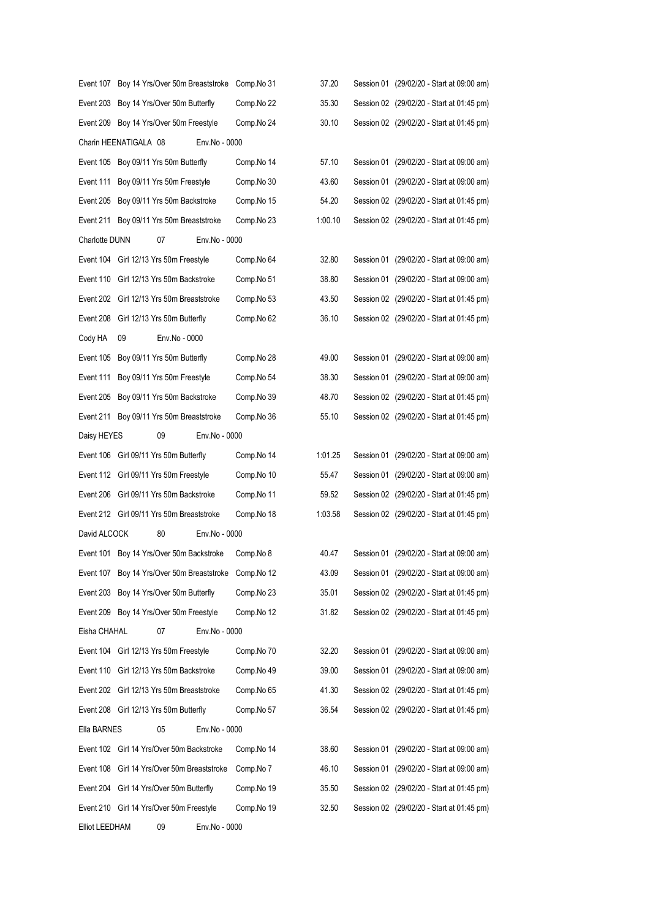| Event 107 Boy 14 Yrs/Over 50m Breaststroke Comp. No 31 |            | 37.20   | Session 01 (29/02/20 - Start at 09:00 am) |
|--------------------------------------------------------|------------|---------|-------------------------------------------|
| Event 203 Boy 14 Yrs/Over 50m Butterfly                | Comp.No 22 | 35.30   | Session 02 (29/02/20 - Start at 01:45 pm) |
| Event 209 Boy 14 Yrs/Over 50m Freestyle                | Comp.No 24 | 30.10   | Session 02 (29/02/20 - Start at 01:45 pm) |
| Charin HEENATIGALA 08<br>Env.No - 0000                 |            |         |                                           |
| Event 105 Boy 09/11 Yrs 50m Butterfly                  | Comp.No 14 | 57.10   | Session 01 (29/02/20 - Start at 09:00 am) |
| Event 111<br>Boy 09/11 Yrs 50m Freestyle               | Comp.No 30 | 43.60   | Session 01 (29/02/20 - Start at 09:00 am) |
| Event 205<br>Boy 09/11 Yrs 50m Backstroke              | Comp.No 15 | 54.20   | Session 02 (29/02/20 - Start at 01:45 pm) |
| Event 211 Boy 09/11 Yrs 50m Breaststroke               | Comp.No 23 | 1:00.10 | Session 02 (29/02/20 - Start at 01:45 pm) |
| Charlotte DUNN<br>07<br>Env.No - 0000                  |            |         |                                           |
| Event 104 Girl 12/13 Yrs 50m Freestyle                 | Comp.No 64 | 32.80   | Session 01 (29/02/20 - Start at 09:00 am) |
| Event 110<br>Girl 12/13 Yrs 50m Backstroke             | Comp.No 51 | 38.80   | Session 01 (29/02/20 - Start at 09:00 am) |
| Event 202 Girl 12/13 Yrs 50m Breaststroke              | Comp.No 53 | 43.50   | Session 02 (29/02/20 - Start at 01:45 pm) |
| Event 208<br>Girl 12/13 Yrs 50m Butterfly              | Comp.No 62 | 36.10   | Session 02 (29/02/20 - Start at 01:45 pm) |
| Cody HA<br>Env.No - 0000<br>09                         |            |         |                                           |
| Boy 09/11 Yrs 50m Butterfly<br>Event 105               | Comp.No 28 | 49.00   | Session 01 (29/02/20 - Start at 09:00 am) |
| Event 111<br>Boy 09/11 Yrs 50m Freestyle               | Comp.No 54 | 38.30   | Session 01 (29/02/20 - Start at 09:00 am) |
| Event 205<br>Boy 09/11 Yrs 50m Backstroke              | Comp.No 39 | 48.70   | Session 02 (29/02/20 - Start at 01:45 pm) |
| Event 211 Boy 09/11 Yrs 50m Breaststroke               | Comp.No 36 | 55.10   | Session 02 (29/02/20 - Start at 01:45 pm) |
| 09<br>Env.No - 0000<br>Daisy HEYES                     |            |         |                                           |
| Event 106 Girl 09/11 Yrs 50m Butterfly                 | Comp.No 14 | 1:01.25 | Session 01 (29/02/20 - Start at 09:00 am) |
| Event 112 Girl 09/11 Yrs 50m Freestyle                 | Comp.No 10 | 55.47   | Session 01 (29/02/20 - Start at 09:00 am) |
| Event 206 Girl 09/11 Yrs 50m Backstroke                | Comp.No 11 | 59.52   | Session 02 (29/02/20 - Start at 01:45 pm) |
| Event 212 Girl 09/11 Yrs 50m Breaststroke              | Comp.No 18 | 1:03.58 | Session 02 (29/02/20 - Start at 01:45 pm) |
| David ALCOCK<br>80<br>Env.No - 0000                    |            |         |                                           |
| Event 101 Boy 14 Yrs/Over 50m Backstroke               | Comp.No 8  | 40.47   | Session 01 (29/02/20 - Start at 09:00 am) |
| Event 107 Boy 14 Yrs/Over 50m Breaststroke Comp.No 12  |            | 43.09   | Session 01 (29/02/20 - Start at 09:00 am) |
| Event 203 Boy 14 Yrs/Over 50m Butterfly                | Comp.No 23 | 35.01   | Session 02 (29/02/20 - Start at 01:45 pm) |
| Event 209 Boy 14 Yrs/Over 50m Freestyle                | Comp.No 12 | 31.82   | Session 02 (29/02/20 - Start at 01:45 pm) |
| Eisha CHAHAL<br>07<br>Env.No - 0000                    |            |         |                                           |
| Event 104 Girl 12/13 Yrs 50m Freestyle                 | Comp.No 70 | 32.20   | Session 01 (29/02/20 - Start at 09:00 am) |
| Event 110 Girl 12/13 Yrs 50m Backstroke                | Comp.No 49 | 39.00   | Session 01 (29/02/20 - Start at 09:00 am) |
| Event 202 Girl 12/13 Yrs 50m Breaststroke              | Comp.No 65 | 41.30   | Session 02 (29/02/20 - Start at 01:45 pm) |
| Event 208 Girl 12/13 Yrs 50m Butterfly                 | Comp.No 57 | 36.54   | Session 02 (29/02/20 - Start at 01:45 pm) |
| 05<br>Ella BARNES<br>Env.No - 0000                     |            |         |                                           |
| Event 102 Girl 14 Yrs/Over 50m Backstroke              | Comp.No 14 | 38.60   | Session 01 (29/02/20 - Start at 09:00 am) |
| Event 108 Girl 14 Yrs/Over 50m Breaststroke            | Comp.No 7  | 46.10   | Session 01 (29/02/20 - Start at 09:00 am) |
| Event 204 Girl 14 Yrs/Over 50m Butterfly               | Comp.No 19 | 35.50   | Session 02 (29/02/20 - Start at 01:45 pm) |
| Event 210 Girl 14 Yrs/Over 50m Freestyle               | Comp.No 19 | 32.50   | Session 02 (29/02/20 - Start at 01:45 pm) |
| 09<br>Env.No - 0000<br><b>Elliot LEEDHAM</b>           |            |         |                                           |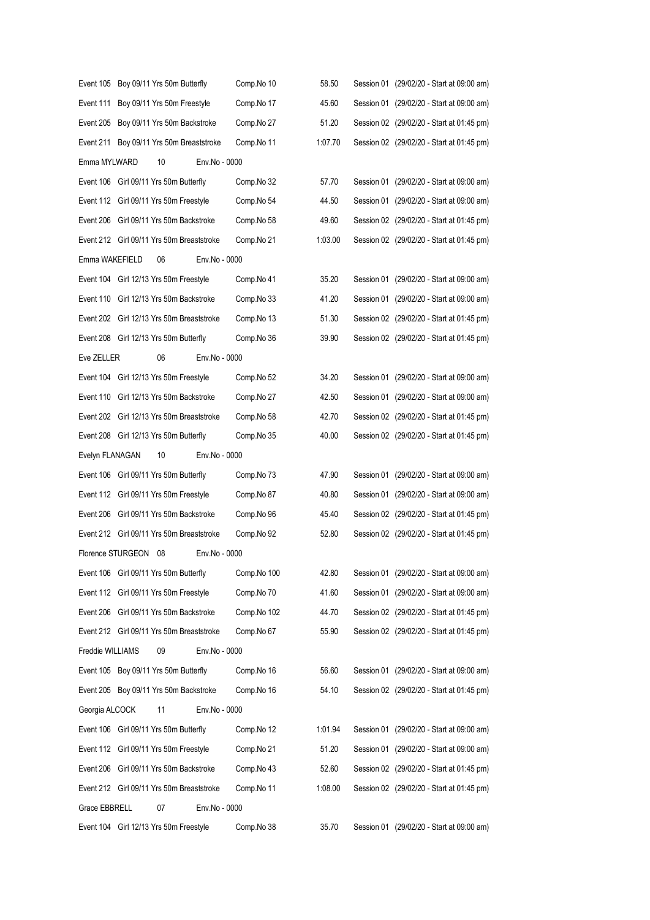| Event 105 Boy 09/11 Yrs 50m Butterfly  |                             |    |                                           | Comp.No 10  | 58.50   | Session 01 (29/02/20 - Start at 09:00 am) |
|----------------------------------------|-----------------------------|----|-------------------------------------------|-------------|---------|-------------------------------------------|
| Event 111                              | Boy 09/11 Yrs 50m Freestyle |    |                                           | Comp.No 17  | 45.60   | Session 01 (29/02/20 - Start at 09:00 am) |
|                                        |                             |    | Event 205 Boy 09/11 Yrs 50m Backstroke    | Comp.No 27  | 51.20   | Session 02 (29/02/20 - Start at 01:45 pm) |
|                                        |                             |    | Event 211 Boy 09/11 Yrs 50m Breaststroke  | Comp.No 11  | 1:07.70 | Session 02 (29/02/20 - Start at 01:45 pm) |
| Emma MYLWARD                           |                             | 10 | Env.No - 0000                             |             |         |                                           |
| Event 106 Girl 09/11 Yrs 50m Butterfly |                             |    |                                           | Comp.No 32  | 57.70   | Session 01 (29/02/20 - Start at 09:00 am) |
| Event 112 Girl 09/11 Yrs 50m Freestyle |                             |    |                                           | Comp.No 54  | 44.50   | Session 01 (29/02/20 - Start at 09:00 am) |
|                                        |                             |    | Event 206 Girl 09/11 Yrs 50m Backstroke   | Comp.No 58  | 49.60   | Session 02 (29/02/20 - Start at 01:45 pm) |
|                                        |                             |    | Event 212 Girl 09/11 Yrs 50m Breaststroke | Comp.No 21  | 1:03.00 | Session 02 (29/02/20 - Start at 01:45 pm) |
| Emma WAKEFIELD                         |                             | 06 | Env.No - 0000                             |             |         |                                           |
| Event 104 Girl 12/13 Yrs 50m Freestyle |                             |    |                                           | Comp.No 41  | 35.20   | Session 01 (29/02/20 - Start at 09:00 am) |
|                                        |                             |    | Event 110 Girl 12/13 Yrs 50m Backstroke   | Comp.No 33  | 41.20   | Session 01 (29/02/20 - Start at 09:00 am) |
|                                        |                             |    | Event 202 Girl 12/13 Yrs 50m Breaststroke | Comp.No 13  | 51.30   | Session 02 (29/02/20 - Start at 01:45 pm) |
| Event 208 Girl 12/13 Yrs 50m Butterfly |                             |    |                                           | Comp.No 36  | 39.90   | Session 02 (29/02/20 - Start at 01:45 pm) |
| Eve ZELLER                             |                             | 06 | Env.No - 0000                             |             |         |                                           |
| Event 104 Girl 12/13 Yrs 50m Freestyle |                             |    |                                           | Comp.No 52  | 34.20   | Session 01 (29/02/20 - Start at 09:00 am) |
|                                        |                             |    | Event 110 Girl 12/13 Yrs 50m Backstroke   | Comp.No 27  | 42.50   | Session 01 (29/02/20 - Start at 09:00 am) |
|                                        |                             |    | Event 202 Girl 12/13 Yrs 50m Breaststroke | Comp.No 58  | 42.70   | Session 02 (29/02/20 - Start at 01:45 pm) |
| Event 208 Girl 12/13 Yrs 50m Butterfly |                             |    |                                           | Comp.No 35  | 40.00   | Session 02 (29/02/20 - Start at 01:45 pm) |
| Evelyn FLANAGAN                        |                             | 10 | Env.No - 0000                             |             |         |                                           |
| Event 106 Girl 09/11 Yrs 50m Butterfly |                             |    |                                           | Comp.No 73  | 47.90   | Session 01 (29/02/20 - Start at 09:00 am) |
| Event 112 Girl 09/11 Yrs 50m Freestyle |                             |    |                                           | Comp.No 87  | 40.80   | Session 01 (29/02/20 - Start at 09:00 am) |
|                                        |                             |    | Event 206 Girl 09/11 Yrs 50m Backstroke   | Comp.No 96  | 45.40   | Session 02 (29/02/20 - Start at 01:45 pm) |
|                                        |                             |    | Event 212 Girl 09/11 Yrs 50m Breaststroke | Comp.No 92  | 52.80   | Session 02 (29/02/20 - Start at 01:45 pm) |
| Florence STURGEON                      |                             | 08 | Env.No - 0000                             |             |         |                                           |
| Event 106 Girl 09/11 Yrs 50m Butterfly |                             |    |                                           | Comp.No 100 | 42.80   | Session 01 (29/02/20 - Start at 09:00 am) |
| Event 112 Girl 09/11 Yrs 50m Freestyle |                             |    |                                           | Comp.No 70  | 41.60   | Session 01 (29/02/20 - Start at 09:00 am) |
| Event 206                              |                             |    | Girl 09/11 Yrs 50m Backstroke             | Comp.No 102 | 44.70   | Session 02 (29/02/20 - Start at 01:45 pm) |
|                                        |                             |    | Event 212 Girl 09/11 Yrs 50m Breaststroke | Comp.No 67  | 55.90   | Session 02 (29/02/20 - Start at 01:45 pm) |
| Freddie WILLIAMS                       |                             | 09 | Env.No - 0000                             |             |         |                                           |
| Event 105 Boy 09/11 Yrs 50m Butterfly  |                             |    |                                           | Comp.No 16  | 56.60   | Session 01 (29/02/20 - Start at 09:00 am) |
|                                        |                             |    | Event 205 Boy 09/11 Yrs 50m Backstroke    | Comp.No 16  | 54.10   | Session 02 (29/02/20 - Start at 01:45 pm) |
| Georgia ALCOCK                         |                             | 11 | Env.No - 0000                             |             |         |                                           |
| Event 106 Girl 09/11 Yrs 50m Butterfly |                             |    |                                           | Comp.No 12  | 1:01.94 | Session 01 (29/02/20 - Start at 09:00 am) |
| Event 112 Girl 09/11 Yrs 50m Freestyle |                             |    |                                           | Comp.No 21  | 51.20   | Session 01 (29/02/20 - Start at 09:00 am) |
| Event 206                              |                             |    | Girl 09/11 Yrs 50m Backstroke             | Comp.No 43  | 52.60   | Session 02 (29/02/20 - Start at 01:45 pm) |
|                                        |                             |    | Event 212 Girl 09/11 Yrs 50m Breaststroke | Comp.No 11  | 1:08.00 | Session 02 (29/02/20 - Start at 01:45 pm) |
| Grace EBBRELL                          |                             | 07 | Env.No - 0000                             |             |         |                                           |
| Event 104 Girl 12/13 Yrs 50m Freestyle |                             |    |                                           | Comp.No 38  | 35.70   | Session 01 (29/02/20 - Start at 09:00 am) |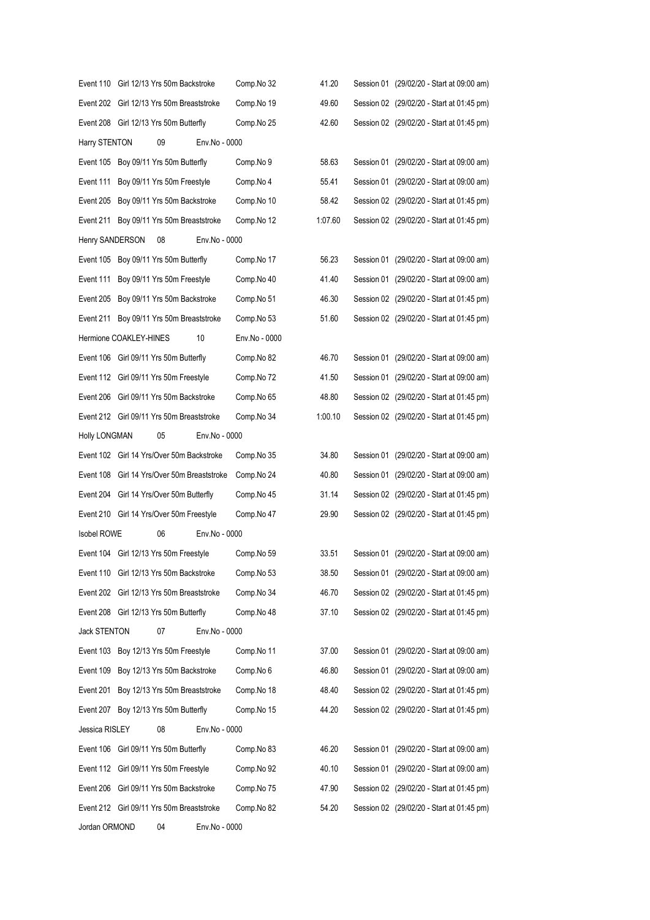|                      |                        | Event 110 Girl 12/13 Yrs 50m Backstroke     |               | Comp.No 32    | 41.20   | Session 01 (29/02/20 - Start at 09:00 am) |
|----------------------|------------------------|---------------------------------------------|---------------|---------------|---------|-------------------------------------------|
|                      |                        | Event 202 Girl 12/13 Yrs 50m Breaststroke   |               | Comp.No 19    | 49.60   | Session 02 (29/02/20 - Start at 01:45 pm) |
|                      |                        | Event 208 Girl 12/13 Yrs 50m Butterfly      |               | Comp.No 25    | 42.60   | Session 02 (29/02/20 - Start at 01:45 pm) |
| Harry STENTON        |                        | 09                                          | Env.No - 0000 |               |         |                                           |
| Event 105            |                        | Boy 09/11 Yrs 50m Butterfly                 |               | Comp.No 9     | 58.63   | Session 01 (29/02/20 - Start at 09:00 am) |
| Event 111            |                        | Boy 09/11 Yrs 50m Freestyle                 |               | Comp.No 4     | 55.41   | Session 01 (29/02/20 - Start at 09:00 am) |
| Event 205            |                        | Boy 09/11 Yrs 50m Backstroke                |               | Comp.No 10    | 58.42   | Session 02 (29/02/20 - Start at 01:45 pm) |
| Event 211            |                        | Boy 09/11 Yrs 50m Breaststroke              |               | Comp.No 12    | 1:07.60 | Session 02 (29/02/20 - Start at 01:45 pm) |
| Henry SANDERSON      |                        | 08                                          | Env.No - 0000 |               |         |                                           |
| Event 105            |                        | Boy 09/11 Yrs 50m Butterfly                 |               | Comp.No 17    | 56.23   | Session 01 (29/02/20 - Start at 09:00 am) |
| Event 111            |                        | Boy 09/11 Yrs 50m Freestyle                 |               | Comp.No 40    | 41.40   | Session 01 (29/02/20 - Start at 09:00 am) |
| Event 205            |                        | Boy 09/11 Yrs 50m Backstroke                |               | Comp.No 51    | 46.30   | Session 02 (29/02/20 - Start at 01:45 pm) |
| Event 211            |                        | Boy 09/11 Yrs 50m Breaststroke              |               | Comp.No 53    | 51.60   | Session 02 (29/02/20 - Start at 01:45 pm) |
|                      | Hermione COAKLEY-HINES |                                             | 10            | Env.No - 0000 |         |                                           |
|                      |                        | Event 106 Girl 09/11 Yrs 50m Butterfly      |               | Comp.No 82    | 46.70   | Session 01 (29/02/20 - Start at 09:00 am) |
|                      |                        | Event 112 Girl 09/11 Yrs 50m Freestyle      |               | Comp.No 72    | 41.50   | Session 01 (29/02/20 - Start at 09:00 am) |
| Event 206            |                        | Girl 09/11 Yrs 50m Backstroke               |               | Comp.No 65    | 48.80   | Session 02 (29/02/20 - Start at 01:45 pm) |
|                      |                        | Event 212 Girl 09/11 Yrs 50m Breaststroke   |               | Comp.No 34    | 1:00.10 | Session 02 (29/02/20 - Start at 01:45 pm) |
| <b>Holly LONGMAN</b> |                        | 05                                          | Env.No - 0000 |               |         |                                           |
|                      |                        | Event 102 Girl 14 Yrs/Over 50m Backstroke   |               | Comp.No 35    | 34.80   | Session 01 (29/02/20 - Start at 09:00 am) |
|                      |                        | Event 108 Girl 14 Yrs/Over 50m Breaststroke |               | Comp.No 24    | 40.80   | Session 01 (29/02/20 - Start at 09:00 am) |
|                      |                        | Event 204 Girl 14 Yrs/Over 50m Butterfly    |               | Comp.No 45    | 31.14   | Session 02 (29/02/20 - Start at 01:45 pm) |
|                      |                        | Event 210 Girl 14 Yrs/Over 50m Freestyle    |               | Comp.No 47    | 29.90   | Session 02 (29/02/20 - Start at 01:45 pm) |
| <b>Isobel ROWE</b>   |                        | 06                                          | Env.No - 0000 |               |         |                                           |
|                      |                        | Event 104 Girl 12/13 Yrs 50m Freestyle      |               | Comp.No 59    | 33.51   | Session 01 (29/02/20 - Start at 09:00 am) |
|                      |                        | Event 110 Girl 12/13 Yrs 50m Backstroke     |               | Comp.No 53    | 38.50   | Session 01 (29/02/20 - Start at 09:00 am) |
|                      |                        | Event 202 Girl 12/13 Yrs 50m Breaststroke   |               | Comp.No 34    | 46.70   | Session 02 (29/02/20 - Start at 01:45 pm) |
|                      |                        | Event 208 Girl 12/13 Yrs 50m Butterfly      |               | Comp.No 48    | 37.10   | Session 02 (29/02/20 - Start at 01:45 pm) |
| Jack STENTON         |                        | 07                                          | Env.No - 0000 |               |         |                                           |
| Event 103            |                        | Boy 12/13 Yrs 50m Freestyle                 |               | Comp.No 11    | 37.00   | Session 01 (29/02/20 - Start at 09:00 am) |
| Event 109            |                        | Boy 12/13 Yrs 50m Backstroke                |               | Comp.No 6     | 46.80   | Session 01 (29/02/20 - Start at 09:00 am) |
| Event 201            |                        | Boy 12/13 Yrs 50m Breaststroke              |               | Comp.No 18    | 48.40   | Session 02 (29/02/20 - Start at 01:45 pm) |
| Event 207            |                        | Boy 12/13 Yrs 50m Butterfly                 |               | Comp.No 15    | 44.20   | Session 02 (29/02/20 - Start at 01:45 pm) |
| Jessica RISLEY       |                        | 08                                          | Env.No - 0000 |               |         |                                           |
|                      |                        | Event 106 Girl 09/11 Yrs 50m Butterfly      |               | Comp.No 83    | 46.20   | Session 01 (29/02/20 - Start at 09:00 am) |
|                      |                        | Event 112 Girl 09/11 Yrs 50m Freestyle      |               | Comp.No 92    | 40.10   | Session 01 (29/02/20 - Start at 09:00 am) |
| Event 206            |                        | Girl 09/11 Yrs 50m Backstroke               |               | Comp.No 75    | 47.90   | Session 02 (29/02/20 - Start at 01:45 pm) |
|                      |                        | Event 212 Girl 09/11 Yrs 50m Breaststroke   |               | Comp.No 82    | 54.20   | Session 02 (29/02/20 - Start at 01:45 pm) |
| Jordan ORMOND        |                        | 04                                          | Env.No - 0000 |               |         |                                           |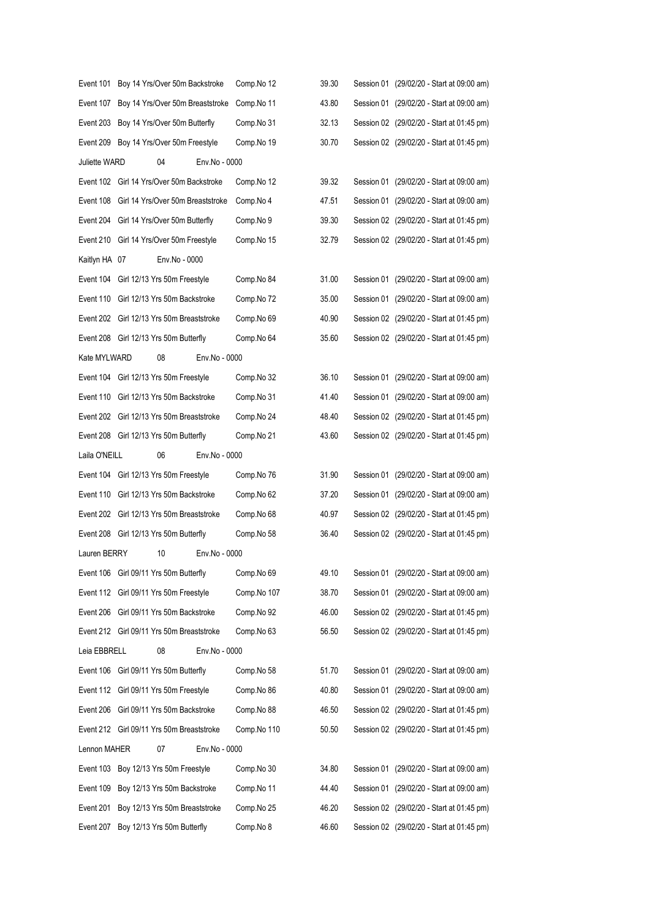| Event 101     | Boy 14 Yrs/Over 50m Backstroke              | Comp.No 12  | 39.30 | Session 01 (29/02/20 - Start at 09:00 am) |
|---------------|---------------------------------------------|-------------|-------|-------------------------------------------|
| Event 107     | Boy 14 Yrs/Over 50m Breaststroke            | Comp.No 11  | 43.80 | Session 01 (29/02/20 - Start at 09:00 am) |
| Event 203     | Boy 14 Yrs/Over 50m Butterfly               | Comp.No 31  | 32.13 | Session 02 (29/02/20 - Start at 01:45 pm) |
| Event 209     | Boy 14 Yrs/Over 50m Freestyle               | Comp.No 19  | 30.70 | Session 02 (29/02/20 - Start at 01:45 pm) |
| Juliette WARD | 04<br>Env.No - 0000                         |             |       |                                           |
|               | Event 102 Girl 14 Yrs/Over 50m Backstroke   | Comp.No 12  | 39.32 | Session 01 (29/02/20 - Start at 09:00 am) |
|               | Event 108 Girl 14 Yrs/Over 50m Breaststroke | Comp.No 4   | 47.51 | Session 01 (29/02/20 - Start at 09:00 am) |
|               | Event 204 Girl 14 Yrs/Over 50m Butterfly    | Comp.No 9   | 39.30 | Session 02 (29/02/20 - Start at 01:45 pm) |
|               | Event 210 Girl 14 Yrs/Over 50m Freestyle    | Comp.No 15  | 32.79 | Session 02 (29/02/20 - Start at 01:45 pm) |
| Kaitlyn HA 07 | Env.No - 0000                               |             |       |                                           |
|               | Event 104 Girl 12/13 Yrs 50m Freestyle      | Comp.No 84  | 31.00 | Session 01 (29/02/20 - Start at 09:00 am) |
|               | Event 110 Girl 12/13 Yrs 50m Backstroke     | Comp.No 72  | 35.00 | Session 01 (29/02/20 - Start at 09:00 am) |
|               | Event 202 Girl 12/13 Yrs 50m Breaststroke   | Comp.No 69  | 40.90 | Session 02 (29/02/20 - Start at 01:45 pm) |
|               | Event 208 Girl 12/13 Yrs 50m Butterfly      | Comp.No 64  | 35.60 | Session 02 (29/02/20 - Start at 01:45 pm) |
| Kate MYLWARD  | 08<br>Env.No - 0000                         |             |       |                                           |
|               | Event 104 Girl 12/13 Yrs 50m Freestyle      | Comp.No 32  | 36.10 | Session 01 (29/02/20 - Start at 09:00 am) |
|               | Event 110 Girl 12/13 Yrs 50m Backstroke     | Comp.No 31  | 41.40 | Session 01 (29/02/20 - Start at 09:00 am) |
|               | Event 202 Girl 12/13 Yrs 50m Breaststroke   | Comp.No 24  | 48.40 | Session 02 (29/02/20 - Start at 01:45 pm) |
|               | Event 208 Girl 12/13 Yrs 50m Butterfly      | Comp.No 21  | 43.60 | Session 02 (29/02/20 - Start at 01:45 pm) |
| Laila O'NEILL | 06<br>Env.No - 0000                         |             |       |                                           |
|               | Event 104 Girl 12/13 Yrs 50m Freestyle      | Comp.No 76  | 31.90 | Session 01 (29/02/20 - Start at 09:00 am) |
|               | Event 110 Girl 12/13 Yrs 50m Backstroke     | Comp.No 62  | 37.20 | Session 01 (29/02/20 - Start at 09:00 am) |
|               | Event 202 Girl 12/13 Yrs 50m Breaststroke   | Comp.No 68  | 40.97 | Session 02 (29/02/20 - Start at 01:45 pm) |
|               | Event 208 Girl 12/13 Yrs 50m Butterfly      | Comp.No 58  | 36.40 | Session 02 (29/02/20 - Start at 01:45 pm) |
| Lauren BERRY  | 10<br>Env.No - 0000                         |             |       |                                           |
|               | Event 106 Girl 09/11 Yrs 50m Butterfly      | Comp.No 69  | 49.10 | Session 01 (29/02/20 - Start at 09:00 am) |
|               | Event 112 Girl 09/11 Yrs 50m Freestyle      | Comp.No 107 | 38.70 | Session 01 (29/02/20 - Start at 09:00 am) |
| Event 206     | Girl 09/11 Yrs 50m Backstroke               | Comp.No 92  | 46.00 | Session 02 (29/02/20 - Start at 01:45 pm) |
|               | Event 212 Girl 09/11 Yrs 50m Breaststroke   | Comp.No 63  | 56.50 | Session 02 (29/02/20 - Start at 01:45 pm) |
| Leia EBBRELL  | 08<br>Env.No - 0000                         |             |       |                                           |
|               | Event 106 Girl 09/11 Yrs 50m Butterfly      | Comp.No 58  | 51.70 | Session 01 (29/02/20 - Start at 09:00 am) |
|               | Event 112 Girl 09/11 Yrs 50m Freestyle      | Comp.No 86  | 40.80 | Session 01 (29/02/20 - Start at 09:00 am) |
| Event 206     | Girl 09/11 Yrs 50m Backstroke               | Comp.No 88  | 46.50 | Session 02 (29/02/20 - Start at 01:45 pm) |
|               | Event 212 Girl 09/11 Yrs 50m Breaststroke   | Comp.No 110 | 50.50 | Session 02 (29/02/20 - Start at 01:45 pm) |
| Lennon MAHER  | 07<br>Env.No - 0000                         |             |       |                                           |
| Event 103     | Boy 12/13 Yrs 50m Freestyle                 | Comp.No 30  | 34.80 | Session 01 (29/02/20 - Start at 09:00 am) |
| Event 109     | Boy 12/13 Yrs 50m Backstroke                | Comp.No 11  | 44.40 | Session 01 (29/02/20 - Start at 09:00 am) |
| Event 201     | Boy 12/13 Yrs 50m Breaststroke              | Comp.No 25  | 46.20 | Session 02 (29/02/20 - Start at 01:45 pm) |
| Event 207     | Boy 12/13 Yrs 50m Butterfly                 | Comp.No 8   | 46.60 | Session 02 (29/02/20 - Start at 01:45 pm) |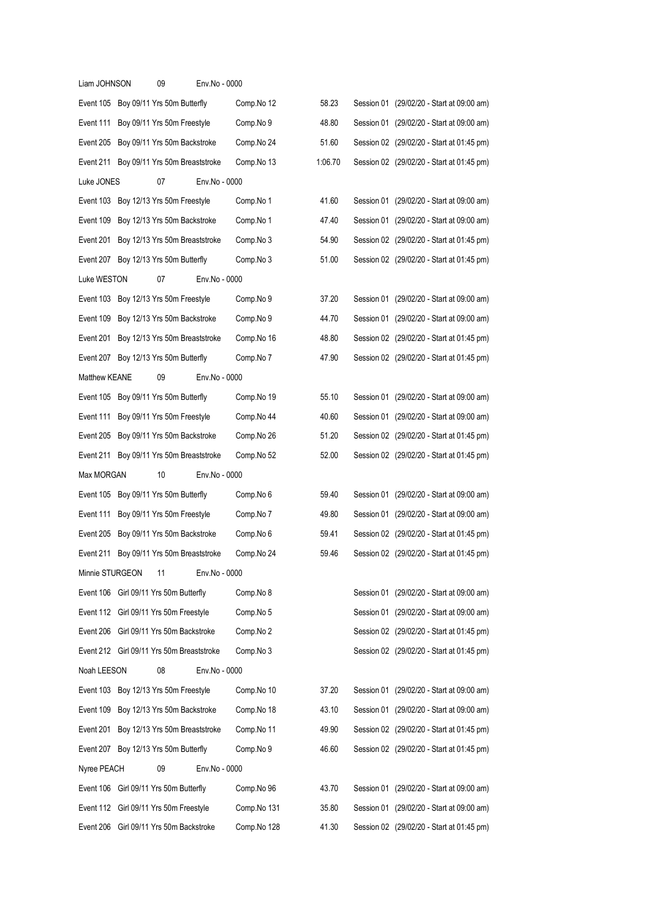| Liam JOHNSON    | 09                                        | Env.No - 0000 |             |         |                                           |
|-----------------|-------------------------------------------|---------------|-------------|---------|-------------------------------------------|
|                 | Event 105 Boy 09/11 Yrs 50m Butterfly     |               | Comp.No 12  | 58.23   | Session 01 (29/02/20 - Start at 09:00 am) |
|                 | Event 111 Boy 09/11 Yrs 50m Freestyle     |               | Comp.No 9   | 48.80   | Session 01 (29/02/20 - Start at 09:00 am) |
| Event 205       | Boy 09/11 Yrs 50m Backstroke              |               | Comp.No 24  | 51.60   | Session 02 (29/02/20 - Start at 01:45 pm) |
| Event 211       | Boy 09/11 Yrs 50m Breaststroke            |               | Comp.No 13  | 1:06.70 | Session 02 (29/02/20 - Start at 01:45 pm) |
| Luke JONES      | 07                                        | Env.No - 0000 |             |         |                                           |
|                 | Event 103 Boy 12/13 Yrs 50m Freestyle     |               | Comp.No 1   | 41.60   | Session 01 (29/02/20 - Start at 09:00 am) |
| Event 109       | Boy 12/13 Yrs 50m Backstroke              |               | Comp.No 1   | 47.40   | Session 01 (29/02/20 - Start at 09:00 am) |
| Event 201       | Boy 12/13 Yrs 50m Breaststroke            |               | Comp.No 3   | 54.90   | Session 02 (29/02/20 - Start at 01:45 pm) |
| Event 207       | Boy 12/13 Yrs 50m Butterfly               |               | Comp.No 3   | 51.00   | Session 02 (29/02/20 - Start at 01:45 pm) |
| Luke WESTON     | 07                                        | Env.No - 0000 |             |         |                                           |
| Event 103       | Boy 12/13 Yrs 50m Freestyle               |               | Comp.No 9   | 37.20   | Session 01 (29/02/20 - Start at 09:00 am) |
| Event 109       | Boy 12/13 Yrs 50m Backstroke              |               | Comp.No 9   | 44.70   | Session 01 (29/02/20 - Start at 09:00 am) |
| Event 201       | Boy 12/13 Yrs 50m Breaststroke            |               | Comp.No 16  | 48.80   | Session 02 (29/02/20 - Start at 01:45 pm) |
| Event 207       | Boy 12/13 Yrs 50m Butterfly               |               | Comp.No 7   | 47.90   | Session 02 (29/02/20 - Start at 01:45 pm) |
| Matthew KEANE   | 09                                        | Env.No - 0000 |             |         |                                           |
| Event 105       | Boy 09/11 Yrs 50m Butterfly               |               | Comp.No 19  | 55.10   | Session 01 (29/02/20 - Start at 09:00 am) |
| Event 111       | Boy 09/11 Yrs 50m Freestyle               |               | Comp.No 44  | 40.60   | Session 01 (29/02/20 - Start at 09:00 am) |
| Event 205       | Boy 09/11 Yrs 50m Backstroke              |               | Comp.No 26  | 51.20   | Session 02 (29/02/20 - Start at 01:45 pm) |
| Event 211       | Boy 09/11 Yrs 50m Breaststroke            |               | Comp.No 52  | 52.00   | Session 02 (29/02/20 - Start at 01:45 pm) |
| Max MORGAN      | 10                                        | Env.No - 0000 |             |         |                                           |
|                 | Event 105 Boy 09/11 Yrs 50m Butterfly     |               | Comp.No 6   | 59.40   | Session 01 (29/02/20 - Start at 09:00 am) |
| Event 111       | Boy 09/11 Yrs 50m Freestyle               |               | Comp.No 7   | 49.80   | Session 01 (29/02/20 - Start at 09:00 am) |
| Event 205       | Boy 09/11 Yrs 50m Backstroke              |               | Comp.No 6   | 59.41   | Session 02 (29/02/20 - Start at 01:45 pm) |
| Event 211       | Boy 09/11 Yrs 50m Breaststroke            |               | Comp.No 24  | 59.46   | Session 02 (29/02/20 - Start at 01:45 pm) |
| Minnie STURGEON | 11                                        | Env.No - 0000 |             |         |                                           |
|                 | Event 106 Girl 09/11 Yrs 50m Butterfly    |               | Comp.No 8   |         | Session 01 (29/02/20 - Start at 09:00 am) |
|                 | Event 112 Girl 09/11 Yrs 50m Freestyle    |               | Comp.No 5   |         | Session 01 (29/02/20 - Start at 09:00 am) |
|                 | Event 206 Girl 09/11 Yrs 50m Backstroke   |               | Comp.No 2   |         | Session 02 (29/02/20 - Start at 01:45 pm) |
|                 | Event 212 Girl 09/11 Yrs 50m Breaststroke |               | Comp.No 3   |         | Session 02 (29/02/20 - Start at 01:45 pm) |
| Noah LEESON     | 08                                        | Env.No - 0000 |             |         |                                           |
|                 | Event 103 Boy 12/13 Yrs 50m Freestyle     |               | Comp.No 10  | 37.20   | Session 01 (29/02/20 - Start at 09:00 am) |
|                 | Event 109 Boy 12/13 Yrs 50m Backstroke    |               | Comp.No 18  | 43.10   | Session 01 (29/02/20 - Start at 09:00 am) |
|                 | Event 201 Boy 12/13 Yrs 50m Breaststroke  |               | Comp.No 11  | 49.90   | Session 02 (29/02/20 - Start at 01:45 pm) |
|                 | Event 207 Boy 12/13 Yrs 50m Butterfly     |               | Comp.No 9   | 46.60   | Session 02 (29/02/20 - Start at 01:45 pm) |
| Nyree PEACH     | 09                                        | Env.No - 0000 |             |         |                                           |
|                 | Event 106 Girl 09/11 Yrs 50m Butterfly    |               | Comp.No 96  | 43.70   | Session 01 (29/02/20 - Start at 09:00 am) |
|                 | Event 112 Girl 09/11 Yrs 50m Freestyle    |               | Comp.No 131 | 35.80   | Session 01 (29/02/20 - Start at 09:00 am) |
|                 | Event 206 Girl 09/11 Yrs 50m Backstroke   |               | Comp.No 128 | 41.30   | Session 02 (29/02/20 - Start at 01:45 pm) |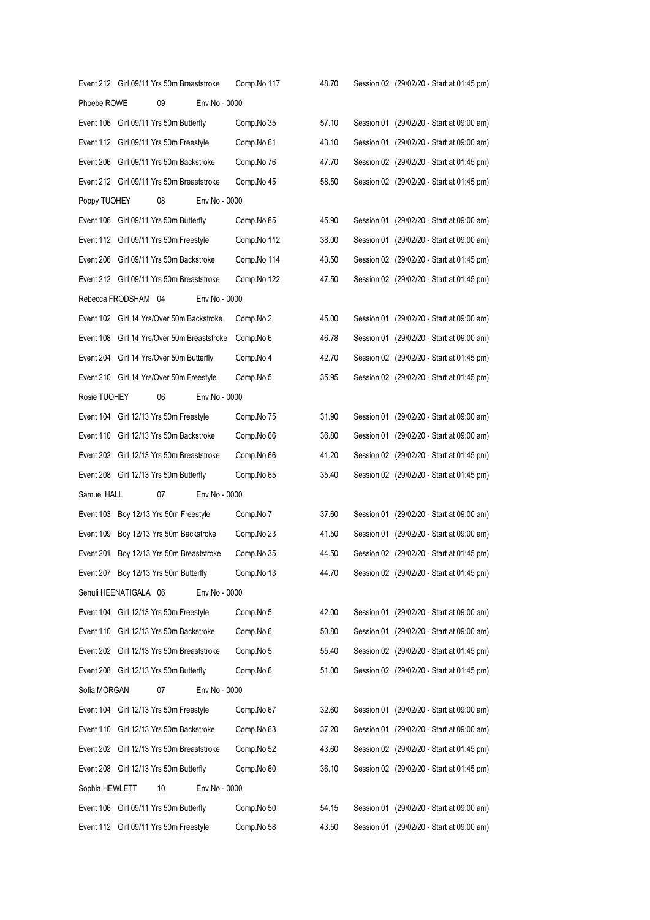|                       | Event 212 Girl 09/11 Yrs 50m Breaststroke   |               | Comp.No 117 | 48.70 | Session 02 (29/02/20 - Start at 01:45 pm) |
|-----------------------|---------------------------------------------|---------------|-------------|-------|-------------------------------------------|
| Phoebe ROWE           | 09                                          | Env.No - 0000 |             |       |                                           |
|                       | Event 106 Girl 09/11 Yrs 50m Butterfly      |               | Comp.No 35  | 57.10 | Session 01 (29/02/20 - Start at 09:00 am) |
|                       | Event 112 Girl 09/11 Yrs 50m Freestyle      |               | Comp.No 61  | 43.10 | Session 01 (29/02/20 - Start at 09:00 am) |
|                       | Event 206 Girl 09/11 Yrs 50m Backstroke     |               | Comp.No 76  | 47.70 | Session 02 (29/02/20 - Start at 01:45 pm) |
|                       | Event 212 Girl 09/11 Yrs 50m Breaststroke   |               | Comp.No 45  | 58.50 | Session 02 (29/02/20 - Start at 01:45 pm) |
| Poppy TUOHEY          | 08                                          | Env.No - 0000 |             |       |                                           |
|                       | Event 106 Girl 09/11 Yrs 50m Butterfly      |               | Comp.No 85  | 45.90 | Session 01 (29/02/20 - Start at 09:00 am) |
|                       | Event 112 Girl 09/11 Yrs 50m Freestyle      |               | Comp.No 112 | 38.00 | Session 01 (29/02/20 - Start at 09:00 am) |
|                       | Event 206 Girl 09/11 Yrs 50m Backstroke     |               | Comp.No 114 | 43.50 | Session 02 (29/02/20 - Start at 01:45 pm) |
|                       | Event 212 Girl 09/11 Yrs 50m Breaststroke   |               | Comp.No 122 | 47.50 | Session 02 (29/02/20 - Start at 01:45 pm) |
| Rebecca FRODSHAM 04   |                                             | Env.No - 0000 |             |       |                                           |
|                       | Event 102 Girl 14 Yrs/Over 50m Backstroke   |               | Comp.No 2   | 45.00 | Session 01 (29/02/20 - Start at 09:00 am) |
|                       | Event 108 Girl 14 Yrs/Over 50m Breaststroke |               | Comp.No 6   | 46.78 | Session 01 (29/02/20 - Start at 09:00 am) |
|                       | Event 204 Girl 14 Yrs/Over 50m Butterfly    |               | Comp.No 4   | 42.70 | Session 02 (29/02/20 - Start at 01:45 pm) |
|                       | Event 210 Girl 14 Yrs/Over 50m Freestyle    |               | Comp.No 5   | 35.95 | Session 02 (29/02/20 - Start at 01:45 pm) |
| Rosie TUOHEY          | 06                                          | Env.No - 0000 |             |       |                                           |
|                       | Event 104 Girl 12/13 Yrs 50m Freestyle      |               | Comp.No 75  | 31.90 | Session 01 (29/02/20 - Start at 09:00 am) |
|                       | Event 110 Girl 12/13 Yrs 50m Backstroke     |               | Comp.No 66  | 36.80 | Session 01 (29/02/20 - Start at 09:00 am) |
|                       | Event 202 Girl 12/13 Yrs 50m Breaststroke   |               | Comp.No 66  | 41.20 | Session 02 (29/02/20 - Start at 01:45 pm) |
|                       | Event 208 Girl 12/13 Yrs 50m Butterfly      |               | Comp.No 65  | 35.40 | Session 02 (29/02/20 - Start at 01:45 pm) |
| Samuel HALL           | 07                                          | Env.No - 0000 |             |       |                                           |
|                       | Event 103 Boy 12/13 Yrs 50m Freestyle       |               | Comp.No 7   | 37.60 | Session 01 (29/02/20 - Start at 09:00 am) |
|                       | Event 109 Boy 12/13 Yrs 50m Backstroke      |               | Comp.No 23  | 41.50 | Session 01 (29/02/20 - Start at 09:00 am) |
|                       | Event 201 Boy 12/13 Yrs 50m Breaststroke    |               | Comp.No 35  | 44.50 | Session 02 (29/02/20 - Start at 01:45 pm) |
|                       | Event 207 Boy 12/13 Yrs 50m Butterfly       |               | Comp.No 13  | 44.70 | Session 02 (29/02/20 - Start at 01:45 pm) |
| Senuli HEENATIGALA 06 |                                             | Env.No - 0000 |             |       |                                           |
|                       | Event 104 Girl 12/13 Yrs 50m Freestyle      |               | Comp.No 5   | 42.00 | Session 01 (29/02/20 - Start at 09:00 am) |
|                       | Event 110 Girl 12/13 Yrs 50m Backstroke     |               | Comp.No 6   | 50.80 | Session 01 (29/02/20 - Start at 09:00 am) |
|                       | Event 202 Girl 12/13 Yrs 50m Breaststroke   |               | Comp.No 5   | 55.40 | Session 02 (29/02/20 - Start at 01:45 pm) |
|                       | Event 208 Girl 12/13 Yrs 50m Butterfly      |               | Comp.No 6   | 51.00 | Session 02 (29/02/20 - Start at 01:45 pm) |
| Sofia MORGAN          | 07                                          | Env.No - 0000 |             |       |                                           |
|                       | Event 104 Girl 12/13 Yrs 50m Freestyle      |               | Comp.No 67  | 32.60 | Session 01 (29/02/20 - Start at 09:00 am) |
|                       | Event 110 Girl 12/13 Yrs 50m Backstroke     |               | Comp.No 63  | 37.20 | Session 01 (29/02/20 - Start at 09:00 am) |
|                       | Event 202 Girl 12/13 Yrs 50m Breaststroke   |               | Comp.No 52  | 43.60 | Session 02 (29/02/20 - Start at 01:45 pm) |
|                       | Event 208 Girl 12/13 Yrs 50m Butterfly      |               | Comp.No 60  | 36.10 | Session 02 (29/02/20 - Start at 01:45 pm) |
| Sophia HEWLETT        | 10                                          | Env.No - 0000 |             |       |                                           |
|                       | Event 106 Girl 09/11 Yrs 50m Butterfly      |               | Comp.No 50  | 54.15 | Session 01 (29/02/20 - Start at 09:00 am) |
|                       | Event 112 Girl 09/11 Yrs 50m Freestyle      |               | Comp.No 58  | 43.50 | Session 01 (29/02/20 - Start at 09:00 am) |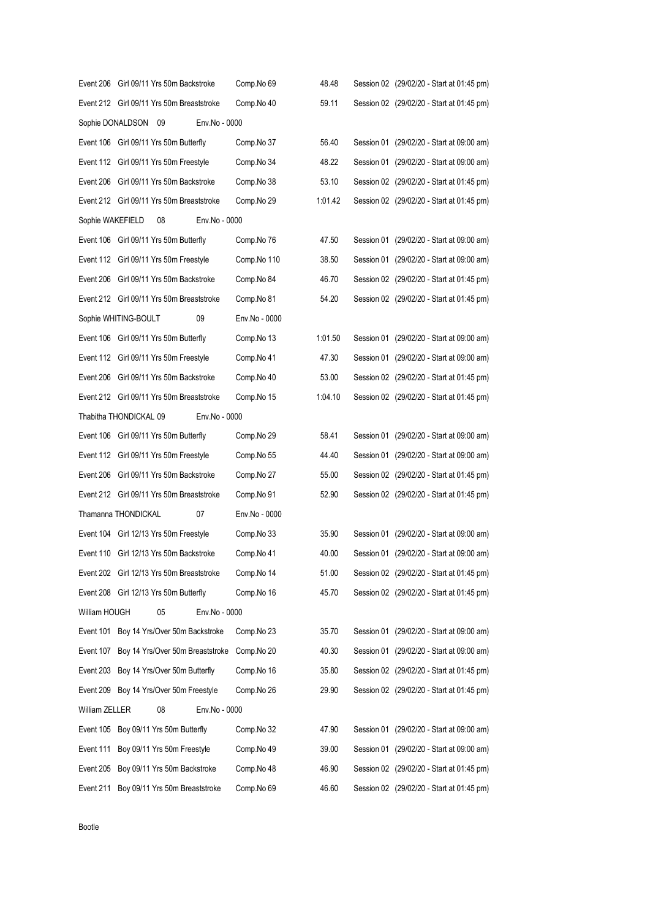|                  | Event 206 Girl 09/11 Yrs 50m Backstroke    | Comp.No 69    | 48.48   | Session 02 (29/02/20 - Start at 01:45 pm) |
|------------------|--------------------------------------------|---------------|---------|-------------------------------------------|
|                  | Event 212 Girl 09/11 Yrs 50m Breaststroke  | Comp.No 40    | 59.11   | Session 02 (29/02/20 - Start at 01:45 pm) |
| Sophie DONALDSON | Env.No - 0000<br>09                        |               |         |                                           |
|                  | Event 106 Girl 09/11 Yrs 50m Butterfly     | Comp.No 37    | 56.40   | Session 01 (29/02/20 - Start at 09:00 am) |
|                  | Event 112 Girl 09/11 Yrs 50m Freestyle     | Comp.No 34    | 48.22   | Session 01 (29/02/20 - Start at 09:00 am) |
|                  | Event 206 Girl 09/11 Yrs 50m Backstroke    | Comp.No 38    | 53.10   | Session 02 (29/02/20 - Start at 01:45 pm) |
|                  | Event 212 Girl 09/11 Yrs 50m Breaststroke  | Comp.No 29    | 1:01.42 | Session 02 (29/02/20 - Start at 01:45 pm) |
| Sophie WAKEFIELD | 08<br>Env.No - 0000                        |               |         |                                           |
|                  | Event 106 Girl 09/11 Yrs 50m Butterfly     | Comp.No 76    | 47.50   | Session 01 (29/02/20 - Start at 09:00 am) |
|                  | Event 112 Girl 09/11 Yrs 50m Freestyle     | Comp.No 110   | 38.50   | Session 01 (29/02/20 - Start at 09:00 am) |
|                  | Event 206 Girl 09/11 Yrs 50m Backstroke    | Comp.No 84    | 46.70   | Session 02 (29/02/20 - Start at 01:45 pm) |
|                  | Event 212 Girl 09/11 Yrs 50m Breaststroke  | Comp.No 81    | 54.20   | Session 02 (29/02/20 - Start at 01:45 pm) |
|                  | 09<br>Sophie WHITING-BOULT                 | Env.No - 0000 |         |                                           |
|                  | Event 106 Girl 09/11 Yrs 50m Butterfly     | Comp.No 13    | 1:01.50 | Session 01 (29/02/20 - Start at 09:00 am) |
|                  | Event 112 Girl 09/11 Yrs 50m Freestyle     | Comp.No 41    | 47.30   | Session 01 (29/02/20 - Start at 09:00 am) |
|                  | Event 206 Girl 09/11 Yrs 50m Backstroke    | Comp.No 40    | 53.00   | Session 02 (29/02/20 - Start at 01:45 pm) |
|                  | Event 212 Girl 09/11 Yrs 50m Breaststroke  | Comp.No 15    | 1:04.10 | Session 02 (29/02/20 - Start at 01:45 pm) |
|                  | Thabitha THONDICKAL 09<br>Env.No - 0000    |               |         |                                           |
|                  | Event 106 Girl 09/11 Yrs 50m Butterfly     | Comp.No 29    | 58.41   | Session 01 (29/02/20 - Start at 09:00 am) |
|                  | Event 112 Girl 09/11 Yrs 50m Freestyle     | Comp.No 55    | 44.40   | Session 01 (29/02/20 - Start at 09:00 am) |
|                  | Event 206 Girl 09/11 Yrs 50m Backstroke    | Comp.No 27    | 55.00   | Session 02 (29/02/20 - Start at 01:45 pm) |
|                  | Event 212 Girl 09/11 Yrs 50m Breaststroke  | Comp.No 91    | 52.90   | Session 02 (29/02/20 - Start at 01:45 pm) |
|                  | Thamanna THONDICKAL<br>07                  | Env.No - 0000 |         |                                           |
|                  | Event 104 Girl 12/13 Yrs 50m Freestyle     | Comp.No 33    | 35.90   | Session 01 (29/02/20 - Start at 09:00 am) |
|                  | Event 110 Girl 12/13 Yrs 50m Backstroke    | Comp.No 41    | 40.00   | Session 01 (29/02/20 - Start at 09:00 am) |
|                  | Event 202 Girl 12/13 Yrs 50m Breaststroke  | Comp.No 14    | 51.00   | Session 02 (29/02/20 - Start at 01:45 pm) |
|                  | Event 208 Girl 12/13 Yrs 50m Butterfly     | Comp.No 16    | 45.70   | Session 02 (29/02/20 - Start at 01:45 pm) |
| William HOUGH    | 05<br>Env.No - 0000                        |               |         |                                           |
|                  | Event 101 Boy 14 Yrs/Over 50m Backstroke   | Comp.No 23    | 35.70   | Session 01 (29/02/20 - Start at 09:00 am) |
|                  | Event 107 Boy 14 Yrs/Over 50m Breaststroke | Comp.No 20    | 40.30   | Session 01 (29/02/20 - Start at 09:00 am) |
|                  | Event 203 Boy 14 Yrs/Over 50m Butterfly    | Comp.No 16    | 35.80   | Session 02 (29/02/20 - Start at 01:45 pm) |
|                  | Event 209 Boy 14 Yrs/Over 50m Freestyle    | Comp.No 26    | 29.90   | Session 02 (29/02/20 - Start at 01:45 pm) |
| William ZELLER   | 08<br>Env.No - 0000                        |               |         |                                           |
|                  | Event 105 Boy 09/11 Yrs 50m Butterfly      | Comp.No 32    | 47.90   | Session 01 (29/02/20 - Start at 09:00 am) |
|                  | Event 111 Boy 09/11 Yrs 50m Freestyle      | Comp.No 49    | 39.00   | Session 01 (29/02/20 - Start at 09:00 am) |
|                  | Event 205 Boy 09/11 Yrs 50m Backstroke     | Comp.No 48    | 46.90   | Session 02 (29/02/20 - Start at 01:45 pm) |
| Event 211        | Boy 09/11 Yrs 50m Breaststroke             | Comp.No 69    | 46.60   | Session 02 (29/02/20 - Start at 01:45 pm) |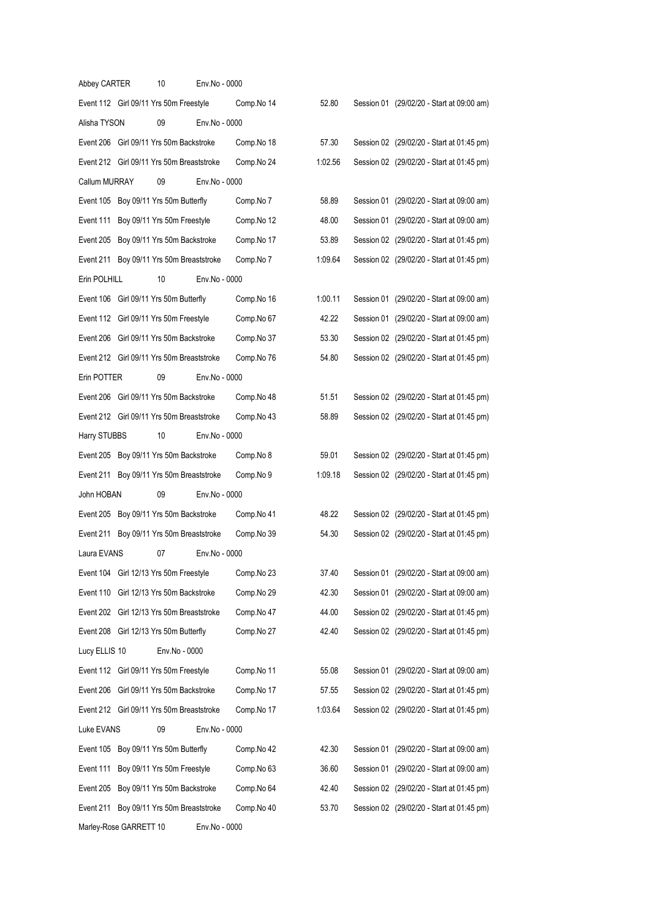| Abbey CARTER           | 10                                        | Env.No - 0000 |            |         |  |                                           |
|------------------------|-------------------------------------------|---------------|------------|---------|--|-------------------------------------------|
|                        | Event 112 Girl 09/11 Yrs 50m Freestyle    |               | Comp.No 14 | 52.80   |  | Session 01 (29/02/20 - Start at 09:00 am) |
| Alisha TYSON           | 09                                        | Env.No - 0000 |            |         |  |                                           |
|                        | Event 206 Girl 09/11 Yrs 50m Backstroke   |               | Comp.No 18 | 57.30   |  | Session 02 (29/02/20 - Start at 01:45 pm) |
|                        | Event 212 Girl 09/11 Yrs 50m Breaststroke |               | Comp.No 24 | 1:02.56 |  | Session 02 (29/02/20 - Start at 01:45 pm) |
| Callum MURRAY          | 09                                        | Env.No - 0000 |            |         |  |                                           |
|                        | Event 105 Boy 09/11 Yrs 50m Butterfly     |               | Comp.No 7  | 58.89   |  | Session 01 (29/02/20 - Start at 09:00 am) |
|                        | Event 111 Boy 09/11 Yrs 50m Freestyle     |               | Comp.No 12 | 48.00   |  | Session 01 (29/02/20 - Start at 09:00 am) |
|                        | Event 205 Boy 09/11 Yrs 50m Backstroke    |               | Comp.No 17 | 53.89   |  | Session 02 (29/02/20 - Start at 01:45 pm) |
|                        | Event 211 Boy 09/11 Yrs 50m Breaststroke  |               | Comp.No 7  | 1:09.64 |  | Session 02 (29/02/20 - Start at 01:45 pm) |
| Erin POLHILL           | 10                                        | Env.No - 0000 |            |         |  |                                           |
|                        | Event 106 Girl 09/11 Yrs 50m Butterfly    |               | Comp.No 16 | 1:00.11 |  | Session 01 (29/02/20 - Start at 09:00 am) |
|                        | Event 112 Girl 09/11 Yrs 50m Freestyle    |               | Comp.No 67 | 42.22   |  | Session 01 (29/02/20 - Start at 09:00 am) |
|                        | Event 206 Girl 09/11 Yrs 50m Backstroke   |               | Comp.No 37 | 53.30   |  | Session 02 (29/02/20 - Start at 01:45 pm) |
|                        | Event 212 Girl 09/11 Yrs 50m Breaststroke |               | Comp.No 76 | 54.80   |  | Session 02 (29/02/20 - Start at 01:45 pm) |
| Erin POTTER            | 09                                        | Env.No - 0000 |            |         |  |                                           |
|                        | Event 206 Girl 09/11 Yrs 50m Backstroke   |               | Comp.No 48 | 51.51   |  | Session 02 (29/02/20 - Start at 01:45 pm) |
|                        | Event 212 Girl 09/11 Yrs 50m Breaststroke |               | Comp.No 43 | 58.89   |  | Session 02 (29/02/20 - Start at 01:45 pm) |
| Harry STUBBS           | 10                                        | Env.No - 0000 |            |         |  |                                           |
|                        | Event 205 Boy 09/11 Yrs 50m Backstroke    |               | Comp.No 8  | 59.01   |  | Session 02 (29/02/20 - Start at 01:45 pm) |
|                        | Event 211 Boy 09/11 Yrs 50m Breaststroke  |               | Comp.No 9  | 1:09.18 |  | Session 02 (29/02/20 - Start at 01:45 pm) |
| John HOBAN             | 09                                        | Env.No - 0000 |            |         |  |                                           |
|                        | Event 205 Boy 09/11 Yrs 50m Backstroke    |               | Comp.No 41 | 48.22   |  | Session 02 (29/02/20 - Start at 01:45 pm) |
|                        | Event 211 Boy 09/11 Yrs 50m Breaststroke  |               | Comp.No 39 | 54.30   |  | Session 02 (29/02/20 - Start at 01:45 pm) |
| Laura EVANS            | 07                                        | Env.No - 0000 |            |         |  |                                           |
|                        | Event 104 Girl 12/13 Yrs 50m Freestyle    |               | Comp.No 23 | 37.40   |  | Session 01 (29/02/20 - Start at 09:00 am) |
|                        | Event 110 Girl 12/13 Yrs 50m Backstroke   |               | Comp.No 29 | 42.30   |  | Session 01 (29/02/20 - Start at 09:00 am) |
|                        | Event 202 Girl 12/13 Yrs 50m Breaststroke |               | Comp.No 47 | 44.00   |  | Session 02 (29/02/20 - Start at 01:45 pm) |
|                        | Event 208 Girl 12/13 Yrs 50m Butterfly    |               | Comp.No 27 | 42.40   |  | Session 02 (29/02/20 - Start at 01:45 pm) |
| Lucy ELLIS 10          | Env.No - 0000                             |               |            |         |  |                                           |
|                        | Event 112 Girl 09/11 Yrs 50m Freestyle    |               | Comp.No 11 | 55.08   |  | Session 01 (29/02/20 - Start at 09:00 am) |
|                        | Event 206 Girl 09/11 Yrs 50m Backstroke   |               | Comp.No 17 | 57.55   |  | Session 02 (29/02/20 - Start at 01:45 pm) |
|                        | Event 212 Girl 09/11 Yrs 50m Breaststroke |               | Comp.No 17 | 1:03.64 |  | Session 02 (29/02/20 - Start at 01:45 pm) |
| Luke EVANS             | 09                                        | Env.No - 0000 |            |         |  |                                           |
|                        | Event 105 Boy 09/11 Yrs 50m Butterfly     |               | Comp.No 42 | 42.30   |  | Session 01 (29/02/20 - Start at 09:00 am) |
| Event 111              | Boy 09/11 Yrs 50m Freestyle               |               | Comp.No 63 | 36.60   |  | Session 01 (29/02/20 - Start at 09:00 am) |
| Event 205              | Boy 09/11 Yrs 50m Backstroke              |               | Comp.No 64 | 42.40   |  | Session 02 (29/02/20 - Start at 01:45 pm) |
| Event 211              | Boy 09/11 Yrs 50m Breaststroke            |               | Comp.No 40 | 53.70   |  | Session 02 (29/02/20 - Start at 01:45 pm) |
| Marley-Rose GARRETT 10 |                                           | Env.No - 0000 |            |         |  |                                           |
|                        |                                           |               |            |         |  |                                           |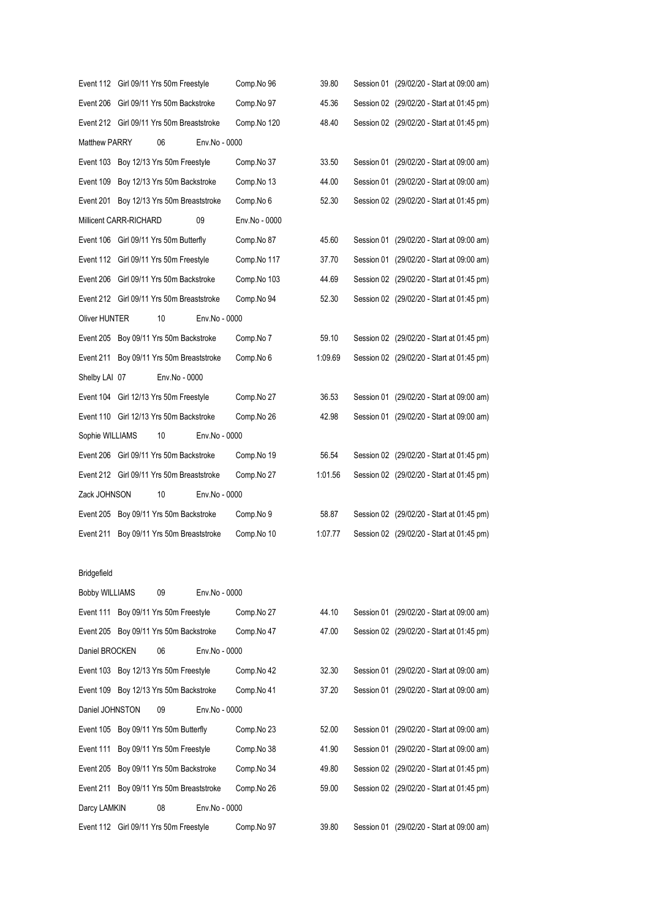|                       |                        | Event 112 Girl 09/11 Yrs 50m Freestyle    |               | Comp.No 96    | 39.80   |  | Session 01 (29/02/20 - Start at 09:00 am) |
|-----------------------|------------------------|-------------------------------------------|---------------|---------------|---------|--|-------------------------------------------|
|                       |                        | Event 206 Girl 09/11 Yrs 50m Backstroke   |               | Comp.No 97    | 45.36   |  | Session 02 (29/02/20 - Start at 01:45 pm) |
|                       |                        | Event 212 Girl 09/11 Yrs 50m Breaststroke |               | Comp.No 120   | 48.40   |  | Session 02 (29/02/20 - Start at 01:45 pm) |
| Matthew PARRY         |                        | 06                                        | Env.No - 0000 |               |         |  |                                           |
|                       |                        | Event 103 Boy 12/13 Yrs 50m Freestyle     |               | Comp.No 37    | 33.50   |  | Session 01 (29/02/20 - Start at 09:00 am) |
| Event 109             |                        | Boy 12/13 Yrs 50m Backstroke              |               | Comp.No 13    | 44.00   |  | Session 01 (29/02/20 - Start at 09:00 am) |
|                       |                        | Event 201 Boy 12/13 Yrs 50m Breaststroke  |               | Comp.No 6     | 52.30   |  | Session 02 (29/02/20 - Start at 01:45 pm) |
|                       | Millicent CARR-RICHARD |                                           | 09            | Env.No - 0000 |         |  |                                           |
|                       |                        | Event 106 Girl 09/11 Yrs 50m Butterfly    |               | Comp.No 87    | 45.60   |  | Session 01 (29/02/20 - Start at 09:00 am) |
|                       |                        | Event 112 Girl 09/11 Yrs 50m Freestyle    |               | Comp.No 117   | 37.70   |  | Session 01 (29/02/20 - Start at 09:00 am) |
|                       |                        | Event 206 Girl 09/11 Yrs 50m Backstroke   |               | Comp.No 103   | 44.69   |  | Session 02 (29/02/20 - Start at 01:45 pm) |
|                       |                        | Event 212 Girl 09/11 Yrs 50m Breaststroke |               | Comp.No 94    | 52.30   |  | Session 02 (29/02/20 - Start at 01:45 pm) |
| Oliver HUNTER         |                        | 10                                        | Env.No - 0000 |               |         |  |                                           |
|                       |                        | Event 205 Boy 09/11 Yrs 50m Backstroke    |               | Comp.No 7     | 59.10   |  | Session 02 (29/02/20 - Start at 01:45 pm) |
| Event 211             |                        | Boy 09/11 Yrs 50m Breaststroke            |               | Comp.No 6     | 1:09.69 |  | Session 02 (29/02/20 - Start at 01:45 pm) |
| Shelby LAI 07         |                        | Env.No - 0000                             |               |               |         |  |                                           |
|                       |                        | Event 104 Girl 12/13 Yrs 50m Freestyle    |               | Comp.No 27    | 36.53   |  | Session 01 (29/02/20 - Start at 09:00 am) |
|                       |                        | Event 110 Girl 12/13 Yrs 50m Backstroke   |               | Comp.No 26    | 42.98   |  | Session 01 (29/02/20 - Start at 09:00 am) |
| Sophie WILLIAMS       |                        | 10                                        | Env.No - 0000 |               |         |  |                                           |
|                       |                        | Event 206 Girl 09/11 Yrs 50m Backstroke   |               | Comp.No 19    | 56.54   |  | Session 02 (29/02/20 - Start at 01:45 pm) |
|                       |                        | Event 212 Girl 09/11 Yrs 50m Breaststroke |               | Comp.No 27    | 1:01.56 |  | Session 02 (29/02/20 - Start at 01:45 pm) |
| Zack JOHNSON          |                        | 10                                        | Env.No - 0000 |               |         |  |                                           |
|                       |                        | Event 205 Boy 09/11 Yrs 50m Backstroke    |               | Comp.No 9     | 58.87   |  | Session 02 (29/02/20 - Start at 01:45 pm) |
| Event 211             |                        | Boy 09/11 Yrs 50m Breaststroke            |               | Comp.No 10    | 1:07.77 |  | Session 02 (29/02/20 - Start at 01:45 pm) |
|                       |                        |                                           |               |               |         |  |                                           |
| Bridgefield           |                        |                                           |               |               |         |  |                                           |
| <b>Bobby WILLIAMS</b> |                        | 09                                        | Env.No - 0000 |               |         |  |                                           |
|                       |                        | Event 111 Boy 09/11 Yrs 50m Freestyle     |               | Comp.No 27    | 44.10   |  | Session 01 (29/02/20 - Start at 09:00 am) |
|                       |                        |                                           |               |               |         |  |                                           |

|                 | Event 205 Boy 09/11 Yrs 50m Backstroke   |               | Comp.No 47 | 47.00 |  | Session 02 (29/02/20 - Start at 01:45 pm) |
|-----------------|------------------------------------------|---------------|------------|-------|--|-------------------------------------------|
| Daniel BROCKEN  | 06                                       | Env.No - 0000 |            |       |  |                                           |
|                 | Event 103 Boy 12/13 Yrs 50m Freestyle    |               | Comp.No 42 | 32.30 |  | Session 01 (29/02/20 - Start at 09:00 am) |
|                 | Event 109 Boy 12/13 Yrs 50m Backstroke   |               | Comp.No 41 | 37.20 |  | Session 01 (29/02/20 - Start at 09:00 am) |
| Daniel JOHNSTON | 09                                       | Env.No - 0000 |            |       |  |                                           |
|                 | Event 105 Boy 09/11 Yrs 50m Butterfly    |               | Comp.No 23 | 52.00 |  | Session 01 (29/02/20 - Start at 09:00 am) |
|                 | Event 111 Boy 09/11 Yrs 50m Freestyle    |               | Comp.No 38 | 41.90 |  | Session 01 (29/02/20 - Start at 09:00 am) |
|                 | Event 205 Boy 09/11 Yrs 50m Backstroke   |               | Comp.No 34 | 49.80 |  | Session 02 (29/02/20 - Start at 01:45 pm) |
|                 | Event 211 Boy 09/11 Yrs 50m Breaststroke |               | Comp.No 26 | 59.00 |  | Session 02 (29/02/20 - Start at 01:45 pm) |
| Darcy LAMKIN    | 08                                       | Env.No - 0000 |            |       |  |                                           |

Event 112 Girl 09/11 Yrs 50m Freestyle Comp.No 97 39.80 Session 01 (29/02/20 - Start at 09:00 am)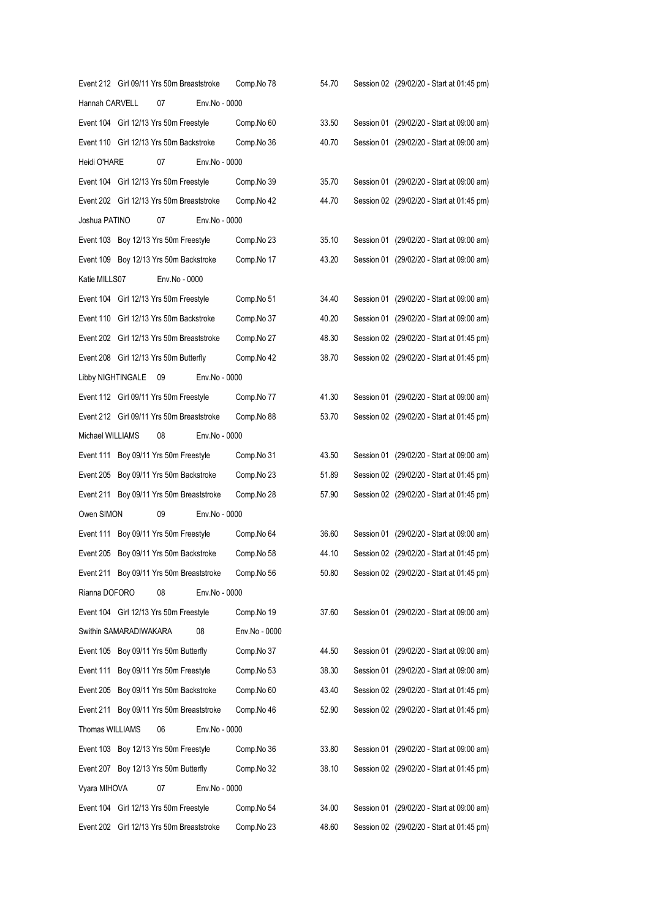|                   |                        | Event 212 Girl 09/11 Yrs 50m Breaststroke |               | Comp.No 78    | 54.70 | Session 02 (29/02/20 - Start at 01:45 pm) |
|-------------------|------------------------|-------------------------------------------|---------------|---------------|-------|-------------------------------------------|
| Hannah CARVELL    |                        | 07                                        | Env.No - 0000 |               |       |                                           |
|                   |                        | Event 104 Girl 12/13 Yrs 50m Freestyle    |               | Comp.No 60    | 33.50 | Session 01 (29/02/20 - Start at 09:00 am) |
|                   |                        | Event 110 Girl 12/13 Yrs 50m Backstroke   |               | Comp.No 36    | 40.70 | Session 01 (29/02/20 - Start at 09:00 am) |
| Heidi O'HARE      |                        | 07                                        | Env.No - 0000 |               |       |                                           |
|                   |                        | Event 104 Girl 12/13 Yrs 50m Freestyle    |               | Comp.No 39    | 35.70 | Session 01 (29/02/20 - Start at 09:00 am) |
|                   |                        | Event 202 Girl 12/13 Yrs 50m Breaststroke |               | Comp.No 42    | 44.70 | Session 02 (29/02/20 - Start at 01:45 pm) |
| Joshua PATINO     |                        | 07                                        | Env.No - 0000 |               |       |                                           |
|                   |                        | Event 103 Boy 12/13 Yrs 50m Freestyle     |               | Comp.No 23    | 35.10 | Session 01 (29/02/20 - Start at 09:00 am) |
|                   |                        | Event 109 Boy 12/13 Yrs 50m Backstroke    |               | Comp.No 17    | 43.20 | Session 01 (29/02/20 - Start at 09:00 am) |
| Katie MILLS07     |                        | Env.No - 0000                             |               |               |       |                                           |
|                   |                        | Event 104 Girl 12/13 Yrs 50m Freestyle    |               | Comp.No 51    | 34.40 | Session 01 (29/02/20 - Start at 09:00 am) |
|                   |                        | Event 110 Girl 12/13 Yrs 50m Backstroke   |               | Comp.No 37    | 40.20 | Session 01 (29/02/20 - Start at 09:00 am) |
|                   |                        | Event 202 Girl 12/13 Yrs 50m Breaststroke |               | Comp.No 27    | 48.30 | Session 02 (29/02/20 - Start at 01:45 pm) |
|                   |                        | Event 208 Girl 12/13 Yrs 50m Butterfly    |               | Comp.No 42    | 38.70 | Session 02 (29/02/20 - Start at 01:45 pm) |
| Libby NIGHTINGALE |                        | 09                                        | Env.No - 0000 |               |       |                                           |
|                   |                        | Event 112 Girl 09/11 Yrs 50m Freestyle    |               | Comp.No 77    | 41.30 | Session 01 (29/02/20 - Start at 09:00 am) |
|                   |                        | Event 212 Girl 09/11 Yrs 50m Breaststroke |               | Comp.No 88    | 53.70 | Session 02 (29/02/20 - Start at 01:45 pm) |
| Michael WILLIAMS  |                        | 08                                        | Env.No - 0000 |               |       |                                           |
|                   |                        | Event 111 Boy 09/11 Yrs 50m Freestyle     |               | Comp.No 31    | 43.50 | Session 01 (29/02/20 - Start at 09:00 am) |
|                   |                        | Event 205 Boy 09/11 Yrs 50m Backstroke    |               | Comp.No 23    | 51.89 | Session 02 (29/02/20 - Start at 01:45 pm) |
|                   |                        | Event 211 Boy 09/11 Yrs 50m Breaststroke  |               | Comp.No 28    | 57.90 | Session 02 (29/02/20 - Start at 01:45 pm) |
| Owen SIMON        |                        | 09                                        | Env.No - 0000 |               |       |                                           |
|                   |                        | Event 111 Boy 09/11 Yrs 50m Freestyle     |               | Comp.No 64    | 36.60 | Session 01 (29/02/20 - Start at 09:00 am) |
|                   |                        | Event 205 Boy 09/11 Yrs 50m Backstroke    |               | Comp.No 58    | 44.10 | Session 02 (29/02/20 - Start at 01:45 pm) |
|                   |                        | Event 211 Boy 09/11 Yrs 50m Breaststroke  |               | Comp.No 56    | 50.80 | Session 02 (29/02/20 - Start at 01:45 pm) |
| Rianna DOFORO     |                        | 08                                        | Env.No - 0000 |               |       |                                           |
|                   |                        | Event 104 Girl 12/13 Yrs 50m Freestyle    |               | Comp.No 19    | 37.60 | Session 01 (29/02/20 - Start at 09:00 am) |
|                   | Swithin SAMARADIWAKARA |                                           | 08            | Env.No - 0000 |       |                                           |
|                   |                        | Event 105 Boy 09/11 Yrs 50m Butterfly     |               | Comp.No 37    | 44.50 | Session 01 (29/02/20 - Start at 09:00 am) |
| Event 111         |                        | Boy 09/11 Yrs 50m Freestyle               |               | Comp.No 53    | 38.30 | Session 01 (29/02/20 - Start at 09:00 am) |
| Event 205         |                        | Boy 09/11 Yrs 50m Backstroke              |               | Comp.No 60    | 43.40 | Session 02 (29/02/20 - Start at 01:45 pm) |
|                   |                        | Event 211 Boy 09/11 Yrs 50m Breaststroke  |               | Comp.No 46    | 52.90 | Session 02 (29/02/20 - Start at 01:45 pm) |
| Thomas WILLIAMS   |                        | 06                                        | Env.No - 0000 |               |       |                                           |
|                   |                        | Event 103 Boy 12/13 Yrs 50m Freestyle     |               | Comp.No 36    | 33.80 | Session 01 (29/02/20 - Start at 09:00 am) |
|                   |                        | Event 207 Boy 12/13 Yrs 50m Butterfly     |               | Comp.No 32    | 38.10 | Session 02 (29/02/20 - Start at 01:45 pm) |
| Vyara MIHOVA      |                        | 07                                        | Env.No - 0000 |               |       |                                           |
|                   |                        | Event 104 Girl 12/13 Yrs 50m Freestyle    |               | Comp.No 54    | 34.00 | Session 01 (29/02/20 - Start at 09:00 am) |
|                   |                        | Event 202 Girl 12/13 Yrs 50m Breaststroke |               | Comp.No 23    | 48.60 | Session 02 (29/02/20 - Start at 01:45 pm) |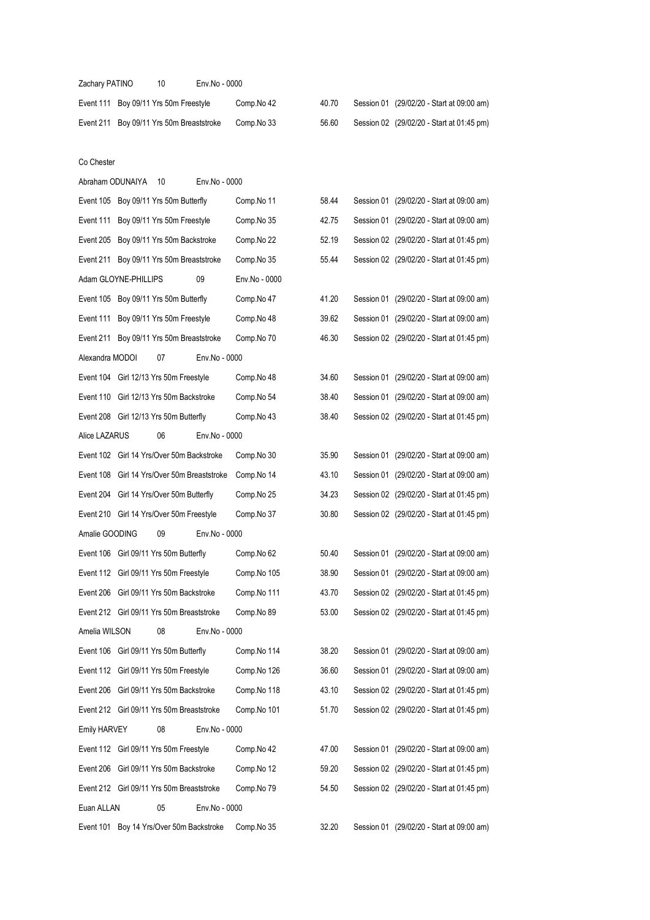| Zachary PATINO       | 10                                          | Env.No - 0000 |               |       |                                           |
|----------------------|---------------------------------------------|---------------|---------------|-------|-------------------------------------------|
|                      | Event 111 Boy 09/11 Yrs 50m Freestyle       |               | Comp.No 42    | 40.70 | Session 01 (29/02/20 - Start at 09:00 am) |
|                      | Event 211 Boy 09/11 Yrs 50m Breaststroke    |               | Comp.No 33    | 56.60 | Session 02 (29/02/20 - Start at 01:45 pm) |
|                      |                                             |               |               |       |                                           |
| Co Chester           |                                             |               |               |       |                                           |
| Abraham ODUNAIYA     | 10                                          | Env.No - 0000 |               |       |                                           |
|                      | Event 105 Boy 09/11 Yrs 50m Butterfly       |               | Comp.No 11    | 58.44 | Session 01 (29/02/20 - Start at 09:00 am) |
|                      | Event 111 Boy 09/11 Yrs 50m Freestyle       |               | Comp.No 35    | 42.75 | Session 01 (29/02/20 - Start at 09:00 am) |
|                      | Event 205 Boy 09/11 Yrs 50m Backstroke      |               | Comp.No 22    | 52.19 | Session 02 (29/02/20 - Start at 01:45 pm) |
|                      | Event 211 Boy 09/11 Yrs 50m Breaststroke    |               | Comp.No 35    | 55.44 | Session 02 (29/02/20 - Start at 01:45 pm) |
| Adam GLOYNE-PHILLIPS |                                             | 09            | Env.No - 0000 |       |                                           |
|                      | Event 105 Boy 09/11 Yrs 50m Butterfly       |               | Comp.No 47    | 41.20 | Session 01 (29/02/20 - Start at 09:00 am) |
|                      | Event 111 Boy 09/11 Yrs 50m Freestyle       |               | Comp.No 48    | 39.62 | Session 01 (29/02/20 - Start at 09:00 am) |
|                      | Event 211 Boy 09/11 Yrs 50m Breaststroke    |               | Comp.No 70    | 46.30 | Session 02 (29/02/20 - Start at 01:45 pm) |
| Alexandra MODOI      | 07                                          | Env.No - 0000 |               |       |                                           |
|                      | Event 104 Girl 12/13 Yrs 50m Freestyle      |               | Comp.No 48    | 34.60 | Session 01 (29/02/20 - Start at 09:00 am) |
|                      | Event 110 Girl 12/13 Yrs 50m Backstroke     |               | Comp.No 54    | 38.40 | Session 01 (29/02/20 - Start at 09:00 am) |
|                      | Event 208 Girl 12/13 Yrs 50m Butterfly      |               | Comp.No 43    | 38.40 | Session 02 (29/02/20 - Start at 01:45 pm) |
| Alice LAZARUS        | 06                                          | Env.No - 0000 |               |       |                                           |
|                      | Event 102 Girl 14 Yrs/Over 50m Backstroke   |               | Comp.No 30    | 35.90 | Session 01 (29/02/20 - Start at 09:00 am) |
|                      | Event 108 Girl 14 Yrs/Over 50m Breaststroke |               | Comp.No 14    | 43.10 | Session 01 (29/02/20 - Start at 09:00 am) |
| Event 204            | Girl 14 Yrs/Over 50m Butterfly              |               | Comp.No 25    | 34.23 | Session 02 (29/02/20 - Start at 01:45 pm) |
|                      | Event 210 Girl 14 Yrs/Over 50m Freestyle    |               | Comp.No 37    | 30.80 | Session 02 (29/02/20 - Start at 01:45 pm) |
| Amalie GOODING       | 09                                          | Env.No - 0000 |               |       |                                           |
|                      | Event 106 Girl 09/11 Yrs 50m Butterfly      |               | Comp.No 62    | 50.40 | Session 01 (29/02/20 - Start at 09:00 am) |
|                      | Event 112 Girl 09/11 Yrs 50m Freestyle      |               | Comp.No 105   | 38.90 | Session 01 (29/02/20 - Start at 09:00 am) |
|                      | Event 206 Girl 09/11 Yrs 50m Backstroke     |               | Comp.No 111   | 43.70 | Session 02 (29/02/20 - Start at 01:45 pm) |
|                      | Event 212 Girl 09/11 Yrs 50m Breaststroke   |               | Comp.No 89    | 53.00 | Session 02 (29/02/20 - Start at 01:45 pm) |
| Amelia WILSON        | 08                                          | Env.No - 0000 |               |       |                                           |
|                      | Event 106 Girl 09/11 Yrs 50m Butterfly      |               | Comp.No 114   | 38.20 | Session 01 (29/02/20 - Start at 09:00 am) |
|                      | Event 112 Girl 09/11 Yrs 50m Freestyle      |               | Comp.No 126   | 36.60 | Session 01 (29/02/20 - Start at 09:00 am) |
|                      | Event 206 Girl 09/11 Yrs 50m Backstroke     |               | Comp.No 118   | 43.10 | Session 02 (29/02/20 - Start at 01:45 pm) |
|                      | Event 212 Girl 09/11 Yrs 50m Breaststroke   |               | Comp.No 101   | 51.70 | Session 02 (29/02/20 - Start at 01:45 pm) |
| <b>Emily HARVEY</b>  | 08                                          | Env.No - 0000 |               |       |                                           |
|                      | Event 112 Girl 09/11 Yrs 50m Freestyle      |               | Comp.No 42    | 47.00 | Session 01 (29/02/20 - Start at 09:00 am) |
|                      | Event 206 Girl 09/11 Yrs 50m Backstroke     |               | Comp.No 12    | 59.20 | Session 02 (29/02/20 - Start at 01:45 pm) |
|                      | Event 212 Girl 09/11 Yrs 50m Breaststroke   |               | Comp.No 79    | 54.50 | Session 02 (29/02/20 - Start at 01:45 pm) |
| Euan ALLAN           | 05                                          | Env.No - 0000 |               |       |                                           |
| Event 101            | Boy 14 Yrs/Over 50m Backstroke              |               | Comp.No 35    | 32.20 | Session 01 (29/02/20 - Start at 09:00 am) |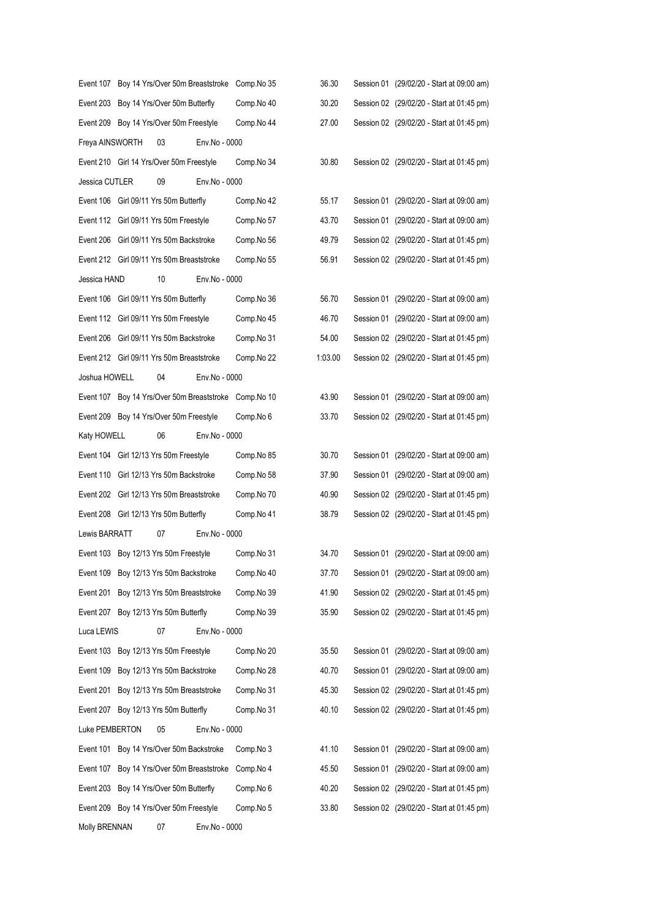|                 |                                           |               | Event 107 Boy 14 Yrs/Over 50m Breaststroke Comp. No 35 | 36.30   | Session 01 (29/02/20 - Start at 09:00 am) |
|-----------------|-------------------------------------------|---------------|--------------------------------------------------------|---------|-------------------------------------------|
|                 | Event 203 Boy 14 Yrs/Over 50m Butterfly   |               | Comp.No 40                                             | 30.20   | Session 02 (29/02/20 - Start at 01:45 pm) |
|                 | Event 209 Boy 14 Yrs/Over 50m Freestyle   |               | Comp.No 44                                             | 27.00   | Session 02 (29/02/20 - Start at 01:45 pm) |
| Freya AINSWORTH | 03                                        | Env.No - 0000 |                                                        |         |                                           |
|                 | Event 210 Girl 14 Yrs/Over 50m Freestyle  |               | Comp.No 34                                             | 30.80   | Session 02 (29/02/20 - Start at 01:45 pm) |
| Jessica CUTLER  | 09                                        | Env.No - 0000 |                                                        |         |                                           |
|                 | Event 106 Girl 09/11 Yrs 50m Butterfly    |               | Comp.No 42                                             | 55.17   | Session 01 (29/02/20 - Start at 09:00 am) |
|                 | Event 112 Girl 09/11 Yrs 50m Freestyle    |               | Comp.No 57                                             | 43.70   | Session 01 (29/02/20 - Start at 09:00 am) |
|                 | Event 206 Girl 09/11 Yrs 50m Backstroke   |               | Comp.No 56                                             | 49.79   | Session 02 (29/02/20 - Start at 01:45 pm) |
|                 | Event 212 Girl 09/11 Yrs 50m Breaststroke |               | Comp.No 55                                             | 56.91   | Session 02 (29/02/20 - Start at 01:45 pm) |
| Jessica HAND    | 10                                        | Env.No - 0000 |                                                        |         |                                           |
|                 | Event 106 Girl 09/11 Yrs 50m Butterfly    |               | Comp.No 36                                             | 56.70   | Session 01 (29/02/20 - Start at 09:00 am) |
|                 | Event 112 Girl 09/11 Yrs 50m Freestyle    |               | Comp.No 45                                             | 46.70   | Session 01 (29/02/20 - Start at 09:00 am) |
|                 | Event 206 Girl 09/11 Yrs 50m Backstroke   |               | Comp.No 31                                             | 54.00   | Session 02 (29/02/20 - Start at 01:45 pm) |
|                 | Event 212 Girl 09/11 Yrs 50m Breaststroke |               | Comp.No 22                                             | 1:03.00 | Session 02 (29/02/20 - Start at 01:45 pm) |
| Joshua HOWELL   | 04                                        | Env.No - 0000 |                                                        |         |                                           |
|                 |                                           |               | Event 107 Boy 14 Yrs/Over 50m Breaststroke Comp. No 10 | 43.90   | Session 01 (29/02/20 - Start at 09:00 am) |
|                 | Event 209 Boy 14 Yrs/Over 50m Freestyle   |               | Comp.No 6                                              | 33.70   | Session 02 (29/02/20 - Start at 01:45 pm) |
| Katy HOWELL     | 06                                        | Env.No - 0000 |                                                        |         |                                           |
|                 | Event 104 Girl 12/13 Yrs 50m Freestyle    |               | Comp.No 85                                             | 30.70   | Session 01 (29/02/20 - Start at 09:00 am) |
|                 | Event 110 Girl 12/13 Yrs 50m Backstroke   |               | Comp.No 58                                             | 37.90   | Session 01 (29/02/20 - Start at 09:00 am) |
|                 | Event 202 Girl 12/13 Yrs 50m Breaststroke |               | Comp.No 70                                             | 40.90   | Session 02 (29/02/20 - Start at 01:45 pm) |
|                 | Event 208 Girl 12/13 Yrs 50m Butterfly    |               | Comp.No 41                                             | 38.79   | Session 02 (29/02/20 - Start at 01:45 pm) |
| Lewis BARRATT   | 07                                        | Env.No - 0000 |                                                        |         |                                           |
|                 | Event 103 Boy 12/13 Yrs 50m Freestyle     |               | Comp.No 31                                             | 34.70   | Session 01 (29/02/20 - Start at 09:00 am) |
|                 | Event 109 Boy 12/13 Yrs 50m Backstroke    |               | Comp.No 40                                             | 37.70   | Session 01 (29/02/20 - Start at 09:00 am) |
|                 | Event 201 Boy 12/13 Yrs 50m Breaststroke  |               | Comp.No 39                                             | 41.90   | Session 02 (29/02/20 - Start at 01:45 pm) |
|                 | Event 207 Boy 12/13 Yrs 50m Butterfly     |               | Comp.No 39                                             | 35.90   | Session 02 (29/02/20 - Start at 01:45 pm) |
| Luca LEWIS      | 07                                        | Env.No - 0000 |                                                        |         |                                           |
|                 | Event 103 Boy 12/13 Yrs 50m Freestyle     |               | Comp.No 20                                             | 35.50   | Session 01 (29/02/20 - Start at 09:00 am) |
| Event 109       | Boy 12/13 Yrs 50m Backstroke              |               | Comp.No 28                                             | 40.70   | Session 01 (29/02/20 - Start at 09:00 am) |
| Event 201       | Boy 12/13 Yrs 50m Breaststroke            |               | Comp.No 31                                             | 45.30   | Session 02 (29/02/20 - Start at 01:45 pm) |
|                 | Event 207 Boy 12/13 Yrs 50m Butterfly     |               | Comp.No 31                                             | 40.10   | Session 02 (29/02/20 - Start at 01:45 pm) |
| Luke PEMBERTON  | 05                                        | Env.No - 0000 |                                                        |         |                                           |
|                 | Event 101 Boy 14 Yrs/Over 50m Backstroke  |               | Comp.No 3                                              | 41.10   | Session 01 (29/02/20 - Start at 09:00 am) |
| Event 107       | Boy 14 Yrs/Over 50m Breaststroke          |               | Comp.No 4                                              | 45.50   | Session 01 (29/02/20 - Start at 09:00 am) |
| Event 203       | Boy 14 Yrs/Over 50m Butterfly             |               | Comp.No 6                                              | 40.20   | Session 02 (29/02/20 - Start at 01:45 pm) |
| Event 209       | Boy 14 Yrs/Over 50m Freestyle             |               | Comp.No 5                                              | 33.80   | Session 02 (29/02/20 - Start at 01:45 pm) |
| Molly BRENNAN   | 07                                        | Env.No - 0000 |                                                        |         |                                           |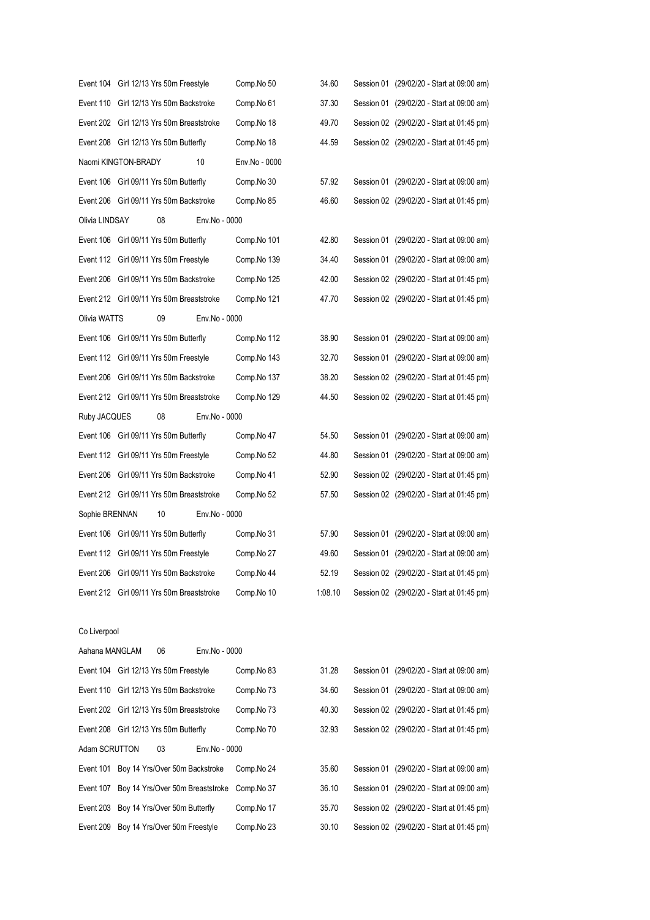|                | Event 104 Girl 12/13 Yrs 50m Freestyle  |    |                                           | Comp.No 50    | 34.60   | Session 01 (29/02/20 - Start at 09:00 am) |
|----------------|-----------------------------------------|----|-------------------------------------------|---------------|---------|-------------------------------------------|
|                | Event 110 Girl 12/13 Yrs 50m Backstroke |    |                                           | Comp.No 61    | 37.30   | Session 01 (29/02/20 - Start at 09:00 am) |
|                |                                         |    | Event 202 Girl 12/13 Yrs 50m Breaststroke | Comp.No 18    | 49.70   | Session 02 (29/02/20 - Start at 01:45 pm) |
|                | Event 208 Girl 12/13 Yrs 50m Butterfly  |    |                                           | Comp.No 18    | 44.59   | Session 02 (29/02/20 - Start at 01:45 pm) |
|                | Naomi KINGTON-BRADY                     |    | 10                                        | Env.No - 0000 |         |                                           |
|                | Event 106 Girl 09/11 Yrs 50m Butterfly  |    |                                           | Comp.No 30    | 57.92   | Session 01 (29/02/20 - Start at 09:00 am) |
|                | Event 206 Girl 09/11 Yrs 50m Backstroke |    |                                           | Comp.No 85    | 46.60   | Session 02 (29/02/20 - Start at 01:45 pm) |
| Olivia LINDSAY |                                         | 08 | Env.No - 0000                             |               |         |                                           |
|                | Event 106 Girl 09/11 Yrs 50m Butterfly  |    |                                           | Comp.No 101   | 42.80   | Session 01 (29/02/20 - Start at 09:00 am) |
|                | Event 112 Girl 09/11 Yrs 50m Freestyle  |    |                                           | Comp.No 139   | 34.40   | Session 01 (29/02/20 - Start at 09:00 am) |
|                | Event 206 Girl 09/11 Yrs 50m Backstroke |    |                                           | Comp.No 125   | 42.00   | Session 02 (29/02/20 - Start at 01:45 pm) |
|                |                                         |    | Event 212 Girl 09/11 Yrs 50m Breaststroke | Comp.No 121   | 47.70   | Session 02 (29/02/20 - Start at 01:45 pm) |
| Olivia WATTS   |                                         | 09 | Env.No - 0000                             |               |         |                                           |
|                | Event 106 Girl 09/11 Yrs 50m Butterfly  |    |                                           | Comp.No 112   | 38.90   | Session 01 (29/02/20 - Start at 09:00 am) |
|                | Event 112 Girl 09/11 Yrs 50m Freestyle  |    |                                           | Comp.No 143   | 32.70   | Session 01 (29/02/20 - Start at 09:00 am) |
|                | Event 206 Girl 09/11 Yrs 50m Backstroke |    |                                           | Comp.No 137   | 38.20   | Session 02 (29/02/20 - Start at 01:45 pm) |
|                |                                         |    | Event 212 Girl 09/11 Yrs 50m Breaststroke | Comp.No 129   | 44.50   | Session 02 (29/02/20 - Start at 01:45 pm) |
| Ruby JACQUES   |                                         | 08 | Env.No - 0000                             |               |         |                                           |
|                | Event 106 Girl 09/11 Yrs 50m Butterfly  |    |                                           | Comp.No 47    | 54.50   | Session 01 (29/02/20 - Start at 09:00 am) |
|                | Event 112 Girl 09/11 Yrs 50m Freestyle  |    |                                           | Comp.No 52    | 44.80   | Session 01 (29/02/20 - Start at 09:00 am) |
|                | Event 206 Girl 09/11 Yrs 50m Backstroke |    |                                           | Comp.No 41    | 52.90   | Session 02 (29/02/20 - Start at 01:45 pm) |
|                |                                         |    | Event 212 Girl 09/11 Yrs 50m Breaststroke | Comp.No 52    | 57.50   | Session 02 (29/02/20 - Start at 01:45 pm) |
| Sophie BRENNAN |                                         | 10 | Env.No - 0000                             |               |         |                                           |
|                | Event 106 Girl 09/11 Yrs 50m Butterfly  |    |                                           | Comp.No 31    | 57.90   | Session 01 (29/02/20 - Start at 09:00 am) |
|                | Event 112 Girl 09/11 Yrs 50m Freestyle  |    |                                           | Comp.No 27    | 49.60   | Session 01 (29/02/20 - Start at 09:00 am) |
|                | Event 206 Girl 09/11 Yrs 50m Backstroke |    |                                           | Comp.No 44    | 52.19   | Session 02 (29/02/20 - Start at 01:45 pm) |
|                |                                         |    | Event 212 Girl 09/11 Yrs 50m Breaststroke | Comp.No 10    | 1:08.10 | Session 02 (29/02/20 - Start at 01:45 pm) |
|                |                                         |    |                                           |               |         |                                           |
| Co Liverpool   |                                         |    |                                           |               |         |                                           |
| Aahana MANGLAM |                                         | 06 | Env.No - 0000                             |               |         |                                           |
|                | Event 104 Girl 12/13 Yrs 50m Freestyle  |    |                                           | Comp.No 83    | 31.28   | Session 01 (29/02/20 - Start at 09:00 am) |
|                | Event 110 Girl 12/13 Yrs 50m Backstroke |    |                                           | Comp.No 73    | 34.60   | Session 01 (29/02/20 - Start at 09:00 am) |
|                |                                         |    | Event 202 Girl 12/13 Yrs 50m Breaststroke | Comp.No 73    | 40.30   | Session 02 (29/02/20 - Start at 01:45 pm) |
|                | Event 208 Girl 12/13 Yrs 50m Butterfly  |    |                                           | Comp.No 70    | 32.93   | Session 02 (29/02/20 - Start at 01:45 pm) |
| Adam SCRUTTON  |                                         | 03 | Env.No - 0000                             |               |         |                                           |
|                |                                         |    |                                           |               |         |                                           |

Event 101 Boy 14 Yrs/Over 50m Backstroke Comp.No 24 Event 107 Boy 14 Yrs/Over 50m Breaststroke Comp.No 37 Event 203 Boy 14 Yrs/Over 50m Butterfly Comp.No 17

| Event 101 Boy 14 Yrs/Over 50m Backstroke               | Comp.No 24 | 35.60 | Session 01 (29/02/20 - Start at 09:00 am) |
|--------------------------------------------------------|------------|-------|-------------------------------------------|
| Event 107 Boy 14 Yrs/Over 50m Breaststroke Comp. No 37 |            | 36.10 | Session 01 (29/02/20 - Start at 09:00 am) |
| Event 203 Boy 14 Yrs/Over 50m Butterfly                | Comp.No 17 | 35.70 | Session 02 (29/02/20 - Start at 01:45 pm) |
| Event 209 Boy 14 Yrs/Over 50m Freestyle                | Comp.No 23 | 30.10 | Session 02 (29/02/20 - Start at 01:45 pm) |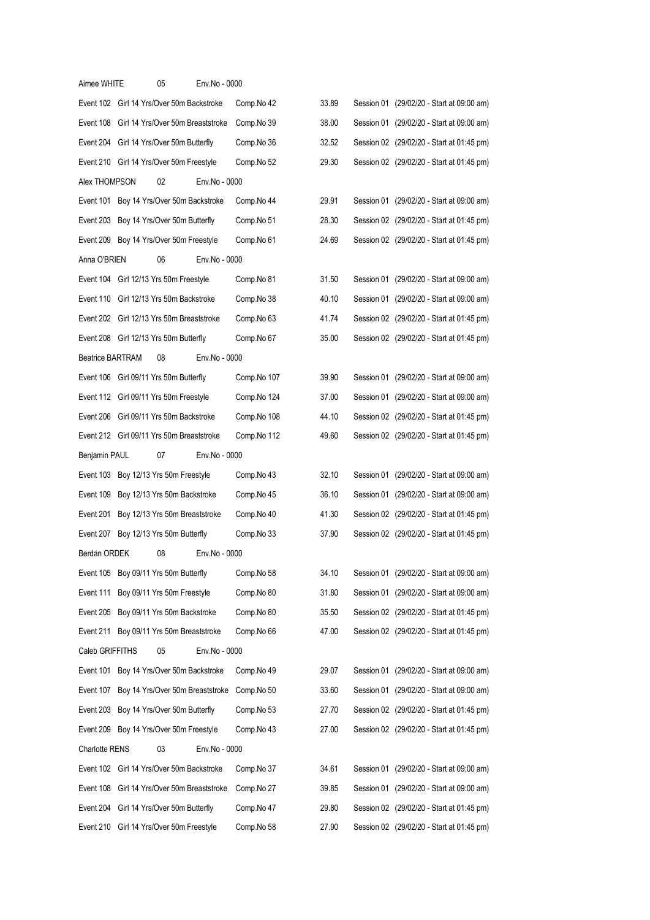| Aimee WHITE             |                                             | 05                                | Env.No - 0000 |             |       |                                           |  |
|-------------------------|---------------------------------------------|-----------------------------------|---------------|-------------|-------|-------------------------------------------|--|
|                         | Event 102 Girl 14 Yrs/Over 50m Backstroke   |                                   |               | Comp.No 42  | 33.89 | Session 01 (29/02/20 - Start at 09:00 am) |  |
|                         | Event 108 Girl 14 Yrs/Over 50m Breaststroke |                                   |               | Comp.No 39  | 38.00 | Session 01 (29/02/20 - Start at 09:00 am) |  |
|                         | Event 204 Girl 14 Yrs/Over 50m Butterfly    |                                   |               | Comp.No 36  | 32.52 | Session 02 (29/02/20 - Start at 01:45 pm) |  |
|                         | Event 210 Girl 14 Yrs/Over 50m Freestyle    |                                   |               | Comp.No 52  | 29.30 | Session 02 (29/02/20 - Start at 01:45 pm) |  |
| Alex THOMPSON           |                                             | 02                                | Env.No - 0000 |             |       |                                           |  |
|                         | Event 101 Boy 14 Yrs/Over 50m Backstroke    |                                   |               | Comp.No 44  | 29.91 | Session 01 (29/02/20 - Start at 09:00 am) |  |
|                         | Event 203 Boy 14 Yrs/Over 50m Butterfly     |                                   |               | Comp.No 51  | 28.30 | Session 02 (29/02/20 - Start at 01:45 pm) |  |
|                         | Event 209 Boy 14 Yrs/Over 50m Freestyle     |                                   |               | Comp.No 61  | 24.69 | Session 02 (29/02/20 - Start at 01:45 pm) |  |
| Anna O'BRIEN            |                                             | 06                                | Env.No - 0000 |             |       |                                           |  |
|                         | Event 104 Girl 12/13 Yrs 50m Freestyle      |                                   |               | Comp.No 81  | 31.50 | Session 01 (29/02/20 - Start at 09:00 am) |  |
|                         | Event 110 Girl 12/13 Yrs 50m Backstroke     |                                   |               | Comp.No 38  | 40.10 | Session 01 (29/02/20 - Start at 09:00 am) |  |
|                         | Event 202 Girl 12/13 Yrs 50m Breaststroke   |                                   |               | Comp.No 63  | 41.74 | Session 02 (29/02/20 - Start at 01:45 pm) |  |
|                         | Event 208 Girl 12/13 Yrs 50m Butterfly      |                                   |               | Comp.No 67  | 35.00 | Session 02 (29/02/20 - Start at 01:45 pm) |  |
| <b>Beatrice BARTRAM</b> |                                             | 08                                | Env.No - 0000 |             |       |                                           |  |
|                         | Event 106 Girl 09/11 Yrs 50m Butterfly      |                                   |               | Comp.No 107 | 39.90 | Session 01 (29/02/20 - Start at 09:00 am) |  |
|                         | Event 112 Girl 09/11 Yrs 50m Freestyle      |                                   |               | Comp.No 124 | 37.00 | Session 01 (29/02/20 - Start at 09:00 am) |  |
|                         | Event 206 Girl 09/11 Yrs 50m Backstroke     |                                   |               | Comp.No 108 | 44.10 | Session 02 (29/02/20 - Start at 01:45 pm) |  |
|                         | Event 212 Girl 09/11 Yrs 50m Breaststroke   |                                   |               | Comp.No 112 | 49.60 | Session 02 (29/02/20 - Start at 01:45 pm) |  |
| Benjamin PAUL           |                                             | 07                                | Env.No - 0000 |             |       |                                           |  |
|                         | Event 103 Boy 12/13 Yrs 50m Freestyle       |                                   |               | Comp.No 43  | 32.10 | Session 01 (29/02/20 - Start at 09:00 am) |  |
| Event 109               |                                             | Boy 12/13 Yrs 50m Backstroke      |               | Comp.No 45  | 36.10 | Session 01 (29/02/20 - Start at 09:00 am) |  |
| Event 201               |                                             | Boy 12/13 Yrs 50m Breaststroke    |               | Comp.No 40  | 41.30 | Session 02 (29/02/20 - Start at 01:45 pm) |  |
|                         | Event 207 Boy 12/13 Yrs 50m Butterfly       |                                   |               | Comp.No 33  | 37.90 | Session 02 (29/02/20 - Start at 01:45 pm) |  |
| Berdan ORDEK            |                                             | 08                                | Env.No - 0000 |             |       |                                           |  |
|                         | Event 105 Boy 09/11 Yrs 50m Butterfly       |                                   |               | Comp.No 58  | 34.10 | Session 01 (29/02/20 - Start at 09:00 am) |  |
|                         | Event 111 Boy 09/11 Yrs 50m Freestyle       |                                   |               | Comp.No 80  | 31.80 | Session 01 (29/02/20 - Start at 09:00 am) |  |
| Event 205               |                                             | Boy 09/11 Yrs 50m Backstroke      |               | Comp.No 80  | 35.50 | Session 02 (29/02/20 - Start at 01:45 pm) |  |
|                         | Event 211 Boy 09/11 Yrs 50m Breaststroke    |                                   |               | Comp.No 66  | 47.00 | Session 02 (29/02/20 - Start at 01:45 pm) |  |
| Caleb GRIFFITHS         |                                             | 05                                | Env.No - 0000 |             |       |                                           |  |
|                         | Event 101 Boy 14 Yrs/Over 50m Backstroke    |                                   |               | Comp.No 49  | 29.07 | Session 01 (29/02/20 - Start at 09:00 am) |  |
|                         | Event 107 Boy 14 Yrs/Over 50m Breaststroke  |                                   |               | Comp.No 50  | 33.60 | Session 01 (29/02/20 - Start at 09:00 am) |  |
|                         | Event 203 Boy 14 Yrs/Over 50m Butterfly     |                                   |               | Comp.No 53  | 27.70 | Session 02 (29/02/20 - Start at 01:45 pm) |  |
|                         | Event 209 Boy 14 Yrs/Over 50m Freestyle     |                                   |               | Comp.No 43  | 27.00 | Session 02 (29/02/20 - Start at 01:45 pm) |  |
| Charlotte RENS          |                                             | 03                                | Env.No - 0000 |             |       |                                           |  |
|                         | Event 102 Girl 14 Yrs/Over 50m Backstroke   |                                   |               | Comp.No 37  | 34.61 | Session 01 (29/02/20 - Start at 09:00 am) |  |
| Event 108               |                                             | Girl 14 Yrs/Over 50m Breaststroke |               | Comp.No 27  | 39.85 | Session 01 (29/02/20 - Start at 09:00 am) |  |
| Event 204               |                                             | Girl 14 Yrs/Over 50m Butterfly    |               | Comp.No 47  | 29.80 | Session 02 (29/02/20 - Start at 01:45 pm) |  |
|                         | Event 210 Girl 14 Yrs/Over 50m Freestyle    |                                   |               | Comp.No 58  | 27.90 | Session 02 (29/02/20 - Start at 01:45 pm) |  |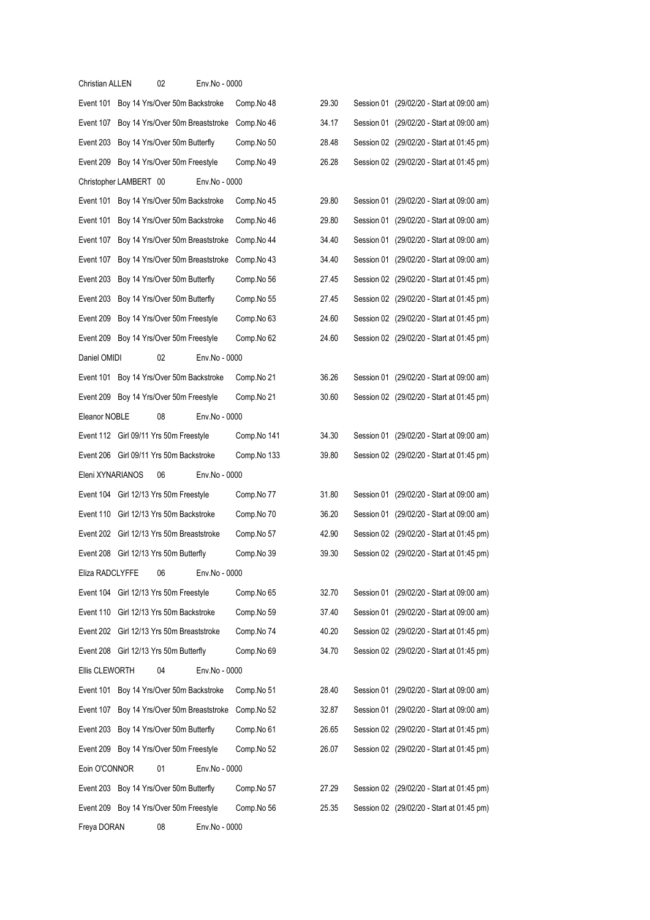| Christian ALLEN                         |                        | 02                                         | Env.No - 0000 |             |       |                                           |
|-----------------------------------------|------------------------|--------------------------------------------|---------------|-------------|-------|-------------------------------------------|
|                                         |                        | Event 101 Boy 14 Yrs/Over 50m Backstroke   |               | Comp.No 48  | 29.30 | Session 01 (29/02/20 - Start at 09:00 am) |
| Event 107                               |                        | Boy 14 Yrs/Over 50m Breaststroke           |               | Comp.No 46  | 34.17 | Session 01 (29/02/20 - Start at 09:00 am) |
| Event 203                               |                        | Boy 14 Yrs/Over 50m Butterfly              |               | Comp.No 50  | 28.48 | Session 02 (29/02/20 - Start at 01:45 pm) |
|                                         |                        | Event 209 Boy 14 Yrs/Over 50m Freestyle    |               | Comp.No 49  | 26.28 | Session 02 (29/02/20 - Start at 01:45 pm) |
|                                         | Christopher LAMBERT 00 |                                            | Env.No - 0000 |             |       |                                           |
|                                         |                        | Event 101 Boy 14 Yrs/Over 50m Backstroke   |               | Comp.No 45  | 29.80 | Session 01 (29/02/20 - Start at 09:00 am) |
| Event 101                               |                        | Boy 14 Yrs/Over 50m Backstroke             |               | Comp.No 46  | 29.80 | Session 01 (29/02/20 - Start at 09:00 am) |
| Event 107                               |                        | Boy 14 Yrs/Over 50m Breaststroke           |               | Comp.No 44  | 34.40 | Session 01 (29/02/20 - Start at 09:00 am) |
| Event 107                               |                        | Boy 14 Yrs/Over 50m Breaststroke           |               | Comp.No 43  | 34.40 | Session 01 (29/02/20 - Start at 09:00 am) |
| Event 203                               |                        | Boy 14 Yrs/Over 50m Butterfly              |               | Comp.No 56  | 27.45 | Session 02 (29/02/20 - Start at 01:45 pm) |
| Event 203                               |                        | Boy 14 Yrs/Over 50m Butterfly              |               | Comp.No 55  | 27.45 | Session 02 (29/02/20 - Start at 01:45 pm) |
| Event 209                               |                        | Boy 14 Yrs/Over 50m Freestyle              |               | Comp.No 63  | 24.60 | Session 02 (29/02/20 - Start at 01:45 pm) |
|                                         |                        | Event 209 Boy 14 Yrs/Over 50m Freestyle    |               | Comp.No 62  | 24.60 | Session 02 (29/02/20 - Start at 01:45 pm) |
| Daniel OMIDI                            |                        | 02                                         | Env.No - 0000 |             |       |                                           |
|                                         |                        | Event 101 Boy 14 Yrs/Over 50m Backstroke   |               | Comp.No 21  | 36.26 | Session 01 (29/02/20 - Start at 09:00 am) |
|                                         |                        | Event 209 Boy 14 Yrs/Over 50m Freestyle    |               | Comp.No 21  | 30.60 | Session 02 (29/02/20 - Start at 01:45 pm) |
| Eleanor NOBLE                           |                        | 08                                         | Env.No - 0000 |             |       |                                           |
|                                         |                        | Event 112 Girl 09/11 Yrs 50m Freestyle     |               | Comp.No 141 | 34.30 | Session 01 (29/02/20 - Start at 09:00 am) |
|                                         |                        | Event 206 Girl 09/11 Yrs 50m Backstroke    |               | Comp.No 133 | 39.80 | Session 02 (29/02/20 - Start at 01:45 pm) |
| Eleni XYNARIANOS                        |                        | 06                                         | Env.No - 0000 |             |       |                                           |
|                                         |                        | Event 104 Girl 12/13 Yrs 50m Freestyle     |               | Comp.No 77  | 31.80 | Session 01 (29/02/20 - Start at 09:00 am) |
|                                         |                        | Event 110 Girl 12/13 Yrs 50m Backstroke    |               | Comp.No 70  | 36.20 | Session 01 (29/02/20 - Start at 09:00 am) |
|                                         |                        | Event 202 Girl 12/13 Yrs 50m Breaststroke  |               | Comp.No 57  | 42.90 | Session 02 (29/02/20 - Start at 01:45 pm) |
|                                         |                        | Event 208 Girl 12/13 Yrs 50m Butterfly     |               | Comp.No 39  | 39.30 | Session 02 (29/02/20 - Start at 01:45 pm) |
| Eliza RADCLYFFE                         |                        | 06                                         | Env.No - 0000 |             |       |                                           |
|                                         |                        | Event 104 Girl 12/13 Yrs 50m Freestyle     |               | Comp.No 65  | 32.70 | Session 01 (29/02/20 - Start at 09:00 am) |
|                                         |                        | Event 110 Girl 12/13 Yrs 50m Backstroke    |               | Comp.No 59  | 37.40 | Session 01 (29/02/20 - Start at 09:00 am) |
|                                         |                        | Event 202 Girl 12/13 Yrs 50m Breaststroke  |               | Comp.No 74  | 40.20 | Session 02 (29/02/20 - Start at 01:45 pm) |
|                                         |                        | Event 208 Girl 12/13 Yrs 50m Butterfly     |               | Comp.No 69  | 34.70 | Session 02 (29/02/20 - Start at 01:45 pm) |
| Ellis CLEWORTH                          |                        | 04                                         | Env.No - 0000 |             |       |                                           |
|                                         |                        | Event 101 Boy 14 Yrs/Over 50m Backstroke   |               | Comp.No 51  | 28.40 | Session 01 (29/02/20 - Start at 09:00 am) |
|                                         |                        | Event 107 Boy 14 Yrs/Over 50m Breaststroke |               | Comp.No 52  | 32.87 | Session 01 (29/02/20 - Start at 09:00 am) |
|                                         |                        | Event 203 Boy 14 Yrs/Over 50m Butterfly    |               | Comp.No 61  | 26.65 | Session 02 (29/02/20 - Start at 01:45 pm) |
|                                         |                        | Event 209 Boy 14 Yrs/Over 50m Freestyle    |               | Comp.No 52  | 26.07 | Session 02 (29/02/20 - Start at 01:45 pm) |
| Eoin O'CONNOR                           |                        | 01                                         | Env.No - 0000 |             |       |                                           |
|                                         |                        |                                            |               | Comp.No 57  | 27.29 | Session 02 (29/02/20 - Start at 01:45 pm) |
|                                         |                        |                                            |               |             |       |                                           |
| Event 203 Boy 14 Yrs/Over 50m Butterfly |                        | Event 209 Boy 14 Yrs/Over 50m Freestyle    |               | Comp.No 56  | 25.35 | Session 02 (29/02/20 - Start at 01:45 pm) |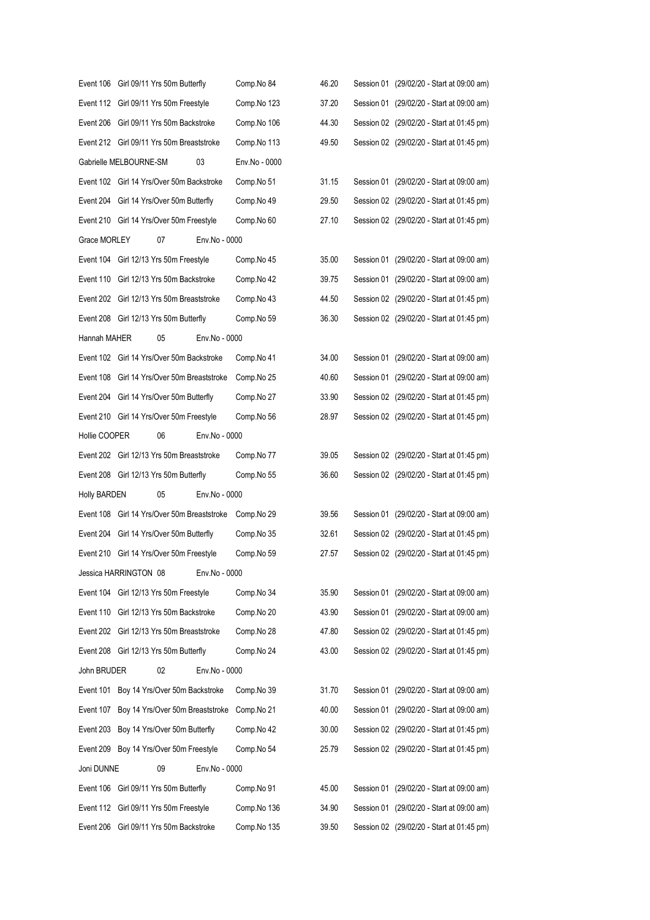|                     | Event 106 Girl 09/11 Yrs 50m Butterfly      |                                  |               | Comp.No 84    | 46.20 | Session 01 (29/02/20 - Start at 09:00 am) |
|---------------------|---------------------------------------------|----------------------------------|---------------|---------------|-------|-------------------------------------------|
|                     | Event 112 Girl 09/11 Yrs 50m Freestyle      |                                  |               | Comp.No 123   | 37.20 | Session 01 (29/02/20 - Start at 09:00 am) |
|                     | Event 206 Girl 09/11 Yrs 50m Backstroke     |                                  |               | Comp.No 106   | 44.30 | Session 02 (29/02/20 - Start at 01:45 pm) |
|                     | Event 212 Girl 09/11 Yrs 50m Breaststroke   |                                  |               | Comp.No 113   | 49.50 | Session 02 (29/02/20 - Start at 01:45 pm) |
|                     |                                             | Gabrielle MELBOURNE-SM<br>03     |               | Env.No - 0000 |       |                                           |
|                     | Event 102 Girl 14 Yrs/Over 50m Backstroke   |                                  |               | Comp.No 51    | 31.15 | Session 01 (29/02/20 - Start at 09:00 am) |
|                     | Event 204 Girl 14 Yrs/Over 50m Butterfly    |                                  |               | Comp.No 49    | 29.50 | Session 02 (29/02/20 - Start at 01:45 pm) |
|                     | Event 210 Girl 14 Yrs/Over 50m Freestyle    |                                  |               | Comp.No 60    | 27.10 | Session 02 (29/02/20 - Start at 01:45 pm) |
| Grace MORLEY        |                                             | 07                               | Env.No - 0000 |               |       |                                           |
|                     | Event 104 Girl 12/13 Yrs 50m Freestyle      |                                  |               | Comp.No 45    | 35.00 | Session 01 (29/02/20 - Start at 09:00 am) |
|                     | Event 110 Girl 12/13 Yrs 50m Backstroke     |                                  |               | Comp.No 42    | 39.75 | Session 01 (29/02/20 - Start at 09:00 am) |
|                     | Event 202 Girl 12/13 Yrs 50m Breaststroke   |                                  |               | Comp.No 43    | 44.50 | Session 02 (29/02/20 - Start at 01:45 pm) |
|                     | Event 208 Girl 12/13 Yrs 50m Butterfly      |                                  |               | Comp.No 59    | 36.30 | Session 02 (29/02/20 - Start at 01:45 pm) |
| Hannah MAHER        |                                             | 05                               | Env.No - 0000 |               |       |                                           |
|                     | Event 102 Girl 14 Yrs/Over 50m Backstroke   |                                  |               | Comp.No 41    | 34.00 | Session 01 (29/02/20 - Start at 09:00 am) |
|                     | Event 108 Girl 14 Yrs/Over 50m Breaststroke |                                  |               | Comp.No 25    | 40.60 | Session 01 (29/02/20 - Start at 09:00 am) |
|                     | Event 204 Girl 14 Yrs/Over 50m Butterfly    |                                  |               | Comp.No 27    | 33.90 | Session 02 (29/02/20 - Start at 01:45 pm) |
|                     | Event 210 Girl 14 Yrs/Over 50m Freestyle    |                                  |               | Comp.No 56    | 28.97 | Session 02 (29/02/20 - Start at 01:45 pm) |
| Hollie COOPER       |                                             | 06                               | Env.No - 0000 |               |       |                                           |
|                     | Event 202 Girl 12/13 Yrs 50m Breaststroke   |                                  |               | Comp.No 77    | 39.05 | Session 02 (29/02/20 - Start at 01:45 pm) |
|                     | Event 208 Girl 12/13 Yrs 50m Butterfly      |                                  |               | Comp.No 55    | 36.60 | Session 02 (29/02/20 - Start at 01:45 pm) |
| <b>Holly BARDEN</b> |                                             | 05                               | Env.No - 0000 |               |       |                                           |
|                     | Event 108 Girl 14 Yrs/Over 50m Breaststroke |                                  |               | Comp.No 29    | 39.56 | Session 01 (29/02/20 - Start at 09:00 am) |
|                     | Event 204 Girl 14 Yrs/Over 50m Butterfly    |                                  |               | Comp.No 35    | 32.61 | Session 02 (29/02/20 - Start at 01:45 pm) |
|                     | Event 210 Girl 14 Yrs/Over 50m Freestyle    |                                  |               | Comp.No 59    | 27.57 | Session 02 (29/02/20 - Start at 01:45 pm) |
|                     | Jessica HARRINGTON 08                       |                                  | Env.No - 0000 |               |       |                                           |
|                     | Event 104 Girl 12/13 Yrs 50m Freestyle      |                                  |               | Comp.No 34    | 35.90 | Session 01 (29/02/20 - Start at 09:00 am) |
| Event 110           |                                             | Girl 12/13 Yrs 50m Backstroke    |               | Comp.No 20    | 43.90 | Session 01 (29/02/20 - Start at 09:00 am) |
| Event 202           |                                             | Girl 12/13 Yrs 50m Breaststroke  |               | Comp.No 28    | 47.80 | Session 02 (29/02/20 - Start at 01:45 pm) |
| Event 208           |                                             | Girl 12/13 Yrs 50m Butterfly     |               | Comp.No 24    | 43.00 | Session 02 (29/02/20 - Start at 01:45 pm) |
| John BRUDER         |                                             | 02                               | Env.No - 0000 |               |       |                                           |
| Event 101           |                                             | Boy 14 Yrs/Over 50m Backstroke   |               | Comp.No 39    | 31.70 | Session 01 (29/02/20 - Start at 09:00 am) |
| Event 107           |                                             | Boy 14 Yrs/Over 50m Breaststroke |               | Comp.No 21    | 40.00 | Session 01 (29/02/20 - Start at 09:00 am) |
| Event 203           |                                             | Boy 14 Yrs/Over 50m Butterfly    |               | Comp.No 42    | 30.00 | Session 02 (29/02/20 - Start at 01:45 pm) |
|                     | Event 209 Boy 14 Yrs/Over 50m Freestyle     |                                  |               | Comp.No 54    | 25.79 | Session 02 (29/02/20 - Start at 01:45 pm) |
| Joni DUNNE          |                                             | 09                               | Env.No - 0000 |               |       |                                           |
| Event 106           |                                             | Girl 09/11 Yrs 50m Butterfly     |               | Comp.No 91    | 45.00 | Session 01 (29/02/20 - Start at 09:00 am) |
| Event 112           |                                             | Girl 09/11 Yrs 50m Freestyle     |               | Comp.No 136   | 34.90 | Session 01 (29/02/20 - Start at 09:00 am) |
| Event 206           |                                             | Girl 09/11 Yrs 50m Backstroke    |               | Comp.No 135   | 39.50 | Session 02 (29/02/20 - Start at 01:45 pm) |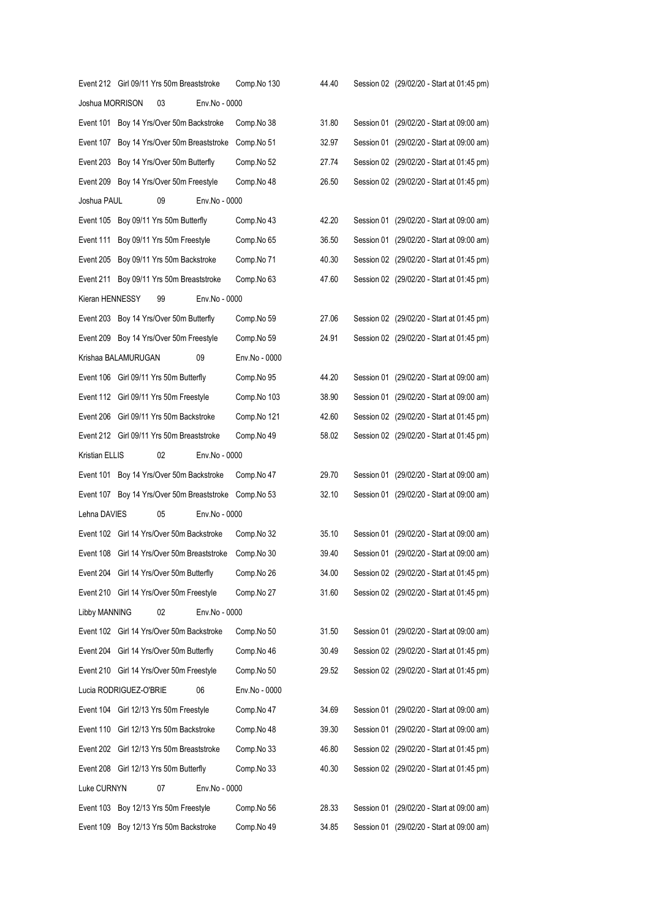|                 | Event 212 Girl 09/11 Yrs 50m Breaststroke |                                             | Comp.No 130   | 44.40 | Session 02 (29/02/20 - Start at 01:45 pm) |
|-----------------|-------------------------------------------|---------------------------------------------|---------------|-------|-------------------------------------------|
| Joshua MORRISON | 03                                        | Env.No - 0000                               |               |       |                                           |
|                 |                                           | Event 101 Boy 14 Yrs/Over 50m Backstroke    | Comp.No 38    | 31.80 | Session 01 (29/02/20 - Start at 09:00 am) |
| Event 107       |                                           | Boy 14 Yrs/Over 50m Breaststroke            | Comp.No 51    | 32.97 | Session 01 (29/02/20 - Start at 09:00 am) |
|                 | Event 203 Boy 14 Yrs/Over 50m Butterfly   |                                             | Comp.No 52    | 27.74 | Session 02 (29/02/20 - Start at 01:45 pm) |
|                 | Event 209 Boy 14 Yrs/Over 50m Freestyle   |                                             | Comp.No 48    | 26.50 | Session 02 (29/02/20 - Start at 01:45 pm) |
| Joshua PAUL     | 09                                        | Env.No - 0000                               |               |       |                                           |
|                 | Event 105 Boy 09/11 Yrs 50m Butterfly     |                                             | Comp.No 43    | 42.20 | Session 01 (29/02/20 - Start at 09:00 am) |
|                 | Event 111 Boy 09/11 Yrs 50m Freestyle     |                                             | Comp.No 65    | 36.50 | Session 01 (29/02/20 - Start at 09:00 am) |
|                 | Event 205 Boy 09/11 Yrs 50m Backstroke    |                                             | Comp.No 71    | 40.30 | Session 02 (29/02/20 - Start at 01:45 pm) |
|                 | Event 211 Boy 09/11 Yrs 50m Breaststroke  |                                             | Comp.No 63    | 47.60 | Session 02 (29/02/20 - Start at 01:45 pm) |
| Kieran HENNESSY | 99                                        | Env.No - 0000                               |               |       |                                           |
|                 | Event 203 Boy 14 Yrs/Over 50m Butterfly   |                                             | Comp.No 59    | 27.06 | Session 02 (29/02/20 - Start at 01:45 pm) |
|                 | Event 209 Boy 14 Yrs/Over 50m Freestyle   |                                             | Comp.No 59    | 24.91 | Session 02 (29/02/20 - Start at 01:45 pm) |
|                 | Krishaa BALAMURUGAN                       | 09                                          | Env.No - 0000 |       |                                           |
|                 | Event 106 Girl 09/11 Yrs 50m Butterfly    |                                             | Comp.No 95    | 44.20 | Session 01 (29/02/20 - Start at 09:00 am) |
|                 | Event 112 Girl 09/11 Yrs 50m Freestyle    |                                             | Comp.No 103   | 38.90 | Session 01 (29/02/20 - Start at 09:00 am) |
|                 | Event 206 Girl 09/11 Yrs 50m Backstroke   |                                             | Comp.No 121   | 42.60 | Session 02 (29/02/20 - Start at 01:45 pm) |
|                 | Event 212 Girl 09/11 Yrs 50m Breaststroke |                                             | Comp.No 49    | 58.02 | Session 02 (29/02/20 - Start at 01:45 pm) |
| Kristian ELLIS  | 02                                        | Env.No - 0000                               |               |       |                                           |
|                 |                                           | Event 101 Boy 14 Yrs/Over 50m Backstroke    | Comp.No 47    | 29.70 | Session 01 (29/02/20 - Start at 09:00 am) |
|                 |                                           | Event 107 Boy 14 Yrs/Over 50m Breaststroke  | Comp.No 53    | 32.10 | Session 01 (29/02/20 - Start at 09:00 am) |
| Lehna DAVIES    | 05                                        | Env.No - 0000                               |               |       |                                           |
|                 |                                           | Event 102 Girl 14 Yrs/Over 50m Backstroke   | Comp.No 32    | 35.10 | Session 01 (29/02/20 - Start at 09:00 am) |
|                 |                                           | Event 108 Girl 14 Yrs/Over 50m Breaststroke | Comp.No 30    | 39.40 | Session 01 (29/02/20 - Start at 09:00 am) |
|                 | Event 204 Girl 14 Yrs/Over 50m Butterfly  |                                             | Comp.No 26    | 34.00 | Session 02 (29/02/20 - Start at 01:45 pm) |
|                 | Event 210 Girl 14 Yrs/Over 50m Freestyle  |                                             | Comp.No 27    | 31.60 | Session 02 (29/02/20 - Start at 01:45 pm) |
| Libby MANNING   | 02                                        | Env.No - 0000                               |               |       |                                           |
|                 |                                           | Event 102 Girl 14 Yrs/Over 50m Backstroke   | Comp.No 50    | 31.50 | Session 01 (29/02/20 - Start at 09:00 am) |
| Event 204       | Girl 14 Yrs/Over 50m Butterfly            |                                             | Comp.No 46    | 30.49 | Session 02 (29/02/20 - Start at 01:45 pm) |
|                 | Event 210 Girl 14 Yrs/Over 50m Freestyle  |                                             | Comp.No 50    | 29.52 | Session 02 (29/02/20 - Start at 01:45 pm) |
|                 | Lucia RODRIGUEZ-O'BRIE                    | 06                                          | Env.No - 0000 |       |                                           |
|                 | Event 104 Girl 12/13 Yrs 50m Freestyle    |                                             | Comp.No 47    | 34.69 | Session 01 (29/02/20 - Start at 09:00 am) |
| Event 110       | Girl 12/13 Yrs 50m Backstroke             |                                             | Comp.No 48    | 39.30 | Session 01 (29/02/20 - Start at 09:00 am) |
| Event 202       | Girl 12/13 Yrs 50m Breaststroke           |                                             | Comp.No 33    | 46.80 | Session 02 (29/02/20 - Start at 01:45 pm) |
| Event 208       | Girl 12/13 Yrs 50m Butterfly              |                                             | Comp.No 33    | 40.30 | Session 02 (29/02/20 - Start at 01:45 pm) |
| Luke CURNYN     | 07                                        | Env.No - 0000                               |               |       |                                           |
| Event 103       | Boy 12/13 Yrs 50m Freestyle               |                                             | Comp.No 56    | 28.33 | Session 01 (29/02/20 - Start at 09:00 am) |
| Event 109       | Boy 12/13 Yrs 50m Backstroke              |                                             | Comp.No 49    | 34.85 | Session 01 (29/02/20 - Start at 09:00 am) |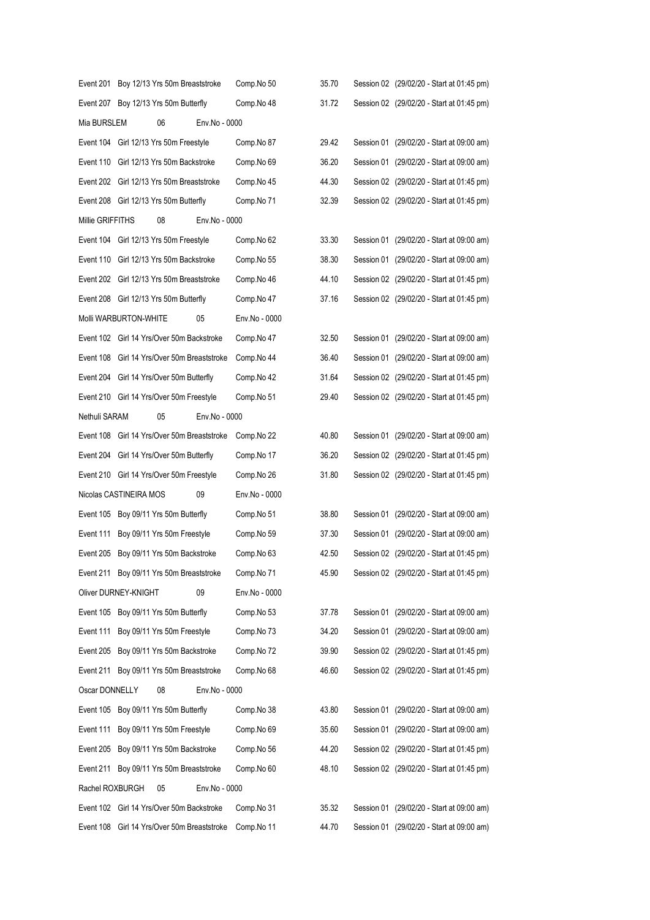|                  | Event 201 Boy 12/13 Yrs 50m Breaststroke    |               | Comp.No 50    | 35.70 | Session 02 (29/02/20 - Start at 01:45 pm) |
|------------------|---------------------------------------------|---------------|---------------|-------|-------------------------------------------|
|                  | Event 207 Boy 12/13 Yrs 50m Butterfly       |               | Comp.No 48    | 31.72 | Session 02 (29/02/20 - Start at 01:45 pm) |
| Mia BURSLEM      | 06                                          | Env.No - 0000 |               |       |                                           |
|                  | Event 104 Girl 12/13 Yrs 50m Freestyle      |               | Comp.No 87    | 29.42 | Session 01 (29/02/20 - Start at 09:00 am) |
|                  | Event 110 Girl 12/13 Yrs 50m Backstroke     |               | Comp.No 69    | 36.20 | Session 01 (29/02/20 - Start at 09:00 am) |
|                  | Event 202 Girl 12/13 Yrs 50m Breaststroke   |               | Comp.No 45    | 44.30 | Session 02 (29/02/20 - Start at 01:45 pm) |
|                  | Event 208 Girl 12/13 Yrs 50m Butterfly      |               | Comp.No 71    | 32.39 | Session 02 (29/02/20 - Start at 01:45 pm) |
| Millie GRIFFITHS | 08                                          | Env.No - 0000 |               |       |                                           |
|                  | Event 104 Girl 12/13 Yrs 50m Freestyle      |               | Comp.No 62    | 33.30 | Session 01 (29/02/20 - Start at 09:00 am) |
|                  | Event 110 Girl 12/13 Yrs 50m Backstroke     |               | Comp.No 55    | 38.30 | Session 01 (29/02/20 - Start at 09:00 am) |
|                  | Event 202 Girl 12/13 Yrs 50m Breaststroke   |               | Comp.No 46    | 44.10 | Session 02 (29/02/20 - Start at 01:45 pm) |
|                  | Event 208 Girl 12/13 Yrs 50m Butterfly      |               | Comp.No 47    | 37.16 | Session 02 (29/02/20 - Start at 01:45 pm) |
|                  | Molli WARBURTON-WHITE                       | 05            | Env.No - 0000 |       |                                           |
|                  | Event 102 Girl 14 Yrs/Over 50m Backstroke   |               | Comp.No 47    | 32.50 | Session 01 (29/02/20 - Start at 09:00 am) |
|                  | Event 108 Girl 14 Yrs/Over 50m Breaststroke |               | Comp.No 44    | 36.40 | Session 01 (29/02/20 - Start at 09:00 am) |
|                  | Event 204 Girl 14 Yrs/Over 50m Butterfly    |               | Comp.No 42    | 31.64 | Session 02 (29/02/20 - Start at 01:45 pm) |
|                  | Event 210 Girl 14 Yrs/Over 50m Freestyle    |               | Comp.No 51    | 29.40 | Session 02 (29/02/20 - Start at 01:45 pm) |
| Nethuli SARAM    | 05                                          | Env.No - 0000 |               |       |                                           |
|                  | Event 108 Girl 14 Yrs/Over 50m Breaststroke |               | Comp.No 22    | 40.80 | Session 01 (29/02/20 - Start at 09:00 am) |
|                  | Event 204 Girl 14 Yrs/Over 50m Butterfly    |               | Comp.No 17    | 36.20 | Session 02 (29/02/20 - Start at 01:45 pm) |
|                  | Event 210 Girl 14 Yrs/Over 50m Freestyle    |               | Comp.No 26    | 31.80 | Session 02 (29/02/20 - Start at 01:45 pm) |
|                  | Nicolas CASTINEIRA MOS                      | 09            | Env.No - 0000 |       |                                           |
|                  | Event 105 Boy 09/11 Yrs 50m Butterfly       |               | Comp.No 51    | 38.80 | Session 01 (29/02/20 - Start at 09:00 am) |
| Event 111        | Boy 09/11 Yrs 50m Freestyle                 |               | Comp.No 59    | 37.30 | Session 01 (29/02/20 - Start at 09:00 am) |
|                  | Event 205 Boy 09/11 Yrs 50m Backstroke      |               | Comp.No 63    | 42.50 | Session 02 (29/02/20 - Start at 01:45 pm) |
|                  | Event 211 Boy 09/11 Yrs 50m Breaststroke    |               | Comp.No 71    | 45.90 | Session 02 (29/02/20 - Start at 01:45 pm) |
|                  | Oliver DURNEY-KNIGHT                        | 09            | Env.No - 0000 |       |                                           |
|                  | Event 105 Boy 09/11 Yrs 50m Butterfly       |               | Comp.No 53    | 37.78 | Session 01 (29/02/20 - Start at 09:00 am) |
| Event 111        | Boy 09/11 Yrs 50m Freestyle                 |               | Comp.No 73    | 34.20 | Session 01 (29/02/20 - Start at 09:00 am) |
| Event 205        | Boy 09/11 Yrs 50m Backstroke                |               | Comp.No 72    | 39.90 | Session 02 (29/02/20 - Start at 01:45 pm) |
| Event 211        | Boy 09/11 Yrs 50m Breaststroke              |               | Comp.No 68    | 46.60 | Session 02 (29/02/20 - Start at 01:45 pm) |
| Oscar DONNELLY   | 08                                          | Env.No - 0000 |               |       |                                           |
|                  | Event 105 Boy 09/11 Yrs 50m Butterfly       |               | Comp.No 38    | 43.80 | Session 01 (29/02/20 - Start at 09:00 am) |
| Event 111        | Boy 09/11 Yrs 50m Freestyle                 |               | Comp.No 69    | 35.60 | Session 01 (29/02/20 - Start at 09:00 am) |
| Event 205        | Boy 09/11 Yrs 50m Backstroke                |               | Comp.No 56    | 44.20 | Session 02 (29/02/20 - Start at 01:45 pm) |
| Event 211        | Boy 09/11 Yrs 50m Breaststroke              |               | Comp.No 60    | 48.10 | Session 02 (29/02/20 - Start at 01:45 pm) |
| Rachel ROXBURGH  | 05                                          | Env.No - 0000 |               |       |                                           |
|                  | Event 102 Girl 14 Yrs/Over 50m Backstroke   |               | Comp.No 31    | 35.32 | Session 01 (29/02/20 - Start at 09:00 am) |
| Event 108        | Girl 14 Yrs/Over 50m Breaststroke           |               | Comp.No 11    | 44.70 | Session 01 (29/02/20 - Start at 09:00 am) |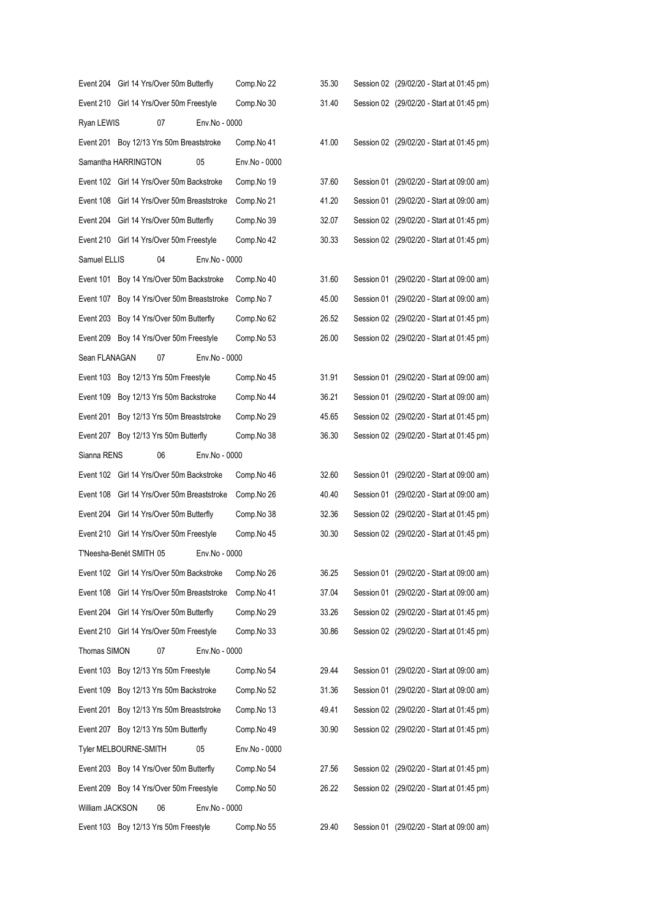|                 | Event 204 Girl 14 Yrs/Over 50m Butterfly    |               | Comp.No 22    | 35.30 | Session 02 (29/02/20 - Start at 01:45 pm) |
|-----------------|---------------------------------------------|---------------|---------------|-------|-------------------------------------------|
|                 | Event 210 Girl 14 Yrs/Over 50m Freestyle    |               | Comp.No 30    | 31.40 | Session 02 (29/02/20 - Start at 01:45 pm) |
| Ryan LEWIS      | 07                                          | Env.No - 0000 |               |       |                                           |
|                 | Event 201 Boy 12/13 Yrs 50m Breaststroke    |               | Comp.No 41    | 41.00 | Session 02 (29/02/20 - Start at 01:45 pm) |
|                 | Samantha HARRINGTON                         | 05            | Env.No - 0000 |       |                                           |
|                 | Event 102 Girl 14 Yrs/Over 50m Backstroke   |               | Comp.No 19    | 37.60 | Session 01 (29/02/20 - Start at 09:00 am) |
|                 | Event 108 Girl 14 Yrs/Over 50m Breaststroke |               | Comp.No 21    | 41.20 | Session 01 (29/02/20 - Start at 09:00 am) |
|                 | Event 204 Girl 14 Yrs/Over 50m Butterfly    |               | Comp.No 39    | 32.07 | Session 02 (29/02/20 - Start at 01:45 pm) |
|                 | Event 210 Girl 14 Yrs/Over 50m Freestyle    |               | Comp.No 42    | 30.33 | Session 02 (29/02/20 - Start at 01:45 pm) |
| Samuel ELLIS    | 04                                          | Env.No - 0000 |               |       |                                           |
|                 | Event 101 Boy 14 Yrs/Over 50m Backstroke    |               | Comp.No 40    | 31.60 | Session 01 (29/02/20 - Start at 09:00 am) |
|                 | Event 107 Boy 14 Yrs/Over 50m Breaststroke  |               | Comp.No 7     | 45.00 | Session 01 (29/02/20 - Start at 09:00 am) |
|                 | Event 203 Boy 14 Yrs/Over 50m Butterfly     |               | Comp.No 62    | 26.52 | Session 02 (29/02/20 - Start at 01:45 pm) |
|                 | Event 209 Boy 14 Yrs/Over 50m Freestyle     |               | Comp.No 53    | 26.00 | Session 02 (29/02/20 - Start at 01:45 pm) |
| Sean FLANAGAN   | 07                                          | Env.No - 0000 |               |       |                                           |
|                 | Event 103 Boy 12/13 Yrs 50m Freestyle       |               | Comp.No 45    | 31.91 | Session 01 (29/02/20 - Start at 09:00 am) |
|                 | Event 109 Boy 12/13 Yrs 50m Backstroke      |               | Comp.No 44    | 36.21 | Session 01 (29/02/20 - Start at 09:00 am) |
| Event 201       | Boy 12/13 Yrs 50m Breaststroke              |               | Comp.No 29    | 45.65 | Session 02 (29/02/20 - Start at 01:45 pm) |
|                 | Event 207 Boy 12/13 Yrs 50m Butterfly       |               | Comp.No 38    | 36.30 | Session 02 (29/02/20 - Start at 01:45 pm) |
| Sianna RENS     | 06                                          | Env.No - 0000 |               |       |                                           |
|                 | Event 102 Girl 14 Yrs/Over 50m Backstroke   |               | Comp.No 46    | 32.60 | Session 01 (29/02/20 - Start at 09:00 am) |
|                 | Event 108 Girl 14 Yrs/Over 50m Breaststroke |               | Comp.No 26    | 40.40 | Session 01 (29/02/20 - Start at 09:00 am) |
|                 | Event 204 Girl 14 Yrs/Over 50m Butterfly    |               | Comp.No 38    | 32.36 | Session 02 (29/02/20 - Start at 01:45 pm) |
|                 | Event 210 Girl 14 Yrs/Over 50m Freestyle    |               | Comp.No 45    | 30.30 | Session 02 (29/02/20 - Start at 01:45 pm) |
|                 | T'Neesha-Benét SMITH 05                     | Env.No - 0000 |               |       |                                           |
|                 | Event 102 Girl 14 Yrs/Over 50m Backstroke   |               | Comp.No 26    | 36.25 | Session 01 (29/02/20 - Start at 09:00 am) |
| Event 108       | Girl 14 Yrs/Over 50m Breaststroke           |               | Comp.No 41    | 37.04 | Session 01 (29/02/20 - Start at 09:00 am) |
|                 | Event 204 Girl 14 Yrs/Over 50m Butterfly    |               | Comp.No 29    | 33.26 | Session 02 (29/02/20 - Start at 01:45 pm) |
|                 | Event 210 Girl 14 Yrs/Over 50m Freestyle    |               | Comp.No 33    | 30.86 | Session 02 (29/02/20 - Start at 01:45 pm) |
| Thomas SIMON    | 07                                          | Env.No - 0000 |               |       |                                           |
|                 | Event 103 Boy 12/13 Yrs 50m Freestyle       |               | Comp.No 54    | 29.44 | Session 01 (29/02/20 - Start at 09:00 am) |
| Event 109       | Boy 12/13 Yrs 50m Backstroke                |               | Comp.No 52    | 31.36 | Session 01 (29/02/20 - Start at 09:00 am) |
| Event 201       | Boy 12/13 Yrs 50m Breaststroke              |               | Comp.No 13    | 49.41 | Session 02 (29/02/20 - Start at 01:45 pm) |
| Event 207       | Boy 12/13 Yrs 50m Butterfly                 |               | Comp.No 49    | 30.90 | Session 02 (29/02/20 - Start at 01:45 pm) |
|                 | Tyler MELBOURNE-SMITH                       | 05            | Env.No - 0000 |       |                                           |
|                 | Event 203 Boy 14 Yrs/Over 50m Butterfly     |               | Comp.No 54    | 27.56 | Session 02 (29/02/20 - Start at 01:45 pm) |
|                 | Event 209 Boy 14 Yrs/Over 50m Freestyle     |               | Comp.No 50    | 26.22 | Session 02 (29/02/20 - Start at 01:45 pm) |
| William JACKSON | 06                                          | Env.No - 0000 |               |       |                                           |
|                 | Event 103 Boy 12/13 Yrs 50m Freestyle       |               | Comp.No 55    | 29.40 | Session 01 (29/02/20 - Start at 09:00 am) |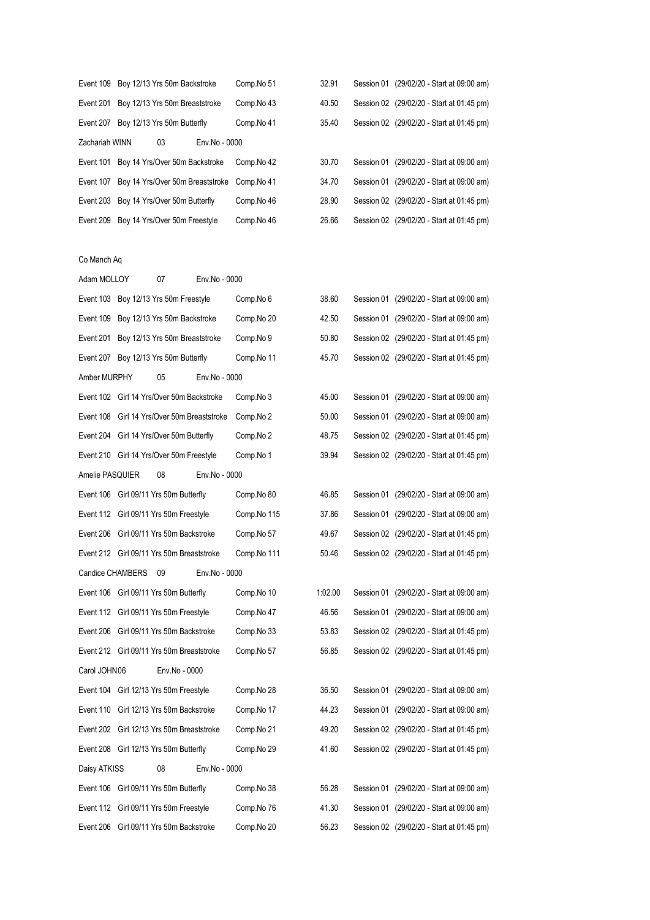|                | Event 109 Boy 12/13 Yrs 50m Backstroke                 |    |               | Comp.No 51 | 32.91 | Session 01 (29/02/20 - Start at 09:00 am) |                                |  |
|----------------|--------------------------------------------------------|----|---------------|------------|-------|-------------------------------------------|--------------------------------|--|
|                | Event 201 Boy 12/13 Yrs 50m Breaststroke               |    |               | Comp.No 43 | 40.50 | Session 02 (29/02/20 - Start at 01:45 pm) |                                |  |
|                | Event 207 Boy 12/13 Yrs 50m Butterfly                  |    |               | Comp.No 41 | 35.40 | Session 02 (29/02/20 - Start at 01:45 pm) |                                |  |
| Zachariah WINN |                                                        | 03 | Env.No - 0000 |            |       |                                           |                                |  |
|                | Event 101 Boy 14 Yrs/Over 50m Backstroke               |    |               | Comp.No 42 | 30.70 | Session 01 (29/02/20 - Start at 09:00 am) |                                |  |
|                | Event 107 Boy 14 Yrs/Over 50m Breaststroke Comp. No 41 |    |               |            | 34.70 | Session 01                                | (29/02/20 - Start at 09:00 am) |  |
|                | Event 203 Boy 14 Yrs/Over 50m Butterfly                |    |               | Comp.No 46 | 28.90 | Session 02 (29/02/20 - Start at 01:45 pm) |                                |  |
|                | Event 209 Boy 14 Yrs/Over 50m Freestyle                |    |               | Comp.No 46 | 26.66 | Session 02 (29/02/20 - Start at 01:45 pm) |                                |  |
|                |                                                        |    |               |            |       |                                           |                                |  |

## Co Manch Aq

| Adam MOLLOY      | 07                                          | Env.No - 0000 |             |         |                                           |
|------------------|---------------------------------------------|---------------|-------------|---------|-------------------------------------------|
|                  | Event 103 Boy 12/13 Yrs 50m Freestyle       |               | Comp.No 6   | 38.60   | Session 01 (29/02/20 - Start at 09:00 am) |
| Event 109        | Boy 12/13 Yrs 50m Backstroke                |               | Comp.No 20  | 42.50   | Session 01 (29/02/20 - Start at 09:00 am) |
|                  | Event 201 Boy 12/13 Yrs 50m Breaststroke    |               | Comp.No 9   | 50.80   | Session 02 (29/02/20 - Start at 01:45 pm) |
|                  | Event 207 Boy 12/13 Yrs 50m Butterfly       |               | Comp.No 11  | 45.70   | Session 02 (29/02/20 - Start at 01:45 pm) |
| Amber MURPHY     | 05                                          | Env.No - 0000 |             |         |                                           |
|                  | Event 102 Girl 14 Yrs/Over 50m Backstroke   |               | Comp.No 3   | 45.00   | Session 01 (29/02/20 - Start at 09:00 am) |
|                  | Event 108 Girl 14 Yrs/Over 50m Breaststroke |               | Comp.No 2   | 50.00   | Session 01 (29/02/20 - Start at 09:00 am) |
|                  | Event 204 Girl 14 Yrs/Over 50m Butterfly    |               | Comp.No 2   | 48.75   | Session 02 (29/02/20 - Start at 01:45 pm) |
|                  | Event 210 Girl 14 Yrs/Over 50m Freestyle    |               | Comp.No 1   | 39.94   | Session 02 (29/02/20 - Start at 01:45 pm) |
| Amelie PASQUIER  | 08                                          | Env.No - 0000 |             |         |                                           |
|                  | Event 106 Girl 09/11 Yrs 50m Butterfly      |               | Comp.No 80  | 46.85   | Session 01 (29/02/20 - Start at 09:00 am) |
|                  | Event 112 Girl 09/11 Yrs 50m Freestyle      |               | Comp.No 115 | 37.86   | Session 01 (29/02/20 - Start at 09:00 am) |
|                  | Event 206 Girl 09/11 Yrs 50m Backstroke     |               | Comp.No 57  | 49.67   | Session 02 (29/02/20 - Start at 01:45 pm) |
|                  | Event 212 Girl 09/11 Yrs 50m Breaststroke   |               | Comp.No 111 | 50.46   | Session 02 (29/02/20 - Start at 01:45 pm) |
| Candice CHAMBERS | 09                                          | Env.No - 0000 |             |         |                                           |
|                  | Event 106 Girl 09/11 Yrs 50m Butterfly      |               | Comp.No 10  | 1:02.00 | Session 01 (29/02/20 - Start at 09:00 am) |
|                  | Event 112 Girl 09/11 Yrs 50m Freestyle      |               | Comp.No 47  | 46.56   | Session 01 (29/02/20 - Start at 09:00 am) |
|                  | Event 206 Girl 09/11 Yrs 50m Backstroke     |               | Comp.No 33  | 53.83   | Session 02 (29/02/20 - Start at 01:45 pm) |
|                  | Event 212 Girl 09/11 Yrs 50m Breaststroke   |               | Comp.No 57  | 56.85   | Session 02 (29/02/20 - Start at 01:45 pm) |
| Carol JOHN06     | Env.No - 0000                               |               |             |         |                                           |
|                  | Event 104 Girl 12/13 Yrs 50m Freestyle      |               | Comp.No 28  | 36.50   | Session 01 (29/02/20 - Start at 09:00 am) |
|                  | Event 110 Girl 12/13 Yrs 50m Backstroke     |               | Comp.No 17  | 44.23   | Session 01 (29/02/20 - Start at 09:00 am) |
|                  | Event 202 Girl 12/13 Yrs 50m Breaststroke   |               | Comp.No 21  | 49.20   | Session 02 (29/02/20 - Start at 01:45 pm) |
|                  | Event 208 Girl 12/13 Yrs 50m Butterfly      |               | Comp.No 29  | 41.60   | Session 02 (29/02/20 - Start at 01:45 pm) |
| Daisy ATKISS     | 08                                          | Env.No - 0000 |             |         |                                           |
|                  | Event 106 Girl 09/11 Yrs 50m Butterfly      |               | Comp.No 38  | 56.28   | Session 01 (29/02/20 - Start at 09:00 am) |
|                  | Event 112 Girl 09/11 Yrs 50m Freestyle      |               | Comp.No 76  | 41.30   | Session 01 (29/02/20 - Start at 09:00 am) |
| Event 206        | Girl 09/11 Yrs 50m Backstroke               |               | Comp.No 20  | 56.23   | Session 02 (29/02/20 - Start at 01:45 pm) |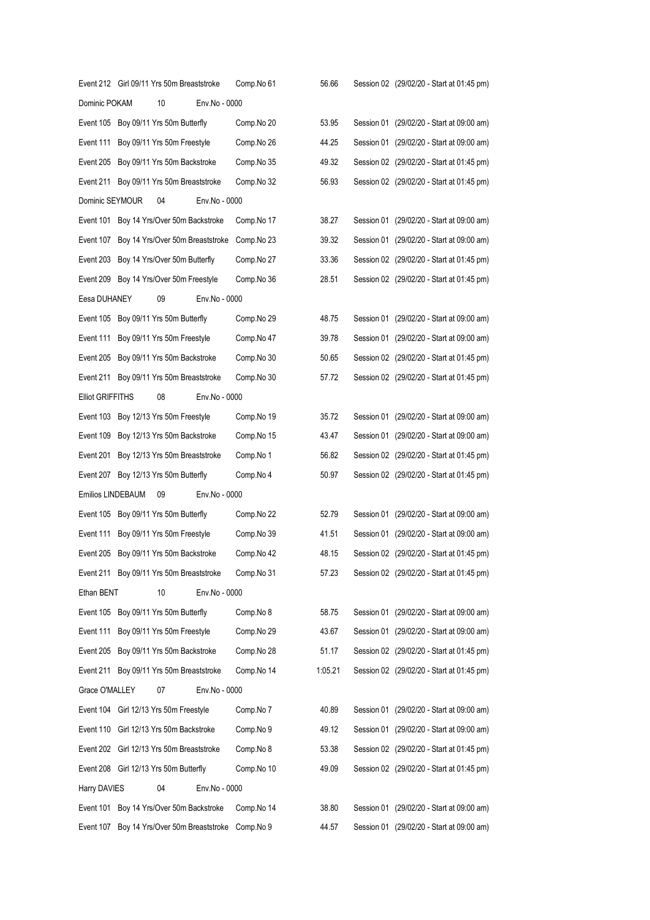|                         | Event 212 Girl 09/11 Yrs 50m Breaststroke  |               | Comp.No 61 | 56.66   |  | Session 02 (29/02/20 - Start at 01:45 pm) |
|-------------------------|--------------------------------------------|---------------|------------|---------|--|-------------------------------------------|
| Dominic POKAM           | 10                                         | Env.No - 0000 |            |         |  |                                           |
|                         | Event 105 Boy 09/11 Yrs 50m Butterfly      |               | Comp.No 20 | 53.95   |  | Session 01 (29/02/20 - Start at 09:00 am) |
|                         | Event 111 Boy 09/11 Yrs 50m Freestyle      |               | Comp.No 26 | 44.25   |  | Session 01 (29/02/20 - Start at 09:00 am) |
|                         | Event 205 Boy 09/11 Yrs 50m Backstroke     |               | Comp.No 35 | 49.32   |  | Session 02 (29/02/20 - Start at 01:45 pm) |
|                         | Event 211 Boy 09/11 Yrs 50m Breaststroke   |               | Comp.No 32 | 56.93   |  | Session 02 (29/02/20 - Start at 01:45 pm) |
| Dominic SEYMOUR         | 04                                         | Env.No - 0000 |            |         |  |                                           |
|                         | Event 101 Boy 14 Yrs/Over 50m Backstroke   |               | Comp.No 17 | 38.27   |  | Session 01 (29/02/20 - Start at 09:00 am) |
|                         | Event 107 Boy 14 Yrs/Over 50m Breaststroke |               | Comp.No 23 | 39.32   |  | Session 01 (29/02/20 - Start at 09:00 am) |
|                         | Event 203 Boy 14 Yrs/Over 50m Butterfly    |               | Comp.No 27 | 33.36   |  | Session 02 (29/02/20 - Start at 01:45 pm) |
|                         | Event 209 Boy 14 Yrs/Over 50m Freestyle    |               | Comp.No 36 | 28.51   |  | Session 02 (29/02/20 - Start at 01:45 pm) |
| Eesa DUHANEY            | 09                                         | Env.No - 0000 |            |         |  |                                           |
|                         | Event 105 Boy 09/11 Yrs 50m Butterfly      |               | Comp.No 29 | 48.75   |  | Session 01 (29/02/20 - Start at 09:00 am) |
|                         | Event 111 Boy 09/11 Yrs 50m Freestyle      |               | Comp.No 47 | 39.78   |  | Session 01 (29/02/20 - Start at 09:00 am) |
|                         | Event 205 Boy 09/11 Yrs 50m Backstroke     |               | Comp.No 30 | 50.65   |  | Session 02 (29/02/20 - Start at 01:45 pm) |
|                         | Event 211 Boy 09/11 Yrs 50m Breaststroke   |               | Comp.No 30 | 57.72   |  | Session 02 (29/02/20 - Start at 01:45 pm) |
| <b>Elliot GRIFFITHS</b> | 08                                         | Env.No - 0000 |            |         |  |                                           |
|                         | Event 103 Boy 12/13 Yrs 50m Freestyle      |               | Comp.No 19 | 35.72   |  | Session 01 (29/02/20 - Start at 09:00 am) |
|                         | Event 109 Boy 12/13 Yrs 50m Backstroke     |               | Comp.No 15 | 43.47   |  | Session 01 (29/02/20 - Start at 09:00 am) |
|                         | Event 201 Boy 12/13 Yrs 50m Breaststroke   |               | Comp.No 1  | 56.82   |  | Session 02 (29/02/20 - Start at 01:45 pm) |
|                         | Event 207 Boy 12/13 Yrs 50m Butterfly      |               | Comp.No 4  | 50.97   |  | Session 02 (29/02/20 - Start at 01:45 pm) |
| Emilios LINDEBAUM       | 09                                         | Env.No - 0000 |            |         |  |                                           |
|                         | Event 105 Boy 09/11 Yrs 50m Butterfly      |               | Comp.No 22 | 52.79   |  | Session 01 (29/02/20 - Start at 09:00 am) |
|                         | Event 111 Boy 09/11 Yrs 50m Freestyle      |               | Comp.No 39 | 41.51   |  | Session 01 (29/02/20 - Start at 09:00 am) |
|                         | Event 205 Boy 09/11 Yrs 50m Backstroke     |               | Comp.No 42 | 48.15   |  | Session 02 (29/02/20 - Start at 01:45 pm) |
|                         | Event 211 Boy 09/11 Yrs 50m Breaststroke   |               | Comp.No 31 | 57.23   |  | Session 02 (29/02/20 - Start at 01:45 pm) |
| Ethan BENT              | 10                                         | Env.No - 0000 |            |         |  |                                           |
|                         | Event 105 Boy 09/11 Yrs 50m Butterfly      |               | Comp.No 8  | 58.75   |  | Session 01 (29/02/20 - Start at 09:00 am) |
| Event 111               | Boy 09/11 Yrs 50m Freestyle                |               | Comp.No 29 | 43.67   |  | Session 01 (29/02/20 - Start at 09:00 am) |
|                         | Event 205 Boy 09/11 Yrs 50m Backstroke     |               | Comp.No 28 | 51.17   |  | Session 02 (29/02/20 - Start at 01:45 pm) |
|                         | Event 211 Boy 09/11 Yrs 50m Breaststroke   |               | Comp.No 14 | 1:05.21 |  | Session 02 (29/02/20 - Start at 01:45 pm) |
| Grace O'MALLEY          | 07                                         | Env.No - 0000 |            |         |  |                                           |
|                         | Event 104 Girl 12/13 Yrs 50m Freestyle     |               | Comp.No 7  | 40.89   |  | Session 01 (29/02/20 - Start at 09:00 am) |
|                         | Event 110 Girl 12/13 Yrs 50m Backstroke    |               | Comp.No 9  | 49.12   |  | Session 01 (29/02/20 - Start at 09:00 am) |
|                         | Event 202 Girl 12/13 Yrs 50m Breaststroke  |               | Comp.No 8  | 53.38   |  | Session 02 (29/02/20 - Start at 01:45 pm) |
|                         | Event 208 Girl 12/13 Yrs 50m Butterfly     |               | Comp.No 10 | 49.09   |  | Session 02 (29/02/20 - Start at 01:45 pm) |
| Harry DAVIES            | 04                                         | Env.No - 0000 |            |         |  |                                           |
|                         | Event 101 Boy 14 Yrs/Over 50m Backstroke   |               | Comp.No 14 | 38.80   |  | Session 01 (29/02/20 - Start at 09:00 am) |
|                         | Event 107 Boy 14 Yrs/Over 50m Breaststroke |               | Comp.No 9  | 44.57   |  | Session 01 (29/02/20 - Start at 09:00 am) |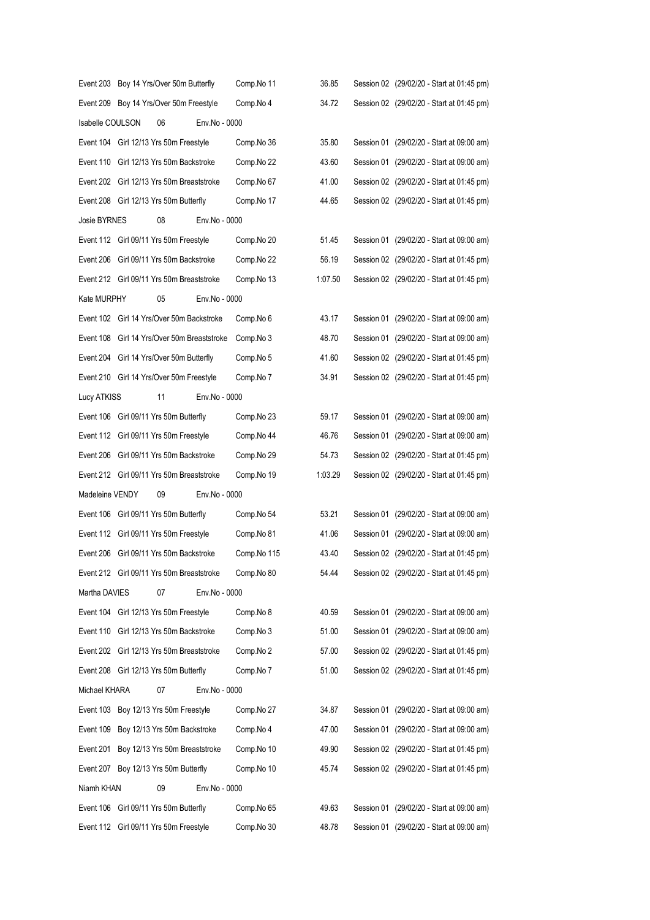|                  | Event 203 Boy 14 Yrs/Over 50m Butterfly     |               | Comp.No 11  | 36.85   | Session 02 (29/02/20 - Start at 01:45 pm) |
|------------------|---------------------------------------------|---------------|-------------|---------|-------------------------------------------|
|                  | Event 209 Boy 14 Yrs/Over 50m Freestyle     |               | Comp.No 4   | 34.72   | Session 02 (29/02/20 - Start at 01:45 pm) |
| Isabelle COULSON | 06                                          | Env.No - 0000 |             |         |                                           |
|                  | Event 104 Girl 12/13 Yrs 50m Freestyle      |               | Comp.No 36  | 35.80   | Session 01 (29/02/20 - Start at 09:00 am) |
|                  | Event 110 Girl 12/13 Yrs 50m Backstroke     |               | Comp.No 22  | 43.60   | Session 01 (29/02/20 - Start at 09:00 am) |
|                  | Event 202 Girl 12/13 Yrs 50m Breaststroke   |               | Comp.No 67  | 41.00   | Session 02 (29/02/20 - Start at 01:45 pm) |
|                  | Event 208 Girl 12/13 Yrs 50m Butterfly      |               | Comp.No 17  | 44.65   | Session 02 (29/02/20 - Start at 01:45 pm) |
| Josie BYRNES     | 08                                          | Env.No - 0000 |             |         |                                           |
|                  | Event 112 Girl 09/11 Yrs 50m Freestyle      |               | Comp.No 20  | 51.45   | Session 01 (29/02/20 - Start at 09:00 am) |
|                  | Event 206 Girl 09/11 Yrs 50m Backstroke     |               | Comp.No 22  | 56.19   | Session 02 (29/02/20 - Start at 01:45 pm) |
|                  | Event 212 Girl 09/11 Yrs 50m Breaststroke   |               | Comp.No 13  | 1:07.50 | Session 02 (29/02/20 - Start at 01:45 pm) |
| Kate MURPHY      | 05                                          | Env.No - 0000 |             |         |                                           |
|                  | Event 102 Girl 14 Yrs/Over 50m Backstroke   |               | Comp.No 6   | 43.17   | Session 01 (29/02/20 - Start at 09:00 am) |
|                  | Event 108 Girl 14 Yrs/Over 50m Breaststroke |               | Comp.No 3   | 48.70   | Session 01 (29/02/20 - Start at 09:00 am) |
|                  | Event 204 Girl 14 Yrs/Over 50m Butterfly    |               | Comp.No 5   | 41.60   | Session 02 (29/02/20 - Start at 01:45 pm) |
|                  | Event 210 Girl 14 Yrs/Over 50m Freestyle    |               | Comp.No 7   | 34.91   | Session 02 (29/02/20 - Start at 01:45 pm) |
| Lucy ATKISS      | 11                                          | Env.No - 0000 |             |         |                                           |
|                  | Event 106 Girl 09/11 Yrs 50m Butterfly      |               | Comp.No 23  | 59.17   | Session 01 (29/02/20 - Start at 09:00 am) |
|                  | Event 112 Girl 09/11 Yrs 50m Freestyle      |               | Comp.No 44  | 46.76   | Session 01 (29/02/20 - Start at 09:00 am) |
|                  | Event 206 Girl 09/11 Yrs 50m Backstroke     |               | Comp.No 29  | 54.73   | Session 02 (29/02/20 - Start at 01:45 pm) |
|                  | Event 212 Girl 09/11 Yrs 50m Breaststroke   |               | Comp.No 19  | 1:03.29 | Session 02 (29/02/20 - Start at 01:45 pm) |
| Madeleine VENDY  | 09                                          | Env.No - 0000 |             |         |                                           |
|                  | Event 106 Girl 09/11 Yrs 50m Butterfly      |               | Comp.No 54  | 53.21   | Session 01 (29/02/20 - Start at 09:00 am) |
|                  | Event 112 Girl 09/11 Yrs 50m Freestyle      |               | Comp.No 81  | 41.06   | Session 01 (29/02/20 - Start at 09:00 am) |
|                  | Event 206 Girl 09/11 Yrs 50m Backstroke     |               | Comp.No 115 | 43.40   | Session 02 (29/02/20 - Start at 01:45 pm) |
|                  | Event 212 Girl 09/11 Yrs 50m Breaststroke   |               | Comp.No 80  | 54.44   | Session 02 (29/02/20 - Start at 01:45 pm) |
| Martha DAVIES    | 07                                          | Env.No - 0000 |             |         |                                           |
|                  | Event 104 Girl 12/13 Yrs 50m Freestyle      |               | Comp.No 8   | 40.59   | Session 01 (29/02/20 - Start at 09:00 am) |
|                  | Event 110 Girl 12/13 Yrs 50m Backstroke     |               | Comp.No 3   | 51.00   | Session 01 (29/02/20 - Start at 09:00 am) |
|                  | Event 202 Girl 12/13 Yrs 50m Breaststroke   |               | Comp.No 2   | 57.00   | Session 02 (29/02/20 - Start at 01:45 pm) |
|                  | Event 208 Girl 12/13 Yrs 50m Butterfly      |               | Comp.No 7   | 51.00   | Session 02 (29/02/20 - Start at 01:45 pm) |
| Michael KHARA    | 07                                          | Env.No - 0000 |             |         |                                           |
|                  | Event 103 Boy 12/13 Yrs 50m Freestyle       |               | Comp.No 27  | 34.87   | Session 01 (29/02/20 - Start at 09:00 am) |
|                  | Event 109 Boy 12/13 Yrs 50m Backstroke      |               | Comp.No 4   | 47.00   | Session 01 (29/02/20 - Start at 09:00 am) |
|                  | Event 201 Boy 12/13 Yrs 50m Breaststroke    |               | Comp.No 10  | 49.90   | Session 02 (29/02/20 - Start at 01:45 pm) |
|                  | Event 207 Boy 12/13 Yrs 50m Butterfly       |               | Comp.No 10  | 45.74   | Session 02 (29/02/20 - Start at 01:45 pm) |
| Niamh KHAN       | 09                                          | Env.No - 0000 |             |         |                                           |
|                  | Event 106 Girl 09/11 Yrs 50m Butterfly      |               | Comp.No 65  | 49.63   | Session 01 (29/02/20 - Start at 09:00 am) |
|                  | Event 112 Girl 09/11 Yrs 50m Freestyle      |               | Comp.No 30  | 48.78   | Session 01 (29/02/20 - Start at 09:00 am) |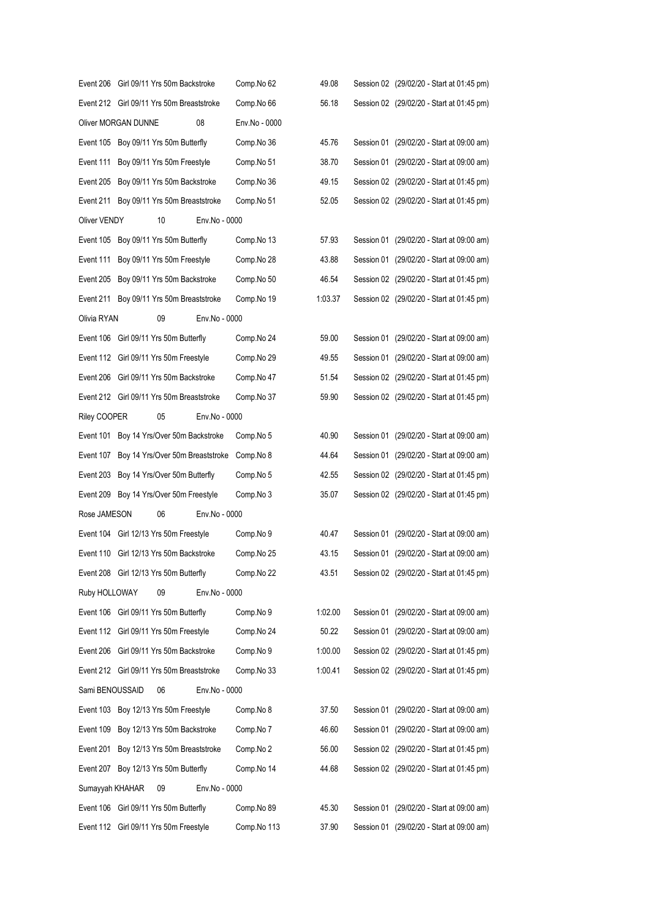|                 | Event 206 Girl 09/11 Yrs 50m Backstroke   |               | Comp.No 62    | 49.08   | Session 02 (29/02/20 - Start at 01:45 pm) |
|-----------------|-------------------------------------------|---------------|---------------|---------|-------------------------------------------|
|                 | Event 212 Girl 09/11 Yrs 50m Breaststroke |               | Comp.No 66    | 56.18   | Session 02 (29/02/20 - Start at 01:45 pm) |
|                 | Oliver MORGAN DUNNE                       | 08            | Env.No - 0000 |         |                                           |
|                 | Event 105 Boy 09/11 Yrs 50m Butterfly     |               | Comp.No 36    | 45.76   | Session 01 (29/02/20 - Start at 09:00 am) |
| Event 111       | Boy 09/11 Yrs 50m Freestyle               |               | Comp.No 51    | 38.70   | Session 01 (29/02/20 - Start at 09:00 am) |
| Event 205       | Boy 09/11 Yrs 50m Backstroke              |               | Comp.No 36    | 49.15   | Session 02 (29/02/20 - Start at 01:45 pm) |
|                 | Event 211 Boy 09/11 Yrs 50m Breaststroke  |               | Comp.No 51    | 52.05   | Session 02 (29/02/20 - Start at 01:45 pm) |
| Oliver VENDY    | 10                                        | Env.No - 0000 |               |         |                                           |
| Event 105       | Boy 09/11 Yrs 50m Butterfly               |               | Comp.No 13    | 57.93   | Session 01 (29/02/20 - Start at 09:00 am) |
| Event 111       | Boy 09/11 Yrs 50m Freestyle               |               | Comp.No 28    | 43.88   | Session 01 (29/02/20 - Start at 09:00 am) |
| Event 205       | Boy 09/11 Yrs 50m Backstroke              |               | Comp.No 50    | 46.54   | Session 02 (29/02/20 - Start at 01:45 pm) |
|                 | Event 211 Boy 09/11 Yrs 50m Breaststroke  |               | Comp.No 19    | 1:03.37 | Session 02 (29/02/20 - Start at 01:45 pm) |
| Olivia RYAN     | 09                                        | Env.No - 0000 |               |         |                                           |
|                 | Event 106 Girl 09/11 Yrs 50m Butterfly    |               | Comp.No 24    | 59.00   | Session 01 (29/02/20 - Start at 09:00 am) |
|                 | Event 112 Girl 09/11 Yrs 50m Freestyle    |               | Comp.No 29    | 49.55   | Session 01 (29/02/20 - Start at 09:00 am) |
|                 | Event 206 Girl 09/11 Yrs 50m Backstroke   |               | Comp.No 47    | 51.54   | Session 02 (29/02/20 - Start at 01:45 pm) |
|                 | Event 212 Girl 09/11 Yrs 50m Breaststroke |               | Comp.No 37    | 59.90   | Session 02 (29/02/20 - Start at 01:45 pm) |
| Riley COOPER    | 05                                        | Env.No - 0000 |               |         |                                           |
|                 | Event 101 Boy 14 Yrs/Over 50m Backstroke  |               | Comp.No 5     | 40.90   | Session 01 (29/02/20 - Start at 09:00 am) |
| Event 107       | Boy 14 Yrs/Over 50m Breaststroke          |               | Comp.No 8     | 44.64   | Session 01 (29/02/20 - Start at 09:00 am) |
|                 | Event 203 Boy 14 Yrs/Over 50m Butterfly   |               | Comp.No 5     | 42.55   | Session 02 (29/02/20 - Start at 01:45 pm) |
|                 | Event 209 Boy 14 Yrs/Over 50m Freestyle   |               | Comp.No 3     | 35.07   | Session 02 (29/02/20 - Start at 01:45 pm) |
| Rose JAMESON    | 06                                        | Env.No - 0000 |               |         |                                           |
|                 | Event 104 Girl 12/13 Yrs 50m Freestyle    |               | Comp.No 9     | 40.47   | Session 01 (29/02/20 - Start at 09:00 am) |
|                 | Event 110 Girl 12/13 Yrs 50m Backstroke   |               | Comp.No 25    | 43.15   | Session 01 (29/02/20 - Start at 09:00 am) |
|                 | Event 208 Girl 12/13 Yrs 50m Butterfly    |               | Comp.No 22    | 43.51   | Session 02 (29/02/20 - Start at 01:45 pm) |
| Ruby HOLLOWAY   | 09                                        | Env.No - 0000 |               |         |                                           |
|                 | Event 106 Girl 09/11 Yrs 50m Butterfly    |               | Comp.No 9     | 1:02.00 | Session 01 (29/02/20 - Start at 09:00 am) |
|                 | Event 112 Girl 09/11 Yrs 50m Freestyle    |               | Comp.No 24    | 50.22   | Session 01 (29/02/20 - Start at 09:00 am) |
| Event 206       | Girl 09/11 Yrs 50m Backstroke             |               | Comp.No 9     | 1:00.00 | Session 02 (29/02/20 - Start at 01:45 pm) |
|                 | Event 212 Girl 09/11 Yrs 50m Breaststroke |               | Comp.No 33    | 1:00.41 | Session 02 (29/02/20 - Start at 01:45 pm) |
| Sami BENOUSSAID | 06                                        | Env.No - 0000 |               |         |                                           |
|                 | Event 103 Boy 12/13 Yrs 50m Freestyle     |               | Comp.No 8     | 37.50   | Session 01 (29/02/20 - Start at 09:00 am) |
| Event 109       | Boy 12/13 Yrs 50m Backstroke              |               | Comp.No 7     | 46.60   | Session 01 (29/02/20 - Start at 09:00 am) |
| Event 201       | Boy 12/13 Yrs 50m Breaststroke            |               | Comp.No 2     | 56.00   | Session 02 (29/02/20 - Start at 01:45 pm) |
| Event 207       | Boy 12/13 Yrs 50m Butterfly               |               | Comp.No 14    | 44.68   | Session 02 (29/02/20 - Start at 01:45 pm) |
| Sumayyah KHAHAR | 09                                        | Env.No - 0000 |               |         |                                           |
| Event 106       | Girl 09/11 Yrs 50m Butterfly              |               | Comp.No 89    | 45.30   | Session 01 (29/02/20 - Start at 09:00 am) |
|                 | Event 112 Girl 09/11 Yrs 50m Freestyle    |               | Comp.No 113   | 37.90   | Session 01 (29/02/20 - Start at 09:00 am) |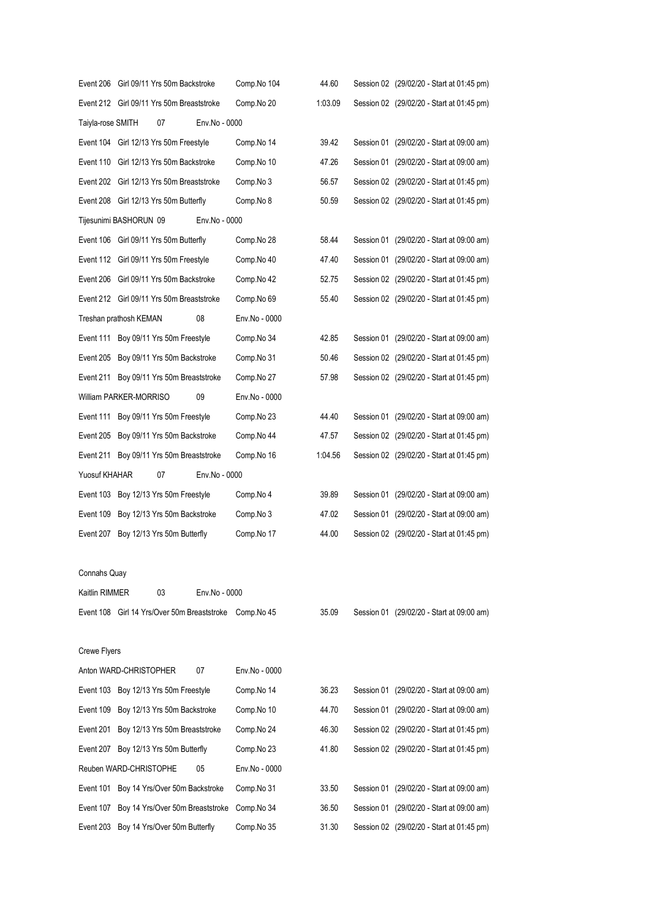|                   | Event 206 Girl 09/11 Yrs 50m Backstroke     |               | Comp.No 104   | 44.60   | Session 02 (29/02/20 - Start at 01:45 pm) |
|-------------------|---------------------------------------------|---------------|---------------|---------|-------------------------------------------|
|                   | Event 212 Girl 09/11 Yrs 50m Breaststroke   |               | Comp.No 20    | 1:03.09 | Session 02 (29/02/20 - Start at 01:45 pm) |
| Taiyla-rose SMITH | 07                                          | Env.No - 0000 |               |         |                                           |
|                   | Event 104 Girl 12/13 Yrs 50m Freestyle      |               | Comp.No 14    | 39.42   | Session 01 (29/02/20 - Start at 09:00 am) |
|                   | Event 110 Girl 12/13 Yrs 50m Backstroke     |               | Comp.No 10    | 47.26   | Session 01 (29/02/20 - Start at 09:00 am) |
|                   | Event 202 Girl 12/13 Yrs 50m Breaststroke   |               | Comp.No 3     | 56.57   | Session 02 (29/02/20 - Start at 01:45 pm) |
|                   | Event 208 Girl 12/13 Yrs 50m Butterfly      |               | Comp.No 8     | 50.59   | Session 02 (29/02/20 - Start at 01:45 pm) |
|                   | Tijesunimi BASHORUN 09                      | Env.No - 0000 |               |         |                                           |
|                   | Event 106 Girl 09/11 Yrs 50m Butterfly      |               | Comp.No 28    | 58.44   | Session 01 (29/02/20 - Start at 09:00 am) |
|                   | Event 112 Girl 09/11 Yrs 50m Freestyle      |               | Comp.No 40    | 47.40   | Session 01 (29/02/20 - Start at 09:00 am) |
|                   | Event 206 Girl 09/11 Yrs 50m Backstroke     |               | Comp.No 42    | 52.75   | Session 02 (29/02/20 - Start at 01:45 pm) |
|                   | Event 212 Girl 09/11 Yrs 50m Breaststroke   |               | Comp.No 69    | 55.40   | Session 02 (29/02/20 - Start at 01:45 pm) |
|                   | Treshan prathosh KEMAN                      | 08            | Env.No - 0000 |         |                                           |
|                   | Event 111 Boy 09/11 Yrs 50m Freestyle       |               | Comp.No 34    | 42.85   | Session 01 (29/02/20 - Start at 09:00 am) |
|                   | Event 205 Boy 09/11 Yrs 50m Backstroke      |               | Comp.No 31    | 50.46   | Session 02 (29/02/20 - Start at 01:45 pm) |
|                   | Event 211 Boy 09/11 Yrs 50m Breaststroke    |               | Comp.No 27    | 57.98   | Session 02 (29/02/20 - Start at 01:45 pm) |
|                   | William PARKER-MORRISO                      | 09            | Env.No - 0000 |         |                                           |
|                   | Event 111 Boy 09/11 Yrs 50m Freestyle       |               | Comp.No 23    | 44.40   | Session 01 (29/02/20 - Start at 09:00 am) |
|                   | Event 205 Boy 09/11 Yrs 50m Backstroke      |               | Comp.No 44    | 47.57   | Session 02 (29/02/20 - Start at 01:45 pm) |
|                   | Event 211 Boy 09/11 Yrs 50m Breaststroke    |               | Comp.No 16    | 1:04.56 | Session 02 (29/02/20 - Start at 01:45 pm) |
| Yuosuf KHAHAR     | 07                                          | Env.No - 0000 |               |         |                                           |
|                   | Event 103 Boy 12/13 Yrs 50m Freestyle       |               | Comp.No 4     | 39.89   | Session 01 (29/02/20 - Start at 09:00 am) |
|                   | Event 109 Boy 12/13 Yrs 50m Backstroke      |               | Comp.No 3     | 47.02   | Session 01 (29/02/20 - Start at 09:00 am) |
|                   | Event 207 Boy 12/13 Yrs 50m Butterfly       |               | Comp.No 17    | 44.00   | Session 02 (29/02/20 - Start at 01:45 pm) |
|                   |                                             |               |               |         |                                           |
| Connahs Quay      |                                             |               |               |         |                                           |
| Kaitlin RIMMER    | 03                                          | Env.No - 0000 |               |         |                                           |
|                   | Event 108 Girl 14 Yrs/Over 50m Breaststroke |               | Comp.No 45    | 35.09   | Session 01 (29/02/20 - Start at 09:00 am) |
|                   |                                             |               |               |         |                                           |
| Crewe Flyers      |                                             |               |               |         |                                           |
|                   | Anton WARD-CHRISTOPHER                      | 07            | Env.No - 0000 |         |                                           |
|                   | Event 103 Boy 12/13 Yrs 50m Freestyle       |               | Comp.No 14    | 36.23   | Session 01 (29/02/20 - Start at 09:00 am) |
|                   | Event 109 Boy 12/13 Yrs 50m Backstroke      |               | Comp.No 10    | 44.70   | Session 01 (29/02/20 - Start at 09:00 am) |
|                   | Event 201 Boy 12/13 Yrs 50m Breaststroke    |               | Comp.No 24    | 46.30   | Session 02 (29/02/20 - Start at 01:45 pm) |
|                   | Event 207 Boy 12/13 Yrs 50m Butterfly       |               | Comp.No 23    | 41.80   | Session 02 (29/02/20 - Start at 01:45 pm) |
|                   | Reuben WARD-CHRISTOPHE                      | 05            | Env.No - 0000 |         |                                           |
|                   | Event 101 Boy 14 Yrs/Over 50m Backstroke    |               | Comp.No 31    | 33.50   | Session 01 (29/02/20 - Start at 09:00 am) |
|                   | Event 107 Boy 14 Yrs/Over 50m Breaststroke  |               | Comp.No 34    | 36.50   | Session 01 (29/02/20 - Start at 09:00 am) |
|                   | Event 203 Boy 14 Yrs/Over 50m Butterfly     |               | Comp.No 35    | 31.30   | Session 02 (29/02/20 - Start at 01:45 pm) |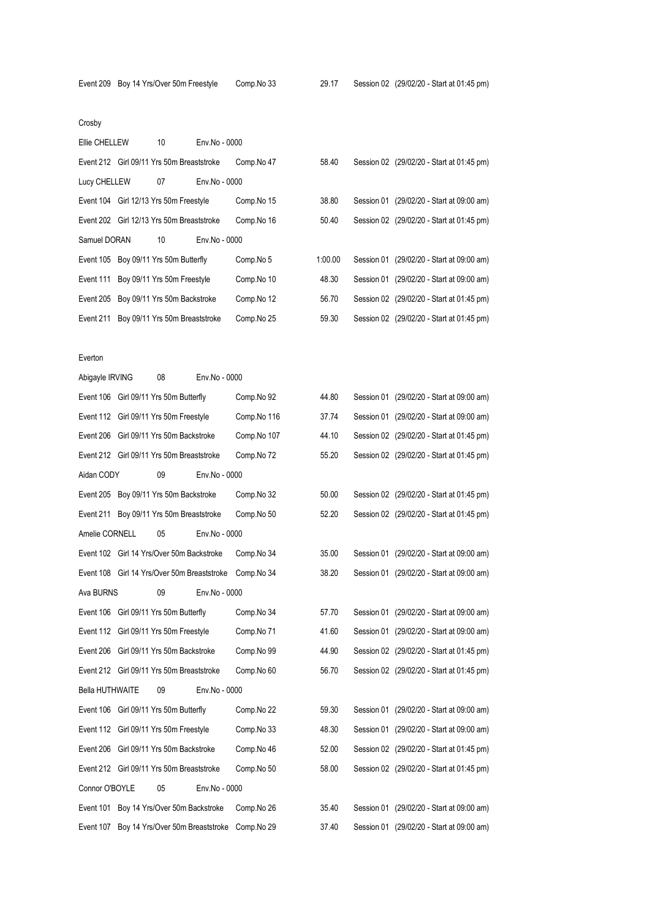### Crosby

| Ellie CHELLEW | 10                                        | Env.No - 0000 |            |         |                                           |
|---------------|-------------------------------------------|---------------|------------|---------|-------------------------------------------|
|               | Event 212 Girl 09/11 Yrs 50m Breaststroke |               | Comp.No 47 | 58.40   | Session 02 (29/02/20 - Start at 01:45 pm) |
| Lucy CHELLEW  | 07                                        | Env.No - 0000 |            |         |                                           |
|               | Event 104 Girl 12/13 Yrs 50m Freestyle    |               | Comp.No 15 | 38.80   | Session 01 (29/02/20 - Start at 09:00 am) |
|               | Event 202 Girl 12/13 Yrs 50m Breaststroke |               | Comp.No 16 | 50.40   | Session 02 (29/02/20 - Start at 01:45 pm) |
| Samuel DORAN  | 10                                        | Env.No - 0000 |            |         |                                           |
|               |                                           |               |            |         |                                           |
|               | Event 105 Boy 09/11 Yrs 50m Butterfly     |               | Comp.No 5  | 1:00.00 | Session 01 (29/02/20 - Start at 09:00 am) |
|               | Event 111 Boy 09/11 Yrs 50m Freestyle     |               | Comp.No 10 | 48.30   | Session 01 (29/02/20 - Start at 09:00 am) |
|               | Event 205 Boy 09/11 Yrs 50m Backstroke    |               | Comp.No 12 | 56.70   | Session 02 (29/02/20 - Start at 01:45 pm) |

#### Everton

| Abigayle IRVING        | 08                                        | Env.No - 0000                               |             |       |                                           |
|------------------------|-------------------------------------------|---------------------------------------------|-------------|-------|-------------------------------------------|
|                        | Event 106 Girl 09/11 Yrs 50m Butterfly    |                                             | Comp.No 92  | 44.80 | Session 01 (29/02/20 - Start at 09:00 am) |
|                        | Event 112 Girl 09/11 Yrs 50m Freestyle    |                                             | Comp.No 116 | 37.74 | Session 01 (29/02/20 - Start at 09:00 am) |
|                        | Event 206 Girl 09/11 Yrs 50m Backstroke   |                                             | Comp.No 107 | 44.10 | Session 02 (29/02/20 - Start at 01:45 pm) |
|                        | Event 212 Girl 09/11 Yrs 50m Breaststroke |                                             | Comp.No 72  | 55.20 | Session 02 (29/02/20 - Start at 01:45 pm) |
| Aidan CODY             | 09                                        | Env.No - 0000                               |             |       |                                           |
|                        | Event 205 Boy 09/11 Yrs 50m Backstroke    |                                             | Comp.No 32  | 50.00 | Session 02 (29/02/20 - Start at 01:45 pm) |
|                        | Event 211 Boy 09/11 Yrs 50m Breaststroke  |                                             | Comp.No 50  | 52.20 | Session 02 (29/02/20 - Start at 01:45 pm) |
| Amelie CORNELL         | 05                                        | Env.No - 0000                               |             |       |                                           |
|                        | Event 102 Girl 14 Yrs/Over 50m Backstroke |                                             | Comp.No 34  | 35.00 | Session 01 (29/02/20 - Start at 09:00 am) |
|                        |                                           | Event 108 Girl 14 Yrs/Over 50m Breaststroke | Comp.No 34  | 38.20 | Session 01 (29/02/20 - Start at 09:00 am) |
| Ava BURNS              | 09                                        | Env.No - 0000                               |             |       |                                           |
|                        | Event 106 Girl 09/11 Yrs 50m Butterfly    |                                             | Comp.No 34  | 57.70 | Session 01 (29/02/20 - Start at 09:00 am) |
|                        | Event 112 Girl 09/11 Yrs 50m Freestyle    |                                             | Comp.No 71  | 41.60 | Session 01 (29/02/20 - Start at 09:00 am) |
|                        | Event 206 Girl 09/11 Yrs 50m Backstroke   |                                             | Comp.No 99  | 44.90 | Session 02 (29/02/20 - Start at 01:45 pm) |
|                        | Event 212 Girl 09/11 Yrs 50m Breaststroke |                                             | Comp.No 60  | 56.70 | Session 02 (29/02/20 - Start at 01:45 pm) |
| <b>Bella HUTHWAITE</b> | 09                                        | Env.No - 0000                               |             |       |                                           |
|                        | Event 106 Girl 09/11 Yrs 50m Butterfly    |                                             | Comp.No 22  | 59.30 | Session 01 (29/02/20 - Start at 09:00 am) |
|                        | Event 112 Girl 09/11 Yrs 50m Freestyle    |                                             | Comp.No 33  | 48.30 | Session 01 (29/02/20 - Start at 09:00 am) |
|                        | Event 206 Girl 09/11 Yrs 50m Backstroke   |                                             | Comp.No 46  | 52.00 | Session 02 (29/02/20 - Start at 01:45 pm) |
|                        | Event 212 Girl 09/11 Yrs 50m Breaststroke |                                             | Comp.No 50  | 58.00 | Session 02 (29/02/20 - Start at 01:45 pm) |
| Connor O'BOYLE         | 05                                        | Env.No - 0000                               |             |       |                                           |
|                        | Event 101 Boy 14 Yrs/Over 50m Backstroke  |                                             | Comp.No 26  | 35.40 | Session 01 (29/02/20 - Start at 09:00 am) |
|                        |                                           | Event 107 Boy 14 Yrs/Over 50m Breaststroke  | Comp.No 29  | 37.40 | Session 01 (29/02/20 - Start at 09:00 am) |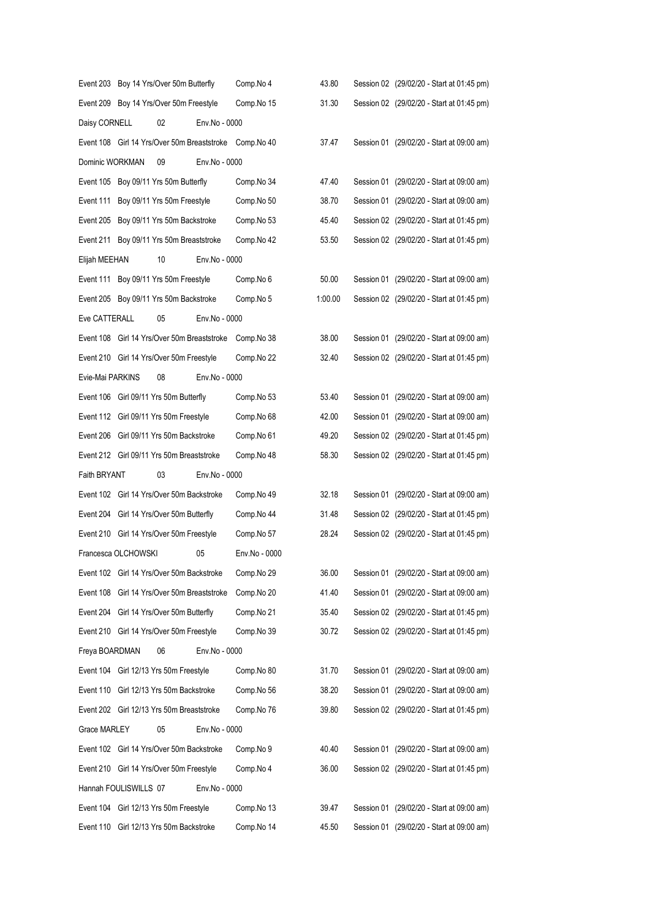|                  |                                         | Event 203 Boy 14 Yrs/Over 50m Butterfly     |               | Comp.No 4                                              | 43.80   | Session 02 (29/02/20 - Start at 01:45 pm) |
|------------------|-----------------------------------------|---------------------------------------------|---------------|--------------------------------------------------------|---------|-------------------------------------------|
|                  | Event 209 Boy 14 Yrs/Over 50m Freestyle |                                             |               | Comp.No 15                                             | 31.30   | Session 02 (29/02/20 - Start at 01:45 pm) |
| Daisy CORNELL    |                                         | 02                                          | Env.No - 0000 |                                                        |         |                                           |
|                  |                                         |                                             |               | Event 108 Girl 14 Yrs/Over 50m Breaststroke Comp.No 40 | 37.47   | Session 01 (29/02/20 - Start at 09:00 am) |
| Dominic WORKMAN  |                                         | 09                                          | Env.No - 0000 |                                                        |         |                                           |
|                  |                                         | Event 105 Boy 09/11 Yrs 50m Butterfly       |               | Comp.No 34                                             | 47.40   | Session 01 (29/02/20 - Start at 09:00 am) |
|                  |                                         | Event 111 Boy 09/11 Yrs 50m Freestyle       |               | Comp.No 50                                             | 38.70   | Session 01 (29/02/20 - Start at 09:00 am) |
|                  |                                         | Event 205 Boy 09/11 Yrs 50m Backstroke      |               | Comp.No 53                                             | 45.40   | Session 02 (29/02/20 - Start at 01:45 pm) |
|                  |                                         | Event 211 Boy 09/11 Yrs 50m Breaststroke    |               | Comp.No 42                                             | 53.50   | Session 02 (29/02/20 - Start at 01:45 pm) |
| Elijah MEEHAN    |                                         | 10                                          | Env.No - 0000 |                                                        |         |                                           |
|                  |                                         | Event 111 Boy 09/11 Yrs 50m Freestyle       |               | Comp.No 6                                              | 50.00   | Session 01 (29/02/20 - Start at 09:00 am) |
|                  |                                         | Event 205 Boy 09/11 Yrs 50m Backstroke      |               | Comp.No 5                                              | 1:00.00 | Session 02 (29/02/20 - Start at 01:45 pm) |
| Eve CATTERALL    |                                         | 05                                          | Env.No - 0000 |                                                        |         |                                           |
|                  |                                         | Event 108 Girl 14 Yrs/Over 50m Breaststroke |               | Comp.No 38                                             | 38.00   | Session 01 (29/02/20 - Start at 09:00 am) |
|                  |                                         | Event 210 Girl 14 Yrs/Over 50m Freestyle    |               | Comp.No 22                                             | 32.40   | Session 02 (29/02/20 - Start at 01:45 pm) |
| Evie-Mai PARKINS |                                         | 08                                          | Env.No - 0000 |                                                        |         |                                           |
|                  |                                         | Event 106 Girl 09/11 Yrs 50m Butterfly      |               | Comp.No 53                                             | 53.40   | Session 01 (29/02/20 - Start at 09:00 am) |
|                  |                                         | Event 112 Girl 09/11 Yrs 50m Freestyle      |               | Comp.No 68                                             | 42.00   | Session 01 (29/02/20 - Start at 09:00 am) |
|                  |                                         | Event 206 Girl 09/11 Yrs 50m Backstroke     |               | Comp.No 61                                             | 49.20   | Session 02 (29/02/20 - Start at 01:45 pm) |
|                  |                                         | Event 212 Girl 09/11 Yrs 50m Breaststroke   |               | Comp.No 48                                             | 58.30   | Session 02 (29/02/20 - Start at 01:45 pm) |
| Faith BRYANT     |                                         | 03                                          | Env.No - 0000 |                                                        |         |                                           |
|                  |                                         | Event 102 Girl 14 Yrs/Over 50m Backstroke   |               | Comp.No 49                                             | 32.18   | Session 01 (29/02/20 - Start at 09:00 am) |
|                  |                                         | Event 204 Girl 14 Yrs/Over 50m Butterfly    |               | Comp.No 44                                             | 31.48   | Session 02 (29/02/20 - Start at 01:45 pm) |
|                  |                                         | Event 210 Girl 14 Yrs/Over 50m Freestyle    |               | Comp.No 57                                             | 28.24   | Session 02 (29/02/20 - Start at 01:45 pm) |
|                  | Francesca OLCHOWSKI                     |                                             | 05            | Env.No - 0000                                          |         |                                           |
|                  |                                         | Event 102 Girl 14 Yrs/Over 50m Backstroke   |               | Comp.No 29                                             | 36.00   | Session 01 (29/02/20 - Start at 09:00 am) |
|                  |                                         | Event 108 Girl 14 Yrs/Over 50m Breaststroke |               | Comp.No 20                                             | 41.40   | Session 01 (29/02/20 - Start at 09:00 am) |
|                  |                                         | Event 204 Girl 14 Yrs/Over 50m Butterfly    |               | Comp.No 21                                             | 35.40   | Session 02 (29/02/20 - Start at 01:45 pm) |
|                  |                                         | Event 210 Girl 14 Yrs/Over 50m Freestyle    |               | Comp.No 39                                             | 30.72   | Session 02 (29/02/20 - Start at 01:45 pm) |
| Freya BOARDMAN   |                                         | 06                                          | Env.No - 0000 |                                                        |         |                                           |
|                  |                                         | Event 104 Girl 12/13 Yrs 50m Freestyle      |               | Comp.No 80                                             | 31.70   | Session 01 (29/02/20 - Start at 09:00 am) |
|                  |                                         | Event 110 Girl 12/13 Yrs 50m Backstroke     |               | Comp.No 56                                             | 38.20   | Session 01 (29/02/20 - Start at 09:00 am) |
|                  |                                         | Event 202 Girl 12/13 Yrs 50m Breaststroke   |               | Comp.No 76                                             | 39.80   | Session 02 (29/02/20 - Start at 01:45 pm) |
| Grace MARLEY     |                                         | 05                                          | Env.No - 0000 |                                                        |         |                                           |
|                  |                                         | Event 102 Girl 14 Yrs/Over 50m Backstroke   |               | Comp.No 9                                              | 40.40   | Session 01 (29/02/20 - Start at 09:00 am) |
|                  |                                         | Event 210 Girl 14 Yrs/Over 50m Freestyle    |               | Comp.No 4                                              | 36.00   | Session 02 (29/02/20 - Start at 01:45 pm) |
|                  | Hannah FOULISWILLS 07                   |                                             | Env.No - 0000 |                                                        |         |                                           |
|                  |                                         | Event 104 Girl 12/13 Yrs 50m Freestyle      |               | Comp.No 13                                             | 39.47   | Session 01 (29/02/20 - Start at 09:00 am) |
|                  |                                         | Event 110 Girl 12/13 Yrs 50m Backstroke     |               | Comp.No 14                                             | 45.50   | Session 01 (29/02/20 - Start at 09:00 am) |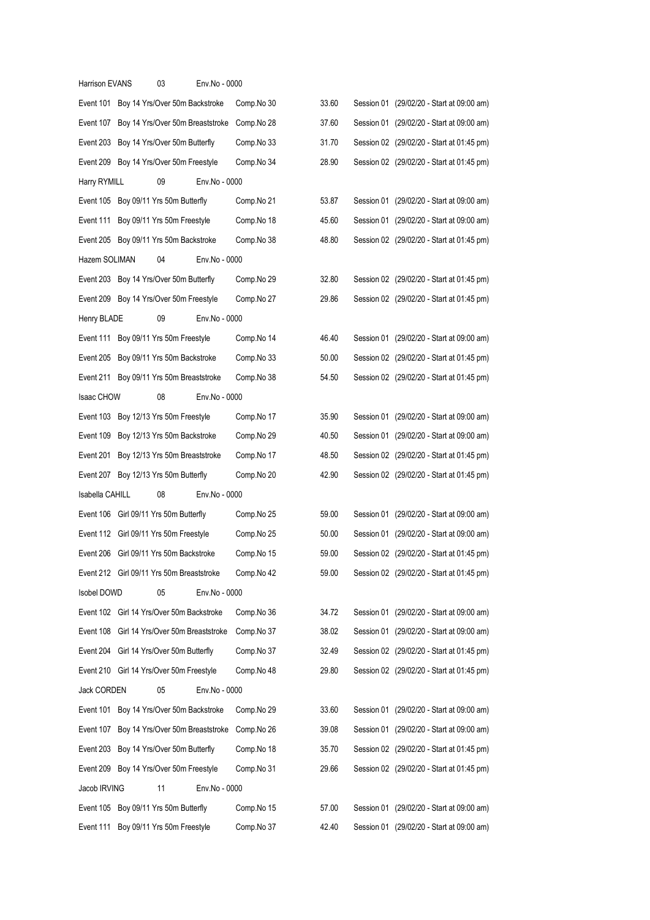| Harrison EVANS    | 03                                         | Env.No - 0000 |            |       |  |                                           |  |
|-------------------|--------------------------------------------|---------------|------------|-------|--|-------------------------------------------|--|
|                   | Event 101 Boy 14 Yrs/Over 50m Backstroke   |               | Comp.No 30 | 33.60 |  | Session 01 (29/02/20 - Start at 09:00 am) |  |
|                   | Event 107 Boy 14 Yrs/Over 50m Breaststroke |               | Comp.No 28 | 37.60 |  | Session 01 (29/02/20 - Start at 09:00 am) |  |
|                   | Event 203 Boy 14 Yrs/Over 50m Butterfly    |               | Comp.No 33 | 31.70 |  | Session 02 (29/02/20 - Start at 01:45 pm) |  |
|                   | Event 209 Boy 14 Yrs/Over 50m Freestyle    |               | Comp.No 34 | 28.90 |  | Session 02 (29/02/20 - Start at 01:45 pm) |  |
| Harry RYMILL      | 09                                         | Env.No - 0000 |            |       |  |                                           |  |
|                   | Event 105 Boy 09/11 Yrs 50m Butterfly      |               | Comp.No 21 | 53.87 |  | Session 01 (29/02/20 - Start at 09:00 am) |  |
|                   | Event 111 Boy 09/11 Yrs 50m Freestyle      |               | Comp.No 18 | 45.60 |  | Session 01 (29/02/20 - Start at 09:00 am) |  |
|                   | Event 205 Boy 09/11 Yrs 50m Backstroke     |               | Comp.No 38 | 48.80 |  | Session 02 (29/02/20 - Start at 01:45 pm) |  |
| Hazem SOLIMAN     | 04                                         | Env.No - 0000 |            |       |  |                                           |  |
|                   | Event 203 Boy 14 Yrs/Over 50m Butterfly    |               | Comp.No 29 | 32.80 |  | Session 02 (29/02/20 - Start at 01:45 pm) |  |
|                   | Event 209 Boy 14 Yrs/Over 50m Freestyle    |               | Comp.No 27 | 29.86 |  | Session 02 (29/02/20 - Start at 01:45 pm) |  |
| Henry BLADE       | 09                                         | Env.No - 0000 |            |       |  |                                           |  |
|                   | Event 111 Boy 09/11 Yrs 50m Freestyle      |               | Comp.No 14 | 46.40 |  | Session 01 (29/02/20 - Start at 09:00 am) |  |
| Event 205         | Boy 09/11 Yrs 50m Backstroke               |               | Comp.No 33 | 50.00 |  | Session 02 (29/02/20 - Start at 01:45 pm) |  |
| Event 211         | Boy 09/11 Yrs 50m Breaststroke             |               | Comp.No 38 | 54.50 |  | Session 02 (29/02/20 - Start at 01:45 pm) |  |
| <b>Isaac CHOW</b> | 08                                         | Env.No - 0000 |            |       |  |                                           |  |
| Event 103         | Boy 12/13 Yrs 50m Freestyle                |               | Comp.No 17 | 35.90 |  | Session 01 (29/02/20 - Start at 09:00 am) |  |
| Event 109         | Boy 12/13 Yrs 50m Backstroke               |               | Comp.No 29 | 40.50 |  | Session 01 (29/02/20 - Start at 09:00 am) |  |
| Event 201         | Boy 12/13 Yrs 50m Breaststroke             |               | Comp.No 17 | 48.50 |  | Session 02 (29/02/20 - Start at 01:45 pm) |  |
|                   | Event 207 Boy 12/13 Yrs 50m Butterfly      |               | Comp.No 20 | 42.90 |  | Session 02 (29/02/20 - Start at 01:45 pm) |  |
| Isabella CAHILL   | 08                                         | Env.No - 0000 |            |       |  |                                           |  |
|                   | Event 106 Girl 09/11 Yrs 50m Butterfly     |               | Comp.No 25 | 59.00 |  | Session 01 (29/02/20 - Start at 09:00 am) |  |
|                   | Event 112 Girl 09/11 Yrs 50m Freestyle     |               | Comp.No 25 | 50.00 |  | Session 01 (29/02/20 - Start at 09:00 am) |  |
|                   | Event 206 Girl 09/11 Yrs 50m Backstroke    |               | Comp.No 15 | 59.00 |  | Session 02 (29/02/20 - Start at 01:45 pm) |  |
|                   | Event 212 Girl 09/11 Yrs 50m Breaststroke  |               | Comp.No 42 | 59.00 |  | Session 02 (29/02/20 - Start at 01:45 pm) |  |
| Isobel DOWD       | 05                                         | Env.No - 0000 |            |       |  |                                           |  |
|                   | Event 102 Girl 14 Yrs/Over 50m Backstroke  |               | Comp.No 36 | 34.72 |  | Session 01 (29/02/20 - Start at 09:00 am) |  |
| Event 108         | Girl 14 Yrs/Over 50m Breaststroke          |               | Comp.No 37 | 38.02 |  | Session 01 (29/02/20 - Start at 09:00 am) |  |
|                   | Event 204 Girl 14 Yrs/Over 50m Butterfly   |               | Comp.No 37 | 32.49 |  | Session 02 (29/02/20 - Start at 01:45 pm) |  |
|                   | Event 210 Girl 14 Yrs/Over 50m Freestyle   |               | Comp.No 48 | 29.80 |  | Session 02 (29/02/20 - Start at 01:45 pm) |  |
| Jack CORDEN       | 05                                         | Env.No - 0000 |            |       |  |                                           |  |
|                   | Event 101 Boy 14 Yrs/Over 50m Backstroke   |               | Comp.No 29 | 33.60 |  | Session 01 (29/02/20 - Start at 09:00 am) |  |
|                   | Event 107 Boy 14 Yrs/Over 50m Breaststroke |               | Comp.No 26 | 39.08 |  | Session 01 (29/02/20 - Start at 09:00 am) |  |
|                   | Event 203 Boy 14 Yrs/Over 50m Butterfly    |               | Comp.No 18 | 35.70 |  | Session 02 (29/02/20 - Start at 01:45 pm) |  |
|                   | Event 209 Boy 14 Yrs/Over 50m Freestyle    |               | Comp.No 31 | 29.66 |  | Session 02 (29/02/20 - Start at 01:45 pm) |  |
| Jacob IRVING      | 11                                         | Env.No - 0000 |            |       |  |                                           |  |
| Event 105         | Boy 09/11 Yrs 50m Butterfly                |               | Comp.No 15 | 57.00 |  | Session 01 (29/02/20 - Start at 09:00 am) |  |
| Event 111         | Boy 09/11 Yrs 50m Freestyle                |               | Comp.No 37 | 42.40 |  | Session 01 (29/02/20 - Start at 09:00 am) |  |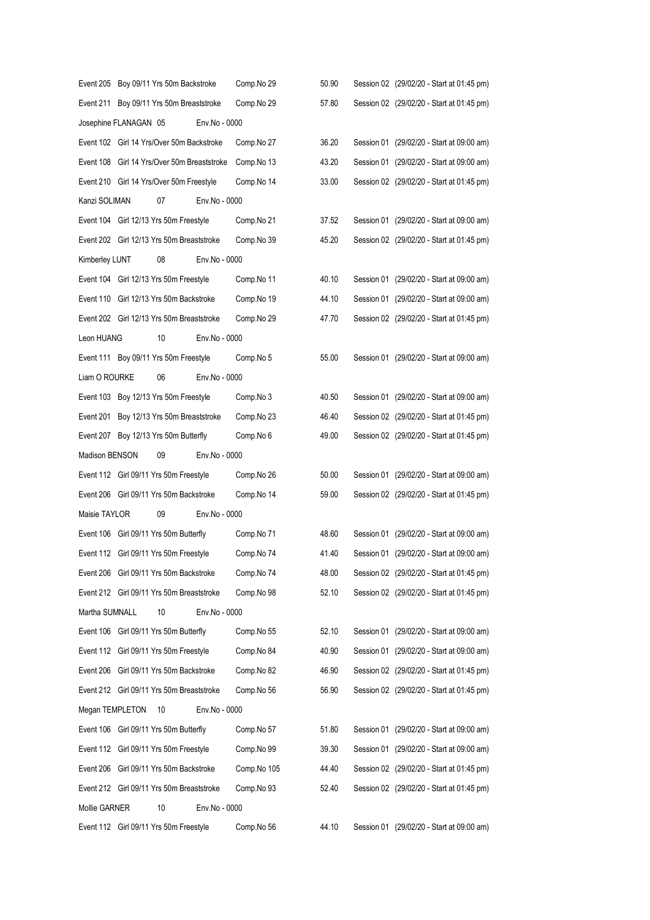|                 |                       | Event 205 Boy 09/11 Yrs 50m Backstroke      |               | Comp.No 29  | 50.90 | Session 02 (29/02/20 - Start at 01:45 pm) |
|-----------------|-----------------------|---------------------------------------------|---------------|-------------|-------|-------------------------------------------|
|                 |                       | Event 211 Boy 09/11 Yrs 50m Breaststroke    |               | Comp.No 29  | 57.80 | Session 02 (29/02/20 - Start at 01:45 pm) |
|                 | Josephine FLANAGAN 05 |                                             | Env.No - 0000 |             |       |                                           |
|                 |                       | Event 102 Girl 14 Yrs/Over 50m Backstroke   |               | Comp.No 27  | 36.20 | Session 01 (29/02/20 - Start at 09:00 am) |
|                 |                       | Event 108 Girl 14 Yrs/Over 50m Breaststroke |               | Comp.No 13  | 43.20 | Session 01 (29/02/20 - Start at 09:00 am) |
|                 |                       | Event 210 Girl 14 Yrs/Over 50m Freestyle    |               | Comp.No 14  | 33.00 | Session 02 (29/02/20 - Start at 01:45 pm) |
| Kanzi SOLIMAN   |                       | 07                                          | Env.No - 0000 |             |       |                                           |
|                 |                       | Event 104 Girl 12/13 Yrs 50m Freestyle      |               | Comp.No 21  | 37.52 | Session 01 (29/02/20 - Start at 09:00 am) |
|                 |                       | Event 202 Girl 12/13 Yrs 50m Breaststroke   |               | Comp.No 39  | 45.20 | Session 02 (29/02/20 - Start at 01:45 pm) |
| Kimberley LUNT  |                       | 08                                          | Env.No - 0000 |             |       |                                           |
|                 |                       | Event 104 Girl 12/13 Yrs 50m Freestyle      |               | Comp.No 11  | 40.10 | Session 01 (29/02/20 - Start at 09:00 am) |
|                 |                       | Event 110 Girl 12/13 Yrs 50m Backstroke     |               | Comp.No 19  | 44.10 | Session 01 (29/02/20 - Start at 09:00 am) |
|                 |                       | Event 202 Girl 12/13 Yrs 50m Breaststroke   |               | Comp.No 29  | 47.70 | Session 02 (29/02/20 - Start at 01:45 pm) |
| Leon HUANG      |                       | 10                                          | Env.No - 0000 |             |       |                                           |
|                 |                       | Event 111 Boy 09/11 Yrs 50m Freestyle       |               | Comp.No 5   | 55.00 | Session 01 (29/02/20 - Start at 09:00 am) |
| Liam O ROURKE   |                       | 06                                          | Env.No - 0000 |             |       |                                           |
|                 |                       | Event 103 Boy 12/13 Yrs 50m Freestyle       |               | Comp.No 3   | 40.50 | Session 01 (29/02/20 - Start at 09:00 am) |
|                 |                       | Event 201 Boy 12/13 Yrs 50m Breaststroke    |               | Comp.No 23  | 46.40 | Session 02 (29/02/20 - Start at 01:45 pm) |
|                 |                       | Event 207 Boy 12/13 Yrs 50m Butterfly       |               | Comp.No 6   | 49.00 | Session 02 (29/02/20 - Start at 01:45 pm) |
| Madison BENSON  |                       | 09                                          | Env.No - 0000 |             |       |                                           |
|                 |                       | Event 112 Girl 09/11 Yrs 50m Freestyle      |               | Comp.No 26  | 50.00 | Session 01 (29/02/20 - Start at 09:00 am) |
|                 |                       | Event 206 Girl 09/11 Yrs 50m Backstroke     |               | Comp.No 14  | 59.00 | Session 02 (29/02/20 - Start at 01:45 pm) |
| Maisie TAYLOR   |                       | 09                                          | Env.No - 0000 |             |       |                                           |
|                 |                       | Event 106 Girl 09/11 Yrs 50m Butterfly      |               | Comp.No 71  | 48.60 | Session 01 (29/02/20 - Start at 09:00 am) |
|                 |                       | Event 112 Girl 09/11 Yrs 50m Freestyle      |               | Comp.No 74  | 41.40 | Session 01 (29/02/20 - Start at 09:00 am) |
|                 |                       | Event 206 Girl 09/11 Yrs 50m Backstroke     |               | Comp.No 74  | 48.00 | Session 02 (29/02/20 - Start at 01:45 pm) |
|                 |                       | Event 212 Girl 09/11 Yrs 50m Breaststroke   |               | Comp.No 98  | 52.10 | Session 02 (29/02/20 - Start at 01:45 pm) |
| Martha SUMNALL  |                       | 10                                          | Env.No - 0000 |             |       |                                           |
|                 |                       | Event 106 Girl 09/11 Yrs 50m Butterfly      |               | Comp.No 55  | 52.10 | Session 01 (29/02/20 - Start at 09:00 am) |
|                 |                       | Event 112 Girl 09/11 Yrs 50m Freestyle      |               | Comp.No 84  | 40.90 | Session 01 (29/02/20 - Start at 09:00 am) |
|                 |                       | Event 206 Girl 09/11 Yrs 50m Backstroke     |               | Comp.No 82  | 46.90 | Session 02 (29/02/20 - Start at 01:45 pm) |
|                 |                       | Event 212 Girl 09/11 Yrs 50m Breaststroke   |               | Comp.No 56  | 56.90 | Session 02 (29/02/20 - Start at 01:45 pm) |
| Megan TEMPLETON |                       | 10                                          | Env.No - 0000 |             |       |                                           |
|                 |                       | Event 106 Girl 09/11 Yrs 50m Butterfly      |               | Comp.No 57  | 51.80 | Session 01 (29/02/20 - Start at 09:00 am) |
|                 |                       | Event 112 Girl 09/11 Yrs 50m Freestyle      |               | Comp.No 99  | 39.30 | Session 01 (29/02/20 - Start at 09:00 am) |
|                 |                       | Event 206 Girl 09/11 Yrs 50m Backstroke     |               | Comp.No 105 | 44.40 | Session 02 (29/02/20 - Start at 01:45 pm) |
|                 |                       | Event 212 Girl 09/11 Yrs 50m Breaststroke   |               | Comp.No 93  | 52.40 | Session 02 (29/02/20 - Start at 01:45 pm) |
| Mollie GARNER   |                       | 10                                          | Env.No - 0000 |             |       |                                           |
|                 |                       | Event 112 Girl 09/11 Yrs 50m Freestyle      |               | Comp.No 56  | 44.10 | Session 01 (29/02/20 - Start at 09:00 am) |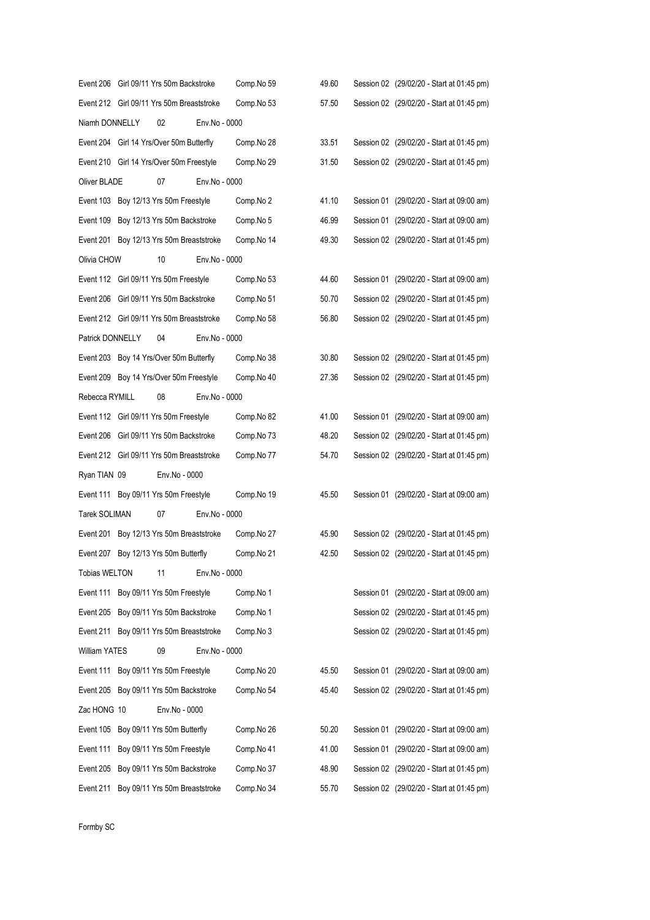|                      | Event 206 Girl 09/11 Yrs 50m Backstroke   |               | Comp.No 59 | 49.60 | Session 02 (29/02/20 - Start at 01:45 pm) |
|----------------------|-------------------------------------------|---------------|------------|-------|-------------------------------------------|
|                      | Event 212 Girl 09/11 Yrs 50m Breaststroke |               | Comp.No 53 | 57.50 | Session 02 (29/02/20 - Start at 01:45 pm) |
| Niamh DONNELLY       | 02                                        | Env.No - 0000 |            |       |                                           |
|                      | Event 204 Girl 14 Yrs/Over 50m Butterfly  |               | Comp.No 28 | 33.51 | Session 02 (29/02/20 - Start at 01:45 pm) |
|                      | Event 210 Girl 14 Yrs/Over 50m Freestyle  |               | Comp.No 29 | 31.50 | Session 02 (29/02/20 - Start at 01:45 pm) |
| Oliver BLADE         | 07                                        | Env.No - 0000 |            |       |                                           |
|                      | Event 103 Boy 12/13 Yrs 50m Freestyle     |               | Comp.No 2  | 41.10 | Session 01 (29/02/20 - Start at 09:00 am) |
|                      | Event 109 Boy 12/13 Yrs 50m Backstroke    |               | Comp.No 5  | 46.99 | Session 01 (29/02/20 - Start at 09:00 am) |
|                      | Event 201 Boy 12/13 Yrs 50m Breaststroke  |               | Comp.No 14 | 49.30 | Session 02 (29/02/20 - Start at 01:45 pm) |
| Olivia CHOW          | 10                                        | Env.No - 0000 |            |       |                                           |
|                      | Event 112 Girl 09/11 Yrs 50m Freestyle    |               | Comp.No 53 | 44.60 | Session 01 (29/02/20 - Start at 09:00 am) |
|                      | Event 206 Girl 09/11 Yrs 50m Backstroke   |               | Comp.No 51 | 50.70 | Session 02 (29/02/20 - Start at 01:45 pm) |
|                      | Event 212 Girl 09/11 Yrs 50m Breaststroke |               | Comp.No 58 | 56.80 | Session 02 (29/02/20 - Start at 01:45 pm) |
| Patrick DONNELLY     | 04                                        | Env.No - 0000 |            |       |                                           |
|                      | Event 203 Boy 14 Yrs/Over 50m Butterfly   |               | Comp.No 38 | 30.80 | Session 02 (29/02/20 - Start at 01:45 pm) |
|                      | Event 209 Boy 14 Yrs/Over 50m Freestyle   |               | Comp.No 40 | 27.36 | Session 02 (29/02/20 - Start at 01:45 pm) |
| Rebecca RYMILL       | 08                                        | Env.No - 0000 |            |       |                                           |
|                      | Event 112 Girl 09/11 Yrs 50m Freestyle    |               | Comp.No 82 | 41.00 | Session 01 (29/02/20 - Start at 09:00 am) |
|                      | Event 206 Girl 09/11 Yrs 50m Backstroke   |               | Comp.No 73 | 48.20 | Session 02 (29/02/20 - Start at 01:45 pm) |
|                      | Event 212 Girl 09/11 Yrs 50m Breaststroke |               | Comp.No 77 | 54.70 | Session 02 (29/02/20 - Start at 01:45 pm) |
| Ryan TIAN 09         | Env.No - 0000                             |               |            |       |                                           |
|                      | Event 111 Boy 09/11 Yrs 50m Freestyle     |               | Comp.No 19 | 45.50 | Session 01 (29/02/20 - Start at 09:00 am) |
| <b>Tarek SOLIMAN</b> | 07                                        | Env.No - 0000 |            |       |                                           |
|                      | Event 201 Boy 12/13 Yrs 50m Breaststroke  |               | Comp.No 27 | 45.90 | Session 02 (29/02/20 - Start at 01:45 pm) |
|                      | Event 207 Boy 12/13 Yrs 50m Butterfly     |               | Comp.No 21 | 42.50 | Session 02 (29/02/20 - Start at 01:45 pm) |
| <b>Tobias WELTON</b> | 11                                        | Env.No - 0000 |            |       |                                           |
|                      | Event 111 Boy 09/11 Yrs 50m Freestyle     |               | Comp.No 1  |       | Session 01 (29/02/20 - Start at 09:00 am) |
|                      | Event 205 Boy 09/11 Yrs 50m Backstroke    |               | Comp.No 1  |       | Session 02 (29/02/20 - Start at 01:45 pm) |
|                      | Event 211 Boy 09/11 Yrs 50m Breaststroke  |               | Comp.No 3  |       | Session 02 (29/02/20 - Start at 01:45 pm) |
| <b>William YATES</b> | 09                                        | Env.No - 0000 |            |       |                                           |
|                      | Event 111 Boy 09/11 Yrs 50m Freestyle     |               | Comp.No 20 | 45.50 | Session 01 (29/02/20 - Start at 09:00 am) |
|                      | Event 205 Boy 09/11 Yrs 50m Backstroke    |               | Comp.No 54 | 45.40 | Session 02 (29/02/20 - Start at 01:45 pm) |
| Zac HONG 10          | Env.No - 0000                             |               |            |       |                                           |
| Event 105            | Boy 09/11 Yrs 50m Butterfly               |               | Comp.No 26 | 50.20 | Session 01 (29/02/20 - Start at 09:00 am) |
| Event 111            | Boy 09/11 Yrs 50m Freestyle               |               | Comp.No 41 | 41.00 | Session 01 (29/02/20 - Start at 09:00 am) |
| Event 205            | Boy 09/11 Yrs 50m Backstroke              |               | Comp.No 37 | 48.90 | Session 02 (29/02/20 - Start at 01:45 pm) |
| Event 211            | Boy 09/11 Yrs 50m Breaststroke            |               | Comp.No 34 | 55.70 | Session 02 (29/02/20 - Start at 01:45 pm) |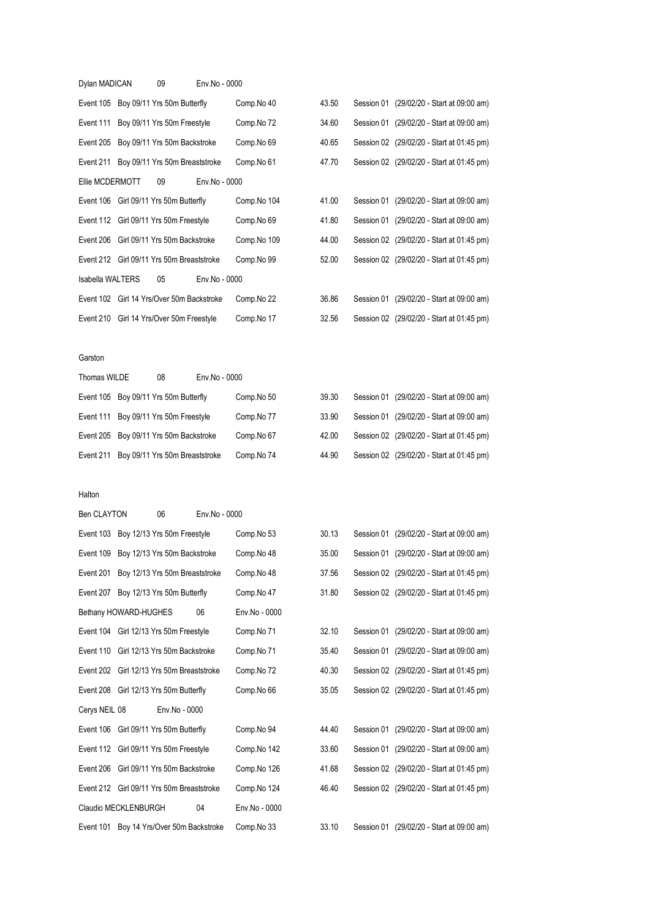| Dylan MADICAN    |                                           | 09 | Env.No - 0000 |             |       |  |                                           |
|------------------|-------------------------------------------|----|---------------|-------------|-------|--|-------------------------------------------|
|                  | Event 105 Boy 09/11 Yrs 50m Butterfly     |    |               | Comp.No 40  | 43.50 |  | Session 01 (29/02/20 - Start at 09:00 am) |
|                  | Event 111 Boy 09/11 Yrs 50m Freestyle     |    |               | Comp.No 72  | 34.60 |  | Session 01 (29/02/20 - Start at 09:00 am) |
|                  | Event 205 Boy 09/11 Yrs 50m Backstroke    |    |               | Comp.No 69  | 40.65 |  | Session 02 (29/02/20 - Start at 01:45 pm) |
|                  | Event 211 Boy 09/11 Yrs 50m Breaststroke  |    |               | Comp.No 61  | 47.70 |  | Session 02 (29/02/20 - Start at 01:45 pm) |
| Ellie MCDERMOTT  |                                           | 09 | Env.No - 0000 |             |       |  |                                           |
|                  | Event 106 Girl 09/11 Yrs 50m Butterfly    |    |               | Comp.No 104 | 41.00 |  | Session 01 (29/02/20 - Start at 09:00 am) |
|                  | Event 112 Girl 09/11 Yrs 50m Freestyle    |    |               | Comp.No 69  | 41.80 |  | Session 01 (29/02/20 - Start at 09:00 am) |
|                  | Event 206 Girl 09/11 Yrs 50m Backstroke   |    |               | Comp.No 109 | 44.00 |  | Session 02 (29/02/20 - Start at 01:45 pm) |
|                  | Event 212 Girl 09/11 Yrs 50m Breaststroke |    |               | Comp.No 99  | 52.00 |  | Session 02 (29/02/20 - Start at 01:45 pm) |
| Isabella WALTERS |                                           | 05 | Env.No - 0000 |             |       |  |                                           |
|                  | Event 102 Girl 14 Yrs/Over 50m Backstroke |    |               | Comp.No 22  | 36.86 |  | Session 01 (29/02/20 - Start at 09:00 am) |
|                  | Event 210 Girl 14 Yrs/Over 50m Freestyle  |    |               | Comp.No 17  | 32.56 |  | Session 02 (29/02/20 - Start at 01:45 pm) |
|                  |                                           |    |               |             |       |  |                                           |

### Garston

| Thomas WILDE |                                          | 08 | Env.No - 0000 |            |       |  |                                           |
|--------------|------------------------------------------|----|---------------|------------|-------|--|-------------------------------------------|
|              | Event 105 Boy 09/11 Yrs 50m Butterfly    |    |               | Comp.No 50 | 39.30 |  | Session 01 (29/02/20 - Start at 09:00 am) |
|              | Event 111 Boy 09/11 Yrs 50m Freestyle    |    |               | Comp.No 77 | 33.90 |  | Session 01 (29/02/20 - Start at 09:00 am) |
|              | Event 205 Boy 09/11 Yrs 50m Backstroke   |    |               | Comp.No 67 | 42.00 |  | Session 02 (29/02/20 - Start at 01:45 pm) |
|              | Event 211 Boy 09/11 Yrs 50m Breaststroke |    |               | Comp.No 74 | 44.90 |  | Session 02 (29/02/20 - Start at 01:45 pm) |

### Halton

| <b>Ben CLAYTON</b> |                                           | 06                             | Env.No - 0000 |               |       |  |                                           |
|--------------------|-------------------------------------------|--------------------------------|---------------|---------------|-------|--|-------------------------------------------|
| Event 103          | Boy 12/13 Yrs 50m Freestyle               |                                |               | Comp.No 53    | 30.13 |  | Session 01 (29/02/20 - Start at 09:00 am) |
| Event 109          |                                           | Boy 12/13 Yrs 50m Backstroke   |               | Comp.No 48    | 35.00 |  | Session 01 (29/02/20 - Start at 09:00 am) |
| Event 201          |                                           | Boy 12/13 Yrs 50m Breaststroke |               | Comp.No 48    | 37.56 |  | Session 02 (29/02/20 - Start at 01:45 pm) |
| Event 207          |                                           | Boy 12/13 Yrs 50m Butterfly    |               | Comp.No 47    | 31.80 |  | Session 02 (29/02/20 - Start at 01:45 pm) |
|                    | Bethany HOWARD-HUGHES                     |                                | 06            | Env.No - 0000 |       |  |                                           |
|                    | Event 104 Girl 12/13 Yrs 50m Freestyle    |                                |               | Comp.No 71    | 32.10 |  | Session 01 (29/02/20 - Start at 09:00 am) |
|                    | Event 110 Girl 12/13 Yrs 50m Backstroke   |                                |               | Comp.No 71    | 35.40 |  | Session 01 (29/02/20 - Start at 09:00 am) |
|                    | Event 202 Girl 12/13 Yrs 50m Breaststroke |                                |               | Comp.No 72    | 40.30 |  | Session 02 (29/02/20 - Start at 01:45 pm) |
|                    | Event 208 Girl 12/13 Yrs 50m Butterfly    |                                |               | Comp.No 66    | 35.05 |  | Session 02 (29/02/20 - Start at 01:45 pm) |
| Cerys NEIL 08      |                                           | Env.No - 0000                  |               |               |       |  |                                           |
| Event 106          | Girl 09/11 Yrs 50m Butterfly              |                                |               | Comp.No 94    | 44.40 |  | Session 01 (29/02/20 - Start at 09:00 am) |
|                    | Event 112 Girl 09/11 Yrs 50m Freestyle    |                                |               | Comp.No 142   | 33.60 |  | Session 01 (29/02/20 - Start at 09:00 am) |
|                    | Event 206 Girl 09/11 Yrs 50m Backstroke   |                                |               | Comp.No 126   | 41.68 |  | Session 02 (29/02/20 - Start at 01:45 pm) |
|                    | Event 212 Girl 09/11 Yrs 50m Breaststroke |                                |               | Comp.No 124   | 46.40 |  | Session 02 (29/02/20 - Start at 01:45 pm) |
|                    | Claudio MECKLENBURGH                      |                                | 04            | Env.No - 0000 |       |  |                                           |
|                    | Event 101 Boy 14 Yrs/Over 50m Backstroke  |                                |               | Comp.No 33    | 33.10 |  | Session 01 (29/02/20 - Start at 09:00 am) |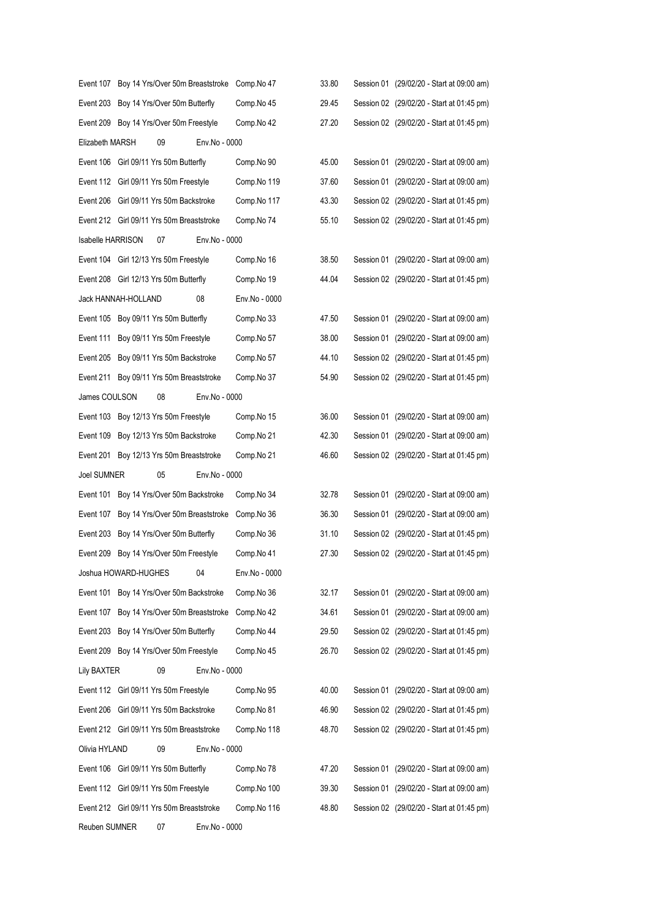| Event 107          | Boy 14 Yrs/Over 50m Breaststroke          | Comp.No 47    | 33.80 | Session 01 (29/02/20 - Start at 09:00 am) |
|--------------------|-------------------------------------------|---------------|-------|-------------------------------------------|
| Event 203          | Boy 14 Yrs/Over 50m Butterfly             | Comp.No 45    | 29.45 | Session 02 (29/02/20 - Start at 01:45 pm) |
|                    | Event 209 Boy 14 Yrs/Over 50m Freestyle   | Comp.No 42    | 27.20 | Session 02 (29/02/20 - Start at 01:45 pm) |
| Elizabeth MARSH    | 09<br>Env.No - 0000                       |               |       |                                           |
|                    | Event 106 Girl 09/11 Yrs 50m Butterfly    | Comp.No 90    | 45.00 | Session 01 (29/02/20 - Start at 09:00 am) |
|                    | Event 112 Girl 09/11 Yrs 50m Freestyle    | Comp.No 119   | 37.60 | Session 01 (29/02/20 - Start at 09:00 am) |
|                    | Event 206 Girl 09/11 Yrs 50m Backstroke   | Comp.No 117   | 43.30 | Session 02 (29/02/20 - Start at 01:45 pm) |
|                    | Event 212 Girl 09/11 Yrs 50m Breaststroke | Comp.No 74    | 55.10 | Session 02 (29/02/20 - Start at 01:45 pm) |
| Isabelle HARRISON  | Env.No - 0000<br>07                       |               |       |                                           |
|                    | Event 104 Girl 12/13 Yrs 50m Freestyle    | Comp.No 16    | 38.50 | Session 01 (29/02/20 - Start at 09:00 am) |
|                    | Event 208 Girl 12/13 Yrs 50m Butterfly    | Comp.No 19    | 44.04 | Session 02 (29/02/20 - Start at 01:45 pm) |
|                    | 08<br>Jack HANNAH-HOLLAND                 | Env.No - 0000 |       |                                           |
|                    | Event 105 Boy 09/11 Yrs 50m Butterfly     | Comp.No 33    | 47.50 | Session 01 (29/02/20 - Start at 09:00 am) |
| Event 111          | Boy 09/11 Yrs 50m Freestyle               | Comp.No 57    | 38.00 | Session 01 (29/02/20 - Start at 09:00 am) |
|                    | Event 205 Boy 09/11 Yrs 50m Backstroke    | Comp.No 57    | 44.10 | Session 02 (29/02/20 - Start at 01:45 pm) |
| Event 211          | Boy 09/11 Yrs 50m Breaststroke            | Comp.No 37    | 54.90 | Session 02 (29/02/20 - Start at 01:45 pm) |
| James COULSON      | 08<br>Env.No - 0000                       |               |       |                                           |
|                    | Event 103 Boy 12/13 Yrs 50m Freestyle     | Comp.No 15    | 36.00 | Session 01 (29/02/20 - Start at 09:00 am) |
|                    | Event 109 Boy 12/13 Yrs 50m Backstroke    | Comp.No 21    | 42.30 | Session 01 (29/02/20 - Start at 09:00 am) |
| Event 201          | Boy 12/13 Yrs 50m Breaststroke            | Comp.No 21    | 46.60 | Session 02 (29/02/20 - Start at 01:45 pm) |
| <b>Joel SUMNER</b> | 05<br>Env.No - 0000                       |               |       |                                           |
| Event 101          | Boy 14 Yrs/Over 50m Backstroke            | Comp.No 34    | 32.78 | Session 01 (29/02/20 - Start at 09:00 am) |
| Event 107          | Boy 14 Yrs/Over 50m Breaststroke          | Comp.No 36    | 36.30 | Session 01 (29/02/20 - Start at 09:00 am) |
| Event 203          | Boy 14 Yrs/Over 50m Butterfly             | Comp.No 36    | 31.10 | Session 02 (29/02/20 - Start at 01:45 pm) |
|                    | Event 209 Boy 14 Yrs/Over 50m Freestyle   | Comp.No 41    | 27.30 | Session 02 (29/02/20 - Start at 01:45 pm) |
|                    | 04<br>Joshua HOWARD-HUGHES                | Env.No - 0000 |       |                                           |
| Event 101          | Boy 14 Yrs/Over 50m Backstroke            | Comp.No 36    | 32.17 | Session 01 (29/02/20 - Start at 09:00 am) |
| Event 107          | Boy 14 Yrs/Over 50m Breaststroke          | Comp.No 42    | 34.61 | Session 01 (29/02/20 - Start at 09:00 am) |
| Event 203          | Boy 14 Yrs/Over 50m Butterfly             | Comp.No 44    | 29.50 | Session 02 (29/02/20 - Start at 01:45 pm) |
|                    | Event 209 Boy 14 Yrs/Over 50m Freestyle   | Comp.No 45    | 26.70 | Session 02 (29/02/20 - Start at 01:45 pm) |
| Lily BAXTER        | 09<br>Env.No - 0000                       |               |       |                                           |
|                    | Event 112 Girl 09/11 Yrs 50m Freestyle    | Comp.No 95    | 40.00 | Session 01 (29/02/20 - Start at 09:00 am) |
|                    | Event 206 Girl 09/11 Yrs 50m Backstroke   | Comp.No 81    | 46.90 | Session 02 (29/02/20 - Start at 01:45 pm) |
|                    | Event 212 Girl 09/11 Yrs 50m Breaststroke | Comp.No 118   | 48.70 | Session 02 (29/02/20 - Start at 01:45 pm) |
| Olivia HYLAND      | 09<br>Env.No - 0000                       |               |       |                                           |
| Event 106          | Girl 09/11 Yrs 50m Butterfly              | Comp.No 78    | 47.20 | Session 01 (29/02/20 - Start at 09:00 am) |
|                    | Event 112 Girl 09/11 Yrs 50m Freestyle    | Comp.No 100   | 39.30 | Session 01 (29/02/20 - Start at 09:00 am) |
|                    | Event 212 Girl 09/11 Yrs 50m Breaststroke | Comp.No 116   | 48.80 | Session 02 (29/02/20 - Start at 01:45 pm) |
| Reuben SUMNER      | 07<br>Env.No - 0000                       |               |       |                                           |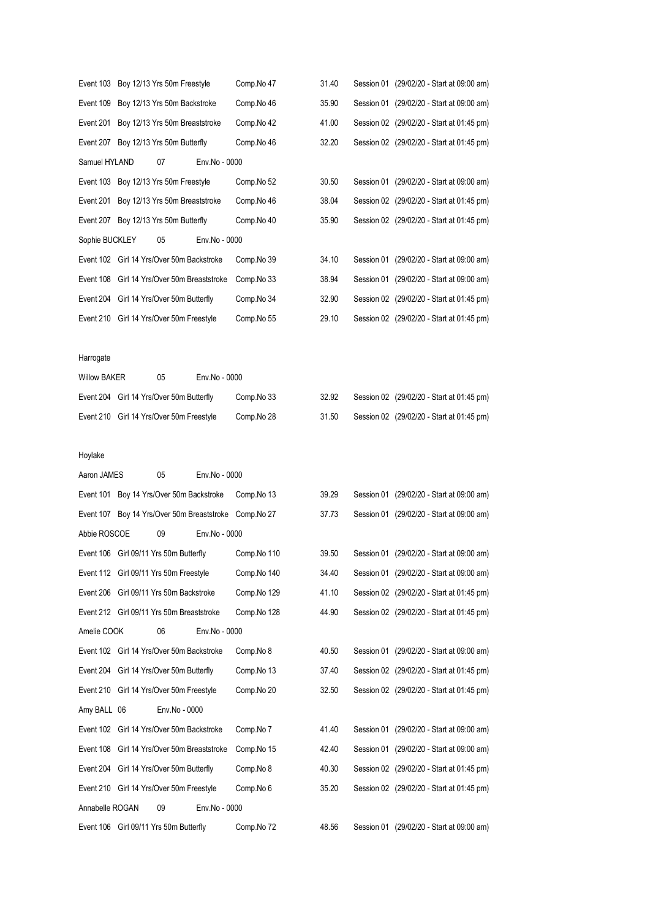|                     | Event 103 Boy 12/13 Yrs 50m Freestyle                 | Comp.No 47  | 31.40 | Session 01 (29/02/20 - Start at 09:00 am) |
|---------------------|-------------------------------------------------------|-------------|-------|-------------------------------------------|
| Event 109           | Boy 12/13 Yrs 50m Backstroke                          | Comp.No 46  | 35.90 | Session 01 (29/02/20 - Start at 09:00 am) |
| Event 201           | Boy 12/13 Yrs 50m Breaststroke                        | Comp.No 42  | 41.00 | Session 02 (29/02/20 - Start at 01:45 pm) |
| Event 207           | Boy 12/13 Yrs 50m Butterfly                           | Comp.No 46  | 32.20 | Session 02 (29/02/20 - Start at 01:45 pm) |
| Samuel HYLAND       | 07<br>Env.No - 0000                                   |             |       |                                           |
|                     | Event 103 Boy 12/13 Yrs 50m Freestyle                 | Comp.No 52  | 30.50 | Session 01 (29/02/20 - Start at 09:00 am) |
|                     | Event 201 Boy 12/13 Yrs 50m Breaststroke              | Comp.No 46  | 38.04 | Session 02 (29/02/20 - Start at 01:45 pm) |
|                     | Event 207 Boy 12/13 Yrs 50m Butterfly                 | Comp.No 40  | 35.90 | Session 02 (29/02/20 - Start at 01:45 pm) |
| Sophie BUCKLEY      | 05<br>Env.No - 0000                                   |             |       |                                           |
|                     | Event 102 Girl 14 Yrs/Over 50m Backstroke             | Comp.No 39  | 34.10 | Session 01 (29/02/20 - Start at 09:00 am) |
| Event 108           | Girl 14 Yrs/Over 50m Breaststroke                     | Comp.No 33  | 38.94 | Session 01 (29/02/20 - Start at 09:00 am) |
|                     | Event 204 Girl 14 Yrs/Over 50m Butterfly              | Comp.No 34  | 32.90 | Session 02 (29/02/20 - Start at 01:45 pm) |
|                     | Event 210 Girl 14 Yrs/Over 50m Freestyle              | Comp.No 55  | 29.10 | Session 02 (29/02/20 - Start at 01:45 pm) |
|                     |                                                       |             |       |                                           |
| Harrogate           |                                                       |             |       |                                           |
| <b>Willow BAKER</b> | 05<br>Env.No - 0000                                   |             |       |                                           |
|                     | Event 204 Girl 14 Yrs/Over 50m Butterfly              | Comp.No 33  | 32.92 | Session 02 (29/02/20 - Start at 01:45 pm) |
|                     | Event 210 Girl 14 Yrs/Over 50m Freestyle              | Comp.No 28  | 31.50 | Session 02 (29/02/20 - Start at 01:45 pm) |
|                     |                                                       |             |       |                                           |
| Hoylake             |                                                       |             |       |                                           |
| Aaron JAMES         | 05<br>Env.No - 0000                                   |             |       |                                           |
| Event 101           | Boy 14 Yrs/Over 50m Backstroke                        | Comp.No 13  | 39.29 | Session 01 (29/02/20 - Start at 09:00 am) |
|                     | Event 107 Boy 14 Yrs/Over 50m Breaststroke Comp.No 27 |             | 37.73 | Session 01 (29/02/20 - Start at 09:00 am) |
| Abbie ROSCOE        | 09<br>Env.No - 0000                                   |             |       |                                           |
|                     | Event 106 Girl 09/11 Yrs 50m Butterfly                | Comp.No 110 | 39.50 | Session 01 (29/02/20 - Start at 09:00 am) |
|                     | Event 112 Girl 09/11 Yrs 50m Freestyle                | Comp.No 140 | 34.40 | Session 01 (29/02/20 - Start at 09:00 am) |
| Event 206           | Girl 09/11 Yrs 50m Backstroke                         | Comp.No 129 | 41.10 | Session 02 (29/02/20 - Start at 01:45 pm) |
|                     | Event 212 Girl 09/11 Yrs 50m Breaststroke             | Comp.No 128 | 44.90 | Session 02 (29/02/20 - Start at 01:45 pm) |
| Amelie COOK         | 06<br>Env.No - 0000                                   |             |       |                                           |
| Event 102           | Girl 14 Yrs/Over 50m Backstroke                       | Comp.No 8   | 40.50 | Session 01 (29/02/20 - Start at 09:00 am) |
| Event 204           | Girl 14 Yrs/Over 50m Butterfly                        | Comp.No 13  | 37.40 | Session 02 (29/02/20 - Start at 01:45 pm) |
|                     | Event 210 Girl 14 Yrs/Over 50m Freestyle              | Comp.No 20  | 32.50 | Session 02 (29/02/20 - Start at 01:45 pm) |
| Amy BALL 06         | Env.No - 0000                                         |             |       |                                           |
| Event 102           | Girl 14 Yrs/Over 50m Backstroke                       | Comp.No 7   | 41.40 | Session 01 (29/02/20 - Start at 09:00 am) |
| Event 108           | Girl 14 Yrs/Over 50m Breaststroke                     | Comp.No 15  | 42.40 | Session 01 (29/02/20 - Start at 09:00 am) |
| Event 204           | Girl 14 Yrs/Over 50m Butterfly                        | Comp.No 8   | 40.30 | Session 02 (29/02/20 - Start at 01:45 pm) |
| Event 210           | Girl 14 Yrs/Over 50m Freestyle                        | Comp.No 6   | 35.20 | Session 02 (29/02/20 - Start at 01:45 pm) |
| Annabelle ROGAN     | 09<br>Env.No - 0000                                   |             |       |                                           |
|                     |                                                       |             |       |                                           |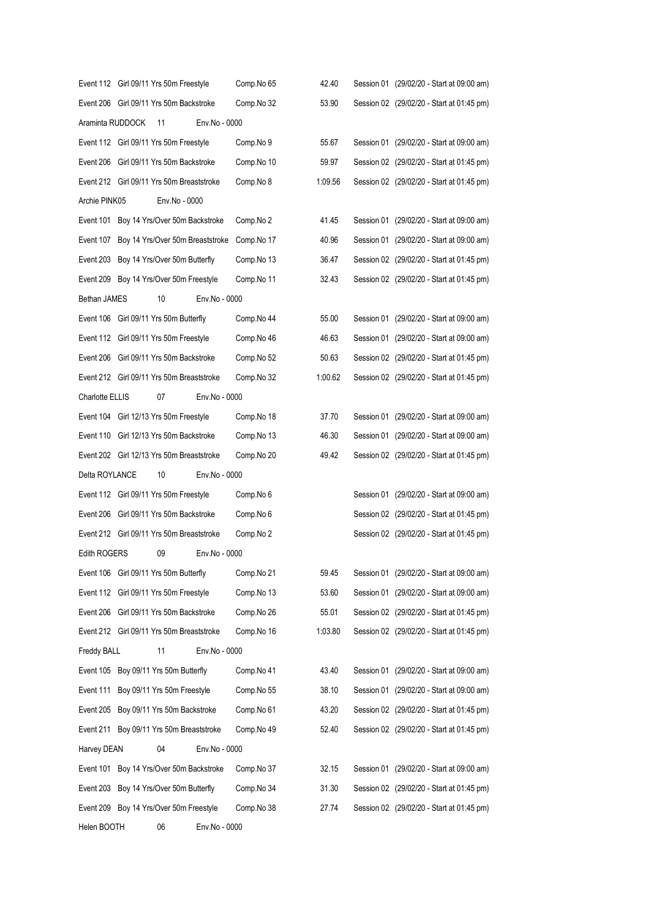|                        | Event 112 Girl 09/11 Yrs 50m Freestyle     |               | Comp.No 65 | 42.40   | Session 01 (29/02/20 - Start at 09:00 am) |
|------------------------|--------------------------------------------|---------------|------------|---------|-------------------------------------------|
|                        | Event 206 Girl 09/11 Yrs 50m Backstroke    |               | Comp.No 32 | 53.90   | Session 02 (29/02/20 - Start at 01:45 pm) |
| Araminta RUDDOCK       | 11                                         | Env.No - 0000 |            |         |                                           |
|                        | Event 112 Girl 09/11 Yrs 50m Freestyle     |               | Comp.No 9  | 55.67   | Session 01 (29/02/20 - Start at 09:00 am) |
|                        | Event 206 Girl 09/11 Yrs 50m Backstroke    |               | Comp.No 10 | 59.97   | Session 02 (29/02/20 - Start at 01:45 pm) |
|                        | Event 212 Girl 09/11 Yrs 50m Breaststroke  |               | Comp.No 8  | 1:09.56 | Session 02 (29/02/20 - Start at 01:45 pm) |
| Archie PINK05          | Env.No - 0000                              |               |            |         |                                           |
| Event 101              | Boy 14 Yrs/Over 50m Backstroke             |               | Comp.No 2  | 41.45   | Session 01 (29/02/20 - Start at 09:00 am) |
|                        | Event 107 Boy 14 Yrs/Over 50m Breaststroke |               | Comp.No 17 | 40.96   | Session 01 (29/02/20 - Start at 09:00 am) |
|                        | Event 203 Boy 14 Yrs/Over 50m Butterfly    |               | Comp.No 13 | 36.47   | Session 02 (29/02/20 - Start at 01:45 pm) |
|                        | Event 209 Boy 14 Yrs/Over 50m Freestyle    |               | Comp.No 11 | 32.43   | Session 02 (29/02/20 - Start at 01:45 pm) |
| Bethan JAMES           | 10                                         | Env.No - 0000 |            |         |                                           |
|                        | Event 106 Girl 09/11 Yrs 50m Butterfly     |               | Comp.No 44 | 55.00   | Session 01 (29/02/20 - Start at 09:00 am) |
|                        | Event 112 Girl 09/11 Yrs 50m Freestyle     |               | Comp.No 46 | 46.63   | Session 01 (29/02/20 - Start at 09:00 am) |
|                        | Event 206 Girl 09/11 Yrs 50m Backstroke    |               | Comp.No 52 | 50.63   | Session 02 (29/02/20 - Start at 01:45 pm) |
|                        | Event 212 Girl 09/11 Yrs 50m Breaststroke  |               | Comp.No 32 | 1:00.62 | Session 02 (29/02/20 - Start at 01:45 pm) |
| <b>Charlotte ELLIS</b> | 07                                         | Env.No - 0000 |            |         |                                           |
|                        | Event 104 Girl 12/13 Yrs 50m Freestyle     |               | Comp.No 18 | 37.70   | Session 01 (29/02/20 - Start at 09:00 am) |
|                        | Event 110 Girl 12/13 Yrs 50m Backstroke    |               | Comp.No 13 | 46.30   | Session 01 (29/02/20 - Start at 09:00 am) |
|                        | Event 202 Girl 12/13 Yrs 50m Breaststroke  |               | Comp.No 20 | 49.42   | Session 02 (29/02/20 - Start at 01:45 pm) |
| Delta ROYLANCE         | 10                                         | Env.No - 0000 |            |         |                                           |
|                        | Event 112 Girl 09/11 Yrs 50m Freestyle     |               | Comp.No 6  |         | Session 01 (29/02/20 - Start at 09:00 am) |
|                        | Event 206 Girl 09/11 Yrs 50m Backstroke    |               | Comp.No 6  |         | Session 02 (29/02/20 - Start at 01:45 pm) |
|                        | Event 212 Girl 09/11 Yrs 50m Breaststroke  |               | Comp.No 2  |         | Session 02 (29/02/20 - Start at 01:45 pm) |
| <b>Edith ROGERS</b>    | 09                                         | Env.No - 0000 |            |         |                                           |
|                        | Event 106 Girl 09/11 Yrs 50m Butterfly     |               | Comp.No 21 | 59.45   | Session 01 (29/02/20 - Start at 09:00 am) |
|                        | Event 112 Girl 09/11 Yrs 50m Freestyle     |               | Comp.No 13 | 53.60   | Session 01 (29/02/20 - Start at 09:00 am) |
|                        | Event 206 Girl 09/11 Yrs 50m Backstroke    |               | Comp.No 26 | 55.01   | Session 02 (29/02/20 - Start at 01:45 pm) |
|                        | Event 212 Girl 09/11 Yrs 50m Breaststroke  |               | Comp.No 16 | 1:03.80 | Session 02 (29/02/20 - Start at 01:45 pm) |
| Freddy BALL            | 11                                         | Env.No - 0000 |            |         |                                           |
|                        | Event 105 Boy 09/11 Yrs 50m Butterfly      |               | Comp.No 41 | 43.40   | Session 01 (29/02/20 - Start at 09:00 am) |
| Event 111              | Boy 09/11 Yrs 50m Freestyle                |               | Comp.No 55 | 38.10   | Session 01 (29/02/20 - Start at 09:00 am) |
| Event 205              | Boy 09/11 Yrs 50m Backstroke               |               | Comp.No 61 | 43.20   | Session 02 (29/02/20 - Start at 01:45 pm) |
| Event 211              | Boy 09/11 Yrs 50m Breaststroke             |               | Comp.No 49 | 52.40   | Session 02 (29/02/20 - Start at 01:45 pm) |
| Harvey DEAN            | 04                                         | Env.No - 0000 |            |         |                                           |
| Event 101              | Boy 14 Yrs/Over 50m Backstroke             |               | Comp.No 37 | 32.15   | Session 01 (29/02/20 - Start at 09:00 am) |
| Event 203              | Boy 14 Yrs/Over 50m Butterfly              |               | Comp.No 34 | 31.30   | Session 02 (29/02/20 - Start at 01:45 pm) |
|                        | Event 209 Boy 14 Yrs/Over 50m Freestyle    |               | Comp.No 38 | 27.74   | Session 02 (29/02/20 - Start at 01:45 pm) |
| Helen BOOTH            | 06                                         | Env.No - 0000 |            |         |                                           |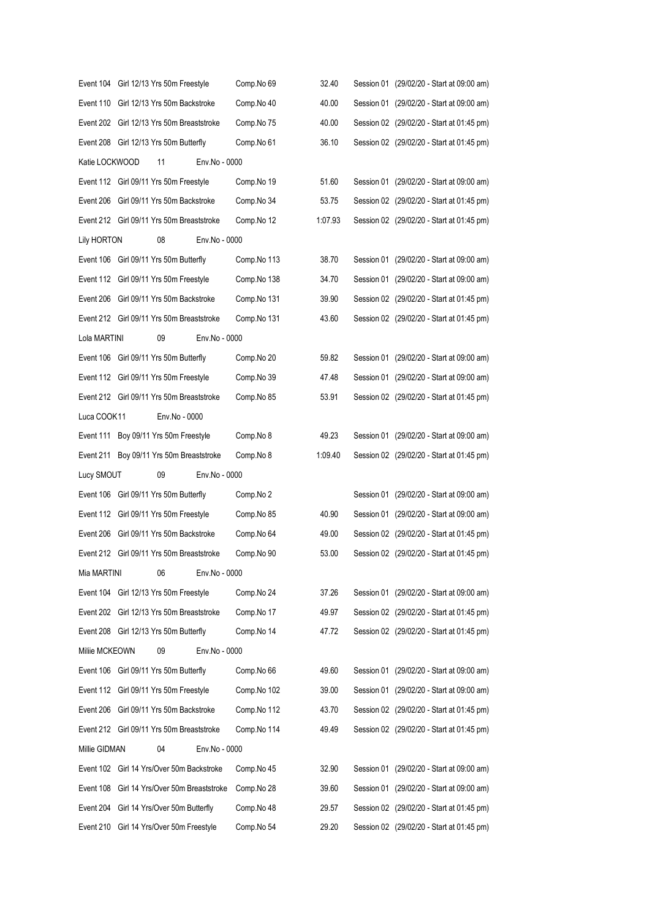| Event 104 Girl 12/13 Yrs 50m Freestyle    |                                 |                                   | Comp.No 69  | 32.40   | Session 01 (29/02/20 - Start at 09:00 am) |
|-------------------------------------------|---------------------------------|-----------------------------------|-------------|---------|-------------------------------------------|
| Event 110 Girl 12/13 Yrs 50m Backstroke   |                                 |                                   | Comp.No 40  | 40.00   | Session 01 (29/02/20 - Start at 09:00 am) |
| Event 202 Girl 12/13 Yrs 50m Breaststroke |                                 |                                   | Comp.No 75  | 40.00   | Session 02 (29/02/20 - Start at 01:45 pm) |
| Event 208 Girl 12/13 Yrs 50m Butterfly    |                                 |                                   | Comp.No 61  | 36.10   | Session 02 (29/02/20 - Start at 01:45 pm) |
| Katie LOCKWOOD                            | 11                              | Env.No - 0000                     |             |         |                                           |
| Event 112 Girl 09/11 Yrs 50m Freestyle    |                                 |                                   | Comp.No 19  | 51.60   | Session 01 (29/02/20 - Start at 09:00 am) |
| Event 206 Girl 09/11 Yrs 50m Backstroke   |                                 |                                   | Comp.No 34  | 53.75   | Session 02 (29/02/20 - Start at 01:45 pm) |
| Event 212 Girl 09/11 Yrs 50m Breaststroke |                                 |                                   | Comp.No 12  | 1:07.93 | Session 02 (29/02/20 - Start at 01:45 pm) |
| Lily HORTON                               | 08                              | Env.No - 0000                     |             |         |                                           |
| Event 106 Girl 09/11 Yrs 50m Butterfly    |                                 |                                   | Comp.No 113 | 38.70   | Session 01 (29/02/20 - Start at 09:00 am) |
| Event 112 Girl 09/11 Yrs 50m Freestyle    |                                 |                                   | Comp.No 138 | 34.70   | Session 01 (29/02/20 - Start at 09:00 am) |
| Event 206 Girl 09/11 Yrs 50m Backstroke   |                                 |                                   | Comp.No 131 | 39.90   | Session 02 (29/02/20 - Start at 01:45 pm) |
| Event 212 Girl 09/11 Yrs 50m Breaststroke |                                 |                                   | Comp.No 131 | 43.60   | Session 02 (29/02/20 - Start at 01:45 pm) |
| Lola MARTINI                              | 09                              | Env.No - 0000                     |             |         |                                           |
| Event 106 Girl 09/11 Yrs 50m Butterfly    |                                 |                                   | Comp.No 20  | 59.82   | Session 01 (29/02/20 - Start at 09:00 am) |
| Event 112 Girl 09/11 Yrs 50m Freestyle    |                                 |                                   | Comp.No 39  | 47.48   | Session 01 (29/02/20 - Start at 09:00 am) |
| Event 212 Girl 09/11 Yrs 50m Breaststroke |                                 |                                   | Comp.No 85  | 53.91   | Session 02 (29/02/20 - Start at 01:45 pm) |
| Luca COOK11                               | Env.No - 0000                   |                                   |             |         |                                           |
| Event 111 Boy 09/11 Yrs 50m Freestyle     |                                 |                                   | Comp.No 8   | 49.23   | Session 01 (29/02/20 - Start at 09:00 am) |
| Event 211 Boy 09/11 Yrs 50m Breaststroke  |                                 |                                   | Comp.No 8   | 1:09.40 | Session 02 (29/02/20 - Start at 01:45 pm) |
|                                           |                                 |                                   |             |         |                                           |
| Lucy SMOUT                                | 09                              | Env.No - 0000                     |             |         |                                           |
| Event 106 Girl 09/11 Yrs 50m Butterfly    |                                 |                                   | Comp.No 2   |         | Session 01 (29/02/20 - Start at 09:00 am) |
| Event 112 Girl 09/11 Yrs 50m Freestyle    |                                 |                                   | Comp.No 85  | 40.90   | Session 01 (29/02/20 - Start at 09:00 am) |
| Event 206 Girl 09/11 Yrs 50m Backstroke   |                                 |                                   | Comp.No 64  | 49.00   | Session 02 (29/02/20 - Start at 01:45 pm) |
| Event 212 Girl 09/11 Yrs 50m Breaststroke |                                 |                                   | Comp.No 90  | 53.00   | Session 02 (29/02/20 - Start at 01:45 pm) |
| Mia MARTINI                               | 06                              | Env.No - 0000                     |             |         |                                           |
| Event 104                                 | Girl 12/13 Yrs 50m Freestyle    |                                   | Comp.No 24  | 37.26   | Session 01 (29/02/20 - Start at 09:00 am) |
| Event 202                                 | Girl 12/13 Yrs 50m Breaststroke |                                   | Comp.No 17  | 49.97   | Session 02 (29/02/20 - Start at 01:45 pm) |
| Event 208 Girl 12/13 Yrs 50m Butterfly    |                                 |                                   | Comp.No 14  | 47.72   | Session 02 (29/02/20 - Start at 01:45 pm) |
| Miliie MCKEOWN                            | 09                              | Env.No - 0000                     |             |         |                                           |
| Event 106 Girl 09/11 Yrs 50m Butterfly    |                                 |                                   | Comp.No 66  | 49.60   | Session 01 (29/02/20 - Start at 09:00 am) |
| Event 112                                 | Girl 09/11 Yrs 50m Freestyle    |                                   | Comp.No 102 | 39.00   | Session 01 (29/02/20 - Start at 09:00 am) |
| Event 206                                 | Girl 09/11 Yrs 50m Backstroke   |                                   | Comp.No 112 | 43.70   | Session 02 (29/02/20 - Start at 01:45 pm) |
| Event 212 Girl 09/11 Yrs 50m Breaststroke |                                 |                                   | Comp.No 114 | 49.49   | Session 02 (29/02/20 - Start at 01:45 pm) |
| Millie GIDMAN                             | 04                              | Env.No - 0000                     |             |         |                                           |
| Event 102                                 | Girl 14 Yrs/Over 50m Backstroke |                                   | Comp.No 45  | 32.90   | Session 01 (29/02/20 - Start at 09:00 am) |
| Event 108                                 |                                 | Girl 14 Yrs/Over 50m Breaststroke | Comp.No 28  | 39.60   | Session 01 (29/02/20 - Start at 09:00 am) |
| Event 204                                 | Girl 14 Yrs/Over 50m Butterfly  |                                   | Comp.No 48  | 29.57   | Session 02 (29/02/20 - Start at 01:45 pm) |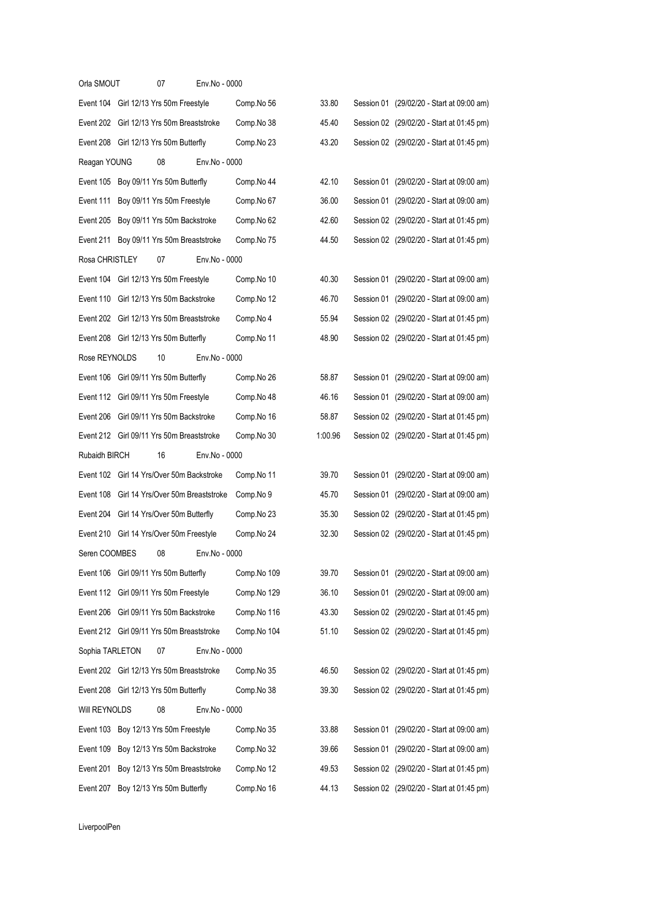| Orla SMOUT      | 07                                          | Env.No - 0000 |             |         |                                           |
|-----------------|---------------------------------------------|---------------|-------------|---------|-------------------------------------------|
|                 | Event 104 Girl 12/13 Yrs 50m Freestyle      |               | Comp.No 56  | 33.80   | Session 01 (29/02/20 - Start at 09:00 am) |
|                 | Event 202 Girl 12/13 Yrs 50m Breaststroke   |               | Comp.No 38  | 45.40   | Session 02 (29/02/20 - Start at 01:45 pm) |
|                 | Event 208 Girl 12/13 Yrs 50m Butterfly      |               | Comp.No 23  | 43.20   | Session 02 (29/02/20 - Start at 01:45 pm) |
| Reagan YOUNG    | 08                                          | Env.No - 0000 |             |         |                                           |
|                 | Event 105 Boy 09/11 Yrs 50m Butterfly       |               | Comp.No 44  | 42.10   | Session 01 (29/02/20 - Start at 09:00 am) |
| Event 111       | Boy 09/11 Yrs 50m Freestyle                 |               | Comp.No 67  | 36.00   | Session 01 (29/02/20 - Start at 09:00 am) |
|                 | Event 205 Boy 09/11 Yrs 50m Backstroke      |               | Comp.No 62  | 42.60   | Session 02 (29/02/20 - Start at 01:45 pm) |
| Event 211       | Boy 09/11 Yrs 50m Breaststroke              |               | Comp.No 75  | 44.50   | Session 02 (29/02/20 - Start at 01:45 pm) |
| Rosa CHRISTLEY  | 07                                          | Env.No - 0000 |             |         |                                           |
|                 | Event 104 Girl 12/13 Yrs 50m Freestyle      |               | Comp.No 10  | 40.30   | Session 01 (29/02/20 - Start at 09:00 am) |
|                 | Event 110 Girl 12/13 Yrs 50m Backstroke     |               | Comp.No 12  | 46.70   | Session 01 (29/02/20 - Start at 09:00 am) |
|                 | Event 202 Girl 12/13 Yrs 50m Breaststroke   |               | Comp.No 4   | 55.94   | Session 02 (29/02/20 - Start at 01:45 pm) |
|                 | Event 208 Girl 12/13 Yrs 50m Butterfly      |               | Comp.No 11  | 48.90   | Session 02 (29/02/20 - Start at 01:45 pm) |
| Rose REYNOLDS   | 10                                          | Env.No - 0000 |             |         |                                           |
|                 | Event 106 Girl 09/11 Yrs 50m Butterfly      |               | Comp.No 26  | 58.87   | Session 01 (29/02/20 - Start at 09:00 am) |
|                 | Event 112 Girl 09/11 Yrs 50m Freestyle      |               | Comp.No 48  | 46.16   | Session 01 (29/02/20 - Start at 09:00 am) |
|                 | Event 206 Girl 09/11 Yrs 50m Backstroke     |               | Comp.No 16  | 58.87   | Session 02 (29/02/20 - Start at 01:45 pm) |
|                 | Event 212 Girl 09/11 Yrs 50m Breaststroke   |               | Comp.No 30  | 1:00.96 | Session 02 (29/02/20 - Start at 01:45 pm) |
| Rubaidh BIRCH   | 16                                          | Env.No - 0000 |             |         |                                           |
|                 | Event 102 Girl 14 Yrs/Over 50m Backstroke   |               | Comp.No 11  | 39.70   | Session 01 (29/02/20 - Start at 09:00 am) |
|                 | Event 108 Girl 14 Yrs/Over 50m Breaststroke |               | Comp.No 9   | 45.70   | Session 01 (29/02/20 - Start at 09:00 am) |
|                 | Event 204 Girl 14 Yrs/Over 50m Butterfly    |               | Comp.No 23  | 35.30   | Session 02 (29/02/20 - Start at 01:45 pm) |
|                 | Event 210 Girl 14 Yrs/Over 50m Freestyle    |               | Comp.No 24  | 32.30   | Session 02 (29/02/20 - Start at 01:45 pm) |
| Seren COOMBES   | 08                                          | Env.No - 0000 |             |         |                                           |
|                 | Event 106 Girl 09/11 Yrs 50m Butterfly      |               | Comp.No 109 | 39.70   | Session 01 (29/02/20 - Start at 09:00 am) |
|                 | Event 112 Girl 09/11 Yrs 50m Freestyle      |               | Comp.No 129 | 36.10   | Session 01 (29/02/20 - Start at 09:00 am) |
|                 | Event 206 Girl 09/11 Yrs 50m Backstroke     |               | Comp.No 116 | 43.30   | Session 02 (29/02/20 - Start at 01:45 pm) |
|                 | Event 212 Girl 09/11 Yrs 50m Breaststroke   |               | Comp.No 104 | 51.10   | Session 02 (29/02/20 - Start at 01:45 pm) |
| Sophia TARLETON | 07                                          | Env.No - 0000 |             |         |                                           |
|                 | Event 202 Girl 12/13 Yrs 50m Breaststroke   |               | Comp.No 35  | 46.50   | Session 02 (29/02/20 - Start at 01:45 pm) |
|                 | Event 208 Girl 12/13 Yrs 50m Butterfly      |               | Comp.No 38  | 39.30   | Session 02 (29/02/20 - Start at 01:45 pm) |
| Will REYNOLDS   | 08                                          | Env.No - 0000 |             |         |                                           |
|                 | Event 103 Boy 12/13 Yrs 50m Freestyle       |               | Comp.No 35  | 33.88   | Session 01 (29/02/20 - Start at 09:00 am) |
| Event 109       | Boy 12/13 Yrs 50m Backstroke                |               | Comp.No 32  | 39.66   | Session 01 (29/02/20 - Start at 09:00 am) |
| Event 201       | Boy 12/13 Yrs 50m Breaststroke              |               | Comp.No 12  | 49.53   | Session 02 (29/02/20 - Start at 01:45 pm) |
| Event 207       | Boy 12/13 Yrs 50m Butterfly                 |               | Comp.No 16  | 44.13   | Session 02 (29/02/20 - Start at 01:45 pm) |

LiverpoolPen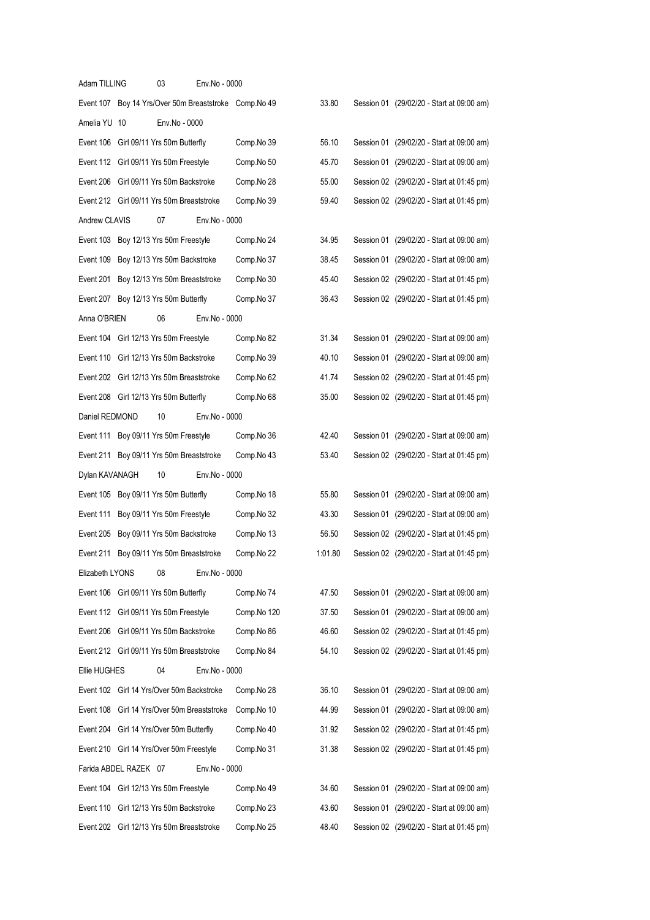| Adam TILLING          | 03                                          | Env.No - 0000 |                                                        |         |                                           |
|-----------------------|---------------------------------------------|---------------|--------------------------------------------------------|---------|-------------------------------------------|
|                       |                                             |               | Event 107 Boy 14 Yrs/Over 50m Breaststroke Comp. No 49 | 33.80   | Session 01 (29/02/20 - Start at 09:00 am) |
| Amelia YU 10          | Env.No - 0000                               |               |                                                        |         |                                           |
|                       | Event 106 Girl 09/11 Yrs 50m Butterfly      |               | Comp.No 39                                             | 56.10   | Session 01 (29/02/20 - Start at 09:00 am) |
|                       | Event 112 Girl 09/11 Yrs 50m Freestyle      |               | Comp.No 50                                             | 45.70   | Session 01 (29/02/20 - Start at 09:00 am) |
|                       | Event 206 Girl 09/11 Yrs 50m Backstroke     |               | Comp.No 28                                             | 55.00   | Session 02 (29/02/20 - Start at 01:45 pm) |
|                       | Event 212 Girl 09/11 Yrs 50m Breaststroke   |               | Comp.No 39                                             | 59.40   | Session 02 (29/02/20 - Start at 01:45 pm) |
| Andrew CLAVIS         | 07                                          | Env.No - 0000 |                                                        |         |                                           |
|                       | Event 103 Boy 12/13 Yrs 50m Freestyle       |               | Comp.No 24                                             | 34.95   | Session 01 (29/02/20 - Start at 09:00 am) |
|                       | Event 109 Boy 12/13 Yrs 50m Backstroke      |               | Comp.No 37                                             | 38.45   | Session 01 (29/02/20 - Start at 09:00 am) |
|                       | Event 201 Boy 12/13 Yrs 50m Breaststroke    |               | Comp.No 30                                             | 45.40   | Session 02 (29/02/20 - Start at 01:45 pm) |
|                       | Event 207 Boy 12/13 Yrs 50m Butterfly       |               | Comp.No 37                                             | 36.43   | Session 02 (29/02/20 - Start at 01:45 pm) |
| Anna O'BRIEN          | 06                                          | Env.No - 0000 |                                                        |         |                                           |
|                       | Event 104 Girl 12/13 Yrs 50m Freestyle      |               | Comp.No 82                                             | 31.34   | Session 01 (29/02/20 - Start at 09:00 am) |
|                       | Event 110 Girl 12/13 Yrs 50m Backstroke     |               | Comp.No 39                                             | 40.10   | Session 01 (29/02/20 - Start at 09:00 am) |
|                       | Event 202 Girl 12/13 Yrs 50m Breaststroke   |               | Comp.No 62                                             | 41.74   | Session 02 (29/02/20 - Start at 01:45 pm) |
|                       | Event 208 Girl 12/13 Yrs 50m Butterfly      |               | Comp.No 68                                             | 35.00   | Session 02 (29/02/20 - Start at 01:45 pm) |
| Daniel REDMOND        | 10                                          | Env.No - 0000 |                                                        |         |                                           |
|                       | Event 111 Boy 09/11 Yrs 50m Freestyle       |               | Comp.No 36                                             | 42.40   | Session 01 (29/02/20 - Start at 09:00 am) |
|                       | Event 211 Boy 09/11 Yrs 50m Breaststroke    |               | Comp.No 43                                             | 53.40   | Session 02 (29/02/20 - Start at 01:45 pm) |
| Dylan KAVANAGH        | 10                                          | Env.No - 0000 |                                                        |         |                                           |
|                       | Event 105 Boy 09/11 Yrs 50m Butterfly       |               | Comp.No 18                                             | 55.80   | Session 01 (29/02/20 - Start at 09:00 am) |
|                       | Event 111 Boy 09/11 Yrs 50m Freestyle       |               | Comp.No 32                                             | 43.30   | Session 01 (29/02/20 - Start at 09:00 am) |
|                       | Event 205 Boy 09/11 Yrs 50m Backstroke      |               | Comp.No 13                                             | 56.50   | Session 02 (29/02/20 - Start at 01:45 pm) |
|                       | Event 211 Boy 09/11 Yrs 50m Breaststroke    |               | Comp.No 22                                             | 1:01.80 | Session 02 (29/02/20 - Start at 01:45 pm) |
| Elizabeth LYONS       | 08                                          | Env.No - 0000 |                                                        |         |                                           |
|                       | Event 106 Girl 09/11 Yrs 50m Butterfly      |               | Comp.No 74                                             | 47.50   | Session 01 (29/02/20 - Start at 09:00 am) |
|                       | Event 112 Girl 09/11 Yrs 50m Freestyle      |               | Comp.No 120                                            | 37.50   | Session 01 (29/02/20 - Start at 09:00 am) |
|                       | Event 206 Girl 09/11 Yrs 50m Backstroke     |               | Comp.No 86                                             | 46.60   | Session 02 (29/02/20 - Start at 01:45 pm) |
|                       | Event 212 Girl 09/11 Yrs 50m Breaststroke   |               | Comp.No 84                                             | 54.10   | Session 02 (29/02/20 - Start at 01:45 pm) |
| Ellie HUGHES          | 04                                          | Env.No - 0000 |                                                        |         |                                           |
|                       | Event 102 Girl 14 Yrs/Over 50m Backstroke   |               | Comp.No 28                                             | 36.10   | Session 01 (29/02/20 - Start at 09:00 am) |
|                       | Event 108 Girl 14 Yrs/Over 50m Breaststroke |               | Comp.No 10                                             | 44.99   | Session 01 (29/02/20 - Start at 09:00 am) |
|                       | Event 204 Girl 14 Yrs/Over 50m Butterfly    |               | Comp.No 40                                             | 31.92   | Session 02 (29/02/20 - Start at 01:45 pm) |
|                       | Event 210 Girl 14 Yrs/Over 50m Freestyle    |               | Comp.No 31                                             | 31.38   | Session 02 (29/02/20 - Start at 01:45 pm) |
| Farida ABDEL RAZEK 07 |                                             | Env.No - 0000 |                                                        |         |                                           |
|                       | Event 104 Girl 12/13 Yrs 50m Freestyle      |               | Comp.No 49                                             | 34.60   | Session 01 (29/02/20 - Start at 09:00 am) |
|                       | Event 110 Girl 12/13 Yrs 50m Backstroke     |               | Comp.No 23                                             | 43.60   | Session 01 (29/02/20 - Start at 09:00 am) |
|                       | Event 202 Girl 12/13 Yrs 50m Breaststroke   |               | Comp.No 25                                             | 48.40   | Session 02 (29/02/20 - Start at 01:45 pm) |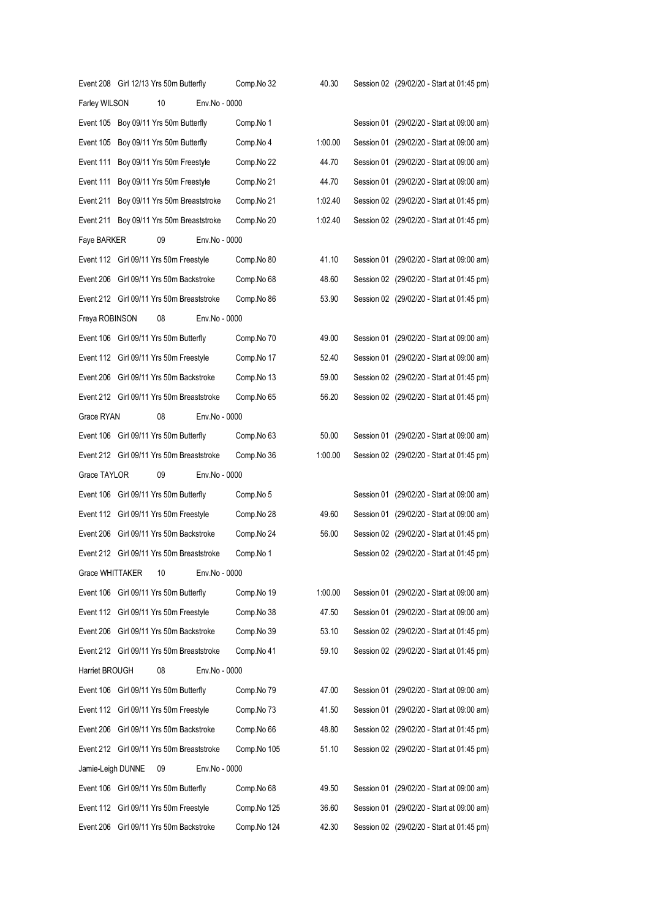|                   | Event 208 Girl 12/13 Yrs 50m Butterfly    |               | Comp.No 32  | 40.30   | Session 02 (29/02/20 - Start at 01:45 pm) |
|-------------------|-------------------------------------------|---------------|-------------|---------|-------------------------------------------|
| Farley WILSON     | 10                                        | Env.No - 0000 |             |         |                                           |
|                   | Event 105 Boy 09/11 Yrs 50m Butterfly     |               | Comp.No 1   |         | Session 01 (29/02/20 - Start at 09:00 am) |
| Event 105         | Boy 09/11 Yrs 50m Butterfly               |               | Comp.No 4   | 1:00.00 | Session 01 (29/02/20 - Start at 09:00 am) |
| Event 111         | Boy 09/11 Yrs 50m Freestyle               |               | Comp.No 22  | 44.70   | Session 01 (29/02/20 - Start at 09:00 am) |
| Event 111         | Boy 09/11 Yrs 50m Freestyle               |               | Comp.No 21  | 44.70   | Session 01 (29/02/20 - Start at 09:00 am) |
| Event 211         | Boy 09/11 Yrs 50m Breaststroke            |               | Comp.No 21  | 1:02.40 | Session 02 (29/02/20 - Start at 01:45 pm) |
| Event 211         | Boy 09/11 Yrs 50m Breaststroke            |               | Comp.No 20  | 1:02.40 | Session 02 (29/02/20 - Start at 01:45 pm) |
| Faye BARKER       | 09                                        | Env.No - 0000 |             |         |                                           |
|                   | Event 112 Girl 09/11 Yrs 50m Freestyle    |               | Comp.No 80  | 41.10   | Session 01 (29/02/20 - Start at 09:00 am) |
|                   | Event 206 Girl 09/11 Yrs 50m Backstroke   |               | Comp.No 68  | 48.60   | Session 02 (29/02/20 - Start at 01:45 pm) |
|                   | Event 212 Girl 09/11 Yrs 50m Breaststroke |               | Comp.No 86  | 53.90   | Session 02 (29/02/20 - Start at 01:45 pm) |
| Freya ROBINSON    | 08                                        | Env.No - 0000 |             |         |                                           |
|                   | Event 106 Girl 09/11 Yrs 50m Butterfly    |               | Comp.No 70  | 49.00   | Session 01 (29/02/20 - Start at 09:00 am) |
|                   | Event 112 Girl 09/11 Yrs 50m Freestyle    |               | Comp.No 17  | 52.40   | Session 01 (29/02/20 - Start at 09:00 am) |
| Event 206         | Girl 09/11 Yrs 50m Backstroke             |               | Comp.No 13  | 59.00   | Session 02 (29/02/20 - Start at 01:45 pm) |
|                   | Event 212 Girl 09/11 Yrs 50m Breaststroke |               | Comp.No 65  | 56.20   | Session 02 (29/02/20 - Start at 01:45 pm) |
| Grace RYAN        | 08                                        | Env.No - 0000 |             |         |                                           |
| Event 106         | Girl 09/11 Yrs 50m Butterfly              |               | Comp.No 63  | 50.00   | Session 01 (29/02/20 - Start at 09:00 am) |
|                   | Event 212 Girl 09/11 Yrs 50m Breaststroke |               | Comp.No 36  | 1:00.00 | Session 02 (29/02/20 - Start at 01:45 pm) |
| Grace TAYLOR      | 09                                        | Env.No - 0000 |             |         |                                           |
|                   | Event 106 Girl 09/11 Yrs 50m Butterfly    |               | Comp.No 5   |         | Session 01 (29/02/20 - Start at 09:00 am) |
|                   | Event 112 Girl 09/11 Yrs 50m Freestyle    |               | Comp.No 28  | 49.60   | Session 01 (29/02/20 - Start at 09:00 am) |
| Event 206         | Girl 09/11 Yrs 50m Backstroke             |               | Comp.No 24  | 56.00   | Session 02 (29/02/20 - Start at 01:45 pm) |
|                   | Event 212 Girl 09/11 Yrs 50m Breaststroke |               | Comp.No 1   |         | Session 02 (29/02/20 - Start at 01:45 pm) |
| Grace WHITTAKER   | $10$                                      | Env.No - 0000 |             |         |                                           |
|                   | Event 106 Girl 09/11 Yrs 50m Butterfly    |               | Comp.No 19  | 1:00.00 | Session 01 (29/02/20 - Start at 09:00 am) |
|                   | Event 112 Girl 09/11 Yrs 50m Freestyle    |               | Comp.No 38  | 47.50   | Session 01 (29/02/20 - Start at 09:00 am) |
|                   | Event 206 Girl 09/11 Yrs 50m Backstroke   |               | Comp.No 39  | 53.10   | Session 02 (29/02/20 - Start at 01:45 pm) |
|                   | Event 212 Girl 09/11 Yrs 50m Breaststroke |               | Comp.No 41  | 59.10   | Session 02 (29/02/20 - Start at 01:45 pm) |
| Harriet BROUGH    | 08                                        | Env.No - 0000 |             |         |                                           |
|                   | Event 106 Girl 09/11 Yrs 50m Butterfly    |               | Comp.No 79  | 47.00   | Session 01 (29/02/20 - Start at 09:00 am) |
|                   | Event 112 Girl 09/11 Yrs 50m Freestyle    |               | Comp.No 73  | 41.50   | Session 01 (29/02/20 - Start at 09:00 am) |
|                   | Event 206 Girl 09/11 Yrs 50m Backstroke   |               | Comp.No 66  | 48.80   | Session 02 (29/02/20 - Start at 01:45 pm) |
|                   | Event 212 Girl 09/11 Yrs 50m Breaststroke |               | Comp.No 105 | 51.10   | Session 02 (29/02/20 - Start at 01:45 pm) |
| Jamie-Leigh DUNNE | 09                                        | Env.No - 0000 |             |         |                                           |
|                   | Event 106 Girl 09/11 Yrs 50m Butterfly    |               | Comp.No 68  | 49.50   | Session 01 (29/02/20 - Start at 09:00 am) |
|                   | Event 112 Girl 09/11 Yrs 50m Freestyle    |               | Comp.No 125 | 36.60   | Session 01 (29/02/20 - Start at 09:00 am) |
| Event 206         | Girl 09/11 Yrs 50m Backstroke             |               | Comp.No 124 | 42.30   | Session 02 (29/02/20 - Start at 01:45 pm) |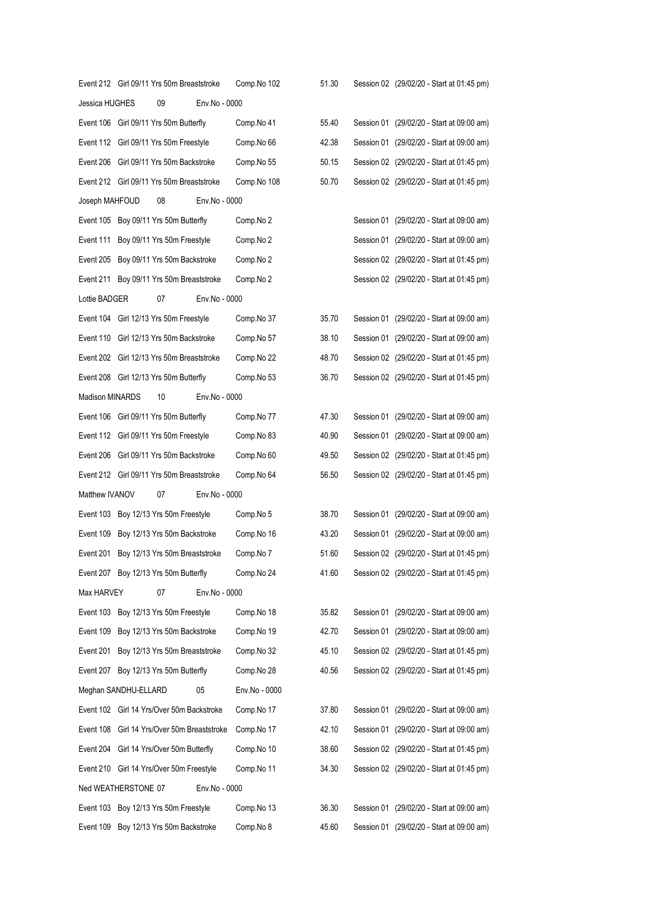|                      | Event 212 Girl 09/11 Yrs 50m Breaststroke |                                   | Comp.No 102   | 51.30 | Session 02 (29/02/20 - Start at 01:45 pm) |
|----------------------|-------------------------------------------|-----------------------------------|---------------|-------|-------------------------------------------|
| Jessica HUGHES       | 09                                        | Env.No - 0000                     |               |       |                                           |
|                      | Event 106 Girl 09/11 Yrs 50m Butterfly    |                                   | Comp.No 41    | 55.40 | Session 01 (29/02/20 - Start at 09:00 am) |
|                      | Event 112 Girl 09/11 Yrs 50m Freestyle    |                                   | Comp.No 66    | 42.38 | Session 01 (29/02/20 - Start at 09:00 am) |
|                      | Event 206 Girl 09/11 Yrs 50m Backstroke   |                                   | Comp.No 55    | 50.15 | Session 02 (29/02/20 - Start at 01:45 pm) |
|                      | Event 212 Girl 09/11 Yrs 50m Breaststroke |                                   | Comp.No 108   | 50.70 | Session 02 (29/02/20 - Start at 01:45 pm) |
| Joseph MAHFOUD       | 08                                        | Env.No - 0000                     |               |       |                                           |
|                      | Event 105 Boy 09/11 Yrs 50m Butterfly     |                                   | Comp.No 2     |       | Session 01 (29/02/20 - Start at 09:00 am) |
|                      | Event 111 Boy 09/11 Yrs 50m Freestyle     |                                   | Comp.No 2     |       | Session 01 (29/02/20 - Start at 09:00 am) |
|                      | Event 205 Boy 09/11 Yrs 50m Backstroke    |                                   | Comp.No 2     |       | Session 02 (29/02/20 - Start at 01:45 pm) |
|                      | Event 211 Boy 09/11 Yrs 50m Breaststroke  |                                   | Comp.No 2     |       | Session 02 (29/02/20 - Start at 01:45 pm) |
| Lottie BADGER        | 07                                        | Env.No - 0000                     |               |       |                                           |
|                      | Event 104 Girl 12/13 Yrs 50m Freestyle    |                                   | Comp.No 37    | 35.70 | Session 01 (29/02/20 - Start at 09:00 am) |
|                      | Event 110 Girl 12/13 Yrs 50m Backstroke   |                                   | Comp.No 57    | 38.10 | Session 01 (29/02/20 - Start at 09:00 am) |
|                      | Event 202 Girl 12/13 Yrs 50m Breaststroke |                                   | Comp.No 22    | 48.70 | Session 02 (29/02/20 - Start at 01:45 pm) |
|                      | Event 208 Girl 12/13 Yrs 50m Butterfly    |                                   | Comp.No 53    | 36.70 | Session 02 (29/02/20 - Start at 01:45 pm) |
| Madison MINARDS      | 10                                        | Env.No - 0000                     |               |       |                                           |
|                      | Event 106 Girl 09/11 Yrs 50m Butterfly    |                                   | Comp.No 77    | 47.30 | Session 01 (29/02/20 - Start at 09:00 am) |
|                      | Event 112 Girl 09/11 Yrs 50m Freestyle    |                                   | Comp.No 83    | 40.90 | Session 01 (29/02/20 - Start at 09:00 am) |
|                      | Event 206 Girl 09/11 Yrs 50m Backstroke   |                                   | Comp.No 60    | 49.50 | Session 02 (29/02/20 - Start at 01:45 pm) |
|                      | Event 212 Girl 09/11 Yrs 50m Breaststroke |                                   | Comp.No 64    | 56.50 | Session 02 (29/02/20 - Start at 01:45 pm) |
| Matthew IVANOV       | 07                                        | Env.No - 0000                     |               |       |                                           |
|                      | Event 103 Boy 12/13 Yrs 50m Freestyle     |                                   | Comp.No 5     | 38.70 | Session 01 (29/02/20 - Start at 09:00 am) |
|                      | Event 109 Boy 12/13 Yrs 50m Backstroke    |                                   | Comp.No 16    | 43.20 | Session 01 (29/02/20 - Start at 09:00 am) |
|                      | Event 201 Boy 12/13 Yrs 50m Breaststroke  |                                   | Comp.No 7     | 51.60 | Session 02 (29/02/20 - Start at 01:45 pm) |
|                      | Event 207 Boy 12/13 Yrs 50m Butterfly     |                                   | Comp.No 24    | 41.60 | Session 02 (29/02/20 - Start at 01:45 pm) |
| Max HARVEY           | 07                                        | Env.No - 0000                     |               |       |                                           |
|                      | Event 103 Boy 12/13 Yrs 50m Freestyle     |                                   | Comp.No 18    | 35.82 | Session 01 (29/02/20 - Start at 09:00 am) |
|                      | Event 109 Boy 12/13 Yrs 50m Backstroke    |                                   | Comp.No 19    | 42.70 | Session 01 (29/02/20 - Start at 09:00 am) |
| Event 201            | Boy 12/13 Yrs 50m Breaststroke            |                                   | Comp.No 32    | 45.10 | Session 02 (29/02/20 - Start at 01:45 pm) |
|                      | Event 207 Boy 12/13 Yrs 50m Butterfly     |                                   | Comp.No 28    | 40.56 | Session 02 (29/02/20 - Start at 01:45 pm) |
| Meghan SANDHU-ELLARD |                                           | 05                                | Env.No - 0000 |       |                                           |
|                      | Event 102 Girl 14 Yrs/Over 50m Backstroke |                                   | Comp.No 17    | 37.80 | Session 01 (29/02/20 - Start at 09:00 am) |
| Event 108            |                                           | Girl 14 Yrs/Over 50m Breaststroke | Comp.No 17    | 42.10 | Session 01 (29/02/20 - Start at 09:00 am) |
| Event 204            | Girl 14 Yrs/Over 50m Butterfly            |                                   | Comp.No 10    | 38.60 | Session 02 (29/02/20 - Start at 01:45 pm) |
|                      | Event 210 Girl 14 Yrs/Over 50m Freestyle  |                                   | Comp.No 11    | 34.30 | Session 02 (29/02/20 - Start at 01:45 pm) |
| Ned WEATHERSTONE 07  |                                           | Env.No - 0000                     |               |       |                                           |
|                      | Event 103 Boy 12/13 Yrs 50m Freestyle     |                                   | Comp.No 13    | 36.30 | Session 01 (29/02/20 - Start at 09:00 am) |
|                      | Event 109 Boy 12/13 Yrs 50m Backstroke    |                                   | Comp.No 8     | 45.60 | Session 01 (29/02/20 - Start at 09:00 am) |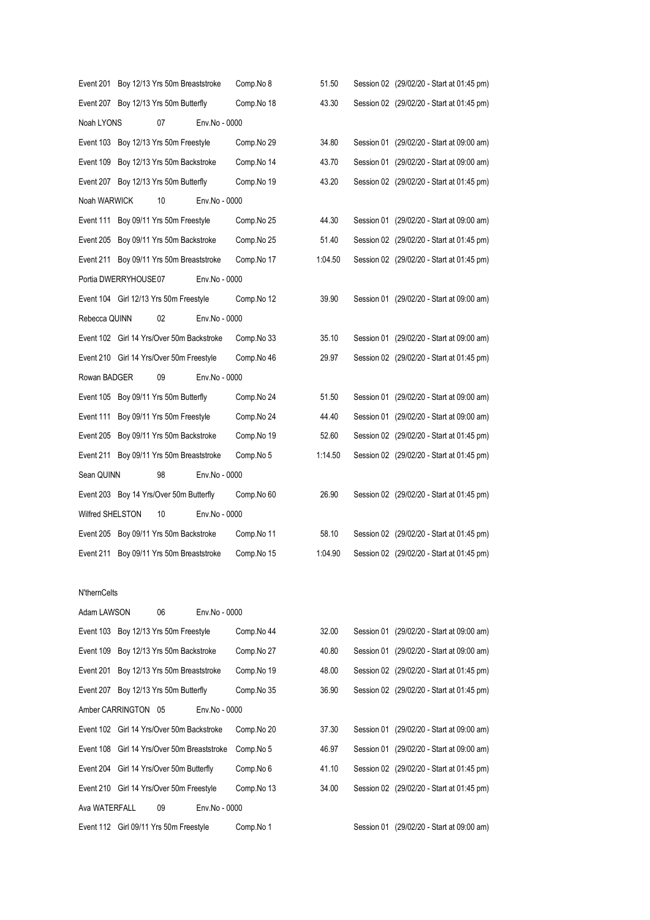|                  |                      | Event 201 Boy 12/13 Yrs 50m Breaststroke  |               | Comp.No 8  | 51.50   | Session 02 (29/02/20 - Start at 01:45 pm) |
|------------------|----------------------|-------------------------------------------|---------------|------------|---------|-------------------------------------------|
|                  |                      | Event 207 Boy 12/13 Yrs 50m Butterfly     |               | Comp.No 18 | 43.30   | Session 02 (29/02/20 - Start at 01:45 pm) |
| Noah LYONS       |                      | 07                                        | Env.No - 0000 |            |         |                                           |
|                  |                      | Event 103 Boy 12/13 Yrs 50m Freestyle     |               | Comp.No 29 | 34.80   | Session 01 (29/02/20 - Start at 09:00 am) |
|                  |                      | Event 109 Boy 12/13 Yrs 50m Backstroke    |               | Comp.No 14 | 43.70   | Session 01 (29/02/20 - Start at 09:00 am) |
|                  |                      | Event 207 Boy 12/13 Yrs 50m Butterfly     |               | Comp.No 19 | 43.20   | Session 02 (29/02/20 - Start at 01:45 pm) |
| Noah WARWICK     |                      | 10                                        | Env.No - 0000 |            |         |                                           |
|                  |                      | Event 111 Boy 09/11 Yrs 50m Freestyle     |               | Comp.No 25 | 44.30   | Session 01 (29/02/20 - Start at 09:00 am) |
|                  |                      | Event 205 Boy 09/11 Yrs 50m Backstroke    |               | Comp.No 25 | 51.40   | Session 02 (29/02/20 - Start at 01:45 pm) |
|                  |                      | Event 211 Boy 09/11 Yrs 50m Breaststroke  |               | Comp.No 17 | 1:04.50 | Session 02 (29/02/20 - Start at 01:45 pm) |
|                  | Portia DWERRYHOUSE07 |                                           | Env.No - 0000 |            |         |                                           |
|                  |                      | Event 104 Girl 12/13 Yrs 50m Freestyle    |               | Comp.No 12 | 39.90   | Session 01 (29/02/20 - Start at 09:00 am) |
| Rebecca QUINN    |                      | 02                                        | Env.No - 0000 |            |         |                                           |
|                  |                      | Event 102 Girl 14 Yrs/Over 50m Backstroke |               | Comp.No 33 | 35.10   | Session 01 (29/02/20 - Start at 09:00 am) |
|                  |                      | Event 210 Girl 14 Yrs/Over 50m Freestyle  |               | Comp.No 46 | 29.97   | Session 02 (29/02/20 - Start at 01:45 pm) |
| Rowan BADGER     |                      | 09                                        | Env.No - 0000 |            |         |                                           |
|                  |                      | Event 105 Boy 09/11 Yrs 50m Butterfly     |               | Comp.No 24 | 51.50   | Session 01 (29/02/20 - Start at 09:00 am) |
|                  |                      | Event 111 Boy 09/11 Yrs 50m Freestyle     |               | Comp.No 24 | 44.40   | Session 01 (29/02/20 - Start at 09:00 am) |
|                  |                      | Event 205 Boy 09/11 Yrs 50m Backstroke    |               | Comp.No 19 | 52.60   | Session 02 (29/02/20 - Start at 01:45 pm) |
|                  |                      | Event 211 Boy 09/11 Yrs 50m Breaststroke  |               | Comp.No 5  | 1:14.50 | Session 02 (29/02/20 - Start at 01:45 pm) |
| Sean QUINN       |                      | 98                                        | Env.No - 0000 |            |         |                                           |
|                  |                      | Event 203 Boy 14 Yrs/Over 50m Butterfly   |               | Comp.No 60 | 26.90   | Session 02 (29/02/20 - Start at 01:45 pm) |
| Wilfred SHELSTON |                      | 10                                        | Env.No - 0000 |            |         |                                           |
|                  |                      | Event 205 Boy 09/11 Yrs 50m Backstroke    |               | Comp.No 11 | 58.10   | Session 02 (29/02/20 - Start at 01:45 pm) |
|                  |                      | Event 211 Boy 09/11 Yrs 50m Breaststroke  |               | Comp.No 15 | 1:04.90 | Session 02 (29/02/20 - Start at 01:45 pm) |
|                  |                      |                                           |               |            |         |                                           |
| N'thernCelts     |                      |                                           |               |            |         |                                           |
| Adam LAWSON      |                      | 06                                        | Env.No - 0000 |            |         |                                           |
|                  |                      | Event 103 Boy 12/13 Yrs 50m Freestyle     |               | Comp.No 44 | 32.00   | Session 01 (29/02/20 - Start at 09:00 am) |
|                  |                      | Event 109 Boy 12/13 Yrs 50m Backstroke    |               | Comp.No 27 | 40.80   | Session 01 (29/02/20 - Start at 09:00 am) |

|               | Event 109 Boy 12/13 Yrs 50m Backstroke      | Comp.No 27 | 40.80 | Session 01 (29/02/20 - Start at 09:00 am) |
|---------------|---------------------------------------------|------------|-------|-------------------------------------------|
|               | Event 201 Boy 12/13 Yrs 50m Breaststroke    | Comp.No 19 | 48.00 | Session 02 (29/02/20 - Start at 01:45 pm) |
|               | Event 207 Boy 12/13 Yrs 50m Butterfly       | Comp.No 35 | 36.90 | Session 02 (29/02/20 - Start at 01:45 pm) |
|               | Amber CARRINGTON 05<br>Env.No - 0000        |            |       |                                           |
|               | Event 102 Girl 14 Yrs/Over 50m Backstroke   | Comp.No 20 | 37.30 | Session 01 (29/02/20 - Start at 09:00 am) |
|               | Event 108 Girl 14 Yrs/Over 50m Breaststroke | Comp.No 5  | 46.97 | Session 01 (29/02/20 - Start at 09:00 am) |
|               | Event 204 Girl 14 Yrs/Over 50m Butterfly    | Comp.No 6  | 41.10 | Session 02 (29/02/20 - Start at 01:45 pm) |
|               | Event 210 Girl 14 Yrs/Over 50m Freestyle    | Comp.No 13 | 34.00 | Session 02 (29/02/20 - Start at 01:45 pm) |
| Ava WATERFALL | 09<br>Env.No - 0000                         |            |       |                                           |
|               | Event 112 Girl 09/11 Yrs 50m Freestyle      | Comp.No 1  |       | Session 01 (29/02/20 - Start at 09:00 am) |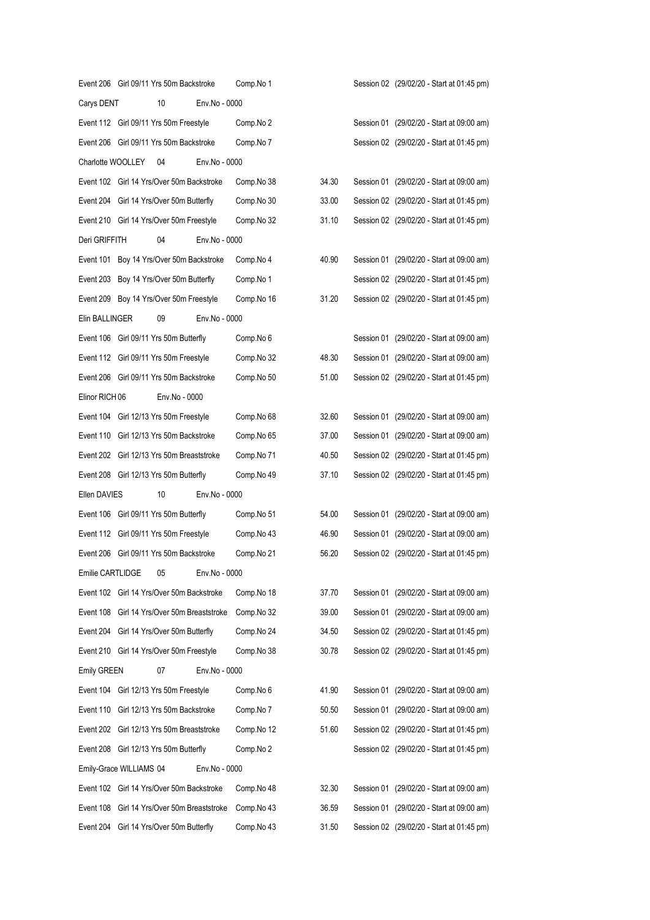|                    |                         | Event 206 Girl 09/11 Yrs 50m Backstroke     |               | Comp.No 1  |       |  | Session 02 (29/02/20 - Start at 01:45 pm) |
|--------------------|-------------------------|---------------------------------------------|---------------|------------|-------|--|-------------------------------------------|
| Carys DENT         |                         | 10                                          | Env.No - 0000 |            |       |  |                                           |
|                    |                         | Event 112 Girl 09/11 Yrs 50m Freestyle      |               | Comp.No 2  |       |  | Session 01 (29/02/20 - Start at 09:00 am) |
|                    |                         | Event 206 Girl 09/11 Yrs 50m Backstroke     |               | Comp.No 7  |       |  | Session 02 (29/02/20 - Start at 01:45 pm) |
| Charlotte WOOLLEY  |                         | 04                                          | Env.No - 0000 |            |       |  |                                           |
|                    |                         | Event 102 Girl 14 Yrs/Over 50m Backstroke   |               | Comp.No 38 | 34.30 |  | Session 01 (29/02/20 - Start at 09:00 am) |
|                    |                         | Event 204 Girl 14 Yrs/Over 50m Butterfly    |               | Comp.No 30 | 33.00 |  | Session 02 (29/02/20 - Start at 01:45 pm) |
|                    |                         | Event 210 Girl 14 Yrs/Over 50m Freestyle    |               | Comp.No 32 | 31.10 |  | Session 02 (29/02/20 - Start at 01:45 pm) |
| Deri GRIFFITH      |                         | 04                                          | Env.No - 0000 |            |       |  |                                           |
|                    |                         | Event 101 Boy 14 Yrs/Over 50m Backstroke    |               | Comp.No 4  | 40.90 |  | Session 01 (29/02/20 - Start at 09:00 am) |
|                    |                         | Event 203 Boy 14 Yrs/Over 50m Butterfly     |               | Comp.No 1  |       |  | Session 02 (29/02/20 - Start at 01:45 pm) |
|                    |                         | Event 209 Boy 14 Yrs/Over 50m Freestyle     |               | Comp.No 16 | 31.20 |  | Session 02 (29/02/20 - Start at 01:45 pm) |
| Elin BALLINGER     |                         | 09                                          | Env.No - 0000 |            |       |  |                                           |
|                    |                         | Event 106 Girl 09/11 Yrs 50m Butterfly      |               | Comp.No 6  |       |  | Session 01 (29/02/20 - Start at 09:00 am) |
|                    |                         | Event 112 Girl 09/11 Yrs 50m Freestyle      |               | Comp.No 32 | 48.30 |  | Session 01 (29/02/20 - Start at 09:00 am) |
|                    |                         | Event 206 Girl 09/11 Yrs 50m Backstroke     |               | Comp.No 50 | 51.00 |  | Session 02 (29/02/20 - Start at 01:45 pm) |
| Elinor RICH 06     |                         | Env.No - 0000                               |               |            |       |  |                                           |
|                    |                         | Event 104 Girl 12/13 Yrs 50m Freestyle      |               | Comp.No 68 | 32.60 |  | Session 01 (29/02/20 - Start at 09:00 am) |
|                    |                         | Event 110 Girl 12/13 Yrs 50m Backstroke     |               | Comp.No 65 | 37.00 |  | Session 01 (29/02/20 - Start at 09:00 am) |
|                    |                         | Event 202 Girl 12/13 Yrs 50m Breaststroke   |               | Comp.No 71 | 40.50 |  | Session 02 (29/02/20 - Start at 01:45 pm) |
|                    |                         | Event 208 Girl 12/13 Yrs 50m Butterfly      |               | Comp.No 49 | 37.10 |  | Session 02 (29/02/20 - Start at 01:45 pm) |
| Ellen DAVIES       |                         | 10                                          | Env.No - 0000 |            |       |  |                                           |
|                    |                         | Event 106 Girl 09/11 Yrs 50m Butterfly      |               | Comp.No 51 | 54.00 |  | Session 01 (29/02/20 - Start at 09:00 am) |
|                    |                         | Event 112 Girl 09/11 Yrs 50m Freestyle      |               | Comp.No 43 | 46.90 |  | Session 01 (29/02/20 - Start at 09:00 am) |
|                    |                         | Event 206 Girl 09/11 Yrs 50m Backstroke     |               | Comp.No 21 | 56.20 |  | Session 02 (29/02/20 - Start at 01:45 pm) |
| Emilie CARTLIDGE   |                         | 05                                          | Env.No - 0000 |            |       |  |                                           |
|                    |                         | Event 102 Girl 14 Yrs/Over 50m Backstroke   |               | Comp.No 18 | 37.70 |  | Session 01 (29/02/20 - Start at 09:00 am) |
|                    |                         | Event 108 Girl 14 Yrs/Over 50m Breaststroke |               | Comp.No 32 | 39.00 |  | Session 01 (29/02/20 - Start at 09:00 am) |
|                    |                         | Event 204 Girl 14 Yrs/Over 50m Butterfly    |               | Comp.No 24 | 34.50 |  | Session 02 (29/02/20 - Start at 01:45 pm) |
|                    |                         | Event 210 Girl 14 Yrs/Over 50m Freestyle    |               | Comp.No 38 | 30.78 |  | Session 02 (29/02/20 - Start at 01:45 pm) |
| <b>Emily GREEN</b> |                         | 07                                          | Env.No - 0000 |            |       |  |                                           |
| Event 104          |                         | Girl 12/13 Yrs 50m Freestyle                |               | Comp.No 6  | 41.90 |  | Session 01 (29/02/20 - Start at 09:00 am) |
|                    |                         | Event 110 Girl 12/13 Yrs 50m Backstroke     |               | Comp.No 7  | 50.50 |  | Session 01 (29/02/20 - Start at 09:00 am) |
|                    |                         | Event 202 Girl 12/13 Yrs 50m Breaststroke   |               | Comp.No 12 | 51.60 |  | Session 02 (29/02/20 - Start at 01:45 pm) |
|                    |                         | Event 208 Girl 12/13 Yrs 50m Butterfly      |               | Comp.No 2  |       |  | Session 02 (29/02/20 - Start at 01:45 pm) |
|                    | Emily-Grace WILLIAMS 04 |                                             | Env.No - 0000 |            |       |  |                                           |
|                    |                         | Event 102 Girl 14 Yrs/Over 50m Backstroke   |               | Comp.No 48 | 32.30 |  | Session 01 (29/02/20 - Start at 09:00 am) |
| Event 108          |                         | Girl 14 Yrs/Over 50m Breaststroke           |               | Comp.No 43 | 36.59 |  | Session 01 (29/02/20 - Start at 09:00 am) |
| Event 204          |                         | Girl 14 Yrs/Over 50m Butterfly              |               | Comp.No 43 | 31.50 |  | Session 02 (29/02/20 - Start at 01:45 pm) |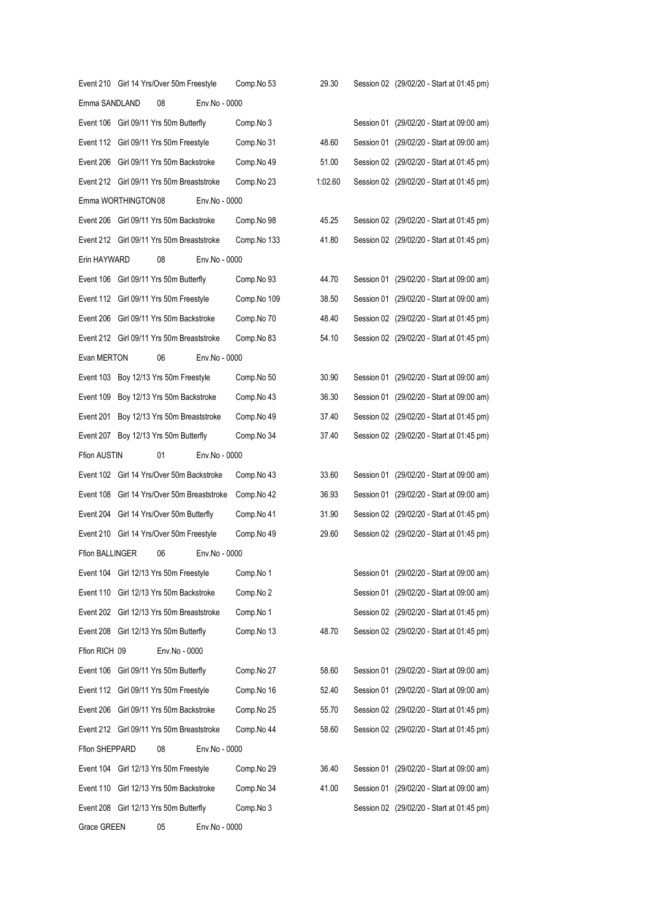|                        | Event 210 Girl 14 Yrs/Over 50m Freestyle    |               | Comp.No 53  | 29.30   | Session 02 (29/02/20 - Start at 01:45 pm) |
|------------------------|---------------------------------------------|---------------|-------------|---------|-------------------------------------------|
| Emma SANDLAND          | 08                                          | Env.No - 0000 |             |         |                                           |
|                        | Event 106 Girl 09/11 Yrs 50m Butterfly      |               | Comp.No 3   |         | Session 01 (29/02/20 - Start at 09:00 am) |
|                        | Event 112 Girl 09/11 Yrs 50m Freestyle      |               | Comp.No 31  | 48.60   | Session 01 (29/02/20 - Start at 09:00 am) |
|                        | Event 206 Girl 09/11 Yrs 50m Backstroke     |               | Comp.No 49  | 51.00   | Session 02 (29/02/20 - Start at 01:45 pm) |
|                        | Event 212 Girl 09/11 Yrs 50m Breaststroke   |               | Comp.No 23  | 1:02.60 | Session 02 (29/02/20 - Start at 01:45 pm) |
| Emma WORTHINGTON 08    |                                             | Env.No - 0000 |             |         |                                           |
|                        | Event 206 Girl 09/11 Yrs 50m Backstroke     |               | Comp.No 98  | 45.25   | Session 02 (29/02/20 - Start at 01:45 pm) |
|                        | Event 212 Girl 09/11 Yrs 50m Breaststroke   |               | Comp.No 133 | 41.80   | Session 02 (29/02/20 - Start at 01:45 pm) |
| Erin HAYWARD           | 08                                          | Env.No - 0000 |             |         |                                           |
|                        | Event 106 Girl 09/11 Yrs 50m Butterfly      |               | Comp.No 93  | 44.70   | Session 01 (29/02/20 - Start at 09:00 am) |
|                        | Event 112 Girl 09/11 Yrs 50m Freestyle      |               | Comp.No 109 | 38.50   | Session 01 (29/02/20 - Start at 09:00 am) |
|                        | Event 206 Girl 09/11 Yrs 50m Backstroke     |               | Comp.No 70  | 48.40   | Session 02 (29/02/20 - Start at 01:45 pm) |
|                        | Event 212 Girl 09/11 Yrs 50m Breaststroke   |               | Comp.No 83  | 54.10   | Session 02 (29/02/20 - Start at 01:45 pm) |
| Evan MERTON            | 06                                          | Env.No - 0000 |             |         |                                           |
|                        | Event 103 Boy 12/13 Yrs 50m Freestyle       |               | Comp.No 50  | 30.90   | Session 01 (29/02/20 - Start at 09:00 am) |
|                        | Event 109 Boy 12/13 Yrs 50m Backstroke      |               | Comp.No 43  | 36.30   | Session 01 (29/02/20 - Start at 09:00 am) |
| Event 201              | Boy 12/13 Yrs 50m Breaststroke              |               | Comp.No 49  | 37.40   | Session 02 (29/02/20 - Start at 01:45 pm) |
|                        | Event 207 Boy 12/13 Yrs 50m Butterfly       |               | Comp.No 34  | 37.40   | Session 02 (29/02/20 - Start at 01:45 pm) |
| <b>Ffion AUSTIN</b>    | 01                                          | Env.No - 0000 |             |         |                                           |
|                        | Event 102 Girl 14 Yrs/Over 50m Backstroke   |               | Comp.No 43  | 33.60   | Session 01 (29/02/20 - Start at 09:00 am) |
|                        | Event 108 Girl 14 Yrs/Over 50m Breaststroke |               | Comp.No 42  | 36.93   | Session 01 (29/02/20 - Start at 09:00 am) |
|                        | Event 204 Girl 14 Yrs/Over 50m Butterfly    |               | Comp.No 41  | 31.90   | Session 02 (29/02/20 - Start at 01:45 pm) |
|                        | Event 210 Girl 14 Yrs/Over 50m Freestyle    |               | Comp.No 49  | 29.60   | Session 02 (29/02/20 - Start at 01:45 pm) |
| <b>Ffion BALLINGER</b> | 06                                          | Env.No - 0000 |             |         |                                           |
| Event 104              | Girl 12/13 Yrs 50m Freestyle                |               | Comp.No 1   |         | Session 01 (29/02/20 - Start at 09:00 am) |
| Event 110              | Girl 12/13 Yrs 50m Backstroke               |               | Comp.No 2   |         | Session 01 (29/02/20 - Start at 09:00 am) |
| Event 202              | Girl 12/13 Yrs 50m Breaststroke             |               | Comp.No 1   |         | Session 02 (29/02/20 - Start at 01:45 pm) |
| Event 208              | Girl 12/13 Yrs 50m Butterfly                |               | Comp.No 13  | 48.70   | Session 02 (29/02/20 - Start at 01:45 pm) |
| Ffion RICH 09          | Env.No - 0000                               |               |             |         |                                           |
| Event 106              | Girl 09/11 Yrs 50m Butterfly                |               | Comp.No 27  | 58.60   | Session 01 (29/02/20 - Start at 09:00 am) |
| Event 112              | Girl 09/11 Yrs 50m Freestyle                |               | Comp.No 16  | 52.40   | Session 01 (29/02/20 - Start at 09:00 am) |
| Event 206              | Girl 09/11 Yrs 50m Backstroke               |               | Comp.No 25  | 55.70   | Session 02 (29/02/20 - Start at 01:45 pm) |
| Event 212              | Girl 09/11 Yrs 50m Breaststroke             |               | Comp.No 44  | 58.60   | Session 02 (29/02/20 - Start at 01:45 pm) |
| Ffion SHEPPARD         | 08                                          | Env.No - 0000 |             |         |                                           |
| Event 104              | Girl 12/13 Yrs 50m Freestyle                |               | Comp.No 29  | 36.40   | Session 01 (29/02/20 - Start at 09:00 am) |
| Event 110              | Girl 12/13 Yrs 50m Backstroke               |               | Comp.No 34  | 41.00   | Session 01 (29/02/20 - Start at 09:00 am) |
| Event 208              | Girl 12/13 Yrs 50m Butterfly                |               | Comp.No 3   |         | Session 02 (29/02/20 - Start at 01:45 pm) |
| Grace GREEN            | 05                                          | Env.No - 0000 |             |         |                                           |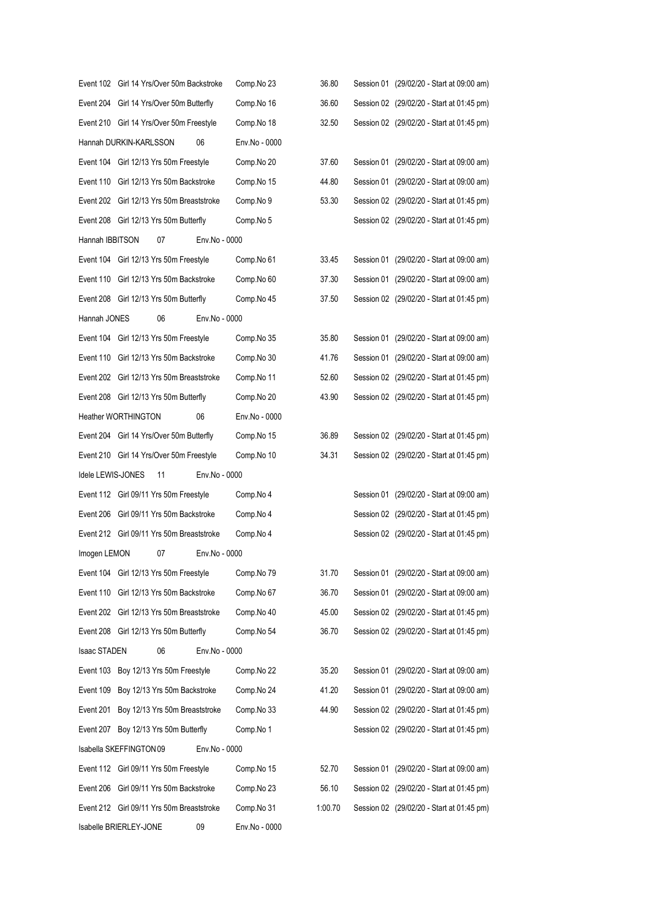| Imogen LEMON      | Event 212 Girl 09/11 Yrs 50m Breaststroke<br>07<br>Event 104 Girl 12/13 Yrs 50m Freestyle | Env.No - 0000 | Comp.No 4<br>Comp.No 4<br>Comp.No 79 | 31.70 | Session 02 (29/02/20 - Start at 01:45 pm)<br>Session 02 (29/02/20 - Start at 01:45 pm)<br>Session 01 (29/02/20 - Start at 09:00 am) |
|-------------------|-------------------------------------------------------------------------------------------|---------------|--------------------------------------|-------|-------------------------------------------------------------------------------------------------------------------------------------|
|                   |                                                                                           |               |                                      |       |                                                                                                                                     |
|                   |                                                                                           |               |                                      |       |                                                                                                                                     |
|                   |                                                                                           |               |                                      |       |                                                                                                                                     |
|                   | Event 206 Girl 09/11 Yrs 50m Backstroke                                                   |               |                                      |       |                                                                                                                                     |
|                   | Event 112 Girl 09/11 Yrs 50m Freestyle                                                    |               | Comp.No 4                            |       | Session 01 (29/02/20 - Start at 09:00 am)                                                                                           |
| Idele LEWIS-JONES | 11                                                                                        | Env.No - 0000 |                                      |       |                                                                                                                                     |
|                   |                                                                                           |               |                                      |       |                                                                                                                                     |
|                   | Event 210 Girl 14 Yrs/Over 50m Freestyle                                                  |               | Comp.No 10                           | 34.31 | Session 02 (29/02/20 - Start at 01:45 pm)                                                                                           |
|                   | Event 204 Girl 14 Yrs/Over 50m Butterfly                                                  |               | Comp.No 15                           | 36.89 | Session 02 (29/02/20 - Start at 01:45 pm)                                                                                           |
|                   | <b>Heather WORTHINGTON</b>                                                                | 06            | Env.No - 0000                        |       |                                                                                                                                     |
|                   | Event 208 Girl 12/13 Yrs 50m Butterfly                                                    |               | Comp.No 20                           | 43.90 | Session 02 (29/02/20 - Start at 01:45 pm)                                                                                           |
|                   | Event 202 Girl 12/13 Yrs 50m Breaststroke                                                 |               | Comp.No 11                           | 52.60 | Session 02 (29/02/20 - Start at 01:45 pm)                                                                                           |
|                   | Event 110 Girl 12/13 Yrs 50m Backstroke                                                   |               | Comp.No 30                           | 41.76 | Session 01 (29/02/20 - Start at 09:00 am)                                                                                           |
|                   |                                                                                           |               |                                      |       |                                                                                                                                     |
|                   | Event 104 Girl 12/13 Yrs 50m Freestyle                                                    |               | Comp.No 35                           | 35.80 | Session 01 (29/02/20 - Start at 09:00 am)                                                                                           |
| Hannah JONES      | 06                                                                                        | Env.No - 0000 |                                      |       |                                                                                                                                     |
|                   | Event 208 Girl 12/13 Yrs 50m Butterfly                                                    |               | Comp.No 45                           | 37.50 | Session 02 (29/02/20 - Start at 01:45 pm)                                                                                           |
|                   | Event 110 Girl 12/13 Yrs 50m Backstroke                                                   |               | Comp.No 60                           | 37.30 | Session 01 (29/02/20 - Start at 09:00 am)                                                                                           |
|                   | Event 104 Girl 12/13 Yrs 50m Freestyle                                                    |               | Comp.No 61                           | 33.45 | Session 01 (29/02/20 - Start at 09:00 am)                                                                                           |
| Hannah IBBITSON   | 07                                                                                        | Env.No - 0000 |                                      |       |                                                                                                                                     |
|                   | Event 208 Girl 12/13 Yrs 50m Butterfly                                                    |               | Comp.No 5                            |       | Session 02 (29/02/20 - Start at 01:45 pm)                                                                                           |
|                   | Event 202 Girl 12/13 Yrs 50m Breaststroke                                                 |               | Comp.No 9                            | 53.30 | Session 02 (29/02/20 - Start at 01:45 pm)                                                                                           |
|                   | Event 110 Girl 12/13 Yrs 50m Backstroke                                                   |               | Comp.No 15                           | 44.80 | Session 01 (29/02/20 - Start at 09:00 am)                                                                                           |
|                   | Event 104 Girl 12/13 Yrs 50m Freestyle                                                    |               | Comp.No 20                           | 37.60 | Session 01 (29/02/20 - Start at 09:00 am)                                                                                           |
|                   | Hannah DURKIN-KARLSSON                                                                    | 06            | Env.No - 0000                        |       |                                                                                                                                     |
|                   | Event 210 Girl 14 Yrs/Over 50m Freestyle                                                  |               | Comp.No 18                           | 32.50 | Session 02 (29/02/20 - Start at 01:45 pm)                                                                                           |
|                   | Event 204 Girl 14 Yrs/Over 50m Butterfly                                                  |               | Comp.No 16                           | 36.60 | Session 02 (29/02/20 - Start at 01:45 pm)                                                                                           |
|                   | Event 102 Girl 14 Yrs/Over 50m Backstroke                                                 |               | Comp.No 23                           | 36.80 | Session 01 (29/02/20 - Start at 09:00 am)                                                                                           |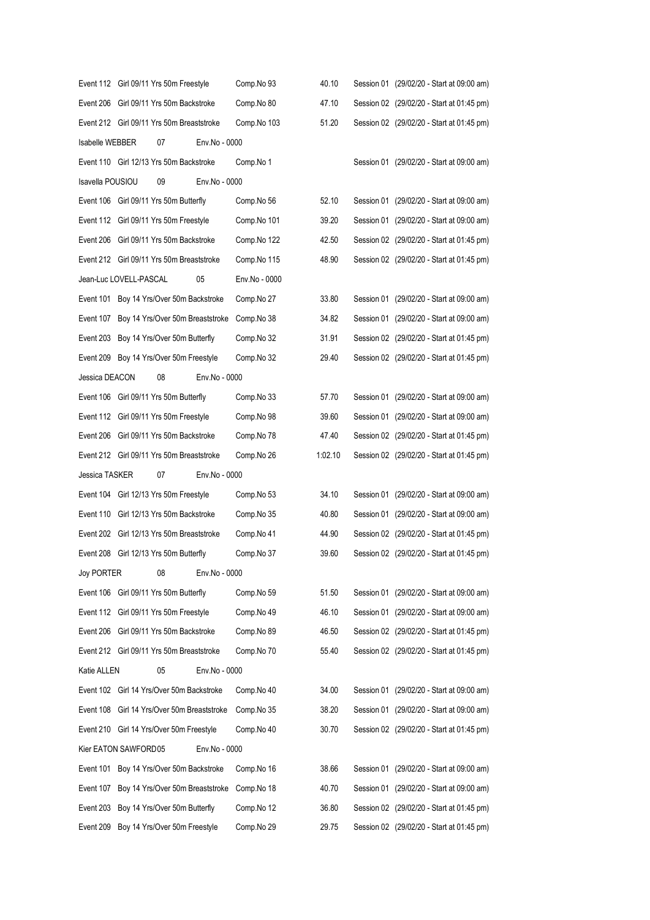|                  | Event 112 Girl 09/11 Yrs 50m Freestyle     |                                   |               | Comp.No 93    | 40.10   | Session 01 (29/02/20 - Start at 09:00 am) |
|------------------|--------------------------------------------|-----------------------------------|---------------|---------------|---------|-------------------------------------------|
|                  | Event 206 Girl 09/11 Yrs 50m Backstroke    |                                   |               | Comp.No 80    | 47.10   | Session 02 (29/02/20 - Start at 01:45 pm) |
|                  | Event 212 Girl 09/11 Yrs 50m Breaststroke  |                                   |               | Comp.No 103   | 51.20   | Session 02 (29/02/20 - Start at 01:45 pm) |
| Isabelle WEBBER  |                                            | 07                                | Env.No - 0000 |               |         |                                           |
|                  | Event 110 Girl 12/13 Yrs 50m Backstroke    |                                   |               | Comp.No 1     |         | Session 01 (29/02/20 - Start at 09:00 am) |
| Isavella POUSIOU |                                            | 09                                | Env.No - 0000 |               |         |                                           |
|                  | Event 106 Girl 09/11 Yrs 50m Butterfly     |                                   |               | Comp.No 56    | 52.10   | Session 01 (29/02/20 - Start at 09:00 am) |
|                  | Event 112 Girl 09/11 Yrs 50m Freestyle     |                                   |               | Comp.No 101   | 39.20   | Session 01 (29/02/20 - Start at 09:00 am) |
|                  | Event 206 Girl 09/11 Yrs 50m Backstroke    |                                   |               | Comp.No 122   | 42.50   | Session 02 (29/02/20 - Start at 01:45 pm) |
|                  | Event 212 Girl 09/11 Yrs 50m Breaststroke  |                                   |               | Comp.No 115   | 48.90   | Session 02 (29/02/20 - Start at 01:45 pm) |
|                  | Jean-Luc LOVELL-PASCAL                     |                                   | 05            | Env.No - 0000 |         |                                           |
|                  | Event 101 Boy 14 Yrs/Over 50m Backstroke   |                                   |               | Comp.No 27    | 33.80   | Session 01 (29/02/20 - Start at 09:00 am) |
|                  | Event 107 Boy 14 Yrs/Over 50m Breaststroke |                                   |               | Comp.No 38    | 34.82   | Session 01 (29/02/20 - Start at 09:00 am) |
|                  | Event 203 Boy 14 Yrs/Over 50m Butterfly    |                                   |               | Comp.No 32    | 31.91   | Session 02 (29/02/20 - Start at 01:45 pm) |
|                  | Event 209 Boy 14 Yrs/Over 50m Freestyle    |                                   |               | Comp.No 32    | 29.40   | Session 02 (29/02/20 - Start at 01:45 pm) |
| Jessica DEACON   |                                            | 08                                | Env.No - 0000 |               |         |                                           |
|                  | Event 106 Girl 09/11 Yrs 50m Butterfly     |                                   |               | Comp.No 33    | 57.70   | Session 01 (29/02/20 - Start at 09:00 am) |
|                  | Event 112 Girl 09/11 Yrs 50m Freestyle     |                                   |               | Comp.No 98    | 39.60   | Session 01 (29/02/20 - Start at 09:00 am) |
|                  | Event 206 Girl 09/11 Yrs 50m Backstroke    |                                   |               | Comp.No 78    | 47.40   | Session 02 (29/02/20 - Start at 01:45 pm) |
|                  | Event 212 Girl 09/11 Yrs 50m Breaststroke  |                                   |               | Comp.No 26    | 1:02.10 | Session 02 (29/02/20 - Start at 01:45 pm) |
| Jessica TASKER   |                                            | 07                                | Env.No - 0000 |               |         |                                           |
|                  | Event 104 Girl 12/13 Yrs 50m Freestyle     |                                   |               | Comp.No 53    | 34.10   | Session 01 (29/02/20 - Start at 09:00 am) |
|                  | Event 110 Girl 12/13 Yrs 50m Backstroke    |                                   |               | Comp.No 35    | 40.80   | Session 01 (29/02/20 - Start at 09:00 am) |
|                  | Event 202 Girl 12/13 Yrs 50m Breaststroke  |                                   |               | Comp.No 41    | 44.90   | Session 02 (29/02/20 - Start at 01:45 pm) |
|                  | Event 208 Girl 12/13 Yrs 50m Butterfly     |                                   |               | Comp.No 37    | 39.60   | Session 02 (29/02/20 - Start at 01:45 pm) |
| Joy PORTER       |                                            | 08                                | Env.No - 0000 |               |         |                                           |
|                  | Event 106 Girl 09/11 Yrs 50m Butterfly     |                                   |               | Comp.No 59    | 51.50   | Session 01 (29/02/20 - Start at 09:00 am) |
|                  | Event 112 Girl 09/11 Yrs 50m Freestyle     |                                   |               | Comp.No 49    | 46.10   | Session 01 (29/02/20 - Start at 09:00 am) |
| Event 206        |                                            | Girl 09/11 Yrs 50m Backstroke     |               | Comp.No 89    | 46.50   | Session 02 (29/02/20 - Start at 01:45 pm) |
|                  | Event 212 Girl 09/11 Yrs 50m Breaststroke  |                                   |               | Comp.No 70    | 55.40   | Session 02 (29/02/20 - Start at 01:45 pm) |
| Katie ALLEN      |                                            | 05                                | Env.No - 0000 |               |         |                                           |
|                  | Event 102 Girl 14 Yrs/Over 50m Backstroke  |                                   |               | Comp.No 40    | 34.00   | Session 01 (29/02/20 - Start at 09:00 am) |
| Event 108        |                                            | Girl 14 Yrs/Over 50m Breaststroke |               | Comp.No 35    | 38.20   | Session 01 (29/02/20 - Start at 09:00 am) |
|                  | Event 210 Girl 14 Yrs/Over 50m Freestyle   |                                   |               | Comp.No 40    | 30.70   | Session 02 (29/02/20 - Start at 01:45 pm) |
|                  | Kier EATON SAWFORD05                       |                                   | Env.No - 0000 |               |         |                                           |
| Event 101        |                                            | Boy 14 Yrs/Over 50m Backstroke    |               | Comp.No 16    | 38.66   | Session 01 (29/02/20 - Start at 09:00 am) |
| Event 107        |                                            | Boy 14 Yrs/Over 50m Breaststroke  |               | Comp.No 18    | 40.70   | Session 01 (29/02/20 - Start at 09:00 am) |
| Event 203        |                                            | Boy 14 Yrs/Over 50m Butterfly     |               | Comp.No 12    | 36.80   | Session 02 (29/02/20 - Start at 01:45 pm) |
| Event 209        |                                            | Boy 14 Yrs/Over 50m Freestyle     |               | Comp.No 29    | 29.75   | Session 02 (29/02/20 - Start at 01:45 pm) |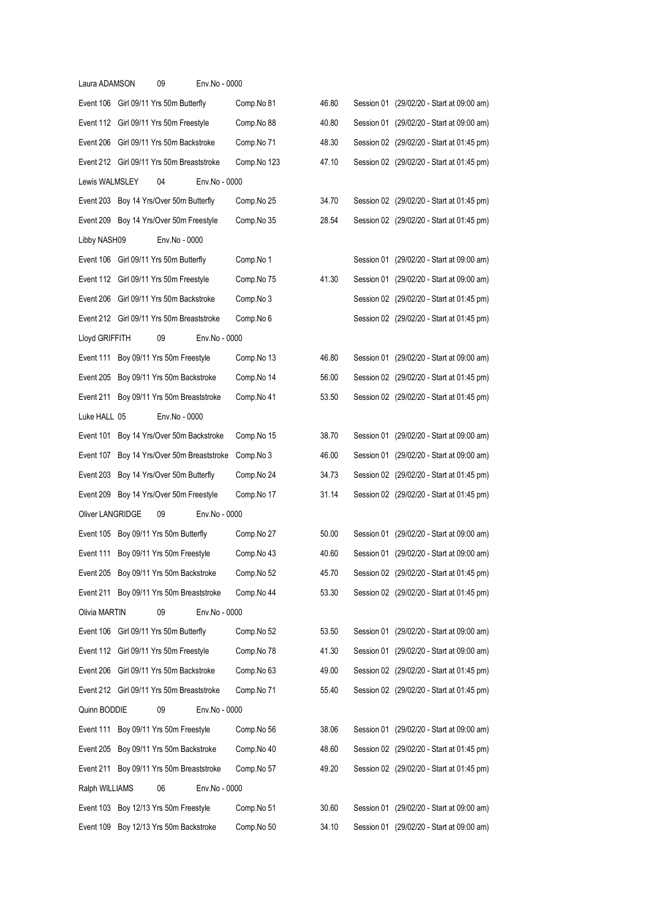| Laura ADAMSON    | 09                                        | Env.No - 0000 |             |       |                                           |
|------------------|-------------------------------------------|---------------|-------------|-------|-------------------------------------------|
|                  | Event 106 Girl 09/11 Yrs 50m Butterfly    |               | Comp.No 81  | 46.80 | Session 01 (29/02/20 - Start at 09:00 am) |
|                  | Event 112 Girl 09/11 Yrs 50m Freestyle    |               | Comp.No 88  | 40.80 | Session 01 (29/02/20 - Start at 09:00 am) |
|                  | Event 206 Girl 09/11 Yrs 50m Backstroke   |               | Comp.No 71  | 48.30 | Session 02 (29/02/20 - Start at 01:45 pm) |
|                  | Event 212 Girl 09/11 Yrs 50m Breaststroke |               | Comp.No 123 | 47.10 | Session 02 (29/02/20 - Start at 01:45 pm) |
| Lewis WALMSLEY   | 04                                        | Env.No - 0000 |             |       |                                           |
|                  | Event 203 Boy 14 Yrs/Over 50m Butterfly   |               | Comp.No 25  | 34.70 | Session 02 (29/02/20 - Start at 01:45 pm) |
|                  | Event 209 Boy 14 Yrs/Over 50m Freestyle   |               | Comp.No 35  | 28.54 | Session 02 (29/02/20 - Start at 01:45 pm) |
| Libby NASH09     | Env.No - 0000                             |               |             |       |                                           |
|                  | Event 106 Girl 09/11 Yrs 50m Butterfly    |               | Comp.No 1   |       | Session 01 (29/02/20 - Start at 09:00 am) |
|                  | Event 112 Girl 09/11 Yrs 50m Freestyle    |               | Comp.No 75  | 41.30 | Session 01 (29/02/20 - Start at 09:00 am) |
|                  | Event 206 Girl 09/11 Yrs 50m Backstroke   |               | Comp.No 3   |       | Session 02 (29/02/20 - Start at 01:45 pm) |
|                  | Event 212 Girl 09/11 Yrs 50m Breaststroke |               | Comp.No 6   |       | Session 02 (29/02/20 - Start at 01:45 pm) |
| Lloyd GRIFFITH   | 09                                        | Env.No - 0000 |             |       |                                           |
|                  | Event 111 Boy 09/11 Yrs 50m Freestyle     |               | Comp.No 13  | 46.80 | Session 01 (29/02/20 - Start at 09:00 am) |
|                  | Event 205 Boy 09/11 Yrs 50m Backstroke    |               | Comp.No 14  | 56.00 | Session 02 (29/02/20 - Start at 01:45 pm) |
| Event 211        | Boy 09/11 Yrs 50m Breaststroke            |               | Comp.No 41  | 53.50 | Session 02 (29/02/20 - Start at 01:45 pm) |
| Luke HALL 05     | Env.No - 0000                             |               |             |       |                                           |
|                  | Event 101 Boy 14 Yrs/Over 50m Backstroke  |               | Comp.No 15  | 38.70 | Session 01 (29/02/20 - Start at 09:00 am) |
| Event 107        | Boy 14 Yrs/Over 50m Breaststroke          |               | Comp.No 3   | 46.00 | Session 01 (29/02/20 - Start at 09:00 am) |
| Event 203        | Boy 14 Yrs/Over 50m Butterfly             |               | Comp.No 24  | 34.73 | Session 02 (29/02/20 - Start at 01:45 pm) |
|                  | Event 209 Boy 14 Yrs/Over 50m Freestyle   |               | Comp.No 17  | 31.14 | Session 02 (29/02/20 - Start at 01:45 pm) |
| Oliver LANGRIDGE | 09                                        | Env.No - 0000 |             |       |                                           |
|                  | Event 105 Boy 09/11 Yrs 50m Butterfly     |               | Comp.No 27  | 50.00 | Session 01 (29/02/20 - Start at 09:00 am) |
|                  | Event 111 Boy 09/11 Yrs 50m Freestyle     |               | Comp.No 43  | 40.60 | Session 01 (29/02/20 - Start at 09:00 am) |
|                  | Event 205 Boy 09/11 Yrs 50m Backstroke    |               | Comp.No 52  | 45.70 | Session 02 (29/02/20 - Start at 01:45 pm) |
|                  | Event 211 Boy 09/11 Yrs 50m Breaststroke  |               | Comp.No 44  | 53.30 | Session 02 (29/02/20 - Start at 01:45 pm) |
| Olivia MARTIN    | 09                                        | Env.No - 0000 |             |       |                                           |
|                  | Event 106 Girl 09/11 Yrs 50m Butterfly    |               | Comp.No 52  | 53.50 | Session 01 (29/02/20 - Start at 09:00 am) |
|                  | Event 112 Girl 09/11 Yrs 50m Freestyle    |               | Comp.No 78  | 41.30 | Session 01 (29/02/20 - Start at 09:00 am) |
|                  | Event 206 Girl 09/11 Yrs 50m Backstroke   |               | Comp.No 63  | 49.00 | Session 02 (29/02/20 - Start at 01:45 pm) |
|                  | Event 212 Girl 09/11 Yrs 50m Breaststroke |               | Comp.No 71  | 55.40 | Session 02 (29/02/20 - Start at 01:45 pm) |
| Quinn BODDIE     | 09                                        | Env.No - 0000 |             |       |                                           |
|                  | Event 111 Boy 09/11 Yrs 50m Freestyle     |               | Comp.No 56  | 38.06 | Session 01 (29/02/20 - Start at 09:00 am) |
|                  | Event 205 Boy 09/11 Yrs 50m Backstroke    |               | Comp.No 40  | 48.60 | Session 02 (29/02/20 - Start at 01:45 pm) |
|                  | Event 211 Boy 09/11 Yrs 50m Breaststroke  |               | Comp.No 57  | 49.20 | Session 02 (29/02/20 - Start at 01:45 pm) |
| Ralph WILLIAMS   | 06                                        | Env.No - 0000 |             |       |                                           |
|                  | Event 103 Boy 12/13 Yrs 50m Freestyle     |               | Comp.No 51  | 30.60 | Session 01 (29/02/20 - Start at 09:00 am) |
| Event 109        | Boy 12/13 Yrs 50m Backstroke              |               | Comp.No 50  | 34.10 | Session 01 (29/02/20 - Start at 09:00 am) |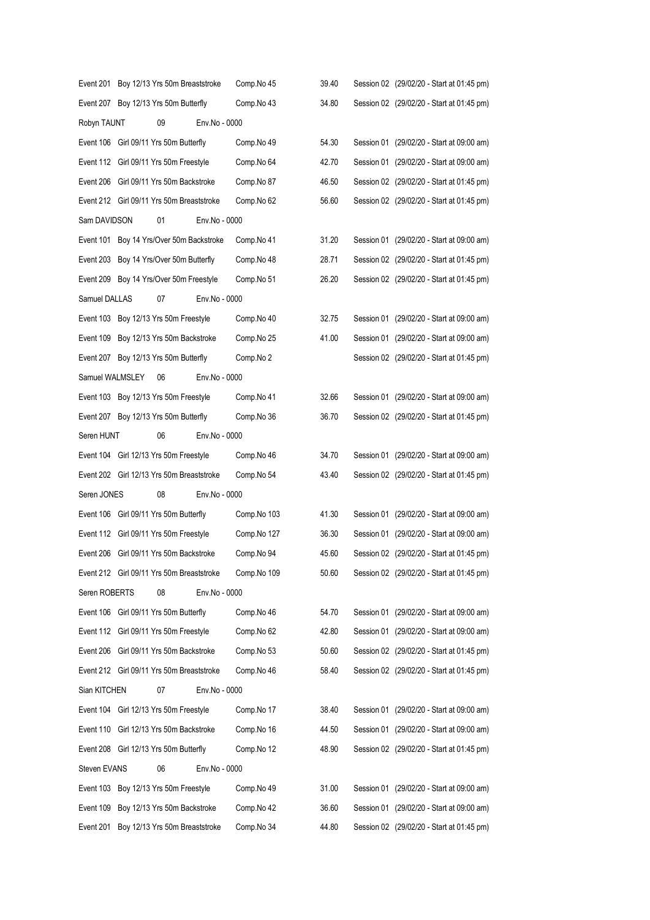|                 | Event 201 Boy 12/13 Yrs 50m Breaststroke  |               | Comp.No 45  | 39.40 | Session 02 (29/02/20 - Start at 01:45 pm) |
|-----------------|-------------------------------------------|---------------|-------------|-------|-------------------------------------------|
|                 | Event 207 Boy 12/13 Yrs 50m Butterfly     |               | Comp.No 43  | 34.80 | Session 02 (29/02/20 - Start at 01:45 pm) |
| Robyn TAUNT     | 09                                        | Env.No - 0000 |             |       |                                           |
|                 | Event 106 Girl 09/11 Yrs 50m Butterfly    |               | Comp.No 49  | 54.30 | Session 01 (29/02/20 - Start at 09:00 am) |
|                 | Event 112 Girl 09/11 Yrs 50m Freestyle    |               | Comp.No 64  | 42.70 | Session 01 (29/02/20 - Start at 09:00 am) |
|                 | Event 206 Girl 09/11 Yrs 50m Backstroke   |               | Comp.No 87  | 46.50 | Session 02 (29/02/20 - Start at 01:45 pm) |
|                 | Event 212 Girl 09/11 Yrs 50m Breaststroke |               | Comp.No 62  | 56.60 | Session 02 (29/02/20 - Start at 01:45 pm) |
| Sam DAVIDSON    | 01                                        | Env.No - 0000 |             |       |                                           |
|                 | Event 101 Boy 14 Yrs/Over 50m Backstroke  |               | Comp.No 41  | 31.20 | Session 01 (29/02/20 - Start at 09:00 am) |
|                 | Event 203 Boy 14 Yrs/Over 50m Butterfly   |               | Comp.No 48  | 28.71 | Session 02 (29/02/20 - Start at 01:45 pm) |
|                 | Event 209 Boy 14 Yrs/Over 50m Freestyle   |               | Comp.No 51  | 26.20 | Session 02 (29/02/20 - Start at 01:45 pm) |
| Samuel DALLAS   | 07                                        | Env.No - 0000 |             |       |                                           |
|                 | Event 103 Boy 12/13 Yrs 50m Freestyle     |               | Comp.No 40  | 32.75 | Session 01 (29/02/20 - Start at 09:00 am) |
|                 | Event 109 Boy 12/13 Yrs 50m Backstroke    |               | Comp.No 25  | 41.00 | Session 01 (29/02/20 - Start at 09:00 am) |
|                 | Event 207 Boy 12/13 Yrs 50m Butterfly     |               | Comp.No 2   |       | Session 02 (29/02/20 - Start at 01:45 pm) |
| Samuel WALMSLEY | 06                                        | Env.No - 0000 |             |       |                                           |
|                 | Event 103 Boy 12/13 Yrs 50m Freestyle     |               | Comp.No 41  | 32.66 | Session 01 (29/02/20 - Start at 09:00 am) |
|                 | Event 207 Boy 12/13 Yrs 50m Butterfly     |               | Comp.No 36  | 36.70 | Session 02 (29/02/20 - Start at 01:45 pm) |
| Seren HUNT      | 06                                        | Env.No - 0000 |             |       |                                           |
|                 | Event 104 Girl 12/13 Yrs 50m Freestyle    |               | Comp.No 46  | 34.70 | Session 01 (29/02/20 - Start at 09:00 am) |
|                 | Event 202 Girl 12/13 Yrs 50m Breaststroke |               | Comp.No 54  | 43.40 | Session 02 (29/02/20 - Start at 01:45 pm) |
| Seren JONES     | 08                                        | Env.No - 0000 |             |       |                                           |
|                 | Event 106 Girl 09/11 Yrs 50m Butterfly    |               | Comp.No 103 | 41.30 | Session 01 (29/02/20 - Start at 09:00 am) |
|                 | Event 112 Girl 09/11 Yrs 50m Freestyle    |               | Comp.No 127 | 36.30 | Session 01 (29/02/20 - Start at 09:00 am) |
|                 | Event 206 Girl 09/11 Yrs 50m Backstroke   |               | Comp.No 94  | 45.60 | Session 02 (29/02/20 - Start at 01:45 pm) |
|                 | Event 212 Girl 09/11 Yrs 50m Breaststroke |               | Comp.No 109 | 50.60 | Session 02 (29/02/20 - Start at 01:45 pm) |
| Seren ROBERTS   | 08                                        | Env.No - 0000 |             |       |                                           |
|                 | Event 106 Girl 09/11 Yrs 50m Butterfly    |               | Comp.No 46  | 54.70 | Session 01 (29/02/20 - Start at 09:00 am) |
|                 | Event 112 Girl 09/11 Yrs 50m Freestyle    |               | Comp.No 62  | 42.80 | Session 01 (29/02/20 - Start at 09:00 am) |
|                 | Event 206 Girl 09/11 Yrs 50m Backstroke   |               | Comp.No 53  | 50.60 | Session 02 (29/02/20 - Start at 01:45 pm) |
|                 | Event 212 Girl 09/11 Yrs 50m Breaststroke |               | Comp.No 46  | 58.40 | Session 02 (29/02/20 - Start at 01:45 pm) |
| Sian KITCHEN    | 07                                        | Env.No - 0000 |             |       |                                           |
|                 | Event 104 Girl 12/13 Yrs 50m Freestyle    |               | Comp.No 17  | 38.40 | Session 01 (29/02/20 - Start at 09:00 am) |
|                 | Event 110 Girl 12/13 Yrs 50m Backstroke   |               | Comp.No 16  | 44.50 | Session 01 (29/02/20 - Start at 09:00 am) |
|                 | Event 208 Girl 12/13 Yrs 50m Butterfly    |               | Comp.No 12  | 48.90 | Session 02 (29/02/20 - Start at 01:45 pm) |
| Steven EVANS    | 06                                        | Env.No - 0000 |             |       |                                           |
|                 | Event 103 Boy 12/13 Yrs 50m Freestyle     |               | Comp.No 49  | 31.00 | Session 01 (29/02/20 - Start at 09:00 am) |
|                 | Event 109 Boy 12/13 Yrs 50m Backstroke    |               | Comp.No 42  | 36.60 | Session 01 (29/02/20 - Start at 09:00 am) |
| Event 201       | Boy 12/13 Yrs 50m Breaststroke            |               | Comp.No 34  | 44.80 | Session 02 (29/02/20 - Start at 01:45 pm) |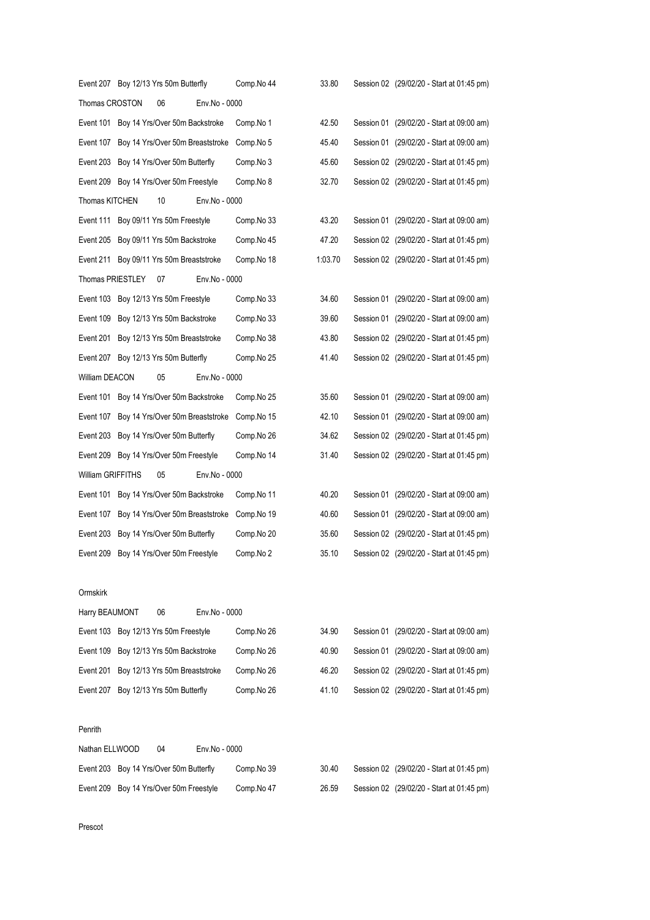|                          | Event 207 Boy 12/13 Yrs 50m Butterfly      |               | Comp.No 44 | 33.80   | Session 02 (29/02/20 - Start at 01:45 pm) |
|--------------------------|--------------------------------------------|---------------|------------|---------|-------------------------------------------|
| Thomas CROSTON           | 06                                         | Env.No - 0000 |            |         |                                           |
| Event 101                | Boy 14 Yrs/Over 50m Backstroke             |               | Comp.No 1  | 42.50   | Session 01 (29/02/20 - Start at 09:00 am) |
| Event 107                | Boy 14 Yrs/Over 50m Breaststroke           |               | Comp.No 5  | 45.40   | Session 01 (29/02/20 - Start at 09:00 am) |
|                          | Event 203 Boy 14 Yrs/Over 50m Butterfly    |               | Comp.No 3  | 45.60   | Session 02 (29/02/20 - Start at 01:45 pm) |
|                          | Event 209 Boy 14 Yrs/Over 50m Freestyle    |               | Comp.No 8  | 32.70   | Session 02 (29/02/20 - Start at 01:45 pm) |
| Thomas KITCHEN           | 10                                         | Env.No - 0000 |            |         |                                           |
|                          | Event 111 Boy 09/11 Yrs 50m Freestyle      |               | Comp.No 33 | 43.20   | Session 01 (29/02/20 - Start at 09:00 am) |
| Event 205                | Boy 09/11 Yrs 50m Backstroke               |               | Comp.No 45 | 47.20   | Session 02 (29/02/20 - Start at 01:45 pm) |
|                          | Event 211 Boy 09/11 Yrs 50m Breaststroke   |               | Comp.No 18 | 1:03.70 | Session 02 (29/02/20 - Start at 01:45 pm) |
| Thomas PRIESTLEY         | 07                                         | Env.No - 0000 |            |         |                                           |
|                          | Event 103 Boy 12/13 Yrs 50m Freestyle      |               | Comp.No 33 | 34.60   | Session 01 (29/02/20 - Start at 09:00 am) |
| Event 109                | Boy 12/13 Yrs 50m Backstroke               |               | Comp.No 33 | 39.60   | Session 01 (29/02/20 - Start at 09:00 am) |
|                          | Event 201 Boy 12/13 Yrs 50m Breaststroke   |               | Comp.No 38 | 43.80   | Session 02 (29/02/20 - Start at 01:45 pm) |
|                          | Event 207 Boy 12/13 Yrs 50m Butterfly      |               | Comp.No 25 | 41.40   | Session 02 (29/02/20 - Start at 01:45 pm) |
| William DEACON           | 05                                         | Env.No - 0000 |            |         |                                           |
|                          | Event 101 Boy 14 Yrs/Over 50m Backstroke   |               | Comp.No 25 | 35.60   | Session 01 (29/02/20 - Start at 09:00 am) |
|                          | Event 107 Boy 14 Yrs/Over 50m Breaststroke |               | Comp.No 15 | 42.10   | Session 01 (29/02/20 - Start at 09:00 am) |
|                          | Event 203 Boy 14 Yrs/Over 50m Butterfly    |               | Comp.No 26 | 34.62   | Session 02 (29/02/20 - Start at 01:45 pm) |
|                          | Event 209 Boy 14 Yrs/Over 50m Freestyle    |               | Comp.No 14 | 31.40   | Session 02 (29/02/20 - Start at 01:45 pm) |
| <b>William GRIFFITHS</b> | 05                                         | Env.No - 0000 |            |         |                                           |
| Event 101                | Boy 14 Yrs/Over 50m Backstroke             |               | Comp.No 11 | 40.20   | Session 01 (29/02/20 - Start at 09:00 am) |
| Event 107                | Boy 14 Yrs/Over 50m Breaststroke           |               | Comp.No 19 | 40.60   | Session 01 (29/02/20 - Start at 09:00 am) |
| Event 203                | Boy 14 Yrs/Over 50m Butterfly              |               | Comp.No 20 | 35.60   | Session 02 (29/02/20 - Start at 01:45 pm) |
| Event 209                | Boy 14 Yrs/Over 50m Freestyle              |               | Comp.No 2  | 35.10   | Session 02 (29/02/20 - Start at 01:45 pm) |
|                          |                                            |               |            |         |                                           |

## Ormskirk

| Harry BEAUMONT |                                          | 06                          | Env.No - 0000 |            |       |  |                                           |
|----------------|------------------------------------------|-----------------------------|---------------|------------|-------|--|-------------------------------------------|
|                | Event 103 Boy 12/13 Yrs 50m Freestyle    |                             |               | Comp.No 26 | 34.90 |  | Session 01 (29/02/20 - Start at 09:00 am) |
|                | Event 109 Boy 12/13 Yrs 50m Backstroke   |                             |               | Comp.No 26 | 40.90 |  | Session 01 (29/02/20 - Start at 09:00 am) |
|                | Event 201 Boy 12/13 Yrs 50m Breaststroke |                             |               | Comp.No 26 | 46.20 |  | Session 02 (29/02/20 - Start at 01:45 pm) |
| Event 207      |                                          | Boy 12/13 Yrs 50m Butterfly |               | Comp.No 26 | 41.10 |  | Session 02 (29/02/20 - Start at 01:45 pm) |

#### Penrith

| Nathan ELLWOOD |                                         | 04 | Env.No - 0000 |            |       |                                           |
|----------------|-----------------------------------------|----|---------------|------------|-------|-------------------------------------------|
|                | Event 203 Boy 14 Yrs/Over 50m Butterfly |    |               | Comp.No 39 | 30.40 | Session 02 (29/02/20 - Start at 01:45 pm) |
|                | Event 209 Boy 14 Yrs/Over 50m Freestyle |    |               | Comp.No 47 | 26.59 | Session 02 (29/02/20 - Start at 01:45 pm) |

Prescot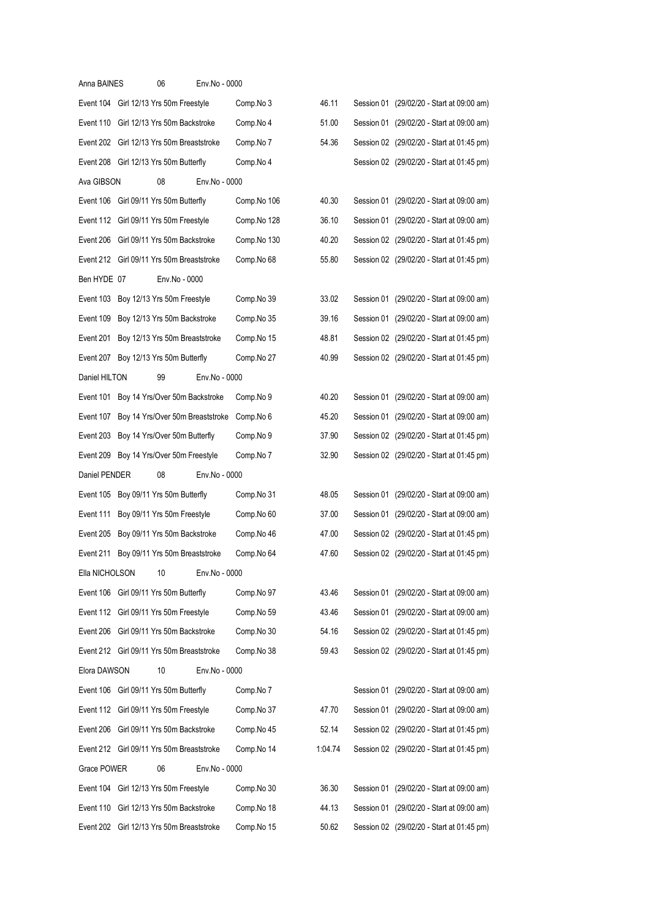| Anna BAINES    | 06                                         | Env.No - 0000 |             |         |  |                                           |
|----------------|--------------------------------------------|---------------|-------------|---------|--|-------------------------------------------|
|                | Event 104 Girl 12/13 Yrs 50m Freestyle     |               | Comp.No 3   | 46.11   |  | Session 01 (29/02/20 - Start at 09:00 am) |
|                | Event 110 Girl 12/13 Yrs 50m Backstroke    |               | Comp.No 4   | 51.00   |  | Session 01 (29/02/20 - Start at 09:00 am) |
|                | Event 202 Girl 12/13 Yrs 50m Breaststroke  |               | Comp.No 7   | 54.36   |  | Session 02 (29/02/20 - Start at 01:45 pm) |
|                | Event 208 Girl 12/13 Yrs 50m Butterfly     |               | Comp.No 4   |         |  | Session 02 (29/02/20 - Start at 01:45 pm) |
| Ava GIBSON     | 08                                         | Env.No - 0000 |             |         |  |                                           |
|                | Event 106 Girl 09/11 Yrs 50m Butterfly     |               | Comp.No 106 | 40.30   |  | Session 01 (29/02/20 - Start at 09:00 am) |
|                | Event 112 Girl 09/11 Yrs 50m Freestyle     |               | Comp.No 128 | 36.10   |  | Session 01 (29/02/20 - Start at 09:00 am) |
|                | Event 206 Girl 09/11 Yrs 50m Backstroke    |               | Comp.No 130 | 40.20   |  | Session 02 (29/02/20 - Start at 01:45 pm) |
|                | Event 212 Girl 09/11 Yrs 50m Breaststroke  |               | Comp.No 68  | 55.80   |  | Session 02 (29/02/20 - Start at 01:45 pm) |
| Ben HYDE 07    |                                            | Env.No - 0000 |             |         |  |                                           |
|                | Event 103 Boy 12/13 Yrs 50m Freestyle      |               | Comp.No 39  | 33.02   |  | Session 01 (29/02/20 - Start at 09:00 am) |
|                | Event 109 Boy 12/13 Yrs 50m Backstroke     |               | Comp.No 35  | 39.16   |  | Session 01 (29/02/20 - Start at 09:00 am) |
|                | Event 201 Boy 12/13 Yrs 50m Breaststroke   |               | Comp.No 15  | 48.81   |  | Session 02 (29/02/20 - Start at 01:45 pm) |
|                | Event 207 Boy 12/13 Yrs 50m Butterfly      |               | Comp.No 27  | 40.99   |  | Session 02 (29/02/20 - Start at 01:45 pm) |
| Daniel HILTON  | 99                                         | Env.No - 0000 |             |         |  |                                           |
|                | Event 101 Boy 14 Yrs/Over 50m Backstroke   |               | Comp.No 9   | 40.20   |  | Session 01 (29/02/20 - Start at 09:00 am) |
|                | Event 107 Boy 14 Yrs/Over 50m Breaststroke |               | Comp.No 6   | 45.20   |  | Session 01 (29/02/20 - Start at 09:00 am) |
|                | Event 203 Boy 14 Yrs/Over 50m Butterfly    |               | Comp.No 9   | 37.90   |  | Session 02 (29/02/20 - Start at 01:45 pm) |
|                | Event 209 Boy 14 Yrs/Over 50m Freestyle    |               | Comp.No 7   | 32.90   |  | Session 02 (29/02/20 - Start at 01:45 pm) |
| Daniel PENDER  | 08                                         | Env.No - 0000 |             |         |  |                                           |
|                | Event 105 Boy 09/11 Yrs 50m Butterfly      |               | Comp.No 31  | 48.05   |  | Session 01 (29/02/20 - Start at 09:00 am) |
|                | Event 111 Boy 09/11 Yrs 50m Freestyle      |               | Comp.No 60  | 37.00   |  | Session 01 (29/02/20 - Start at 09:00 am) |
|                | Event 205 Boy 09/11 Yrs 50m Backstroke     |               | Comp.No 46  | 47.00   |  | Session 02 (29/02/20 - Start at 01:45 pm) |
|                | Event 211 Boy 09/11 Yrs 50m Breaststroke   |               | Comp.No 64  | 47.60   |  | Session 02 (29/02/20 - Start at 01:45 pm) |
| Ella NICHOLSON | 10                                         | Env.No - 0000 |             |         |  |                                           |
|                | Event 106 Girl 09/11 Yrs 50m Butterfly     |               | Comp.No 97  | 43.46   |  | Session 01 (29/02/20 - Start at 09:00 am) |
|                | Event 112 Girl 09/11 Yrs 50m Freestyle     |               | Comp.No 59  | 43.46   |  | Session 01 (29/02/20 - Start at 09:00 am) |
|                | Event 206 Girl 09/11 Yrs 50m Backstroke    |               | Comp.No 30  | 54.16   |  | Session 02 (29/02/20 - Start at 01:45 pm) |
|                | Event 212 Girl 09/11 Yrs 50m Breaststroke  |               | Comp.No 38  | 59.43   |  | Session 02 (29/02/20 - Start at 01:45 pm) |
| Elora DAWSON   | 10                                         | Env.No - 0000 |             |         |  |                                           |
|                | Event 106 Girl 09/11 Yrs 50m Butterfly     |               | Comp.No 7   |         |  | Session 01 (29/02/20 - Start at 09:00 am) |
|                | Event 112 Girl 09/11 Yrs 50m Freestyle     |               | Comp.No 37  | 47.70   |  | Session 01 (29/02/20 - Start at 09:00 am) |
|                | Event 206 Girl 09/11 Yrs 50m Backstroke    |               | Comp.No 45  | 52.14   |  | Session 02 (29/02/20 - Start at 01:45 pm) |
|                | Event 212 Girl 09/11 Yrs 50m Breaststroke  |               | Comp.No 14  | 1:04.74 |  | Session 02 (29/02/20 - Start at 01:45 pm) |
| Grace POWER    | 06                                         | Env.No - 0000 |             |         |  |                                           |
|                | Event 104 Girl 12/13 Yrs 50m Freestyle     |               | Comp.No 30  | 36.30   |  | Session 01 (29/02/20 - Start at 09:00 am) |
|                | Event 110 Girl 12/13 Yrs 50m Backstroke    |               | Comp.No 18  | 44.13   |  | Session 01 (29/02/20 - Start at 09:00 am) |
|                | Event 202 Girl 12/13 Yrs 50m Breaststroke  |               | Comp.No 15  | 50.62   |  | Session 02 (29/02/20 - Start at 01:45 pm) |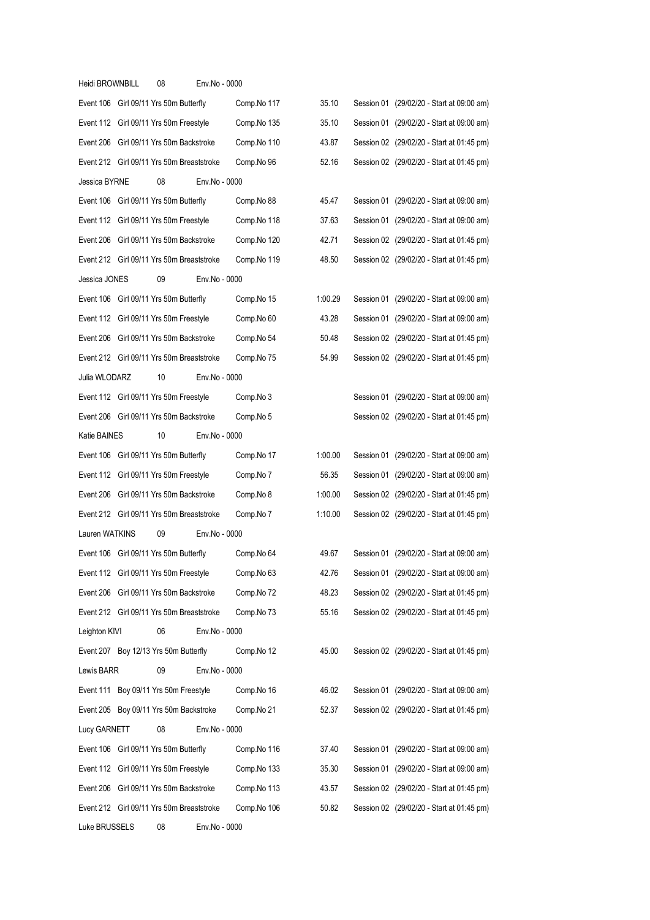| Heidi BROWNBILL                        | 08 | Env.No - 0000                             |             |         |                                           |
|----------------------------------------|----|-------------------------------------------|-------------|---------|-------------------------------------------|
| Event 106 Girl 09/11 Yrs 50m Butterfly |    |                                           | Comp.No 117 | 35.10   | Session 01 (29/02/20 - Start at 09:00 am) |
| Event 112 Girl 09/11 Yrs 50m Freestyle |    |                                           | Comp.No 135 | 35.10   | Session 01 (29/02/20 - Start at 09:00 am) |
|                                        |    | Event 206 Girl 09/11 Yrs 50m Backstroke   | Comp.No 110 | 43.87   | Session 02 (29/02/20 - Start at 01:45 pm) |
|                                        |    | Event 212 Girl 09/11 Yrs 50m Breaststroke | Comp.No 96  | 52.16   | Session 02 (29/02/20 - Start at 01:45 pm) |
| Jessica BYRNE                          | 08 | Env.No - 0000                             |             |         |                                           |
| Event 106 Girl 09/11 Yrs 50m Butterfly |    |                                           | Comp.No 88  | 45.47   | Session 01 (29/02/20 - Start at 09:00 am) |
| Event 112 Girl 09/11 Yrs 50m Freestyle |    |                                           | Comp.No 118 | 37.63   | Session 01 (29/02/20 - Start at 09:00 am) |
|                                        |    | Event 206 Girl 09/11 Yrs 50m Backstroke   | Comp.No 120 | 42.71   | Session 02 (29/02/20 - Start at 01:45 pm) |
|                                        |    | Event 212 Girl 09/11 Yrs 50m Breaststroke | Comp.No 119 | 48.50   | Session 02 (29/02/20 - Start at 01:45 pm) |
| Jessica JONES                          | 09 | Env.No - 0000                             |             |         |                                           |
| Event 106 Girl 09/11 Yrs 50m Butterfly |    |                                           | Comp.No 15  | 1:00.29 | Session 01 (29/02/20 - Start at 09:00 am) |
| Event 112 Girl 09/11 Yrs 50m Freestyle |    |                                           | Comp.No 60  | 43.28   | Session 01 (29/02/20 - Start at 09:00 am) |
|                                        |    | Event 206 Girl 09/11 Yrs 50m Backstroke   | Comp.No 54  | 50.48   | Session 02 (29/02/20 - Start at 01:45 pm) |
|                                        |    | Event 212 Girl 09/11 Yrs 50m Breaststroke | Comp.No 75  | 54.99   | Session 02 (29/02/20 - Start at 01:45 pm) |
| Julia WLODARZ                          | 10 | Env.No - 0000                             |             |         |                                           |
| Event 112 Girl 09/11 Yrs 50m Freestyle |    |                                           | Comp.No 3   |         | Session 01 (29/02/20 - Start at 09:00 am) |
|                                        |    | Event 206 Girl 09/11 Yrs 50m Backstroke   | Comp.No 5   |         | Session 02 (29/02/20 - Start at 01:45 pm) |
| Katie BAINES                           | 10 | Env.No - 0000                             |             |         |                                           |
| Event 106 Girl 09/11 Yrs 50m Butterfly |    |                                           | Comp.No 17  | 1:00.00 | Session 01 (29/02/20 - Start at 09:00 am) |
| Event 112 Girl 09/11 Yrs 50m Freestyle |    |                                           | Comp.No 7   | 56.35   | Session 01 (29/02/20 - Start at 09:00 am) |
|                                        |    | Event 206 Girl 09/11 Yrs 50m Backstroke   | Comp.No 8   | 1:00.00 | Session 02 (29/02/20 - Start at 01:45 pm) |
|                                        |    | Event 212 Girl 09/11 Yrs 50m Breaststroke | Comp.No 7   | 1:10.00 | Session 02 (29/02/20 - Start at 01:45 pm) |
| Lauren WATKINS                         | 09 | Env.No - 0000                             |             |         |                                           |
| Event 106 Girl 09/11 Yrs 50m Butterfly |    |                                           | Comp.No 64  | 49.67   | Session 01 (29/02/20 - Start at 09:00 am) |
| Event 112 Girl 09/11 Yrs 50m Freestyle |    |                                           | Comp.No 63  | 42.76   | Session 01 (29/02/20 - Start at 09:00 am) |
|                                        |    | Event 206 Girl 09/11 Yrs 50m Backstroke   | Comp.No 72  | 48.23   | Session 02 (29/02/20 - Start at 01:45 pm) |
|                                        |    | Event 212 Girl 09/11 Yrs 50m Breaststroke | Comp.No 73  | 55.16   | Session 02 (29/02/20 - Start at 01:45 pm) |
| Leighton KIVI                          | 06 | Env.No - 0000                             |             |         |                                           |
| Event 207 Boy 12/13 Yrs 50m Butterfly  |    |                                           | Comp.No 12  | 45.00   | Session 02 (29/02/20 - Start at 01:45 pm) |
| Lewis BARR                             | 09 | Env.No - 0000                             |             |         |                                           |
| Event 111 Boy 09/11 Yrs 50m Freestyle  |    |                                           | Comp.No 16  | 46.02   | Session 01 (29/02/20 - Start at 09:00 am) |
|                                        |    | Event 205 Boy 09/11 Yrs 50m Backstroke    | Comp.No 21  | 52.37   | Session 02 (29/02/20 - Start at 01:45 pm) |
| Lucy GARNETT                           | 08 | Env.No - 0000                             |             |         |                                           |
| Event 106 Girl 09/11 Yrs 50m Butterfly |    |                                           | Comp.No 116 | 37.40   | Session 01 (29/02/20 - Start at 09:00 am) |
| Event 112 Girl 09/11 Yrs 50m Freestyle |    |                                           | Comp.No 133 | 35.30   | Session 01 (29/02/20 - Start at 09:00 am) |
|                                        |    | Event 206 Girl 09/11 Yrs 50m Backstroke   | Comp.No 113 | 43.57   | Session 02 (29/02/20 - Start at 01:45 pm) |
|                                        |    | Event 212 Girl 09/11 Yrs 50m Breaststroke | Comp.No 106 | 50.82   | Session 02 (29/02/20 - Start at 01:45 pm) |
| Luke BRUSSELS                          | 08 | Env.No - 0000                             |             |         |                                           |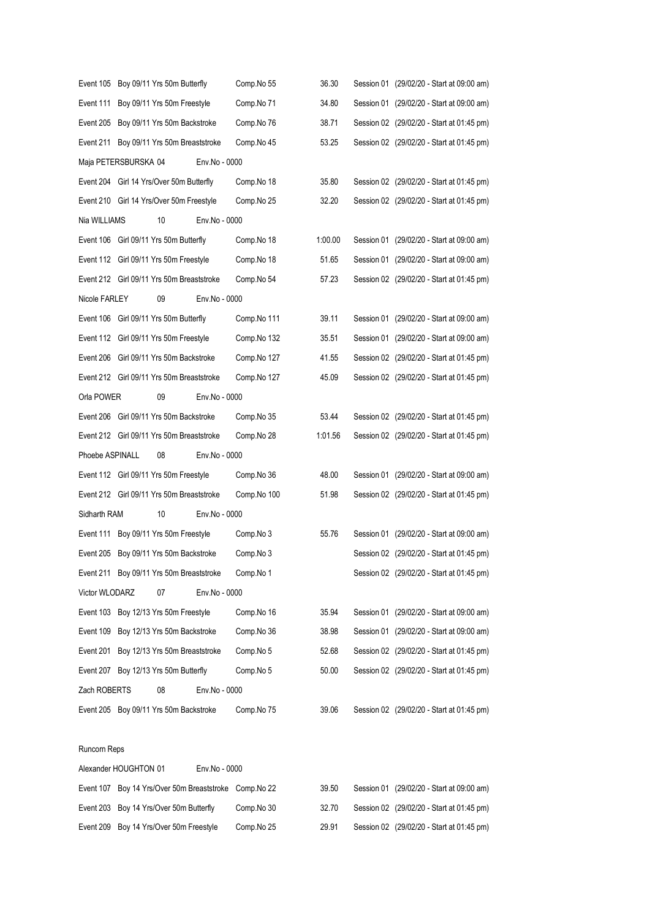| Event 105       | Boy 09/11 Yrs 50m Butterfly                            |               | Comp.No 55  | 36.30   | Session 01 (29/02/20 - Start at 09:00 am) |
|-----------------|--------------------------------------------------------|---------------|-------------|---------|-------------------------------------------|
| Event 111       | Boy 09/11 Yrs 50m Freestyle                            |               | Comp.No 71  | 34.80   | Session 01 (29/02/20 - Start at 09:00 am) |
|                 | Event 205 Boy 09/11 Yrs 50m Backstroke                 |               | Comp.No 76  | 38.71   | Session 02 (29/02/20 - Start at 01:45 pm) |
|                 | Event 211 Boy 09/11 Yrs 50m Breaststroke               |               | Comp.No 45  | 53.25   | Session 02 (29/02/20 - Start at 01:45 pm) |
|                 | Maja PETERSBURSKA 04                                   | Env.No - 0000 |             |         |                                           |
|                 | Event 204 Girl 14 Yrs/Over 50m Butterfly               |               | Comp.No 18  | 35.80   | Session 02 (29/02/20 - Start at 01:45 pm) |
|                 | Event 210 Girl 14 Yrs/Over 50m Freestyle               |               | Comp.No 25  | 32.20   | Session 02 (29/02/20 - Start at 01:45 pm) |
| Nia WILLIAMS    | 10                                                     | Env.No - 0000 |             |         |                                           |
|                 | Event 106 Girl 09/11 Yrs 50m Butterfly                 |               | Comp.No 18  | 1:00.00 | Session 01 (29/02/20 - Start at 09:00 am) |
|                 | Event 112 Girl 09/11 Yrs 50m Freestyle                 |               | Comp.No 18  | 51.65   | Session 01 (29/02/20 - Start at 09:00 am) |
|                 | Event 212 Girl 09/11 Yrs 50m Breaststroke              |               | Comp.No 54  | 57.23   | Session 02 (29/02/20 - Start at 01:45 pm) |
| Nicole FARLEY   | 09                                                     | Env.No - 0000 |             |         |                                           |
|                 | Event 106 Girl 09/11 Yrs 50m Butterfly                 |               | Comp.No 111 | 39.11   | Session 01 (29/02/20 - Start at 09:00 am) |
|                 | Event 112 Girl 09/11 Yrs 50m Freestyle                 |               | Comp.No 132 | 35.51   | Session 01 (29/02/20 - Start at 09:00 am) |
|                 | Event 206 Girl 09/11 Yrs 50m Backstroke                |               | Comp.No 127 | 41.55   | Session 02 (29/02/20 - Start at 01:45 pm) |
|                 | Event 212 Girl 09/11 Yrs 50m Breaststroke              |               | Comp.No 127 | 45.09   | Session 02 (29/02/20 - Start at 01:45 pm) |
| Orla POWER      | 09                                                     | Env.No - 0000 |             |         |                                           |
|                 | Event 206 Girl 09/11 Yrs 50m Backstroke                |               | Comp.No 35  | 53.44   | Session 02 (29/02/20 - Start at 01:45 pm) |
|                 | Event 212 Girl 09/11 Yrs 50m Breaststroke              |               | Comp.No 28  | 1:01.56 | Session 02 (29/02/20 - Start at 01:45 pm) |
| Phoebe ASPINALL | 08                                                     | Env.No - 0000 |             |         |                                           |
|                 | Event 112 Girl 09/11 Yrs 50m Freestyle                 |               | Comp.No 36  | 48.00   | Session 01 (29/02/20 - Start at 09:00 am) |
|                 | Event 212 Girl 09/11 Yrs 50m Breaststroke              |               | Comp.No 100 | 51.98   | Session 02 (29/02/20 - Start at 01:45 pm) |
| Sidharth RAM    | 10                                                     | Env.No - 0000 |             |         |                                           |
|                 | Event 111 Boy 09/11 Yrs 50m Freestyle                  |               | Comp.No 3   | 55.76   | Session 01 (29/02/20 - Start at 09:00 am) |
|                 | Event 205 Boy 09/11 Yrs 50m Backstroke                 |               | Comp.No 3   |         | Session 02 (29/02/20 - Start at 01:45 pm) |
|                 | Event 211 Boy 09/11 Yrs 50m Breaststroke               |               | Comp.No 1   |         | Session 02 (29/02/20 - Start at 01:45 pm) |
| Victor WLODARZ  | 07                                                     | Env.No - 0000 |             |         |                                           |
|                 | Event 103 Boy 12/13 Yrs 50m Freestyle                  |               | Comp.No 16  | 35.94   | Session 01 (29/02/20 - Start at 09:00 am) |
|                 | Event 109 Boy 12/13 Yrs 50m Backstroke                 |               | Comp.No 36  | 38.98   | Session 01 (29/02/20 - Start at 09:00 am) |
| Event 201       | Boy 12/13 Yrs 50m Breaststroke                         |               | Comp.No 5   | 52.68   | Session 02 (29/02/20 - Start at 01:45 pm) |
|                 | Event 207 Boy 12/13 Yrs 50m Butterfly                  |               | Comp.No 5   | 50.00   | Session 02 (29/02/20 - Start at 01:45 pm) |
| Zach ROBERTS    | 08                                                     | Env.No - 0000 |             |         |                                           |
|                 | Event 205 Boy 09/11 Yrs 50m Backstroke                 |               | Comp.No 75  | 39.06   | Session 02 (29/02/20 - Start at 01:45 pm) |
|                 |                                                        |               |             |         |                                           |
| Runcorn Reps    |                                                        |               |             |         |                                           |
|                 | Alexander HOUGHTON 01                                  | Env.No - 0000 |             |         |                                           |
|                 | Event 107 Boy 14 Yrs/Over 50m Breaststroke Comp. No 22 |               |             | 39.50   | Session 01 (29/02/20 - Start at 09:00 am) |
| Event 203       | Boy 14 Yrs/Over 50m Butterfly                          |               | Comp.No 30  | 32.70   | Session 02 (29/02/20 - Start at 01:45 pm) |
| Event 209       | Boy 14 Yrs/Over 50m Freestyle                          |               | Comp.No 25  | 29.91   | Session 02 (29/02/20 - Start at 01:45 pm) |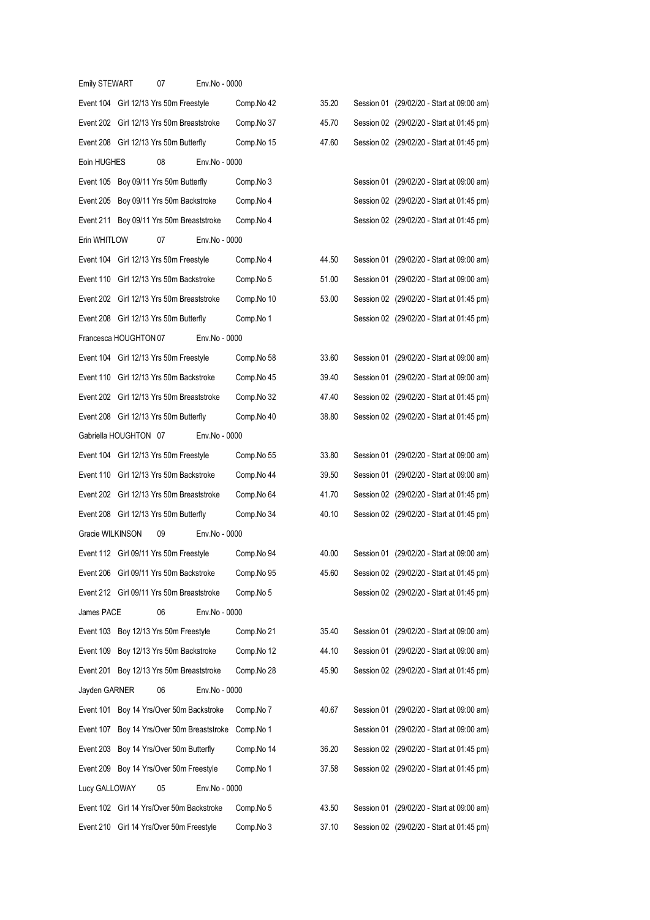| <b>Emily STEWART</b>                      | 07                            | Env.No - 0000                             |            |       |                                           |
|-------------------------------------------|-------------------------------|-------------------------------------------|------------|-------|-------------------------------------------|
| Event 104 Girl 12/13 Yrs 50m Freestyle    |                               |                                           | Comp.No 42 | 35.20 | Session 01 (29/02/20 - Start at 09:00 am) |
| Event 202 Girl 12/13 Yrs 50m Breaststroke |                               |                                           | Comp.No 37 | 45.70 | Session 02 (29/02/20 - Start at 01:45 pm) |
| Event 208 Girl 12/13 Yrs 50m Butterfly    |                               |                                           | Comp.No 15 | 47.60 | Session 02 (29/02/20 - Start at 01:45 pm) |
| Eoin HUGHES                               | 08                            | Env.No - 0000                             |            |       |                                           |
| Event 105                                 | Boy 09/11 Yrs 50m Butterfly   |                                           | Comp.No 3  |       | Session 01 (29/02/20 - Start at 09:00 am) |
| Event 205                                 | Boy 09/11 Yrs 50m Backstroke  |                                           | Comp.No 4  |       | Session 02 (29/02/20 - Start at 01:45 pm) |
| Event 211                                 |                               | Boy 09/11 Yrs 50m Breaststroke            | Comp.No 4  |       | Session 02 (29/02/20 - Start at 01:45 pm) |
| Erin WHITLOW                              | 07                            | Env.No - 0000                             |            |       |                                           |
| Event 104 Girl 12/13 Yrs 50m Freestyle    |                               |                                           | Comp.No 4  | 44.50 | Session 01 (29/02/20 - Start at 09:00 am) |
| Event 110 Girl 12/13 Yrs 50m Backstroke   |                               |                                           | Comp.No 5  | 51.00 | Session 01 (29/02/20 - Start at 09:00 am) |
| Event 202 Girl 12/13 Yrs 50m Breaststroke |                               |                                           | Comp.No 10 | 53.00 | Session 02 (29/02/20 - Start at 01:45 pm) |
| Event 208 Girl 12/13 Yrs 50m Butterfly    |                               |                                           | Comp.No 1  |       | Session 02 (29/02/20 - Start at 01:45 pm) |
| Francesca HOUGHTON 07                     |                               | Env.No - 0000                             |            |       |                                           |
| Event 104                                 | Girl 12/13 Yrs 50m Freestyle  |                                           | Comp.No 58 | 33.60 | Session 01 (29/02/20 - Start at 09:00 am) |
| Event 110                                 | Girl 12/13 Yrs 50m Backstroke |                                           | Comp.No 45 | 39.40 | Session 01 (29/02/20 - Start at 09:00 am) |
| Event 202                                 |                               | Girl 12/13 Yrs 50m Breaststroke           | Comp.No 32 | 47.40 | Session 02 (29/02/20 - Start at 01:45 pm) |
| Event 208 Girl 12/13 Yrs 50m Butterfly    |                               |                                           | Comp.No 40 | 38.80 | Session 02 (29/02/20 - Start at 01:45 pm) |
| Gabriella HOUGHTON 07                     |                               | Env.No - 0000                             |            |       |                                           |
| Event 104 Girl 12/13 Yrs 50m Freestyle    |                               |                                           | Comp.No 55 | 33.80 | Session 01 (29/02/20 - Start at 09:00 am) |
| Event 110                                 | Girl 12/13 Yrs 50m Backstroke |                                           | Comp.No 44 | 39.50 | Session 01 (29/02/20 - Start at 09:00 am) |
| Event 202                                 |                               | Girl 12/13 Yrs 50m Breaststroke           | Comp.No 64 | 41.70 | Session 02 (29/02/20 - Start at 01:45 pm) |
| Event 208 Girl 12/13 Yrs 50m Butterfly    |                               |                                           | Comp.No 34 | 40.10 | Session 02 (29/02/20 - Start at 01:45 pm) |
| Gracie WILKINSON                          | 09                            | Env.No - 0000                             |            |       |                                           |
| Event 112 Girl 09/11 Yrs 50m Freestyle    |                               |                                           | Comp.No 94 | 40.00 | Session 01 (29/02/20 - Start at 09:00 am) |
| Event 206 Girl 09/11 Yrs 50m Backstroke   |                               |                                           | Comp.No 95 | 45.60 | Session 02 (29/02/20 - Start at 01:45 pm) |
| Event 212 Girl 09/11 Yrs 50m Breaststroke |                               |                                           | Comp.No 5  |       | Session 02 (29/02/20 - Start at 01:45 pm) |
| James PACE                                | 06                            | Env.No - 0000                             |            |       |                                           |
| Event 103                                 | Boy 12/13 Yrs 50m Freestyle   |                                           | Comp.No 21 | 35.40 | Session 01 (29/02/20 - Start at 09:00 am) |
| Event 109                                 | Boy 12/13 Yrs 50m Backstroke  |                                           | Comp.No 12 | 44.10 | Session 01 (29/02/20 - Start at 09:00 am) |
| Event 201                                 |                               | Boy 12/13 Yrs 50m Breaststroke            | Comp.No 28 | 45.90 | Session 02 (29/02/20 - Start at 01:45 pm) |
| Jayden GARNER                             | 06                            | Env.No - 0000                             |            |       |                                           |
| Event 101                                 |                               | Boy 14 Yrs/Over 50m Backstroke            | Comp.No 7  | 40.67 | Session 01 (29/02/20 - Start at 09:00 am) |
| Event 107                                 |                               | Boy 14 Yrs/Over 50m Breaststroke          | Comp.No 1  |       | Session 01 (29/02/20 - Start at 09:00 am) |
| Event 203                                 | Boy 14 Yrs/Over 50m Butterfly |                                           | Comp.No 14 | 36.20 | Session 02 (29/02/20 - Start at 01:45 pm) |
| Event 209                                 | Boy 14 Yrs/Over 50m Freestyle |                                           | Comp.No 1  | 37.58 | Session 02 (29/02/20 - Start at 01:45 pm) |
| Lucy GALLOWAY                             | 05                            | Env.No - 0000                             |            |       |                                           |
|                                           |                               | Event 102 Girl 14 Yrs/Over 50m Backstroke | Comp.No 5  | 43.50 | Session 01 (29/02/20 - Start at 09:00 am) |
| Event 210 Girl 14 Yrs/Over 50m Freestyle  |                               |                                           | Comp.No 3  | 37.10 | Session 02 (29/02/20 - Start at 01:45 pm) |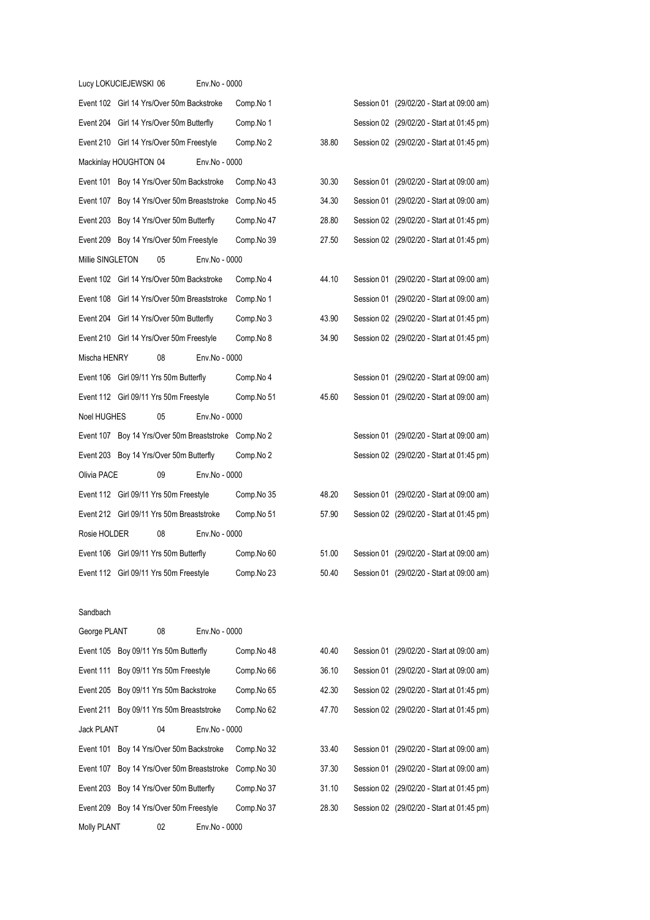|                  | Lucy LOKUCIEJEWSKI 06 |                                                      | Env.No - 0000 |            |       |                                           |
|------------------|-----------------------|------------------------------------------------------|---------------|------------|-------|-------------------------------------------|
|                  |                       | Event 102 Girl 14 Yrs/Over 50m Backstroke            |               | Comp.No 1  |       | Session 01 (29/02/20 - Start at 09:00 am) |
|                  |                       | Event 204 Girl 14 Yrs/Over 50m Butterfly             |               | Comp.No 1  |       | Session 02 (29/02/20 - Start at 01:45 pm) |
|                  |                       | Event 210 Girl 14 Yrs/Over 50m Freestyle             |               | Comp.No 2  | 38.80 | Session 02 (29/02/20 - Start at 01:45 pm) |
|                  | Mackinlay HOUGHTON 04 |                                                      | Env.No - 0000 |            |       |                                           |
|                  |                       | Event 101 Boy 14 Yrs/Over 50m Backstroke             |               | Comp.No 43 | 30.30 | Session 01 (29/02/20 - Start at 09:00 am) |
|                  |                       | Event 107 Boy 14 Yrs/Over 50m Breaststroke           |               | Comp.No 45 | 34.30 | Session 01 (29/02/20 - Start at 09:00 am) |
|                  |                       | Event 203 Boy 14 Yrs/Over 50m Butterfly              |               | Comp.No 47 | 28.80 | Session 02 (29/02/20 - Start at 01:45 pm) |
|                  |                       | Event 209 Boy 14 Yrs/Over 50m Freestyle              |               | Comp.No 39 | 27.50 | Session 02 (29/02/20 - Start at 01:45 pm) |
| Millie SINGLETON |                       | 05                                                   | Env.No - 0000 |            |       |                                           |
|                  |                       | Event 102 Girl 14 Yrs/Over 50m Backstroke            |               | Comp.No 4  | 44.10 | Session 01 (29/02/20 - Start at 09:00 am) |
|                  |                       | Event 108 Girl 14 Yrs/Over 50m Breaststroke          |               | Comp.No 1  |       | Session 01 (29/02/20 - Start at 09:00 am) |
|                  |                       | Event 204 Girl 14 Yrs/Over 50m Butterfly             |               | Comp.No 3  | 43.90 | Session 02 (29/02/20 - Start at 01:45 pm) |
|                  |                       | Event 210 Girl 14 Yrs/Over 50m Freestyle             |               | Comp.No 8  | 34.90 | Session 02 (29/02/20 - Start at 01:45 pm) |
| Mischa HENRY     |                       | 08                                                   | Env.No - 0000 |            |       |                                           |
|                  |                       | Event 106 Girl 09/11 Yrs 50m Butterfly               |               | Comp.No 4  |       | Session 01 (29/02/20 - Start at 09:00 am) |
|                  |                       | Event 112 Girl 09/11 Yrs 50m Freestyle               |               | Comp.No 51 | 45.60 | Session 01 (29/02/20 - Start at 09:00 am) |
| Noel HUGHES      |                       | 05                                                   | Env.No - 0000 |            |       |                                           |
|                  |                       | Event 107 Boy 14 Yrs/Over 50m Breaststroke Comp.No 2 |               |            |       | Session 01 (29/02/20 - Start at 09:00 am) |
|                  |                       | Event 203 Boy 14 Yrs/Over 50m Butterfly              |               | Comp.No 2  |       | Session 02 (29/02/20 - Start at 01:45 pm) |
| Olivia PACE      |                       | 09                                                   | Env.No - 0000 |            |       |                                           |
|                  |                       | Event 112 Girl 09/11 Yrs 50m Freestyle               |               | Comp.No 35 | 48.20 | Session 01 (29/02/20 - Start at 09:00 am) |
|                  |                       | Event 212 Girl 09/11 Yrs 50m Breaststroke            |               | Comp.No 51 | 57.90 | Session 02 (29/02/20 - Start at 01:45 pm) |
| Rosie HOLDER     |                       | 08                                                   | Env.No - 0000 |            |       |                                           |
|                  |                       | Event 106 Girl 09/11 Yrs 50m Butterfly               |               | Comp.No 60 | 51.00 | Session 01 (29/02/20 - Start at 09:00 am) |
|                  |                       | Event 112 Girl 09/11 Yrs 50m Freestyle               |               | Comp.No 23 | 50.40 | Session 01 (29/02/20 - Start at 09:00 am) |

## Sandbach

| George PLANT       | 08                                       | Env.No - 0000 |            |       |  |                                           |
|--------------------|------------------------------------------|---------------|------------|-------|--|-------------------------------------------|
|                    | Event 105 Boy 09/11 Yrs 50m Butterfly    |               | Comp.No 48 | 40.40 |  | Session 01 (29/02/20 - Start at 09:00 am) |
|                    | Event 111 Boy 09/11 Yrs 50m Freestyle    |               | Comp.No 66 | 36.10 |  | Session 01 (29/02/20 - Start at 09:00 am) |
| Event 205          | Boy 09/11 Yrs 50m Backstroke             |               | Comp.No 65 | 42.30 |  | Session 02 (29/02/20 - Start at 01:45 pm) |
|                    | Event 211 Boy 09/11 Yrs 50m Breaststroke |               | Comp.No 62 | 47.70 |  | Session 02 (29/02/20 - Start at 01:45 pm) |
| <b>Jack PLANT</b>  | 04                                       | Env.No - 0000 |            |       |  |                                           |
| Event 101          | Boy 14 Yrs/Over 50m Backstroke           |               | Comp.No 32 | 33.40 |  | Session 01 (29/02/20 - Start at 09:00 am) |
| Event 107          | Boy 14 Yrs/Over 50m Breaststroke         |               | Comp.No 30 | 37.30 |  | Session 01 (29/02/20 - Start at 09:00 am) |
| Event 203          | Boy 14 Yrs/Over 50m Butterfly            |               | Comp.No 37 | 31.10 |  | Session 02 (29/02/20 - Start at 01:45 pm) |
| Event 209          | Boy 14 Yrs/Over 50m Freestyle            |               | Comp.No 37 | 28.30 |  | Session 02 (29/02/20 - Start at 01:45 pm) |
| <b>Molly PLANT</b> | 02                                       | Env.No - 0000 |            |       |  |                                           |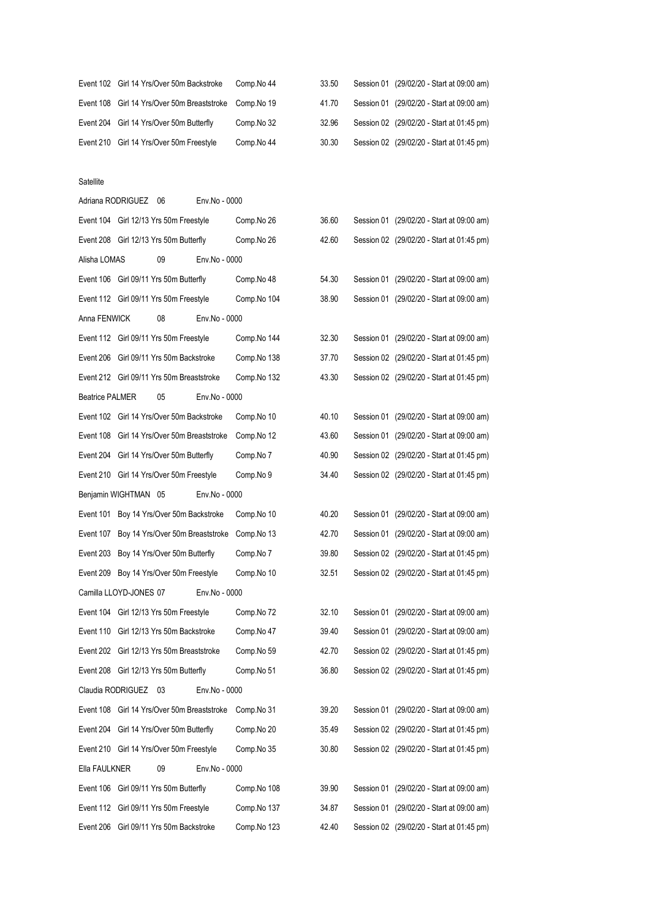| Event 102 Girl 14 Yrs/Over 50m Backstroke | Comp.No 44 | 33.50                                                   | Session 01 (29/02/20 - Start at 09:00 am) |
|-------------------------------------------|------------|---------------------------------------------------------|-------------------------------------------|
|                                           |            | 41.70                                                   | Session 01 (29/02/20 - Start at 09:00 am) |
| Event 204 Girl 14 Yrs/Over 50m Butterfly  | Comp.No 32 | 32.96                                                   | Session 02 (29/02/20 - Start at 01:45 pm) |
| Event 210 Girl 14 Yrs/Over 50m Freestyle  | Comp.No 44 | 30.30                                                   | Session 02 (29/02/20 - Start at 01:45 pm) |
|                                           |            | Event 108 Girl 14 Yrs/Over 50m Breaststroke Comp. No 19 |                                           |

#### Satellite

|                        | Adriana RODRIGUEZ 06                        | Env.No - 0000 |             |       |                                           |
|------------------------|---------------------------------------------|---------------|-------------|-------|-------------------------------------------|
|                        | Event 104 Girl 12/13 Yrs 50m Freestyle      |               | Comp.No 26  | 36.60 | Session 01 (29/02/20 - Start at 09:00 am) |
|                        | Event 208 Girl 12/13 Yrs 50m Butterfly      |               | Comp.No 26  | 42.60 | Session 02 (29/02/20 - Start at 01:45 pm) |
| Alisha LOMAS           | 09                                          | Env.No - 0000 |             |       |                                           |
|                        | Event 106 Girl 09/11 Yrs 50m Butterfly      |               | Comp.No 48  | 54.30 | Session 01 (29/02/20 - Start at 09:00 am) |
|                        | Event 112 Girl 09/11 Yrs 50m Freestyle      |               | Comp.No 104 | 38.90 | Session 01 (29/02/20 - Start at 09:00 am) |
| Anna FENWICK           | 08                                          | Env.No - 0000 |             |       |                                           |
|                        | Event 112 Girl 09/11 Yrs 50m Freestyle      |               | Comp.No 144 | 32.30 | Session 01 (29/02/20 - Start at 09:00 am) |
|                        | Event 206 Girl 09/11 Yrs 50m Backstroke     |               | Comp.No 138 | 37.70 | Session 02 (29/02/20 - Start at 01:45 pm) |
|                        | Event 212 Girl 09/11 Yrs 50m Breaststroke   |               | Comp.No 132 | 43.30 | Session 02 (29/02/20 - Start at 01:45 pm) |
| <b>Beatrice PALMER</b> | 05                                          | Env.No - 0000 |             |       |                                           |
|                        | Event 102 Girl 14 Yrs/Over 50m Backstroke   |               | Comp.No 10  | 40.10 | Session 01 (29/02/20 - Start at 09:00 am) |
|                        | Event 108 Girl 14 Yrs/Over 50m Breaststroke |               | Comp.No 12  | 43.60 | Session 01 (29/02/20 - Start at 09:00 am) |
|                        | Event 204 Girl 14 Yrs/Over 50m Butterfly    |               | Comp.No 7   | 40.90 | Session 02 (29/02/20 - Start at 01:45 pm) |
|                        | Event 210 Girl 14 Yrs/Over 50m Freestyle    |               | Comp.No 9   | 34.40 | Session 02 (29/02/20 - Start at 01:45 pm) |
|                        | Benjamin WIGHTMAN 05                        | Env.No - 0000 |             |       |                                           |
|                        | Event 101 Boy 14 Yrs/Over 50m Backstroke    |               | Comp.No 10  | 40.20 | Session 01 (29/02/20 - Start at 09:00 am) |
|                        | Event 107 Boy 14 Yrs/Over 50m Breaststroke  |               | Comp.No 13  | 42.70 | Session 01 (29/02/20 - Start at 09:00 am) |
|                        | Event 203 Boy 14 Yrs/Over 50m Butterfly     |               | Comp.No 7   | 39.80 | Session 02 (29/02/20 - Start at 01:45 pm) |
|                        | Event 209 Boy 14 Yrs/Over 50m Freestyle     |               | Comp.No 10  | 32.51 | Session 02 (29/02/20 - Start at 01:45 pm) |
|                        | Camilla LLOYD-JONES 07                      | Env.No - 0000 |             |       |                                           |
|                        | Event 104 Girl 12/13 Yrs 50m Freestyle      |               | Comp.No 72  | 32.10 | Session 01 (29/02/20 - Start at 09:00 am) |
|                        | Event 110 Girl 12/13 Yrs 50m Backstroke     |               | Comp.No 47  | 39.40 | Session 01 (29/02/20 - Start at 09:00 am) |
|                        | Event 202 Girl 12/13 Yrs 50m Breaststroke   |               | Comp.No 59  | 42.70 | Session 02 (29/02/20 - Start at 01:45 pm) |
|                        | Event 208 Girl 12/13 Yrs 50m Butterfly      |               | Comp.No 51  | 36.80 | Session 02 (29/02/20 - Start at 01:45 pm) |
|                        | Claudia RODRIGUEZ 03                        | Env.No - 0000 |             |       |                                           |
|                        | Event 108 Girl 14 Yrs/Over 50m Breaststroke |               | Comp.No 31  | 39.20 | Session 01 (29/02/20 - Start at 09:00 am) |
|                        | Event 204 Girl 14 Yrs/Over 50m Butterfly    |               | Comp.No 20  | 35.49 | Session 02 (29/02/20 - Start at 01:45 pm) |
|                        | Event 210 Girl 14 Yrs/Over 50m Freestyle    |               | Comp.No 35  | 30.80 | Session 02 (29/02/20 - Start at 01:45 pm) |
| Ella FAULKNER          | 09                                          | Env.No - 0000 |             |       |                                           |
|                        | Event 106 Girl 09/11 Yrs 50m Butterfly      |               | Comp.No 108 | 39.90 | Session 01 (29/02/20 - Start at 09:00 am) |
|                        | Event 112 Girl 09/11 Yrs 50m Freestyle      |               | Comp.No 137 | 34.87 | Session 01 (29/02/20 - Start at 09:00 am) |
|                        | Event 206 Girl 09/11 Yrs 50m Backstroke     |               | Comp.No 123 | 42.40 | Session 02 (29/02/20 - Start at 01:45 pm) |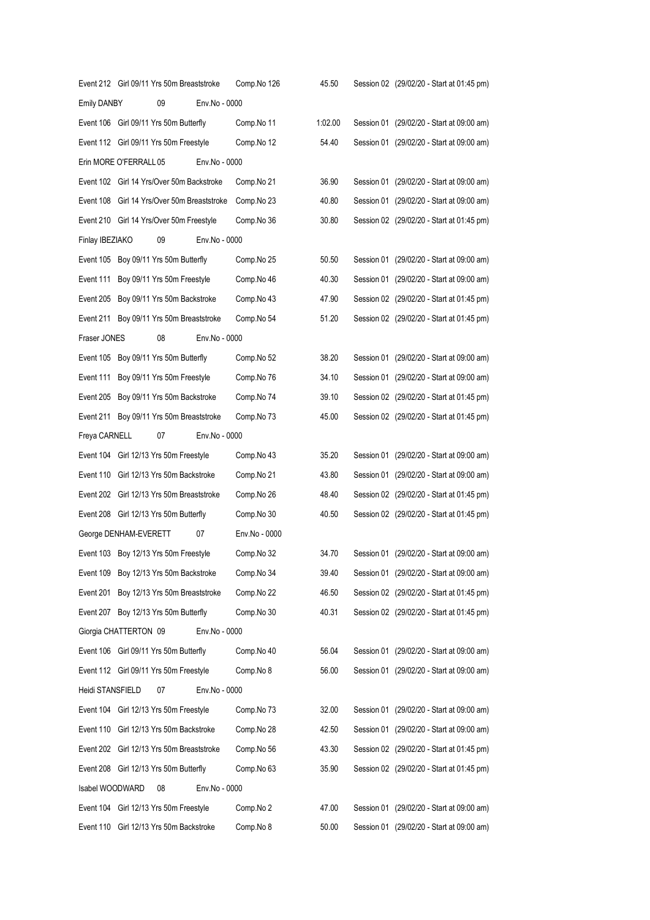|                        | Event 212 Girl 09/11 Yrs 50m Breaststroke   |               | Comp.No 126   | 45.50   | Session 02 (29/02/20 - Start at 01:45 pm) |
|------------------------|---------------------------------------------|---------------|---------------|---------|-------------------------------------------|
| <b>Emily DANBY</b>     | 09                                          | Env.No - 0000 |               |         |                                           |
|                        | Event 106 Girl 09/11 Yrs 50m Butterfly      |               | Comp.No 11    | 1:02.00 | Session 01 (29/02/20 - Start at 09:00 am) |
|                        | Event 112 Girl 09/11 Yrs 50m Freestyle      |               | Comp.No 12    | 54.40   | Session 01 (29/02/20 - Start at 09:00 am) |
| Erin MORE O'FERRALL 05 |                                             | Env.No - 0000 |               |         |                                           |
|                        | Event 102 Girl 14 Yrs/Over 50m Backstroke   |               | Comp.No 21    | 36.90   | Session 01 (29/02/20 - Start at 09:00 am) |
|                        | Event 108 Girl 14 Yrs/Over 50m Breaststroke |               | Comp.No 23    | 40.80   | Session 01 (29/02/20 - Start at 09:00 am) |
|                        | Event 210 Girl 14 Yrs/Over 50m Freestyle    |               | Comp.No 36    | 30.80   | Session 02 (29/02/20 - Start at 01:45 pm) |
| Finlay IBEZIAKO        | 09                                          | Env.No - 0000 |               |         |                                           |
|                        | Event 105 Boy 09/11 Yrs 50m Butterfly       |               | Comp.No 25    | 50.50   | Session 01 (29/02/20 - Start at 09:00 am) |
|                        | Event 111 Boy 09/11 Yrs 50m Freestyle       |               | Comp.No 46    | 40.30   | Session 01 (29/02/20 - Start at 09:00 am) |
|                        | Event 205 Boy 09/11 Yrs 50m Backstroke      |               | Comp.No 43    | 47.90   | Session 02 (29/02/20 - Start at 01:45 pm) |
|                        | Event 211 Boy 09/11 Yrs 50m Breaststroke    |               | Comp.No 54    | 51.20   | Session 02 (29/02/20 - Start at 01:45 pm) |
| Fraser JONES           | 08                                          | Env.No - 0000 |               |         |                                           |
|                        | Event 105 Boy 09/11 Yrs 50m Butterfly       |               | Comp.No 52    | 38.20   | Session 01 (29/02/20 - Start at 09:00 am) |
| Event 111              | Boy 09/11 Yrs 50m Freestyle                 |               | Comp.No 76    | 34.10   | Session 01 (29/02/20 - Start at 09:00 am) |
|                        | Event 205 Boy 09/11 Yrs 50m Backstroke      |               | Comp.No 74    | 39.10   | Session 02 (29/02/20 - Start at 01:45 pm) |
|                        | Event 211 Boy 09/11 Yrs 50m Breaststroke    |               | Comp.No 73    | 45.00   | Session 02 (29/02/20 - Start at 01:45 pm) |
| Freya CARNELL          | 07                                          | Env.No - 0000 |               |         |                                           |
|                        | Event 104 Girl 12/13 Yrs 50m Freestyle      |               | Comp.No 43    | 35.20   | Session 01 (29/02/20 - Start at 09:00 am) |
|                        | Event 110 Girl 12/13 Yrs 50m Backstroke     |               | Comp.No 21    | 43.80   | Session 01 (29/02/20 - Start at 09:00 am) |
|                        | Event 202 Girl 12/13 Yrs 50m Breaststroke   |               | Comp.No 26    | 48.40   | Session 02 (29/02/20 - Start at 01:45 pm) |
|                        | Event 208 Girl 12/13 Yrs 50m Butterfly      |               | Comp.No 30    | 40.50   | Session 02 (29/02/20 - Start at 01:45 pm) |
| George DENHAM-EVERETT  |                                             | 07            | Env.No - 0000 |         |                                           |
|                        | Event 103 Boy 12/13 Yrs 50m Freestyle       |               | Comp.No 32    | 34.70   | Session 01 (29/02/20 - Start at 09:00 am) |
|                        | Event 109 Boy 12/13 Yrs 50m Backstroke      |               | Comp.No 34    | 39.40   | Session 01 (29/02/20 - Start at 09:00 am) |
| Event 201              | Boy 12/13 Yrs 50m Breaststroke              |               | Comp.No 22    | 46.50   | Session 02 (29/02/20 - Start at 01:45 pm) |
| Event 207              | Boy 12/13 Yrs 50m Butterfly                 |               | Comp.No 30    | 40.31   | Session 02 (29/02/20 - Start at 01:45 pm) |
| Giorgia CHATTERTON 09  |                                             | Env.No - 0000 |               |         |                                           |
|                        | Event 106 Girl 09/11 Yrs 50m Butterfly      |               | Comp.No 40    | 56.04   | Session 01 (29/02/20 - Start at 09:00 am) |
|                        | Event 112 Girl 09/11 Yrs 50m Freestyle      |               | Comp.No 8     | 56.00   | Session 01 (29/02/20 - Start at 09:00 am) |
| Heidi STANSFIELD       | 07                                          | Env.No - 0000 |               |         |                                           |
|                        | Event 104 Girl 12/13 Yrs 50m Freestyle      |               | Comp.No 73    | 32.00   | Session 01 (29/02/20 - Start at 09:00 am) |
|                        | Event 110 Girl 12/13 Yrs 50m Backstroke     |               | Comp.No 28    | 42.50   | Session 01 (29/02/20 - Start at 09:00 am) |
|                        | Event 202 Girl 12/13 Yrs 50m Breaststroke   |               | Comp.No 56    | 43.30   | Session 02 (29/02/20 - Start at 01:45 pm) |
|                        | Event 208 Girl 12/13 Yrs 50m Butterfly      |               | Comp.No 63    | 35.90   | Session 02 (29/02/20 - Start at 01:45 pm) |
| Isabel WOODWARD        | 08                                          | Env.No - 0000 |               |         |                                           |
| Event 104              | Girl 12/13 Yrs 50m Freestyle                |               | Comp.No 2     | 47.00   | Session 01 (29/02/20 - Start at 09:00 am) |
|                        | Event 110 Girl 12/13 Yrs 50m Backstroke     |               | Comp.No 8     | 50.00   | Session 01 (29/02/20 - Start at 09:00 am) |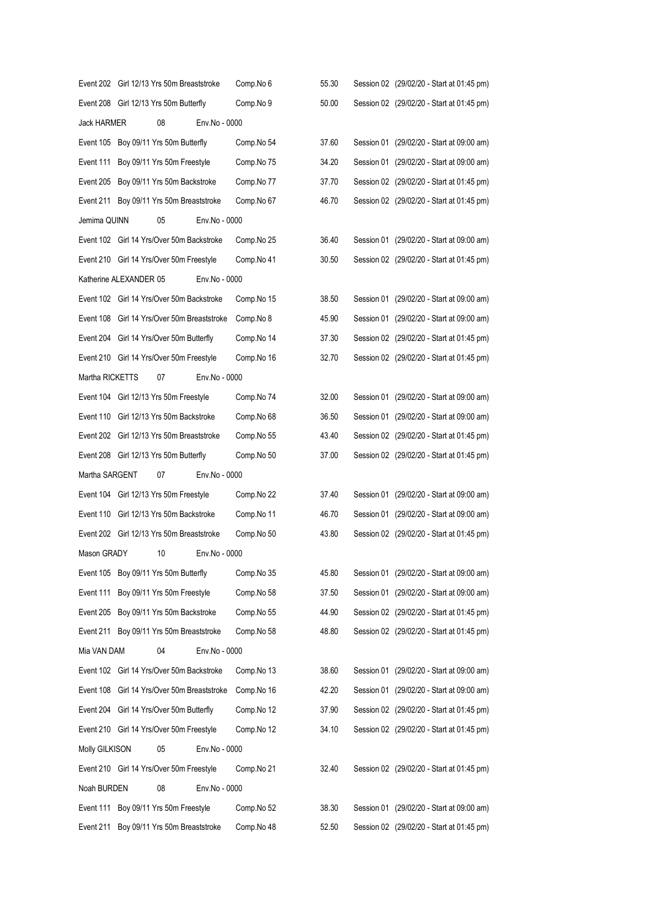|                 | Event 202 Girl 12/13 Yrs 50m Breaststroke   | Comp.No 6     | 55.30 | Session 02 (29/02/20 - Start at 01:45 pm) |
|-----------------|---------------------------------------------|---------------|-------|-------------------------------------------|
|                 | Event 208 Girl 12/13 Yrs 50m Butterfly      | Comp.No 9     | 50.00 | Session 02 (29/02/20 - Start at 01:45 pm) |
| Jack HARMER     | 08                                          | Env.No - 0000 |       |                                           |
|                 | Event 105 Boy 09/11 Yrs 50m Butterfly       | Comp.No 54    | 37.60 | Session 01 (29/02/20 - Start at 09:00 am) |
|                 | Event 111 Boy 09/11 Yrs 50m Freestyle       | Comp.No 75    | 34.20 | Session 01 (29/02/20 - Start at 09:00 am) |
|                 | Event 205 Boy 09/11 Yrs 50m Backstroke      | Comp.No 77    | 37.70 | Session 02 (29/02/20 - Start at 01:45 pm) |
|                 | Event 211 Boy 09/11 Yrs 50m Breaststroke    | Comp.No 67    | 46.70 | Session 02 (29/02/20 - Start at 01:45 pm) |
| Jemima QUINN    | 05                                          | Env.No - 0000 |       |                                           |
|                 | Event 102 Girl 14 Yrs/Over 50m Backstroke   | Comp.No 25    | 36.40 | Session 01 (29/02/20 - Start at 09:00 am) |
|                 | Event 210 Girl 14 Yrs/Over 50m Freestyle    | Comp.No 41    | 30.50 | Session 02 (29/02/20 - Start at 01:45 pm) |
|                 | Katherine ALEXANDER 05                      | Env.No - 0000 |       |                                           |
|                 | Event 102 Girl 14 Yrs/Over 50m Backstroke   | Comp.No 15    | 38.50 | Session 01 (29/02/20 - Start at 09:00 am) |
|                 | Event 108 Girl 14 Yrs/Over 50m Breaststroke | Comp.No 8     | 45.90 | Session 01 (29/02/20 - Start at 09:00 am) |
|                 | Event 204 Girl 14 Yrs/Over 50m Butterfly    | Comp.No 14    | 37.30 | Session 02 (29/02/20 - Start at 01:45 pm) |
|                 | Event 210 Girl 14 Yrs/Over 50m Freestyle    | Comp.No 16    | 32.70 | Session 02 (29/02/20 - Start at 01:45 pm) |
| Martha RICKETTS | 07                                          | Env.No - 0000 |       |                                           |
|                 | Event 104 Girl 12/13 Yrs 50m Freestyle      | Comp.No 74    | 32.00 | Session 01 (29/02/20 - Start at 09:00 am) |
|                 | Event 110 Girl 12/13 Yrs 50m Backstroke     | Comp.No 68    | 36.50 | Session 01 (29/02/20 - Start at 09:00 am) |
|                 | Event 202 Girl 12/13 Yrs 50m Breaststroke   | Comp.No 55    | 43.40 | Session 02 (29/02/20 - Start at 01:45 pm) |
|                 | Event 208 Girl 12/13 Yrs 50m Butterfly      | Comp.No 50    | 37.00 | Session 02 (29/02/20 - Start at 01:45 pm) |
| Martha SARGENT  | 07                                          | Env.No - 0000 |       |                                           |
|                 | Event 104 Girl 12/13 Yrs 50m Freestyle      | Comp.No 22    | 37.40 | Session 01 (29/02/20 - Start at 09:00 am) |
|                 | Event 110 Girl 12/13 Yrs 50m Backstroke     | Comp.No 11    | 46.70 | Session 01 (29/02/20 - Start at 09:00 am) |
|                 | Event 202 Girl 12/13 Yrs 50m Breaststroke   | Comp.No 50    | 43.80 | Session 02 (29/02/20 - Start at 01:45 pm) |
| Mason GRADY     | 10                                          | Env.No - 0000 |       |                                           |
|                 | Event 105 Boy 09/11 Yrs 50m Butterfly       | Comp.No 35    | 45.80 | Session 01 (29/02/20 - Start at 09:00 am) |
|                 | Event 111 Boy 09/11 Yrs 50m Freestyle       | Comp.No 58    | 37.50 | Session 01 (29/02/20 - Start at 09:00 am) |
|                 | Event 205 Boy 09/11 Yrs 50m Backstroke      | Comp.No 55    | 44.90 | Session 02 (29/02/20 - Start at 01:45 pm) |
|                 | Event 211 Boy 09/11 Yrs 50m Breaststroke    | Comp.No 58    | 48.80 | Session 02 (29/02/20 - Start at 01:45 pm) |
| Mia VAN DAM     | 04                                          | Env.No - 0000 |       |                                           |
|                 | Event 102 Girl 14 Yrs/Over 50m Backstroke   | Comp.No 13    | 38.60 | Session 01 (29/02/20 - Start at 09:00 am) |
|                 | Event 108 Girl 14 Yrs/Over 50m Breaststroke | Comp.No 16    | 42.20 | Session 01 (29/02/20 - Start at 09:00 am) |
|                 | Event 204 Girl 14 Yrs/Over 50m Butterfly    | Comp.No 12    | 37.90 | Session 02 (29/02/20 - Start at 01:45 pm) |
|                 | Event 210 Girl 14 Yrs/Over 50m Freestyle    | Comp.No 12    | 34.10 | Session 02 (29/02/20 - Start at 01:45 pm) |
| Molly GILKISON  | 05                                          | Env.No - 0000 |       |                                           |
|                 | Event 210 Girl 14 Yrs/Over 50m Freestyle    | Comp.No 21    | 32.40 | Session 02 (29/02/20 - Start at 01:45 pm) |
| Noah BURDEN     | 08                                          | Env.No - 0000 |       |                                           |
|                 | Event 111 Boy 09/11 Yrs 50m Freestyle       | Comp.No 52    | 38.30 | Session 01 (29/02/20 - Start at 09:00 am) |
|                 | Event 211 Boy 09/11 Yrs 50m Breaststroke    | Comp.No 48    | 52.50 | Session 02 (29/02/20 - Start at 01:45 pm) |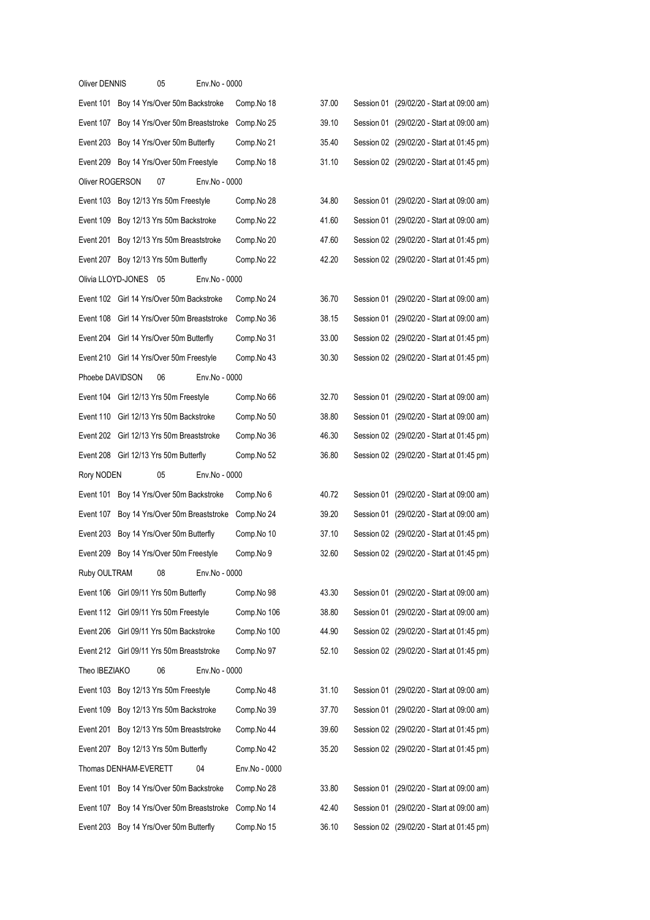| <b>Oliver DENNIS</b> |                       | 05                                        | Env.No - 0000 |               |       |  |                                           |
|----------------------|-----------------------|-------------------------------------------|---------------|---------------|-------|--|-------------------------------------------|
|                      |                       | Event 101 Boy 14 Yrs/Over 50m Backstroke  |               | Comp.No 18    | 37.00 |  | Session 01 (29/02/20 - Start at 09:00 am) |
| Event 107            |                       | Boy 14 Yrs/Over 50m Breaststroke          |               | Comp.No 25    | 39.10 |  | Session 01 (29/02/20 - Start at 09:00 am) |
| Event 203            |                       | Boy 14 Yrs/Over 50m Butterfly             |               | Comp.No 21    | 35.40 |  | Session 02 (29/02/20 - Start at 01:45 pm) |
| Event 209            |                       | Boy 14 Yrs/Over 50m Freestyle             |               | Comp.No 18    | 31.10 |  | Session 02 (29/02/20 - Start at 01:45 pm) |
| Oliver ROGERSON      |                       | 07                                        | Env.No - 0000 |               |       |  |                                           |
|                      |                       | Event 103 Boy 12/13 Yrs 50m Freestyle     |               | Comp.No 28    | 34.80 |  | Session 01 (29/02/20 - Start at 09:00 am) |
| Event 109            |                       | Boy 12/13 Yrs 50m Backstroke              |               | Comp.No 22    | 41.60 |  | Session 01 (29/02/20 - Start at 09:00 am) |
| Event 201            |                       | Boy 12/13 Yrs 50m Breaststroke            |               | Comp.No 20    | 47.60 |  | Session 02 (29/02/20 - Start at 01:45 pm) |
| Event 207            |                       | Boy 12/13 Yrs 50m Butterfly               |               | Comp.No 22    | 42.20 |  | Session 02 (29/02/20 - Start at 01:45 pm) |
| Olivia LLOYD-JONES   |                       | 05                                        | Env.No - 0000 |               |       |  |                                           |
|                      |                       | Event 102 Girl 14 Yrs/Over 50m Backstroke |               | Comp.No 24    | 36.70 |  | Session 01 (29/02/20 - Start at 09:00 am) |
| Event 108            |                       | Girl 14 Yrs/Over 50m Breaststroke         |               | Comp.No 36    | 38.15 |  | Session 01 (29/02/20 - Start at 09:00 am) |
| Event 204            |                       | Girl 14 Yrs/Over 50m Butterfly            |               | Comp.No 31    | 33.00 |  | Session 02 (29/02/20 - Start at 01:45 pm) |
|                      |                       | Event 210 Girl 14 Yrs/Over 50m Freestyle  |               | Comp.No 43    | 30.30 |  | Session 02 (29/02/20 - Start at 01:45 pm) |
| Phoebe DAVIDSON      |                       | 06                                        | Env.No - 0000 |               |       |  |                                           |
| Event 104            |                       | Girl 12/13 Yrs 50m Freestyle              |               | Comp.No 66    | 32.70 |  | Session 01 (29/02/20 - Start at 09:00 am) |
|                      |                       | Event 110 Girl 12/13 Yrs 50m Backstroke   |               | Comp.No 50    | 38.80 |  | Session 01 (29/02/20 - Start at 09:00 am) |
|                      |                       | Event 202 Girl 12/13 Yrs 50m Breaststroke |               | Comp.No 36    | 46.30 |  | Session 02 (29/02/20 - Start at 01:45 pm) |
| Event 208            |                       | Girl 12/13 Yrs 50m Butterfly              |               | Comp.No 52    | 36.80 |  | Session 02 (29/02/20 - Start at 01:45 pm) |
| Rory NODEN           |                       | 05                                        | Env.No - 0000 |               |       |  |                                           |
| Event 101            |                       | Boy 14 Yrs/Over 50m Backstroke            |               | Comp.No 6     | 40.72 |  | Session 01 (29/02/20 - Start at 09:00 am) |
| Event 107            |                       | Boy 14 Yrs/Over 50m Breaststroke          |               | Comp.No 24    | 39.20 |  | Session 01 (29/02/20 - Start at 09:00 am) |
| Event 203            |                       | Boy 14 Yrs/Over 50m Butterfly             |               | Comp.No 10    | 37.10 |  | Session 02 (29/02/20 - Start at 01:45 pm) |
| Event 209            |                       | Boy 14 Yrs/Over 50m Freestyle             |               | Comp.No 9     | 32.60 |  | Session 02 (29/02/20 - Start at 01:45 pm) |
| Ruby OULTRAM         |                       | 08                                        | Env.No - 0000 |               |       |  |                                           |
|                      |                       | Event 106 Girl 09/11 Yrs 50m Butterfly    |               | Comp.No 98    | 43.30 |  | Session 01 (29/02/20 - Start at 09:00 am) |
|                      |                       | Event 112 Girl 09/11 Yrs 50m Freestyle    |               | Comp.No 106   | 38.80 |  | Session 01 (29/02/20 - Start at 09:00 am) |
|                      |                       | Event 206 Girl 09/11 Yrs 50m Backstroke   |               | Comp.No 100   | 44.90 |  | Session 02 (29/02/20 - Start at 01:45 pm) |
|                      |                       | Event 212 Girl 09/11 Yrs 50m Breaststroke |               | Comp.No 97    | 52.10 |  | Session 02 (29/02/20 - Start at 01:45 pm) |
| Theo IBEZIAKO        |                       | 06                                        | Env.No - 0000 |               |       |  |                                           |
|                      |                       | Event 103 Boy 12/13 Yrs 50m Freestyle     |               | Comp.No 48    | 31.10 |  | Session 01 (29/02/20 - Start at 09:00 am) |
| Event 109            |                       | Boy 12/13 Yrs 50m Backstroke              |               | Comp.No 39    | 37.70 |  | Session 01 (29/02/20 - Start at 09:00 am) |
| Event 201            |                       | Boy 12/13 Yrs 50m Breaststroke            |               | Comp.No 44    | 39.60 |  | Session 02 (29/02/20 - Start at 01:45 pm) |
|                      |                       | Event 207 Boy 12/13 Yrs 50m Butterfly     |               | Comp.No 42    | 35.20 |  | Session 02 (29/02/20 - Start at 01:45 pm) |
|                      | Thomas DENHAM-EVERETT |                                           | 04            | Env.No - 0000 |       |  |                                           |
|                      |                       | Event 101 Boy 14 Yrs/Over 50m Backstroke  |               | Comp.No 28    | 33.80 |  | Session 01 (29/02/20 - Start at 09:00 am) |
| Event 107            |                       | Boy 14 Yrs/Over 50m Breaststroke          |               | Comp.No 14    | 42.40 |  | Session 01 (29/02/20 - Start at 09:00 am) |
| Event 203            |                       | Boy 14 Yrs/Over 50m Butterfly             |               | Comp.No 15    | 36.10 |  | Session 02 (29/02/20 - Start at 01:45 pm) |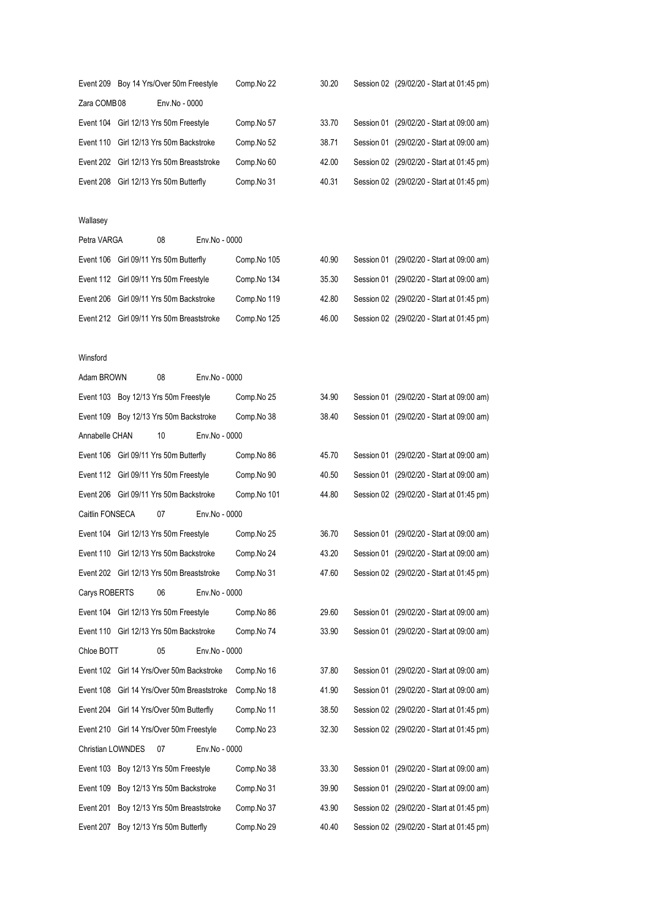|             | Event 209 Boy 14 Yrs/Over 50m Freestyle   | Comp.No 22 | 30.20 | Session 02 (29/02/20 - Start at 01:45 pm) |
|-------------|-------------------------------------------|------------|-------|-------------------------------------------|
| Zara COMB08 | Env.No - 0000                             |            |       |                                           |
|             | Event 104 Girl 12/13 Yrs 50m Freestyle    | Comp.No 57 | 33.70 | Session 01 (29/02/20 - Start at 09:00 am) |
|             | Event 110 Girl 12/13 Yrs 50m Backstroke   | Comp.No 52 | 38.71 | Session 01 (29/02/20 - Start at 09:00 am) |
|             | Event 202 Girl 12/13 Yrs 50m Breaststroke | Comp.No 60 | 42.00 | Session 02 (29/02/20 - Start at 01:45 pm) |
|             | Event 208 Girl 12/13 Yrs 50m Butterfly    | Comp.No 31 | 40.31 | Session 02 (29/02/20 - Start at 01:45 pm) |

### Wallasey

| Petra VARGA | 08                                        | Env.No - 0000 |             |       |  |                                           |
|-------------|-------------------------------------------|---------------|-------------|-------|--|-------------------------------------------|
|             | Event 106 Girl 09/11 Yrs 50m Butterfly    |               | Comp.No 105 | 40.90 |  | Session 01 (29/02/20 - Start at 09:00 am) |
|             | Event 112 Girl 09/11 Yrs 50m Freestyle    |               | Comp.No 134 | 35.30 |  | Session 01 (29/02/20 - Start at 09:00 am) |
|             | Event 206 Girl 09/11 Yrs 50m Backstroke   |               | Comp.No 119 | 42.80 |  | Session 02 (29/02/20 - Start at 01:45 pm) |
|             | Event 212 Girl 09/11 Yrs 50m Breaststroke |               | Comp.No 125 | 46.00 |  | Session 02 (29/02/20 - Start at 01:45 pm) |
|             |                                           |               |             |       |  |                                           |

### Winsford

| Adam BROWN               | 08                                          | Env.No - 0000 |             |       |                                           |
|--------------------------|---------------------------------------------|---------------|-------------|-------|-------------------------------------------|
|                          | Event 103 Boy 12/13 Yrs 50m Freestyle       |               | Comp.No 25  | 34.90 | Session 01 (29/02/20 - Start at 09:00 am) |
|                          | Event 109 Boy 12/13 Yrs 50m Backstroke      |               | Comp.No 38  | 38.40 | Session 01 (29/02/20 - Start at 09:00 am) |
| Annabelle CHAN           | 10                                          | Env.No - 0000 |             |       |                                           |
|                          | Event 106 Girl 09/11 Yrs 50m Butterfly      |               | Comp.No 86  | 45.70 | Session 01 (29/02/20 - Start at 09:00 am) |
|                          | Event 112 Girl 09/11 Yrs 50m Freestyle      |               | Comp.No 90  | 40.50 | Session 01 (29/02/20 - Start at 09:00 am) |
|                          | Event 206 Girl 09/11 Yrs 50m Backstroke     |               | Comp.No 101 | 44.80 | Session 02 (29/02/20 - Start at 01:45 pm) |
| Caitlin FONSECA          | 07                                          | Env.No - 0000 |             |       |                                           |
|                          | Event 104 Girl 12/13 Yrs 50m Freestyle      |               | Comp.No 25  | 36.70 | Session 01 (29/02/20 - Start at 09:00 am) |
|                          | Event 110 Girl 12/13 Yrs 50m Backstroke     |               | Comp.No 24  | 43.20 | Session 01 (29/02/20 - Start at 09:00 am) |
|                          | Event 202 Girl 12/13 Yrs 50m Breaststroke   |               | Comp.No 31  | 47.60 | Session 02 (29/02/20 - Start at 01:45 pm) |
| Carys ROBERTS            | 06                                          | Env.No - 0000 |             |       |                                           |
|                          | Event 104 Girl 12/13 Yrs 50m Freestyle      |               | Comp.No 86  | 29.60 | Session 01 (29/02/20 - Start at 09:00 am) |
|                          |                                             |               |             |       |                                           |
|                          | Event 110 Girl 12/13 Yrs 50m Backstroke     |               | Comp.No 74  | 33.90 | Session 01 (29/02/20 - Start at 09:00 am) |
| Chloe BOTT               | 05                                          | Env.No - 0000 |             |       |                                           |
|                          | Event 102 Girl 14 Yrs/Over 50m Backstroke   |               | Comp.No 16  | 37.80 | Session 01 (29/02/20 - Start at 09:00 am) |
|                          | Event 108 Girl 14 Yrs/Over 50m Breaststroke |               | Comp.No 18  | 41.90 | Session 01 (29/02/20 - Start at 09:00 am) |
|                          | Event 204 Girl 14 Yrs/Over 50m Butterfly    |               | Comp.No 11  | 38.50 | Session 02 (29/02/20 - Start at 01:45 pm) |
|                          | Event 210 Girl 14 Yrs/Over 50m Freestyle    |               | Comp.No 23  | 32.30 | Session 02 (29/02/20 - Start at 01:45 pm) |
| <b>Christian LOWNDES</b> | 07                                          | Env.No - 0000 |             |       |                                           |
|                          | Event 103 Boy 12/13 Yrs 50m Freestyle       |               | Comp.No 38  | 33.30 | Session 01 (29/02/20 - Start at 09:00 am) |
|                          | Event 109 Boy 12/13 Yrs 50m Backstroke      |               | Comp.No 31  | 39.90 | Session 01 (29/02/20 - Start at 09:00 am) |
| Event 201                | Boy 12/13 Yrs 50m Breaststroke              |               | Comp.No 37  | 43.90 | Session 02 (29/02/20 - Start at 01:45 pm) |
| Event 207                | Boy 12/13 Yrs 50m Butterfly                 |               | Comp.No 29  | 40.40 | Session 02 (29/02/20 - Start at 01:45 pm) |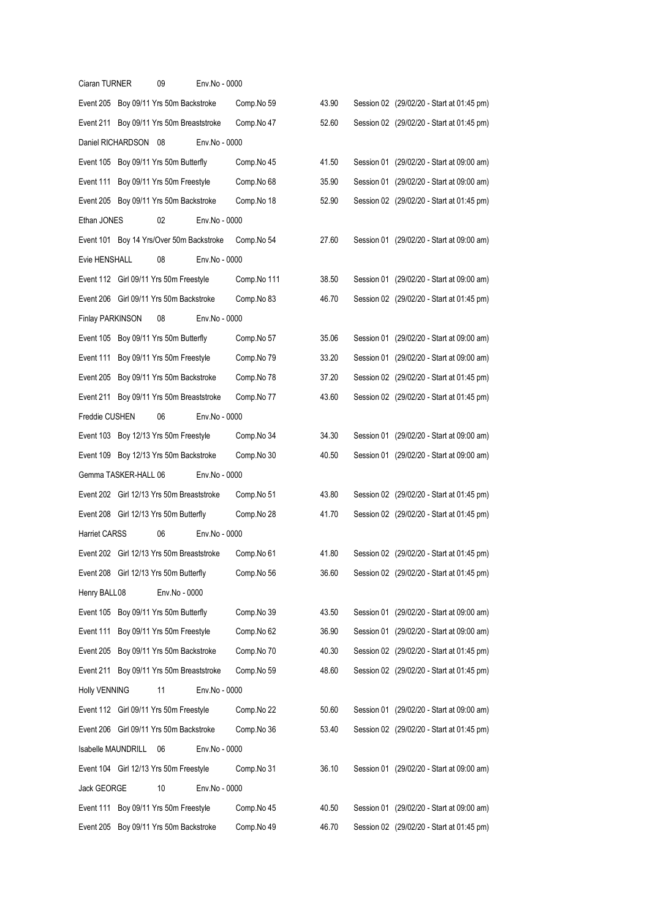| Ciaran TURNER      |                      | 09                                        | Env.No - 0000 |             |       |                                           |
|--------------------|----------------------|-------------------------------------------|---------------|-------------|-------|-------------------------------------------|
|                    |                      | Event 205 Boy 09/11 Yrs 50m Backstroke    |               | Comp.No 59  | 43.90 | Session 02 (29/02/20 - Start at 01:45 pm) |
|                    |                      | Event 211 Boy 09/11 Yrs 50m Breaststroke  |               | Comp.No 47  | 52.60 | Session 02 (29/02/20 - Start at 01:45 pm) |
|                    | Daniel RICHARDSON 08 |                                           | Env.No - 0000 |             |       |                                           |
|                    |                      | Event 105 Boy 09/11 Yrs 50m Butterfly     |               | Comp.No 45  | 41.50 | Session 01 (29/02/20 - Start at 09:00 am) |
|                    |                      | Event 111 Boy 09/11 Yrs 50m Freestyle     |               | Comp.No 68  | 35.90 | Session 01 (29/02/20 - Start at 09:00 am) |
|                    |                      | Event 205 Boy 09/11 Yrs 50m Backstroke    |               | Comp.No 18  | 52.90 | Session 02 (29/02/20 - Start at 01:45 pm) |
| Ethan JONES        |                      | 02                                        | Env.No - 0000 |             |       |                                           |
|                    |                      | Event 101 Boy 14 Yrs/Over 50m Backstroke  |               | Comp.No 54  | 27.60 | Session 01 (29/02/20 - Start at 09:00 am) |
| Evie HENSHALL      |                      | 08                                        | Env.No - 0000 |             |       |                                           |
|                    |                      | Event 112 Girl 09/11 Yrs 50m Freestyle    |               | Comp.No 111 | 38.50 | Session 01 (29/02/20 - Start at 09:00 am) |
|                    |                      | Event 206 Girl 09/11 Yrs 50m Backstroke   |               | Comp.No 83  | 46.70 | Session 02 (29/02/20 - Start at 01:45 pm) |
| Finlay PARKINSON   |                      | 08                                        | Env.No - 0000 |             |       |                                           |
|                    |                      | Event 105 Boy 09/11 Yrs 50m Butterfly     |               | Comp.No 57  | 35.06 | Session 01 (29/02/20 - Start at 09:00 am) |
|                    |                      | Event 111 Boy 09/11 Yrs 50m Freestyle     |               | Comp.No 79  | 33.20 | Session 01 (29/02/20 - Start at 09:00 am) |
|                    |                      | Event 205 Boy 09/11 Yrs 50m Backstroke    |               | Comp.No 78  | 37.20 | Session 02 (29/02/20 - Start at 01:45 pm) |
|                    |                      | Event 211 Boy 09/11 Yrs 50m Breaststroke  |               | Comp.No 77  | 43.60 | Session 02 (29/02/20 - Start at 01:45 pm) |
| Freddie CUSHEN     |                      | 06                                        | Env.No - 0000 |             |       |                                           |
|                    |                      | Event 103 Boy 12/13 Yrs 50m Freestyle     |               | Comp.No 34  | 34.30 | Session 01 (29/02/20 - Start at 09:00 am) |
|                    |                      | Event 109 Boy 12/13 Yrs 50m Backstroke    |               | Comp.No 30  | 40.50 | Session 01 (29/02/20 - Start at 09:00 am) |
|                    | Gemma TASKER-HALL 06 |                                           | Env.No - 0000 |             |       |                                           |
|                    |                      | Event 202 Girl 12/13 Yrs 50m Breaststroke |               | Comp.No 51  | 43.80 | Session 02 (29/02/20 - Start at 01:45 pm) |
|                    |                      | Event 208 Girl 12/13 Yrs 50m Butterfly    |               | Comp.No 28  | 41.70 | Session 02 (29/02/20 - Start at 01:45 pm) |
| Harriet CARSS      |                      | 06                                        | Env.No - 0000 |             |       |                                           |
|                    |                      | Event 202 Girl 12/13 Yrs 50m Breaststroke |               | Comp.No 61  | 41.80 | Session 02 (29/02/20 - Start at 01:45 pm) |
|                    |                      | Event 208 Girl 12/13 Yrs 50m Butterfly    |               | Comp.No 56  | 36.60 | Session 02 (29/02/20 - Start at 01:45 pm) |
| Henry BALL08       |                      | Env.No - 0000                             |               |             |       |                                           |
|                    |                      | Event 105 Boy 09/11 Yrs 50m Butterfly     |               | Comp.No 39  | 43.50 | Session 01 (29/02/20 - Start at 09:00 am) |
|                    |                      | Event 111 Boy 09/11 Yrs 50m Freestyle     |               | Comp.No 62  | 36.90 | Session 01 (29/02/20 - Start at 09:00 am) |
|                    |                      | Event 205 Boy 09/11 Yrs 50m Backstroke    |               | Comp.No 70  | 40.30 | Session 02 (29/02/20 - Start at 01:45 pm) |
|                    |                      | Event 211 Boy 09/11 Yrs 50m Breaststroke  |               | Comp.No 59  | 48.60 | Session 02 (29/02/20 - Start at 01:45 pm) |
| Holly VENNING      |                      | 11                                        | Env.No - 0000 |             |       |                                           |
|                    |                      | Event 112 Girl 09/11 Yrs 50m Freestyle    |               | Comp.No 22  | 50.60 | Session 01 (29/02/20 - Start at 09:00 am) |
|                    |                      | Event 206 Girl 09/11 Yrs 50m Backstroke   |               | Comp.No 36  | 53.40 | Session 02 (29/02/20 - Start at 01:45 pm) |
| Isabelle MAUNDRILL |                      | 06                                        | Env.No - 0000 |             |       |                                           |
|                    |                      | Event 104 Girl 12/13 Yrs 50m Freestyle    |               | Comp.No 31  | 36.10 | Session 01 (29/02/20 - Start at 09:00 am) |
| Jack GEORGE        |                      | 10                                        | Env.No - 0000 |             |       |                                           |
| Event 111          |                      | Boy 09/11 Yrs 50m Freestyle               |               | Comp.No 45  | 40.50 | Session 01 (29/02/20 - Start at 09:00 am) |
|                    |                      | Event 205 Boy 09/11 Yrs 50m Backstroke    |               | Comp.No 49  | 46.70 | Session 02 (29/02/20 - Start at 01:45 pm) |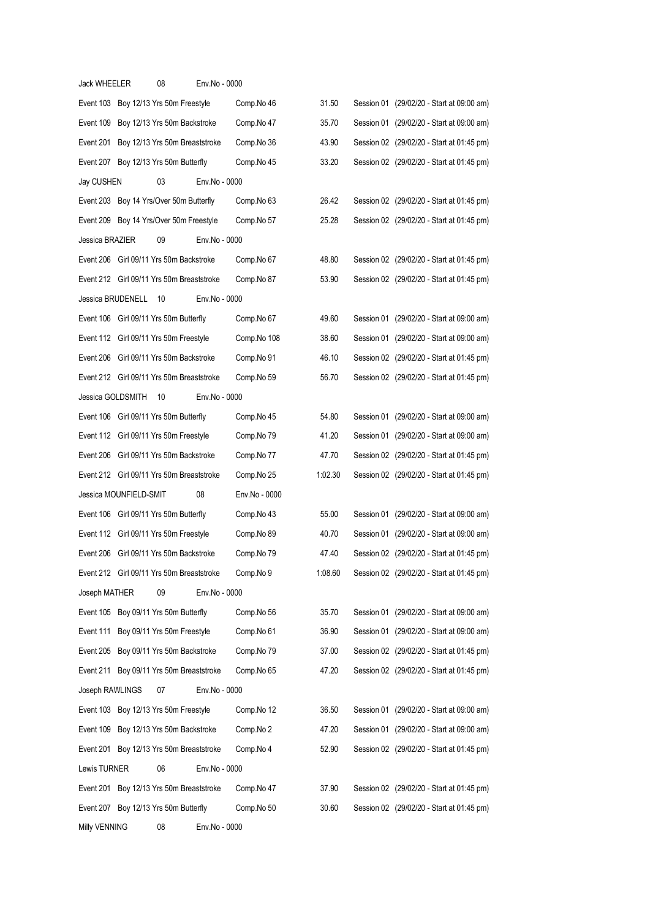| <b>Jack WHEELER</b> |                        | 08                                        | Env.No - 0000 |               |         |                                           |
|---------------------|------------------------|-------------------------------------------|---------------|---------------|---------|-------------------------------------------|
|                     |                        | Event 103 Boy 12/13 Yrs 50m Freestyle     |               | Comp.No 46    | 31.50   | Session 01 (29/02/20 - Start at 09:00 am) |
| Event 109           |                        | Boy 12/13 Yrs 50m Backstroke              |               | Comp.No 47    | 35.70   | Session 01 (29/02/20 - Start at 09:00 am) |
| Event 201           |                        | Boy 12/13 Yrs 50m Breaststroke            |               | Comp.No 36    | 43.90   | Session 02 (29/02/20 - Start at 01:45 pm) |
|                     |                        | Event 207 Boy 12/13 Yrs 50m Butterfly     |               | Comp.No 45    | 33.20   | Session 02 (29/02/20 - Start at 01:45 pm) |
| Jay CUSHEN          |                        | 03                                        | Env.No - 0000 |               |         |                                           |
|                     |                        | Event 203 Boy 14 Yrs/Over 50m Butterfly   |               | Comp.No 63    | 26.42   | Session 02 (29/02/20 - Start at 01:45 pm) |
|                     |                        | Event 209 Boy 14 Yrs/Over 50m Freestyle   |               | Comp.No 57    | 25.28   | Session 02 (29/02/20 - Start at 01:45 pm) |
| Jessica BRAZIER     |                        | 09                                        | Env.No - 0000 |               |         |                                           |
|                     |                        | Event 206 Girl 09/11 Yrs 50m Backstroke   |               | Comp.No 67    | 48.80   | Session 02 (29/02/20 - Start at 01:45 pm) |
|                     |                        | Event 212 Girl 09/11 Yrs 50m Breaststroke |               | Comp.No 87    | 53.90   | Session 02 (29/02/20 - Start at 01:45 pm) |
|                     | Jessica BRUDENELL      | 10                                        | Env.No - 0000 |               |         |                                           |
|                     |                        | Event 106 Girl 09/11 Yrs 50m Butterfly    |               | Comp.No 67    | 49.60   | Session 01 (29/02/20 - Start at 09:00 am) |
|                     |                        | Event 112 Girl 09/11 Yrs 50m Freestyle    |               | Comp.No 108   | 38.60   | Session 01 (29/02/20 - Start at 09:00 am) |
|                     |                        | Event 206 Girl 09/11 Yrs 50m Backstroke   |               | Comp.No 91    | 46.10   | Session 02 (29/02/20 - Start at 01:45 pm) |
|                     |                        | Event 212 Girl 09/11 Yrs 50m Breaststroke |               | Comp.No 59    | 56.70   | Session 02 (29/02/20 - Start at 01:45 pm) |
| Jessica GOLDSMITH   |                        | 10                                        | Env.No - 0000 |               |         |                                           |
|                     |                        | Event 106 Girl 09/11 Yrs 50m Butterfly    |               | Comp.No 45    | 54.80   | Session 01 (29/02/20 - Start at 09:00 am) |
|                     |                        | Event 112 Girl 09/11 Yrs 50m Freestyle    |               | Comp.No 79    | 41.20   | Session 01 (29/02/20 - Start at 09:00 am) |
|                     |                        | Event 206 Girl 09/11 Yrs 50m Backstroke   |               | Comp.No 77    | 47.70   | Session 02 (29/02/20 - Start at 01:45 pm) |
|                     |                        | Event 212 Girl 09/11 Yrs 50m Breaststroke |               | Comp.No 25    | 1:02.30 | Session 02 (29/02/20 - Start at 01:45 pm) |
|                     | Jessica MOUNFIELD-SMIT |                                           | 08            | Env.No - 0000 |         |                                           |
|                     |                        | Event 106 Girl 09/11 Yrs 50m Butterfly    |               | Comp.No 43    | 55.00   | Session 01 (29/02/20 - Start at 09:00 am) |
|                     |                        | Event 112 Girl 09/11 Yrs 50m Freestyle    |               | Comp.No 89    | 40.70   | Session 01 (29/02/20 - Start at 09:00 am) |
|                     |                        | Event 206 Girl 09/11 Yrs 50m Backstroke   |               | Comp.No 79    | 47.40   | Session 02 (29/02/20 - Start at 01:45 pm) |
|                     |                        | Event 212 Girl 09/11 Yrs 50m Breaststroke |               | Comp.No 9     | 1:08.60 | Session 02 (29/02/20 - Start at 01:45 pm) |
| Joseph MATHER       |                        | 09                                        | Env.No - 0000 |               |         |                                           |
|                     |                        | Event 105 Boy 09/11 Yrs 50m Butterfly     |               | Comp.No 56    | 35.70   | Session 01 (29/02/20 - Start at 09:00 am) |
|                     |                        | Event 111 Boy 09/11 Yrs 50m Freestyle     |               | Comp.No 61    | 36.90   | Session 01 (29/02/20 - Start at 09:00 am) |
| Event 205           |                        | Boy 09/11 Yrs 50m Backstroke              |               | Comp.No 79    | 37.00   | Session 02 (29/02/20 - Start at 01:45 pm) |
|                     |                        | Event 211 Boy 09/11 Yrs 50m Breaststroke  |               | Comp.No 65    | 47.20   | Session 02 (29/02/20 - Start at 01:45 pm) |
| Joseph RAWLINGS     |                        | 07                                        | Env.No - 0000 |               |         |                                           |
|                     |                        | Event 103 Boy 12/13 Yrs 50m Freestyle     |               | Comp.No 12    | 36.50   | Session 01 (29/02/20 - Start at 09:00 am) |
| Event 109           |                        | Boy 12/13 Yrs 50m Backstroke              |               | Comp.No 2     | 47.20   | Session 01 (29/02/20 - Start at 09:00 am) |
|                     |                        | Event 201 Boy 12/13 Yrs 50m Breaststroke  |               | Comp.No 4     | 52.90   | Session 02 (29/02/20 - Start at 01:45 pm) |
| Lewis TURNER        |                        | 06                                        | Env.No - 0000 |               |         |                                           |
|                     |                        | Event 201 Boy 12/13 Yrs 50m Breaststroke  |               | Comp.No 47    | 37.90   | Session 02 (29/02/20 - Start at 01:45 pm) |
|                     |                        |                                           |               |               |         |                                           |